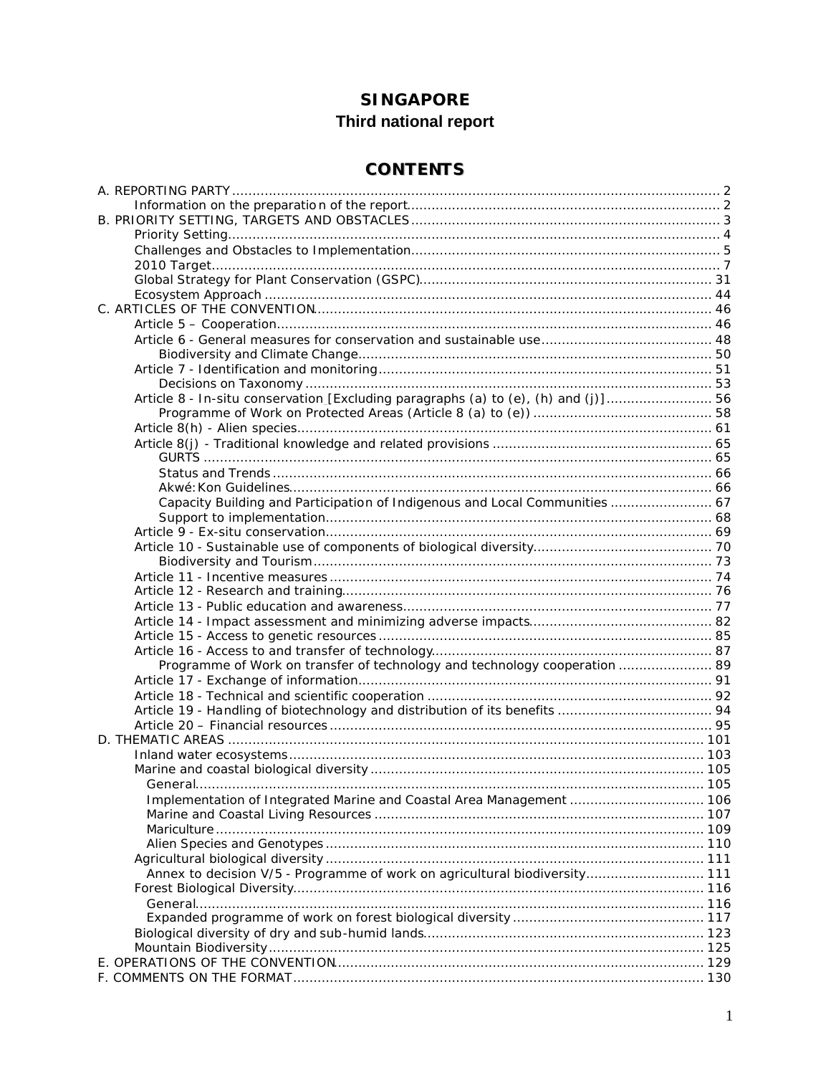# **SINGAPORE** Third national report

# **CONTENTS**

| Article 8 - In-situ conservation_[Excluding paragraphs (a) to (e), (h) and (j)] 56 |  |
|------------------------------------------------------------------------------------|--|
|                                                                                    |  |
|                                                                                    |  |
|                                                                                    |  |
|                                                                                    |  |
|                                                                                    |  |
|                                                                                    |  |
| Capacity Building and Participation of Indigenous and Local Communities  67        |  |
|                                                                                    |  |
|                                                                                    |  |
|                                                                                    |  |
|                                                                                    |  |
|                                                                                    |  |
|                                                                                    |  |
|                                                                                    |  |
|                                                                                    |  |
|                                                                                    |  |
|                                                                                    |  |
| Programme of Work on transfer of technology and technology cooperation  89         |  |
|                                                                                    |  |
|                                                                                    |  |
|                                                                                    |  |
|                                                                                    |  |
|                                                                                    |  |
|                                                                                    |  |
|                                                                                    |  |
|                                                                                    |  |
| Implementation of Integrated Marine and Coastal Area Management  106               |  |
|                                                                                    |  |
|                                                                                    |  |
|                                                                                    |  |
|                                                                                    |  |
| Annex to decision V/5 - Programme of work on agricultural biodiversity 111         |  |
|                                                                                    |  |
|                                                                                    |  |
|                                                                                    |  |
|                                                                                    |  |
|                                                                                    |  |
|                                                                                    |  |
|                                                                                    |  |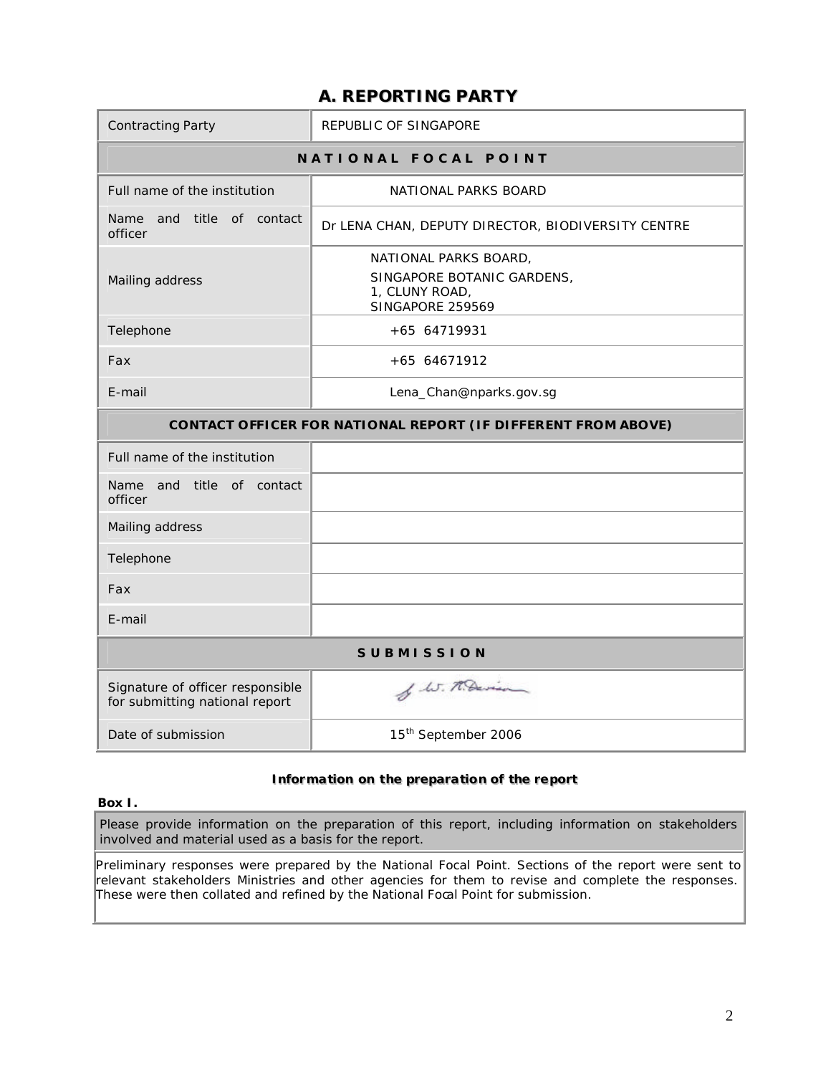# **A. REPORTING PARTY**

| <b>Contracting Party</b>                                           | REPUBLIC OF SINGAPORE                                                                            |  |  |  |  |  |
|--------------------------------------------------------------------|--------------------------------------------------------------------------------------------------|--|--|--|--|--|
|                                                                    | NATIONAL FOCAL POINT                                                                             |  |  |  |  |  |
| Full name of the institution                                       | NATIONAL PARKS BOARD                                                                             |  |  |  |  |  |
| Name and title of contact<br>officer                               | Dr LENA CHAN, DEPUTY DIRECTOR, BIODIVERSITY CENTRE                                               |  |  |  |  |  |
| Mailing address                                                    | NATIONAL PARKS BOARD,<br>SINGAPORE BOTANIC GARDENS,<br>1, CLUNY ROAD,<br><b>SINGAPORE 259569</b> |  |  |  |  |  |
| Telephone                                                          | +65 64719931                                                                                     |  |  |  |  |  |
| Fax                                                                | +65 64671912                                                                                     |  |  |  |  |  |
| E-mail                                                             | Lena_Chan@nparks.gov.sg                                                                          |  |  |  |  |  |
|                                                                    | <b>CONTACT OFFICER FOR NATIONAL REPORT (IF DIFFERENT FROM ABOVE)</b>                             |  |  |  |  |  |
| Full name of the institution                                       |                                                                                                  |  |  |  |  |  |
| Name and title of contact<br>officer                               |                                                                                                  |  |  |  |  |  |
| Mailing address                                                    |                                                                                                  |  |  |  |  |  |
| Telephone                                                          |                                                                                                  |  |  |  |  |  |
| Fax                                                                |                                                                                                  |  |  |  |  |  |
| E-mail                                                             |                                                                                                  |  |  |  |  |  |
|                                                                    | <b>SUBMISSION</b>                                                                                |  |  |  |  |  |
| Signature of officer responsible<br>for submitting national report | of W. M. Davison                                                                                 |  |  |  |  |  |
| Date of submission                                                 | 15 <sup>th</sup> September 2006                                                                  |  |  |  |  |  |

## **IInformatiion on the preparatiion of the report**

#### **Box I.**

Please provide information on the preparation of this report, including information on stakeholders involved and material used as a basis for the report.

Preliminary responses were prepared by the National Focal Point. Sections of the report were sent to relevant stakeholders Ministries and other agencies for them to revise and complete the responses. These were then collated and refined by the National Focal Point for submission.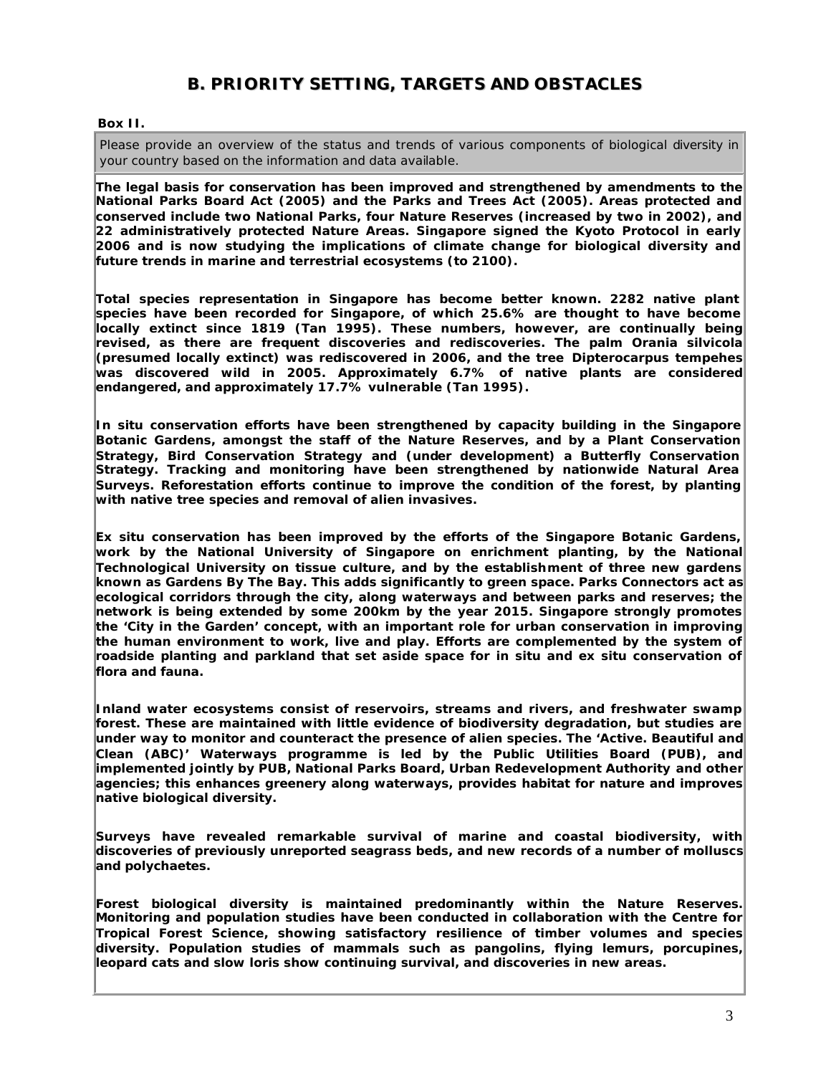# **B. PRIORITY SETTING, TARGETS AND OBSTACLES**

#### **Box II.**

Please provide an overview of the status and trends of various components of biological diversity in your country based on the information and data available.

**The legal basis for conservation has been improved and strengthened by amendments to the National Parks Board Act (2005) and the Parks and Trees Act (2005). Areas protected and conserved include two National Parks, four Nature Reserves (increased by two in 2002), and 22 administratively protected Nature Areas. Singapore signed the Kyoto Protocol in early 2006 and is now studying the implications of climate change for biological diversity and future trends in marine and terrestrial ecosystems (to 2100).** 

**Total species representation in Singapore has become better known. 2282 native plant species have been recorded for Singapore, of which 25.6% are thought to have become locally extinct since 1819 (Tan 1995). These numbers, however, are continually being revised, as there are frequent discoveries and rediscoveries. The palm** *Orania silvicola* **(presumed locally extinct) was rediscovered in 2006, and the tree** *Dipterocarpus tempehes* **was discovered wild in 2005. Approximately 6.7% of native plants are considered endangered, and approximately 17.7% vulnerable (Tan 1995).**

**In situ conservation efforts have been strengthened by capacity building in the Singapore Botanic Gardens, amongst the staff of the Nature Reserves, and by a Plant Conservation Strategy, Bird Conservation Strategy and (under development) a Butterfly Conservation Strategy. Tracking and monitoring have been strengthened by nationwide Natural Area Surveys. Reforestation efforts continue to improve the condition of the forest, by planting with native tree species and removal of alien invasives.**

**Ex situ conservation has been improved by the efforts of the Singapore Botanic Gardens, work by the National University of Singapore on enrichment planting, by the National Technological University on tissue culture, and by the establishment of three new gardens known as Gardens By The Bay. This adds significantly to green space. Parks Connectors act as ecological corridors through the city, along waterways and between parks and reserves; the network is being extended by some 200km by the year 2015. Singapore strongly promotes the 'City in the Garden' concept, with an important role for urban conservation in improving the human environment to work, live and play. Efforts are complemented by the system of roadside planting and parkland that set aside space for in situ and ex situ conservation of flora and fauna.**

**Inland water ecosystems consist of reservoirs, streams and rivers, and freshwater swamp forest. These are maintained with little evidence of biodiversity degradation, but studies are under way to monitor and counteract the presence of alien species. The 'Active. Beautiful and Clean (ABC)' Waterways programme is led by the Public Utilities Board (PUB), and implemented jointly by PUB, National Parks Board, Urban Redevelopment Authority and other agencies; this enhances greenery along waterways, provides habitat for nature and improves native biological diversity.**

**Surveys have revealed remarkable survival of marine and coastal biodiversity, with discoveries of previously unreported seagrass beds, and new records of a number of molluscs and polychaetes.**

**Forest biological diversity is maintained predominantly within the Nature Reserves. Monitoring and population studies have been conducted in collaboration with the Centre for Tropical Forest Science, showing satisfactory resilience of timber volumes and species diversity. Population studies of mammals such as pangolins, flying lemurs, porcupines, leopard cats and slow loris show continuing survival, and discoveries in new areas.**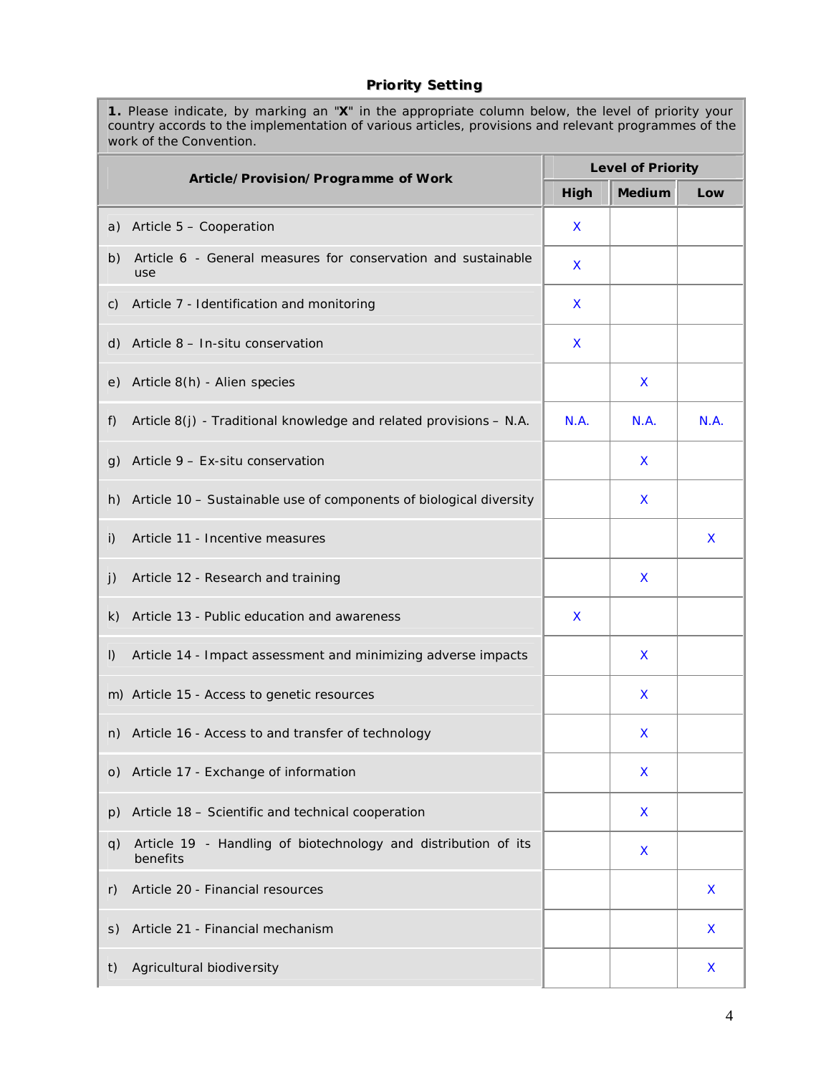## **Priority Setting**

**1..** Please indicate, by marking an "**X**" in the appropriate column below, the level of priority your country accords to the implementation of various articles, provisions and relevant programmes of the work of the Convention.

|           | Article/Provision/Programme of Work                                        |      | <b>Level of Priority</b> |      |
|-----------|----------------------------------------------------------------------------|------|--------------------------|------|
|           |                                                                            | High | <b>Medium</b>            | Low  |
|           | a) Article 5 - Cooperation                                                 | X.   |                          |      |
| b)        | Article 6 - General measures for conservation and sustainable<br>use       | X    |                          |      |
| c)        | Article 7 - Identification and monitoring                                  | X    |                          |      |
| d)        | Article 8 - In-situ conservation                                           | X    |                          |      |
| e)        | Article 8(h) - Alien species                                               |      | X                        |      |
| f)        | Article 8(j) - Traditional knowledge and related provisions - N.A.         | N.A. | N.A.                     | N.A. |
| g)        | Article $9$ – Ex-situ conservation                                         |      | X                        |      |
| h)        | Article 10 - Sustainable use of components of biological diversity         |      | X                        |      |
| i)        | Article 11 - Incentive measures                                            |      |                          | X    |
| j)        | Article 12 - Research and training                                         |      | X                        |      |
| k)        | Article 13 - Public education and awareness                                | X    |                          |      |
| $\vert$ ) | Article 14 - Impact assessment and minimizing adverse impacts              |      | $\mathsf{x}$             |      |
|           | m) Article 15 - Access to genetic resources                                |      | X                        |      |
| n)        | Article 16 - Access to and transfer of technology                          |      | X                        |      |
| O)        | Article 17 - Exchange of information                                       |      | X                        |      |
| p)        | Article 18 - Scientific and technical cooperation                          |      | X                        |      |
| q)        | Article 19 - Handling of biotechnology and distribution of its<br>benefits |      | X                        |      |
| r)        | Article 20 - Financial resources                                           |      |                          | X    |
| S)        | Article 21 - Financial mechanism                                           |      |                          | X    |
| t)        | Agricultural biodiversity                                                  |      |                          | X    |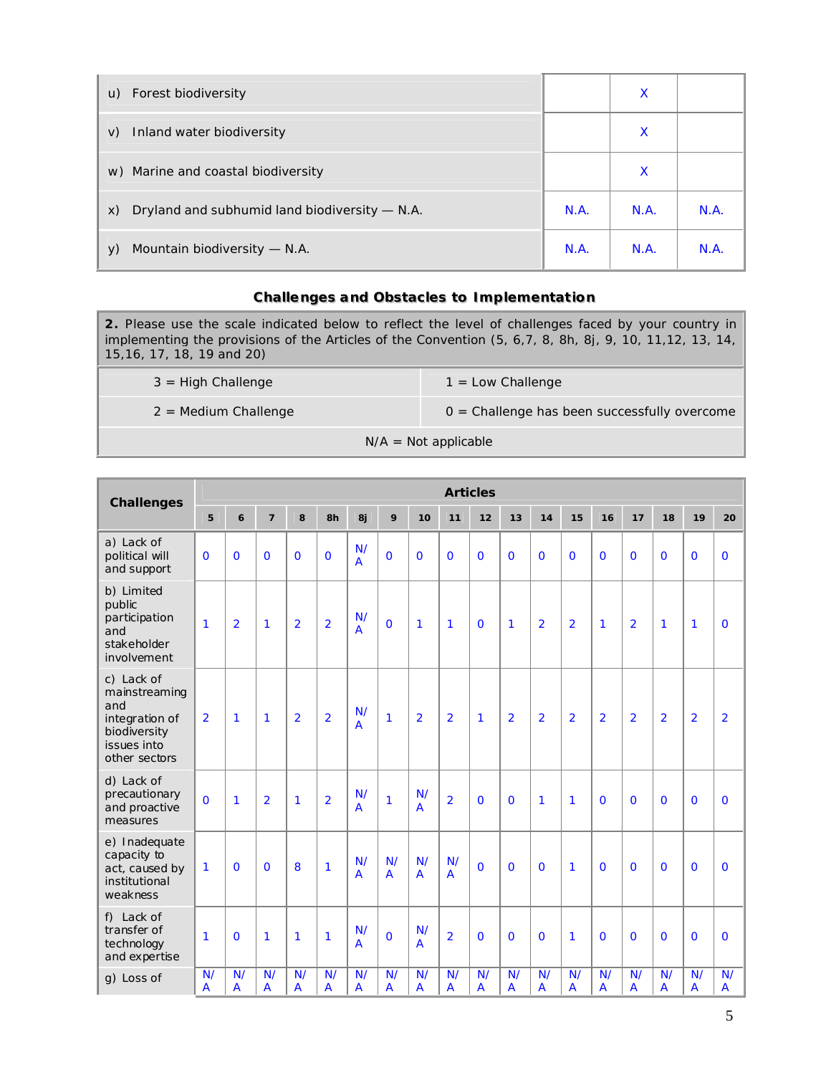| u) Forest biodiversity                              |      | X    |     |
|-----------------------------------------------------|------|------|-----|
| Inland water biodiversity<br>V)                     |      | X    |     |
| w) Marine and coastal biodiversity                  |      | X    |     |
| Dryland and subhumid land biodiversity - N.A.<br>X) | N.A. | N.A. | N.A |
| Mountain biodiversity — N.A.<br>V)                  | N.A. | N.A. | N.A |

#### **Challenges and Obstacles to Implementation**

**2.** Please use the scale indicated below to reflect the level of challenges faced by your country in implementing the provisions of the Articles of the Convention (5, 6,7, 8, 8h, 8j, 9, 10, 11,12, 13, 14, 15,16, 17, 18, 19 and 20)

3 = High Challenge 1 = Low Challenge

 $2 =$  Medium Challenge  $0 =$  Challenge has been successfully overcome

N/A = Not applicable

| <b>Challenges</b>                                                                                    |                      |                |                |                |                |                      |                      |                      | <b>Articles</b>      |                      |                      |                      |                      |                |                |                      |                |                      |
|------------------------------------------------------------------------------------------------------|----------------------|----------------|----------------|----------------|----------------|----------------------|----------------------|----------------------|----------------------|----------------------|----------------------|----------------------|----------------------|----------------|----------------|----------------------|----------------|----------------------|
|                                                                                                      | 5                    | $\mathbf{6}$   | $\overline{7}$ | 8              | 8h             | 8j                   | 9                    | 10                   | 11                   | 12                   | 13                   | 14                   | 15                   | 16             | 17             | 18                   | 19             | 20                   |
| a) Lack of<br>political will<br>and support                                                          | $\mathbf 0$          | $\Omega$       | $\Omega$       | $\Omega$       | $\Omega$       | N/<br>$\overline{A}$ | $\Omega$             | $\Omega$             | $\mathbf 0$          | $\overline{0}$       | $\mathbf 0$          | $\mathbf 0$          | $\mathbf 0$          | $\mathbf 0$    | $\Omega$       | $\Omega$             | $\Omega$       | $\mathbf 0$          |
| b) Limited<br>public<br>participation<br>and<br>stakeholder<br>involvement                           | $\mathbf{1}$         | $\overline{2}$ | $\mathbf{1}$   | $\overline{2}$ | $\overline{2}$ | N/<br>$\overline{A}$ | $\overline{0}$       | 1                    | $\mathbf{1}$         | $\mathbf 0$          | 1                    | $\overline{2}$       | $\overline{2}$       | 1              | $\overline{2}$ | $\mathbf{1}$         | $\mathbf{1}$   | $\mathbf 0$          |
| c) Lack of<br>mainstreaming<br>and<br>integration of<br>biodiversity<br>issues into<br>other sectors | $\overline{2}$       | 1              | $\mathbf{1}$   | $\overline{2}$ | $\overline{2}$ | N/<br>$\overline{A}$ | $\mathbf{1}$         | $\overline{2}$       | $\overline{2}$       | $\mathbf{1}$         | $\overline{2}$       | $\overline{2}$       | $\overline{2}$       | $\overline{2}$ | $\overline{2}$ | $\overline{2}$       | $\overline{2}$ | $\overline{2}$       |
| d) Lack of<br>precautionary<br>and proactive<br>measures                                             | $\Omega$             | $\mathbf{1}$   | $\overline{2}$ | $\mathbf{1}$   | $\overline{2}$ | N/<br>A              | $\mathbf{1}$         | N/<br>$\overline{A}$ | $\overline{2}$       | $\mathbf 0$          | $\Omega$             | $\mathbf{1}$         | $\mathbf{1}$         | $\overline{0}$ | $\overline{0}$ | $\Omega$             | $\overline{0}$ | $\mathbf 0$          |
| e) Inadequate<br>capacity to<br>act, caused by<br>institutional<br>weakness                          | 1                    | $\mathbf 0$    | $\Omega$       | 8              | $\mathbf{1}$   | N/<br>$\overline{A}$ | N/<br>$\overline{A}$ | N/<br>$\overline{A}$ | N/<br>$\overline{A}$ | $\overline{0}$       | $\overline{0}$       | $\overline{0}$       | $\mathbf{1}$         | $\overline{0}$ | $\overline{0}$ | $\mathbf 0$          | $\Omega$       | $\mathbf 0$          |
| f) Lack of<br>transfer of<br>technology<br>and expertise                                             | 1                    | $\Omega$       | $\mathbf{1}$   | $\mathbf{1}$   | $\mathbf{1}$   | N/<br>A              | $\Omega$             | N/<br>A              | $\overline{2}$       | $\mathbf 0$          | $\Omega$             | $\Omega$             | $\mathbf{1}$         | $\overline{0}$ | $\Omega$       | $\Omega$             | $\Omega$       | $\mathbf 0$          |
| g) Loss of                                                                                           | N/<br>$\overline{A}$ | N/<br>A        | N/<br>A        | N/<br>A        | N/<br>A        | N/<br>$\overline{A}$ | N/<br>$\overline{A}$ | N/<br>$\overline{A}$ | N/<br>$\overline{A}$ | N/<br>$\overline{A}$ | N/<br>$\overline{A}$ | N/<br>$\overline{A}$ | N/<br>$\overline{A}$ | N/<br>A        | N/<br>A        | N/<br>$\overline{A}$ | N/<br>A        | N/<br>$\overline{A}$ |

5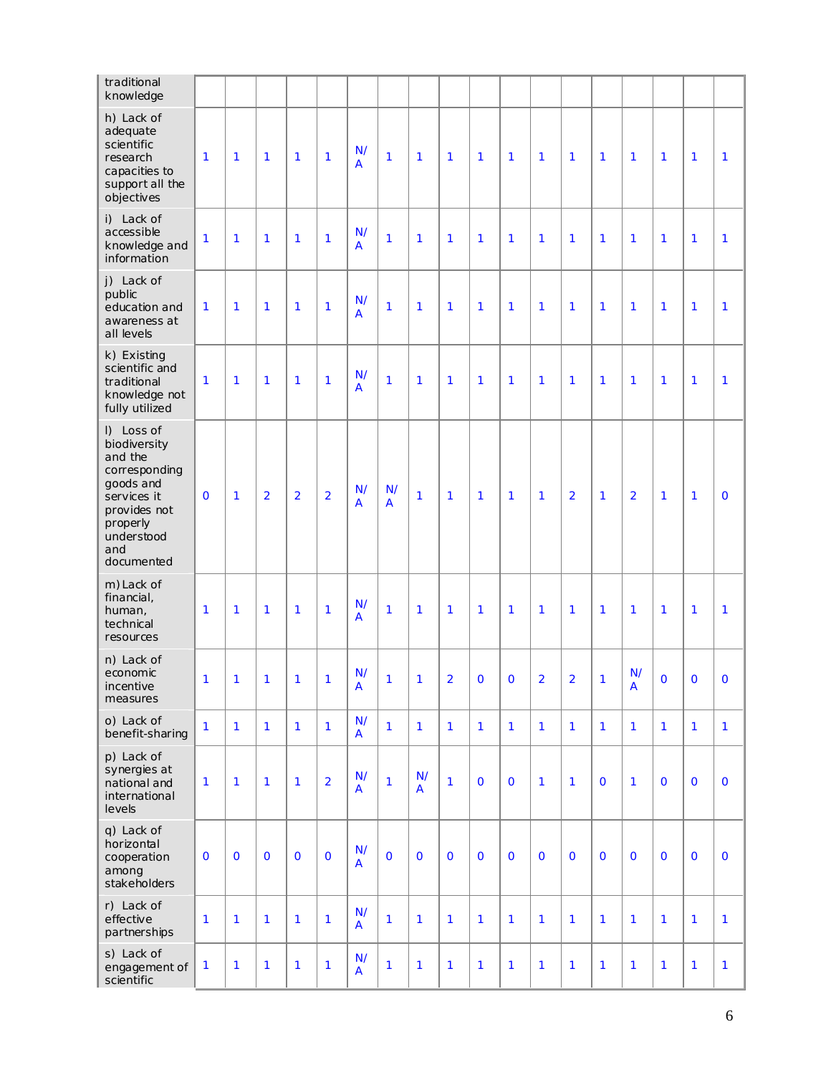| traditional<br>knowledge                                                                                                                          |                |              |                |                |                |                               |              |                |                |                |                |                |                |              |                      |                |              |              |
|---------------------------------------------------------------------------------------------------------------------------------------------------|----------------|--------------|----------------|----------------|----------------|-------------------------------|--------------|----------------|----------------|----------------|----------------|----------------|----------------|--------------|----------------------|----------------|--------------|--------------|
| h) Lack of<br>adequate<br>scientific<br>research<br>capacities to<br>support all the<br>objectives                                                | 1              | 1            | $\mathbf{1}$   | $\mathbf{1}$   | $\mathbf{1}$   | N/<br>A                       | $\mathbf{1}$ | 1              | $\mathbf{1}$   | 1              | $\mathbf{1}$   | $\mathbf{1}$   | $\mathbf{1}$   | $\mathbf{1}$ | 1                    | 1              | 1            | 1            |
| i) Lack of<br>accessible<br>knowledge and<br>information                                                                                          | 1              | 1            | $\mathbf{1}$   | $\mathbf{1}$   | $\mathbf{1}$   | N/<br>A                       | $\mathbf{1}$ | $\mathbf{1}$   | $\mathbf{1}$   | $\mathbf{1}$   | $\mathbf{1}$   | $\mathbf{1}$   | $\mathbf{1}$   | $\mathbf{1}$ | $\mathbf{1}$         | 1              | 1            | 1            |
| j) Lack of<br>public<br>education and<br>awareness at<br>all levels                                                                               | 1              | $\mathbf{1}$ | $\mathbf{1}$   | $\mathbf{1}$   | $\mathbf{1}$   | N/<br>$\overline{A}$          | $\mathbf{1}$ | 1              | $\mathbf{1}$   | 1              | $\mathbf{1}$   | $\mathbf{1}$   | $\mathbf{1}$   | 1            | 1                    | 1              | 1            | 1            |
| k) Existing<br>scientific and<br>traditional<br>knowledge not<br>fully utilized                                                                   | 1              | $\mathbf{1}$ | $\mathbf{1}$   | $\mathbf{1}$   | $\mathbf{1}$   | N/<br>A                       | $\mathbf{1}$ | 1              | 1              | 1              | $\mathbf{1}$   | 1              | $\mathbf{1}$   | 1            | 1                    | $\mathbf{1}$   | 1            | 1            |
| I) Loss of<br>biodiversity<br>and the<br>corresponding<br>goods and<br>services it<br>provides not<br>properly<br>understood<br>and<br>documented | $\mathbf 0$    | $\mathbf{1}$ | $\overline{2}$ | $\overline{2}$ | $\overline{2}$ | N/<br>A                       | N/<br>A      | $\mathbf{1}$   | $\mathbf{1}$   | 1              | $\mathbf{1}$   | $\mathbf{1}$   | $\overline{2}$ | $\mathbf{1}$ | $\overline{2}$       | 1              | 1            | $\mathbf 0$  |
| m) Lack of<br>financial,<br>human,<br>technical<br>resources                                                                                      | 1              | $\mathbf{1}$ | $\mathbf{1}$   | $\mathbf{1}$   | $\mathbf{1}$   | N/<br>A                       | $\mathbf{1}$ | $\mathbf{1}$   | $\mathbf{1}$   | 1              | $\mathbf{1}$   | $\mathbf{1}$   | $\mathbf{1}$   | 1            | 1                    | 1              | 1            | 1            |
| n) Lack of<br>economic<br>incentive<br>measures                                                                                                   | 1 <sup>1</sup> | $\mathbf{1}$ | $\mathbf{1}$   | $\overline{1}$ | $\mathbf{1}$   | N/<br>A                       | $\mathbf{1}$ | $\overline{1}$ | $\overline{2}$ | $\overline{0}$ | $\overline{O}$ | $\overline{2}$ | $\overline{2}$ | $\mathbf{1}$ | N/<br>$\overline{A}$ | $\overline{O}$ | $\mathbf{O}$ | $\mathbf 0$  |
| o) Lack of<br>benefit-sharing                                                                                                                     | 1              | $\mathbf{1}$ | $\mathbf{1}$   | $\mathbf{1}$   | $\mathbf{1}$   | N/<br>A                       | $\mathbf{1}$ | 1              | $\mathbf{1}$   | $\mathbf{1}$   | $\mathbf{1}$   | $\mathbf{1}$   | $\mathbf{1}$   | $\mathbf{1}$ | $\mathbf{1}$         | $\mathbf{1}$   | $\mathbf{1}$ | $\mathbf{1}$ |
| p) Lack of<br>synergies at<br>national and<br>international<br>levels                                                                             | 1              | $\mathbf{1}$ | $\mathbf{1}$   | $\mathbf{1}$   | $\overline{2}$ | N/<br>$\overline{\mathsf{A}}$ | $\mathbf{1}$ | N/<br>A        | $\mathbf{1}$   | $\mathbf 0$    | $\mathbf 0$    | $\mathbf{1}$   | $\mathbf{1}$   | $\mathbf 0$  | $\mathbf{1}$         | $\mathbf 0$    | $\mathbf{O}$ | $\mathbf 0$  |
| q) Lack of<br>horizontal<br>cooperation<br>among<br>stakeholders                                                                                  | $\mathbf 0$    | $\mathbf 0$  | $\mathbf 0$    | $\mathbf{O}$   | $\mathbf 0$    | N/<br>$\overline{\mathsf{A}}$ | $\mathbf 0$  | $\mathbf 0$    | $\mathbf 0$    | $\mathbf 0$    | $\mathbf 0$    | $\mathbf{O}$   | $\mathbf 0$    | $\mathbf 0$  | $\mathbf 0$          | $\mathbf 0$    | $\mathbf 0$  | $\mathbf 0$  |
| r) Lack of<br>effective<br>partnerships                                                                                                           | 1              | $\mathbf{1}$ | 1              | $\mathbf{1}$   | $\mathbf{1}$   | N/<br>A                       | $\mathbf{1}$ | 1              | $\mathbf{1}$   | 1              | $\mathbf{1}$   | $\mathbf{1}$   | $\mathbf{1}$   | $\mathbf{1}$ | $\mathbf{1}$         | $\mathbf{1}$   | $\mathbf{1}$ | $\mathbf{1}$ |
| s) Lack of<br>engagement of<br>scientific                                                                                                         | 1              | $\mathbf{1}$ | 1              | 1              | $\mathbf{1}$   | N/<br>A                       | 1            | 1              | 1              | 1              | 1              | 1              | 1              | $\mathbf{1}$ | 1                    | $\mathbf{1}$   | 1            | $\mathbf{1}$ |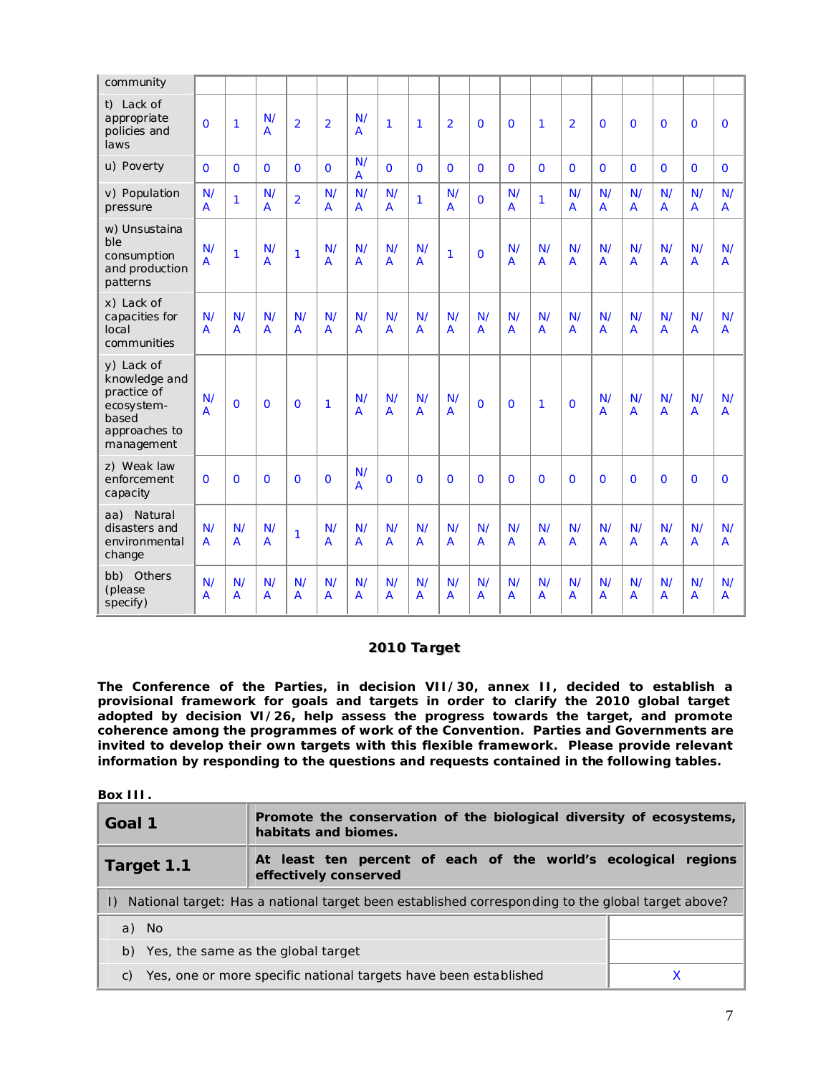| community                                                                                        |                      |                      |                      |                      |                      |                      |                      |                      |                      |                      |                      |                      |                      |                      |                      |                      |                      |                      |
|--------------------------------------------------------------------------------------------------|----------------------|----------------------|----------------------|----------------------|----------------------|----------------------|----------------------|----------------------|----------------------|----------------------|----------------------|----------------------|----------------------|----------------------|----------------------|----------------------|----------------------|----------------------|
| t) Lack of<br>appropriate<br>policies and<br>laws                                                | $\Omega$             | $\mathbf{1}$         | N/<br>$\overline{A}$ | $\overline{2}$       | $\overline{2}$       | N/<br>$\overline{A}$ | 1                    | 1                    | $\overline{2}$       | $\overline{0}$       | $\Omega$             | $\mathbf{1}$         | $\overline{2}$       | $\Omega$             | $\Omega$             | $\Omega$             | $\Omega$             | $\Omega$             |
| u) Poverty                                                                                       | $\Omega$             | $\Omega$             | $\Omega$             | $\Omega$             | $\Omega$             | N/<br>$\overline{A}$ | $\Omega$             | $\Omega$             | $\Omega$             | $\overline{O}$       | $\Omega$             | $\Omega$             | $\Omega$             | $\Omega$             | $\Omega$             | $\Omega$             | $\Omega$             | $\Omega$             |
| v) Population<br>pressure                                                                        | N/<br>$\overline{A}$ | $\mathbf{1}$         | N/<br>$\overline{A}$ | $\overline{2}$       | N/<br>$\overline{A}$ | N/<br>$\overline{A}$ | N/<br>$\overline{A}$ | 1                    | N/<br>$\overline{A}$ | $\mathbf 0$          | N/<br>$\overline{A}$ | $\mathbf{1}$         | N/<br>A              | N/<br>$\overline{A}$ | N/<br>$\overline{A}$ | N/<br>$\overline{A}$ | N/<br>A              | N/<br>$\overline{A}$ |
| w) Unsustaina<br>ble<br>consumption<br>and production<br>patterns                                | N/<br>$\overline{A}$ | $\mathbf{1}$         | N/<br>$\overline{A}$ | $\mathbf{1}$         | N/<br>$\overline{A}$ | N/<br>$\overline{A}$ | N/<br>$\overline{A}$ | N/<br>$\overline{A}$ | $\mathbf{1}$         | $\overline{0}$       | N/<br>A              | N/<br>$\overline{A}$ | N/<br>$\overline{A}$ | N/<br>$\overline{A}$ | N/<br>$\overline{A}$ | N/<br>$\overline{A}$ | N/<br>A              | N/<br>$\overline{A}$ |
| x) Lack of<br>capacities for<br>local<br>communities                                             | N/<br>$\overline{A}$ | N/<br>$\overline{A}$ | N/<br>$\overline{A}$ | N/<br>$\overline{A}$ | N/<br>$\overline{A}$ | N/<br>$\overline{A}$ | N/<br>$\overline{A}$ | N/<br>$\overline{A}$ | N/<br>A              | N/<br>$\overline{A}$ | N/<br>$\overline{A}$ | N/<br>$\overline{A}$ | N/<br>A              | N/<br>$\overline{A}$ | N/<br>$\overline{A}$ | N/<br>A              | N/<br>A              | N/<br>$\overline{A}$ |
| y) Lack of<br>knowledge and<br>practice of<br>ecosystem-<br>based<br>approaches to<br>management | N/<br>$\overline{A}$ | $\mathbf 0$          | $\overline{0}$       | $\mathbf 0$          | 1                    | N/<br>$\overline{A}$ | N/<br>$\overline{A}$ | N/<br>$\overline{A}$ | N/<br>$\overline{A}$ | $\overline{0}$       | $\mathbf 0$          | $\mathbf{1}$         | $\mathbf 0$          | N/<br>$\overline{A}$ | N/<br>$\overline{A}$ | N/<br>$\overline{A}$ | N/<br>A              | N/<br>$\overline{A}$ |
| z) Weak law<br>enforcement<br>capacity                                                           | $\Omega$             | $\Omega$             | $\Omega$             | $\Omega$             | $\Omega$             | N/<br>$\overline{A}$ | $\Omega$             | $\Omega$             | $\Omega$             | $\overline{0}$       | $\Omega$             | $\Omega$             | $\Omega$             | $\Omega$             | $\Omega$             | $\Omega$             | $\Omega$             | $\Omega$             |
| Natural<br>aa)<br>disasters and<br>environmental<br>change                                       | N/<br>$\overline{A}$ | N/<br>$\overline{A}$ | N/<br>$\overline{A}$ | 1                    | N/<br>$\overline{A}$ | N/<br>$\overline{A}$ | N/<br>$\overline{A}$ | N/<br>$\overline{A}$ | N/<br>$\overline{A}$ | N/<br>A              | N/<br>$\overline{A}$ | N/<br>$\overline{A}$ | N/<br>$\overline{A}$ | N/<br>$\overline{A}$ | N/<br>$\overline{A}$ | N/<br>$\overline{A}$ | N/<br>$\overline{A}$ | N/<br>$\overline{A}$ |
| bb) Others<br>(please<br>specify)                                                                | N/<br>$\overline{A}$ | N/<br>$\overline{A}$ | N/<br>$\overline{A}$ | N/<br>$\overline{A}$ | N/<br>$\overline{A}$ | N/<br>$\overline{A}$ | N/<br>$\overline{A}$ | N/<br>A              | N/<br>A              | N/<br>$\overline{A}$ | N/<br>$\overline{A}$ | N/<br>$\overline{A}$ | N/<br>$\overline{A}$ | N/<br>$\overline{A}$ | N/<br>$\overline{A}$ | N/<br>$\overline{A}$ | N/<br>A              | N/<br>A              |

#### **2010 Target**

**The Conference of the Parties, in decision VII/30, annex II, decided to establish a provisional framework for goals and targets in order to clarify the 2010 global target adopted by decision VI/26, help assess the progress towards the target, and promote coherence among the programmes of work of the Convention. Parties and Governments are invited to develop their own targets with this flexible framework. Please provide relevant information by responding to the questions and requests contained in the following tables.**

### **Box III.**

| Goal 1                                                                                                      | Promote the conservation of the biological diversity of ecosystems,                     |  |  |  |  |  |  |  |  |  |
|-------------------------------------------------------------------------------------------------------------|-----------------------------------------------------------------------------------------|--|--|--|--|--|--|--|--|--|
| Target 1.1                                                                                                  | At least ten percent of each of the world's ecological regions<br>effectively conserved |  |  |  |  |  |  |  |  |  |
| National target: Has a national target been established corresponding to the global target above?<br>$\Box$ |                                                                                         |  |  |  |  |  |  |  |  |  |
| a) No                                                                                                       |                                                                                         |  |  |  |  |  |  |  |  |  |
| b) Yes, the same as the global target                                                                       |                                                                                         |  |  |  |  |  |  |  |  |  |
| C)                                                                                                          | Yes, one or more specific national targets have been established                        |  |  |  |  |  |  |  |  |  |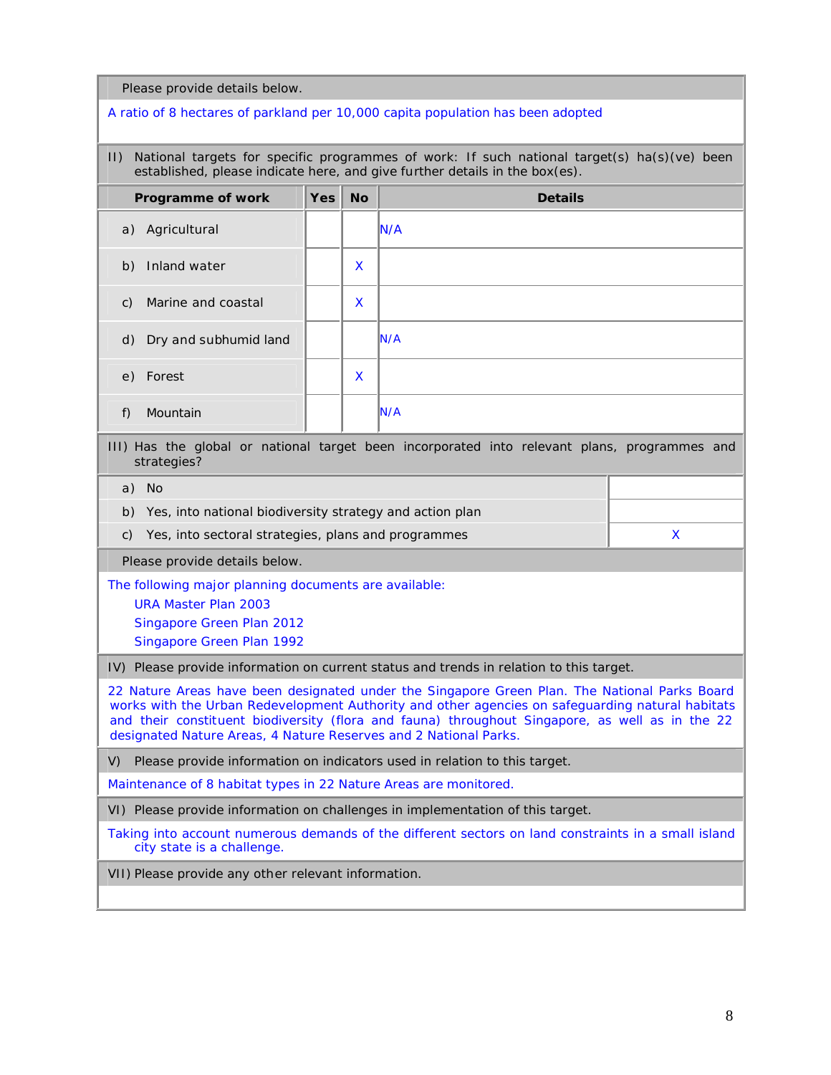Please provide details below.

#### A ratio of 8 hectares of parkland per 10,000 capita population has been adopted

II) National targets for specific programmes of work: If such national target(s) ha(s)(ve) been established, please indicate here, and give further details in the box(es).

| Programme of work                     | $Yes \vert$ | <b>No</b> | <b>Details</b> |
|---------------------------------------|-------------|-----------|----------------|
| a) Agricultural                       |             |           | N/A            |
| Inland water<br>b)                    |             | X         |                |
| Marine and coastal<br>$\mathcal{C}$ ) |             | X         |                |
| d) Dry and subhumid land              |             |           | N/A            |
| e) Forest                             |             | X         |                |
| f)<br>Mountain                        |             |           | N/A            |

III) Has the global or national target been incorporated into relevant plans, programmes and strategies?

a) No

b) Yes, into national biodiversity strategy and action plan

c) Yes, into sectoral strategies, plans and programmes  $X$ 

Please provide details below.

The following major planning documents are available:

URA Master Plan 2003

Singapore Green Plan 2012

Singapore Green Plan 1992

IV) Please provide information on current status and trends in relation to this target.

22 Nature Areas have been designated under the Singapore Green Plan. The National Parks Board works with the Urban Redevelopment Authority and other agencies on safeguarding natural habitats and their constituent biodiversity (flora and fauna) throughout Singapore, as well as in the 22 designated Nature Areas, 4 Nature Reserves and 2 National Parks.

V) Please provide information on indicators used in relation to this target.

Maintenance of 8 habitat types in 22 Nature Areas are monitored.

VI) Please provide information on challenges in implementation of this target.

Taking into account numerous demands of the different sectors on land constraints in a small island city state is a challenge.

VII) Please provide any other relevant information.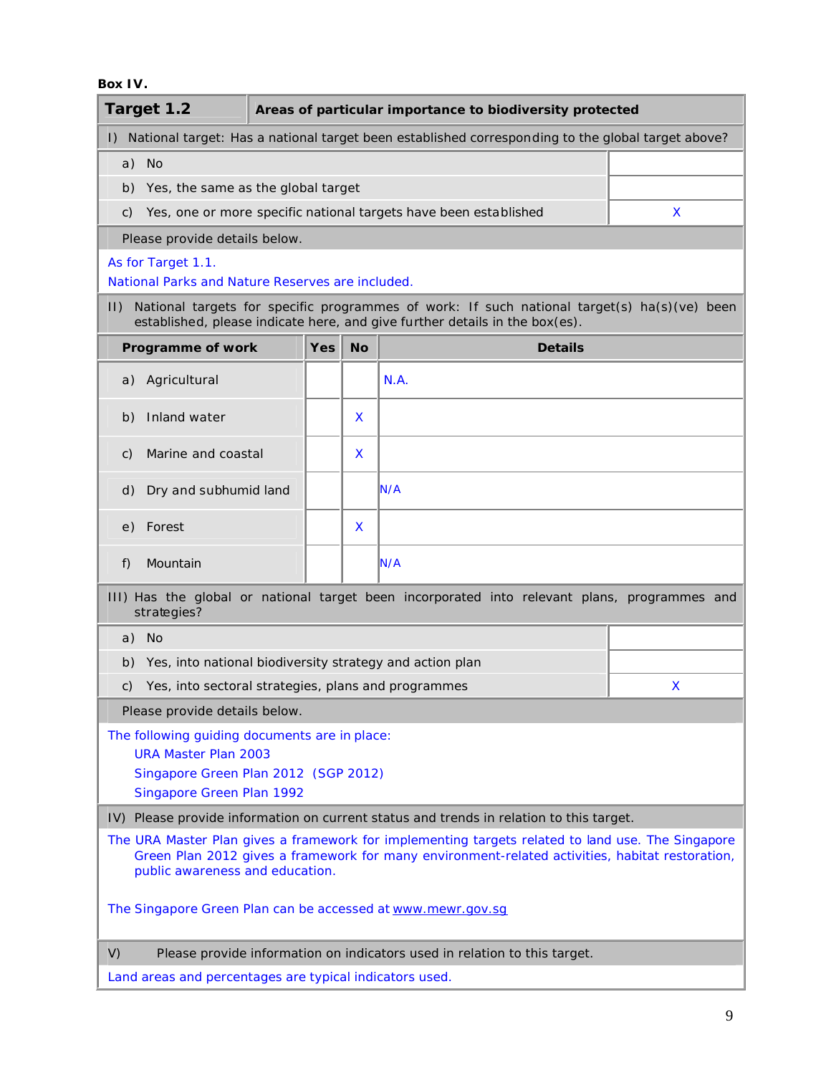## **Box IV.**

|                                                                        | Target 1.2                                                                                                                                                                 |            |           | Areas of particular importance to biodiversity protected                                                                                                                                             |   |  |  |  |  |  |  |
|------------------------------------------------------------------------|----------------------------------------------------------------------------------------------------------------------------------------------------------------------------|------------|-----------|------------------------------------------------------------------------------------------------------------------------------------------------------------------------------------------------------|---|--|--|--|--|--|--|
| $\mathsf{I}$                                                           |                                                                                                                                                                            |            |           | National target: Has a national target been established corresponding to the global target above?                                                                                                    |   |  |  |  |  |  |  |
|                                                                        | a) No                                                                                                                                                                      |            |           |                                                                                                                                                                                                      |   |  |  |  |  |  |  |
| b)                                                                     | Yes, the same as the global target                                                                                                                                         |            |           |                                                                                                                                                                                                      |   |  |  |  |  |  |  |
| C)                                                                     | Yes, one or more specific national targets have been established<br>X                                                                                                      |            |           |                                                                                                                                                                                                      |   |  |  |  |  |  |  |
|                                                                        | Please provide details below.                                                                                                                                              |            |           |                                                                                                                                                                                                      |   |  |  |  |  |  |  |
| As for Target 1.1.<br>National Parks and Nature Reserves are included. |                                                                                                                                                                            |            |           |                                                                                                                                                                                                      |   |  |  |  |  |  |  |
| $  \cdot  $                                                            | National targets for specific programmes of work: If such national target(s) ha(s)(ve) been<br>established, please indicate here, and give further details in the box(es). |            |           |                                                                                                                                                                                                      |   |  |  |  |  |  |  |
|                                                                        | Programme of work                                                                                                                                                          | <b>Yes</b> | <b>No</b> | <b>Details</b>                                                                                                                                                                                       |   |  |  |  |  |  |  |
| a)                                                                     | Agricultural                                                                                                                                                               |            |           | N.A.                                                                                                                                                                                                 |   |  |  |  |  |  |  |
| b)                                                                     | Inland water                                                                                                                                                               |            | X         |                                                                                                                                                                                                      |   |  |  |  |  |  |  |
| C)                                                                     | Marine and coastal                                                                                                                                                         |            | X         |                                                                                                                                                                                                      |   |  |  |  |  |  |  |
| d)                                                                     | Dry and subhumid land                                                                                                                                                      |            |           | N/A                                                                                                                                                                                                  |   |  |  |  |  |  |  |
| e)                                                                     | Forest                                                                                                                                                                     |            | X         |                                                                                                                                                                                                      |   |  |  |  |  |  |  |
| f)                                                                     | Mountain                                                                                                                                                                   |            |           | N/A                                                                                                                                                                                                  |   |  |  |  |  |  |  |
|                                                                        | strategies?                                                                                                                                                                |            |           | III) Has the global or national target been incorporated into relevant plans, programmes and                                                                                                         |   |  |  |  |  |  |  |
| a)                                                                     | <b>No</b>                                                                                                                                                                  |            |           |                                                                                                                                                                                                      |   |  |  |  |  |  |  |
| b)                                                                     |                                                                                                                                                                            |            |           | Yes, into national biodiversity strategy and action plan                                                                                                                                             |   |  |  |  |  |  |  |
| C)                                                                     | Yes, into sectoral strategies, plans and programmes                                                                                                                        |            |           |                                                                                                                                                                                                      | X |  |  |  |  |  |  |
|                                                                        | Please provide details below.                                                                                                                                              |            |           |                                                                                                                                                                                                      |   |  |  |  |  |  |  |
|                                                                        | The following guiding documents are in place:<br><b>URA Master Plan 2003</b>                                                                                               |            |           |                                                                                                                                                                                                      |   |  |  |  |  |  |  |
|                                                                        | Singapore Green Plan 2012 (SGP 2012)<br>Singapore Green Plan 1992                                                                                                          |            |           |                                                                                                                                                                                                      |   |  |  |  |  |  |  |
|                                                                        |                                                                                                                                                                            |            |           | IV) Please provide information on current status and trends in relation to this target.                                                                                                              |   |  |  |  |  |  |  |
|                                                                        | public awareness and education.                                                                                                                                            |            |           | The URA Master Plan gives a framework for implementing targets related to land use. The Singapore<br>Green Plan 2012 gives a framework for many environment-related activities, habitat restoration, |   |  |  |  |  |  |  |
|                                                                        |                                                                                                                                                                            |            |           | The Singapore Green Plan can be accessed at www.mewr.gov.sg                                                                                                                                          |   |  |  |  |  |  |  |
| V)                                                                     |                                                                                                                                                                            |            |           | Please provide information on indicators used in relation to this target.                                                                                                                            |   |  |  |  |  |  |  |
|                                                                        | Land areas and percentages are typical indicators used.                                                                                                                    |            |           |                                                                                                                                                                                                      |   |  |  |  |  |  |  |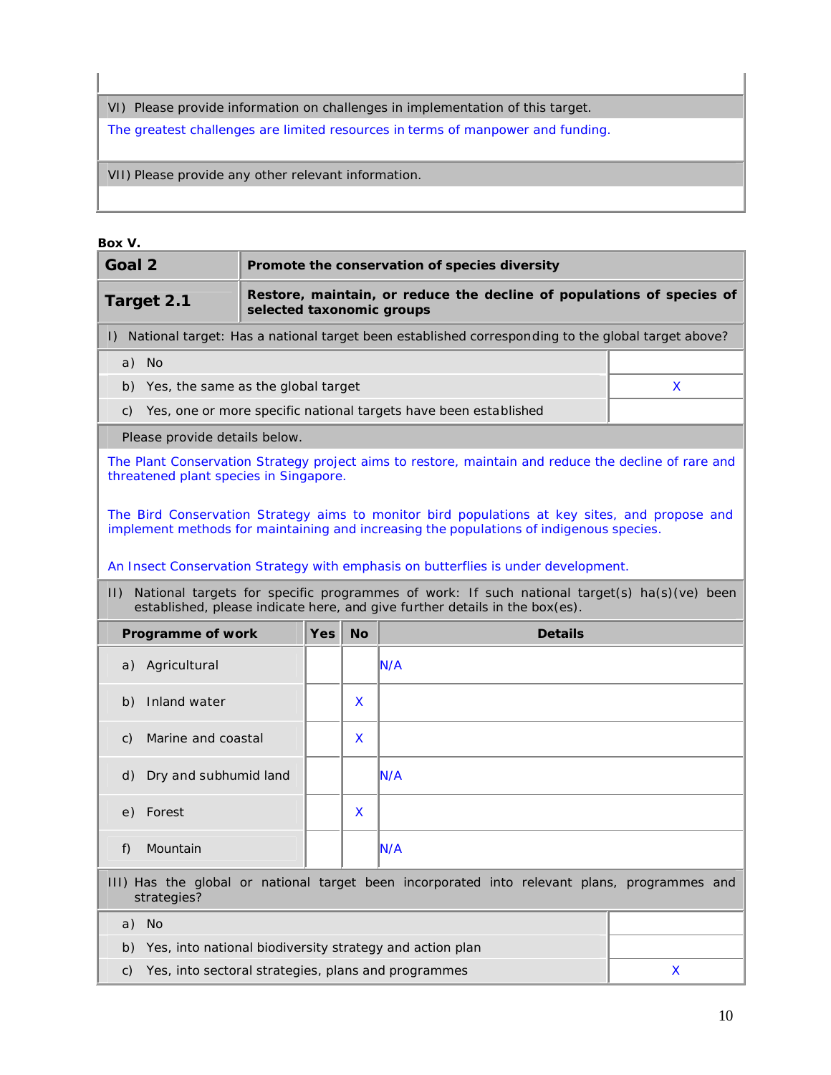VI) Please provide information on challenges in implementation of this target.

The greatest challenges are limited resources in terms of manpower and funding.

VII) Please provide any other relevant information.

## **Box V.**

| Goal 2                                                                                                                                                                                      |                                                                                                    |     |           | Promote the conservation of species diversity                                                                                                                                            |   |  |  |  |  |  |  |
|---------------------------------------------------------------------------------------------------------------------------------------------------------------------------------------------|----------------------------------------------------------------------------------------------------|-----|-----------|------------------------------------------------------------------------------------------------------------------------------------------------------------------------------------------|---|--|--|--|--|--|--|
| Target 2.1                                                                                                                                                                                  | Restore, maintain, or reduce the decline of populations of species of<br>selected taxonomic groups |     |           |                                                                                                                                                                                          |   |  |  |  |  |  |  |
|                                                                                                                                                                                             |                                                                                                    |     |           | I) National target: Has a national target been established corresponding to the global target above?                                                                                     |   |  |  |  |  |  |  |
| a) No                                                                                                                                                                                       |                                                                                                    |     |           |                                                                                                                                                                                          |   |  |  |  |  |  |  |
| b) Yes, the same as the global target                                                                                                                                                       |                                                                                                    |     |           |                                                                                                                                                                                          | X |  |  |  |  |  |  |
| Yes, one or more specific national targets have been established<br>C)                                                                                                                      |                                                                                                    |     |           |                                                                                                                                                                                          |   |  |  |  |  |  |  |
| Please provide details below.                                                                                                                                                               |                                                                                                    |     |           |                                                                                                                                                                                          |   |  |  |  |  |  |  |
| The Plant Conservation Strategy project aims to restore, maintain and reduce the decline of rare and<br>threatened plant species in Singapore.                                              |                                                                                                    |     |           |                                                                                                                                                                                          |   |  |  |  |  |  |  |
|                                                                                                                                                                                             |                                                                                                    |     |           | The Bird Conservation Strategy aims to monitor bird populations at key sites, and propose and<br>implement methods for maintaining and increasing the populations of indigenous species. |   |  |  |  |  |  |  |
|                                                                                                                                                                                             |                                                                                                    |     |           | An Insect Conservation Strategy with emphasis on butterflies is under development.                                                                                                       |   |  |  |  |  |  |  |
| National targets for specific programmes of work: If such national target(s) ha(s)(ve) been<br>$\vert \vert$<br>established, please indicate here, and give further details in the box(es). |                                                                                                    |     |           |                                                                                                                                                                                          |   |  |  |  |  |  |  |
| Programme of work                                                                                                                                                                           |                                                                                                    | Yes | <b>No</b> | <b>Details</b>                                                                                                                                                                           |   |  |  |  |  |  |  |
| Agricultural<br>a)                                                                                                                                                                          |                                                                                                    |     |           | N/A                                                                                                                                                                                      |   |  |  |  |  |  |  |
| Inland water<br>b)                                                                                                                                                                          |                                                                                                    |     | X         |                                                                                                                                                                                          |   |  |  |  |  |  |  |
| Marine and coastal<br>C)                                                                                                                                                                    |                                                                                                    |     | x         |                                                                                                                                                                                          |   |  |  |  |  |  |  |
| Dry and subhumid land<br>d)                                                                                                                                                                 |                                                                                                    |     |           | <b>N/A</b>                                                                                                                                                                               |   |  |  |  |  |  |  |
| e) Forest                                                                                                                                                                                   |                                                                                                    |     | X         |                                                                                                                                                                                          |   |  |  |  |  |  |  |
| Mountain<br>f)                                                                                                                                                                              |                                                                                                    |     |           | IN/A                                                                                                                                                                                     |   |  |  |  |  |  |  |
| strategies?                                                                                                                                                                                 | III) Has the global or national target been incorporated into relevant plans, programmes and       |     |           |                                                                                                                                                                                          |   |  |  |  |  |  |  |
|                                                                                                                                                                                             |                                                                                                    |     |           |                                                                                                                                                                                          |   |  |  |  |  |  |  |
| No<br>a)                                                                                                                                                                                    |                                                                                                    |     |           |                                                                                                                                                                                          |   |  |  |  |  |  |  |
| b)                                                                                                                                                                                          |                                                                                                    |     |           | Yes, into national biodiversity strategy and action plan                                                                                                                                 |   |  |  |  |  |  |  |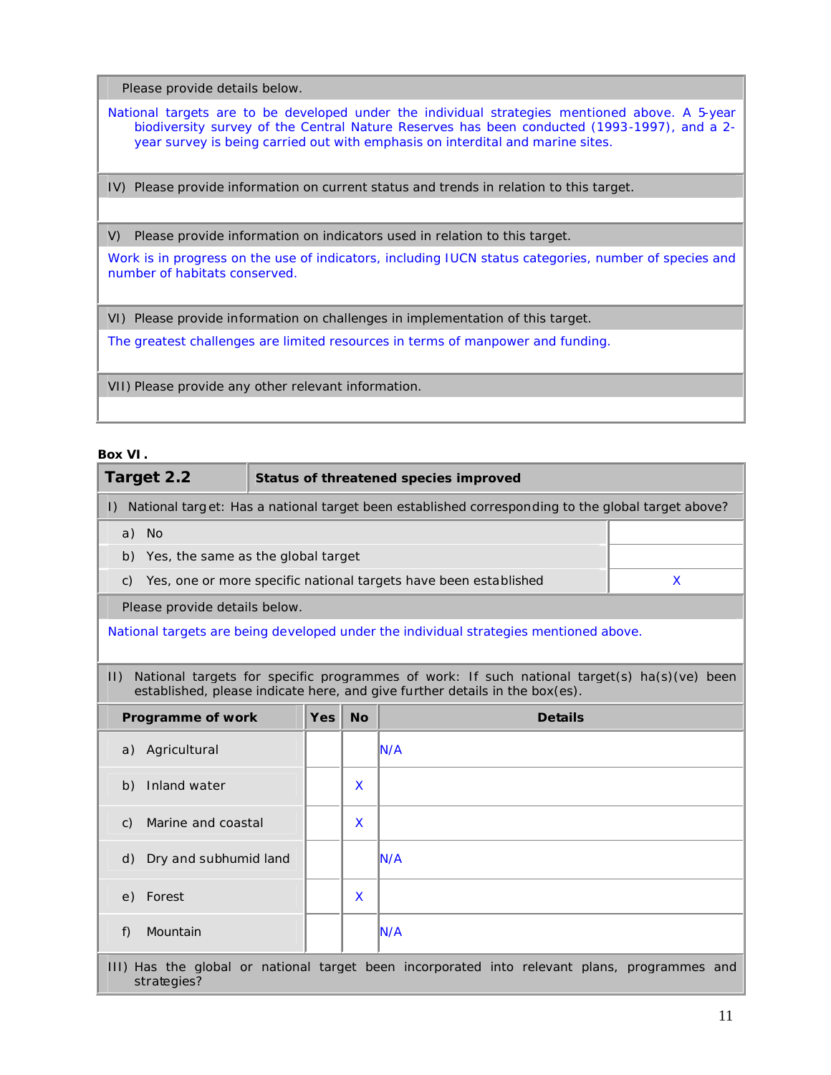Please provide details below.

National targets are to be developed under the individual strategies mentioned above. A 5-year biodiversity survey of the Central Nature Reserves has been conducted (1993-1997), and a 2year survey is being carried out with emphasis on interdital and marine sites.

IV) Please provide information on current status and trends in relation to this target.

V) Please provide information on indicators used in relation to this target.

Work is in progress on the use of indicators, including IUCN status categories, number of species and number of habitats conserved.

VI) Please provide information on challenges in implementation of this target.

The greatest challenges are limited resources in terms of manpower and funding.

VII) Please provide any other relevant information.

#### **Box VI.**

| Target 2.2                                                                                                                                                                                |            |           | Status of threatened species improved                                                        |   |  |  |  |  |  |  |  |
|-------------------------------------------------------------------------------------------------------------------------------------------------------------------------------------------|------------|-----------|----------------------------------------------------------------------------------------------|---|--|--|--|--|--|--|--|
| I) National target: Has a national target been established corresponding to the global target above?                                                                                      |            |           |                                                                                              |   |  |  |  |  |  |  |  |
| a) No                                                                                                                                                                                     |            |           |                                                                                              |   |  |  |  |  |  |  |  |
| Yes, the same as the global target<br>b)                                                                                                                                                  |            |           |                                                                                              |   |  |  |  |  |  |  |  |
| $\mathsf{C}$ )                                                                                                                                                                            |            |           | Yes, one or more specific national targets have been established                             | X |  |  |  |  |  |  |  |
| Please provide details below.                                                                                                                                                             |            |           |                                                                                              |   |  |  |  |  |  |  |  |
|                                                                                                                                                                                           |            |           | National targets are being developed under the individual strategies mentioned above.        |   |  |  |  |  |  |  |  |
|                                                                                                                                                                                           |            |           |                                                                                              |   |  |  |  |  |  |  |  |
| National targets for specific programmes of work: If such national target(s) ha(s)(ve) been<br>$  \cdot  $<br>established, please indicate here, and give further details in the box(es). |            |           |                                                                                              |   |  |  |  |  |  |  |  |
| Programme of work                                                                                                                                                                         | <b>Yes</b> | <b>No</b> | <b>Details</b>                                                                               |   |  |  |  |  |  |  |  |
| a) Agricultural                                                                                                                                                                           |            |           | N/A                                                                                          |   |  |  |  |  |  |  |  |
| Inland water<br>b)                                                                                                                                                                        |            | X         |                                                                                              |   |  |  |  |  |  |  |  |
| Marine and coastal<br>$\mathcal{C}$ )                                                                                                                                                     |            | X         |                                                                                              |   |  |  |  |  |  |  |  |
| Dry and subhumid land<br>d)                                                                                                                                                               |            |           | N/A                                                                                          |   |  |  |  |  |  |  |  |
| Forest<br>e)                                                                                                                                                                              |            | X         |                                                                                              |   |  |  |  |  |  |  |  |
| Mountain<br>f)                                                                                                                                                                            |            |           | N/A                                                                                          |   |  |  |  |  |  |  |  |
| strategies?                                                                                                                                                                               |            |           | III) Has the global or national target been incorporated into relevant plans, programmes and |   |  |  |  |  |  |  |  |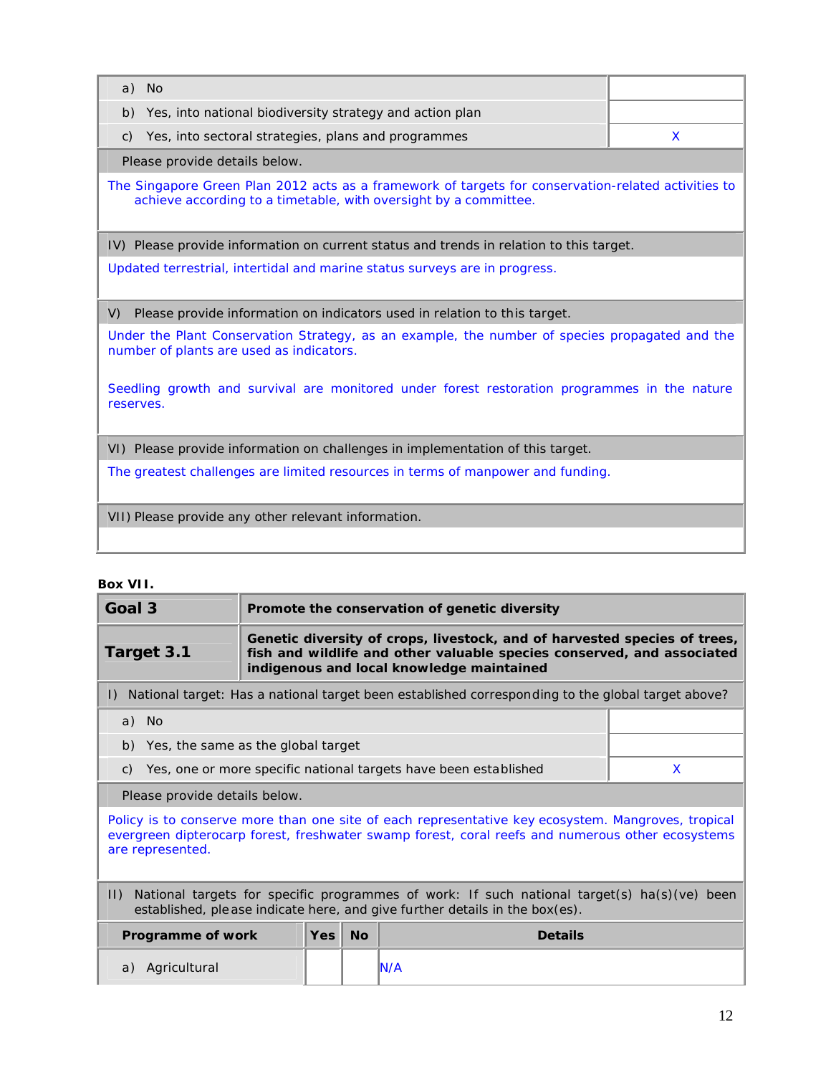| a) No                                                                                                                                                                   |   |  |  |  |  |  |  |
|-------------------------------------------------------------------------------------------------------------------------------------------------------------------------|---|--|--|--|--|--|--|
| Yes, into national biodiversity strategy and action plan<br>b)                                                                                                          |   |  |  |  |  |  |  |
| Yes, into sectoral strategies, plans and programmes<br>$\mathsf{C}$ )                                                                                                   | X |  |  |  |  |  |  |
| Please provide details below.                                                                                                                                           |   |  |  |  |  |  |  |
| The Singapore Green Plan 2012 acts as a framework of targets for conservation-related activities to<br>achieve according to a timetable, with oversight by a committee. |   |  |  |  |  |  |  |
| IV) Please provide information on current status and trends in relation to this target.                                                                                 |   |  |  |  |  |  |  |
| Updated terrestrial, intertidal and marine status surveys are in progress.                                                                                              |   |  |  |  |  |  |  |
| Please provide information on indicators used in relation to this target.<br>V)                                                                                         |   |  |  |  |  |  |  |
| Under the Plant Conservation Strategy, as an example, the number of species propagated and the<br>number of plants are used as indicators.                              |   |  |  |  |  |  |  |
| Seedling growth and survival are monitored under forest restoration programmes in the nature<br>reserves.                                                               |   |  |  |  |  |  |  |
| VI) Please provide information on challenges in implementation of this target.                                                                                          |   |  |  |  |  |  |  |
| The greatest challenges are limited resources in terms of manpower and funding.                                                                                         |   |  |  |  |  |  |  |
| VII) Please provide any other relevant information.                                                                                                                     |   |  |  |  |  |  |  |
|                                                                                                                                                                         |   |  |  |  |  |  |  |

# **Box VII.**

| Goal 3                                                                                                                                                                                                                     |     | Promote the conservation of genetic diversity                                                                                                                                                    |                                                                                                   |   |  |  |
|----------------------------------------------------------------------------------------------------------------------------------------------------------------------------------------------------------------------------|-----|--------------------------------------------------------------------------------------------------------------------------------------------------------------------------------------------------|---------------------------------------------------------------------------------------------------|---|--|--|
| Target 3.1                                                                                                                                                                                                                 |     | Genetic diversity of crops, livestock, and of harvested species of trees,<br>fish and wildlife and other valuable species conserved, and associated<br>indigenous and local knowledge maintained |                                                                                                   |   |  |  |
| $\Box$                                                                                                                                                                                                                     |     |                                                                                                                                                                                                  | National target: Has a national target been established corresponding to the global target above? |   |  |  |
| a) No                                                                                                                                                                                                                      |     |                                                                                                                                                                                                  |                                                                                                   |   |  |  |
| Yes, the same as the global target<br>b)                                                                                                                                                                                   |     |                                                                                                                                                                                                  |                                                                                                   |   |  |  |
| C)                                                                                                                                                                                                                         |     |                                                                                                                                                                                                  | Yes, one or more specific national targets have been established                                  | X |  |  |
| Please provide details below.                                                                                                                                                                                              |     |                                                                                                                                                                                                  |                                                                                                   |   |  |  |
| Policy is to conserve more than one site of each representative key ecosystem. Mangroves, tropical<br>evergreen dipterocarp forest, freshwater swamp forest, coral reefs and numerous other ecosystems<br>are represented. |     |                                                                                                                                                                                                  |                                                                                                   |   |  |  |
| National targets for specific programmes of work: If such national target(s) ha(s)(ve) been<br>$  \cdot  $<br>established, ple ase indicate here, and give further details in the box(es).                                 |     |                                                                                                                                                                                                  |                                                                                                   |   |  |  |
| Programme of work                                                                                                                                                                                                          | Yes | <b>No</b>                                                                                                                                                                                        | <b>Details</b>                                                                                    |   |  |  |
| Agricultural<br>a)                                                                                                                                                                                                         |     |                                                                                                                                                                                                  | IN/A                                                                                              |   |  |  |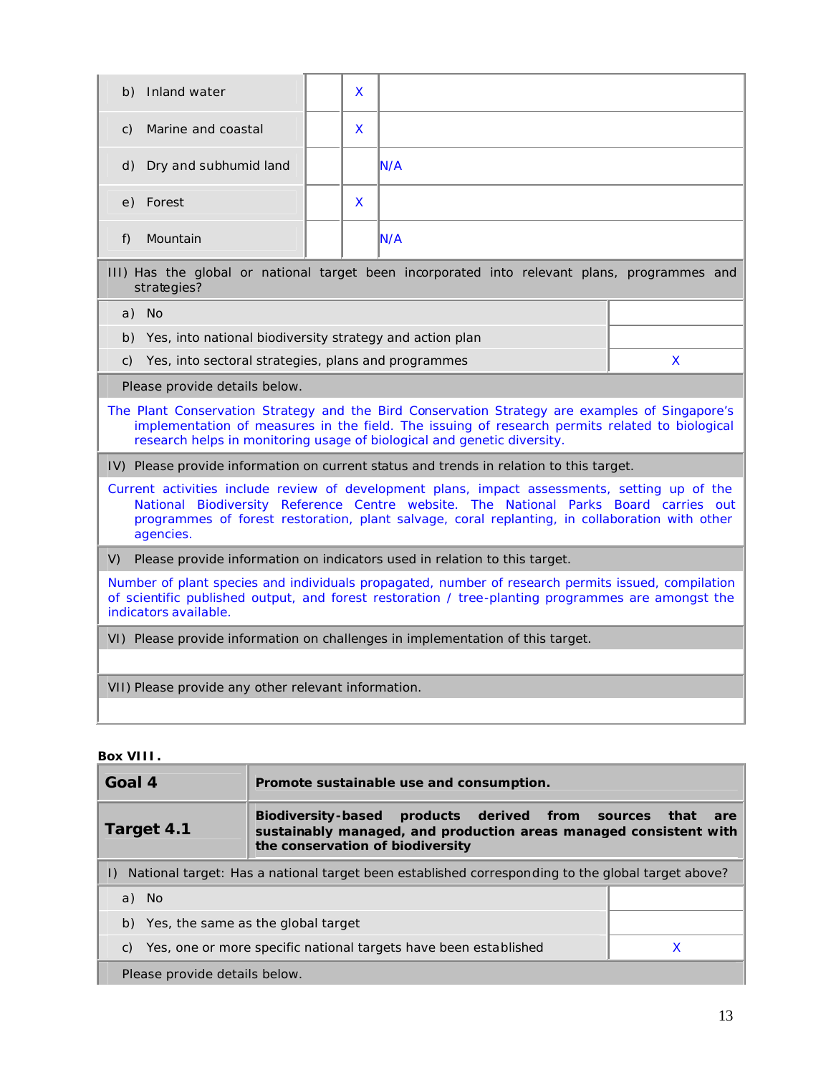| b) Inland water                                                                                                                                                                                                                                                                                      | X |                                                                                              |  |  |  |
|------------------------------------------------------------------------------------------------------------------------------------------------------------------------------------------------------------------------------------------------------------------------------------------------------|---|----------------------------------------------------------------------------------------------|--|--|--|
| Marine and coastal<br>C)                                                                                                                                                                                                                                                                             | X |                                                                                              |  |  |  |
| Dry and subhumid land<br>d)                                                                                                                                                                                                                                                                          |   | N/A                                                                                          |  |  |  |
| e) Forest                                                                                                                                                                                                                                                                                            | X |                                                                                              |  |  |  |
| Mountain<br>f)                                                                                                                                                                                                                                                                                       |   | N/A                                                                                          |  |  |  |
| strategies?                                                                                                                                                                                                                                                                                          |   | III) Has the global or national target been incorporated into relevant plans, programmes and |  |  |  |
| a) No                                                                                                                                                                                                                                                                                                |   |                                                                                              |  |  |  |
| Yes, into national biodiversity strategy and action plan<br>b)                                                                                                                                                                                                                                       |   |                                                                                              |  |  |  |
| Yes, into sectoral strategies, plans and programmes<br>X<br>C)                                                                                                                                                                                                                                       |   |                                                                                              |  |  |  |
| Please provide details below.                                                                                                                                                                                                                                                                        |   |                                                                                              |  |  |  |
| The Plant Conservation Strategy and the Bird Conservation Strategy are examples of Singapore's<br>implementation of measures in the field. The issuing of research permits related to biological<br>research helps in monitoring usage of biological and genetic diversity.                          |   |                                                                                              |  |  |  |
|                                                                                                                                                                                                                                                                                                      |   | IV) Please provide information on current status and trends in relation to this target.      |  |  |  |
| Current activities include review of development plans, impact assessments, setting up of the<br>National Biodiversity Reference Centre website. The National Parks Board carries out<br>programmes of forest restoration, plant salvage, coral replanting, in collaboration with other<br>agencies. |   |                                                                                              |  |  |  |
| V)<br>Please provide information on indicators used in relation to this target.                                                                                                                                                                                                                      |   |                                                                                              |  |  |  |
| Number of plant species and individuals propagated, number of research permits issued, compilation<br>of scientific published output, and forest restoration / tree-planting programmes are amongst the<br>indicators available.                                                                     |   |                                                                                              |  |  |  |
| VI) Please provide information on challenges in implementation of this target.                                                                                                                                                                                                                       |   |                                                                                              |  |  |  |
|                                                                                                                                                                                                                                                                                                      |   |                                                                                              |  |  |  |
| VII) Please provide any other relevant information.                                                                                                                                                                                                                                                  |   |                                                                                              |  |  |  |

## **Box VIII.**

| Goal 4                                                                                                                                                                                 | Promote sustainable use and consumption. |  |  |  |  |  |  |  |  |
|----------------------------------------------------------------------------------------------------------------------------------------------------------------------------------------|------------------------------------------|--|--|--|--|--|--|--|--|
| Biodiversity-based products derived from sources<br>that<br>are<br>Target 4.1<br>sustainably managed, and production areas managed consistent with<br>the conservation of biodiversity |                                          |  |  |  |  |  |  |  |  |
| National target: Has a national target been established corresponding to the global target above?                                                                                      |                                          |  |  |  |  |  |  |  |  |
| - No<br>a)                                                                                                                                                                             |                                          |  |  |  |  |  |  |  |  |
|                                                                                                                                                                                        | b) Yes, the same as the global target    |  |  |  |  |  |  |  |  |
| Yes, one or more specific national targets have been established<br>C)                                                                                                                 |                                          |  |  |  |  |  |  |  |  |
| Please provide details below.                                                                                                                                                          |                                          |  |  |  |  |  |  |  |  |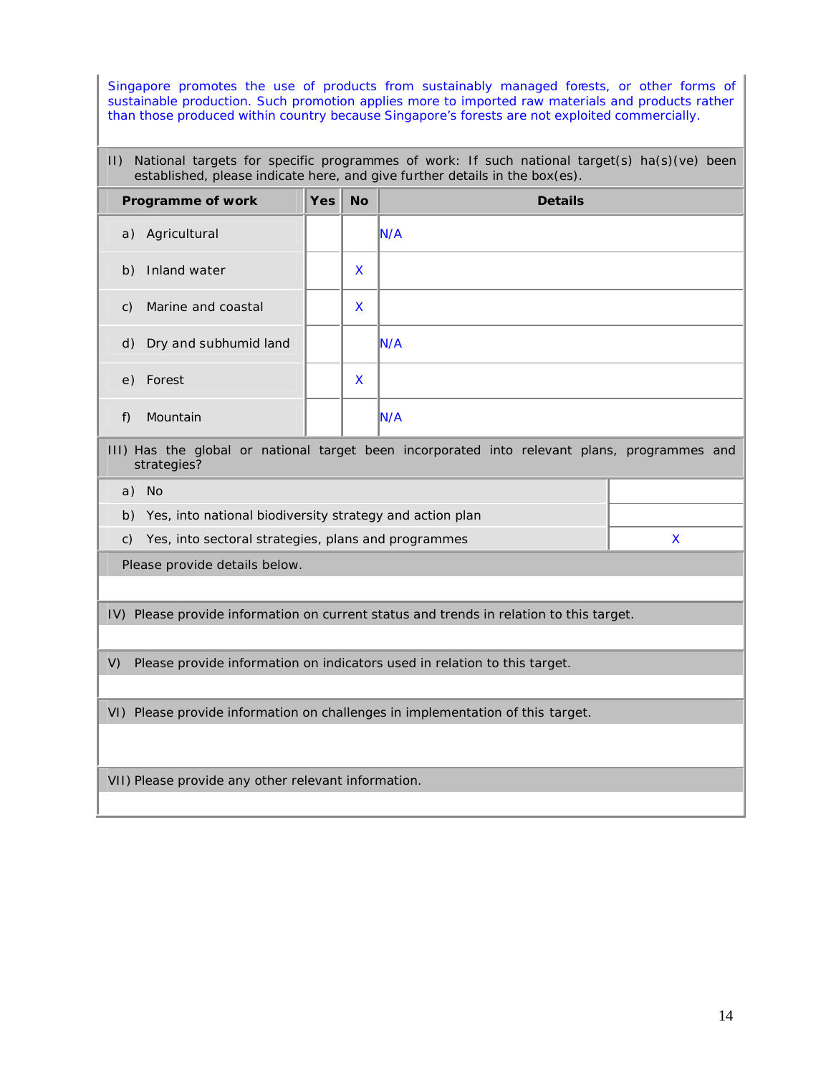Singapore promotes the use of products from sustainably managed forests, or other forms of sustainable production. Such promotion applies more to imported raw materials and products rather than those produced within country because Singapore's forests are not exploited commercially.

### II) National targets for specific programmes of work: If such national target(s) ha(s)(ve) been established, please indicate here, and give further details in the box(es).

|                                                                                                             | Programme of work        | <b>Yes</b> | <b>No</b> | <b>Details</b> |  |
|-------------------------------------------------------------------------------------------------------------|--------------------------|------------|-----------|----------------|--|
| a)                                                                                                          | Agricultural             |            |           | IN/A           |  |
| b)                                                                                                          | Inland water             |            | X         |                |  |
| $\mathcal{C}$ )                                                                                             | Marine and coastal       |            | X         |                |  |
|                                                                                                             | d) Dry and subhumid land |            |           | IN/A           |  |
|                                                                                                             | e) Forest                |            | X         |                |  |
| f)                                                                                                          | Mountain                 |            |           | IN/A           |  |
| III) Has the global or national target been incorporated into relevant plans, programmes and<br>strategies? |                          |            |           |                |  |

a) No

b) Yes, into national biodiversity strategy and action plan

c) Yes, into sectoral strategies, plans and programmes  $X$ 

Please provide details below.

IV) Please provide information on current status and trends in relation to this target.

V) Please provide information on indicators used in relation to this target.

VI) Please provide information on challenges in implementation of this target.

VII) Please provide any other relevant information.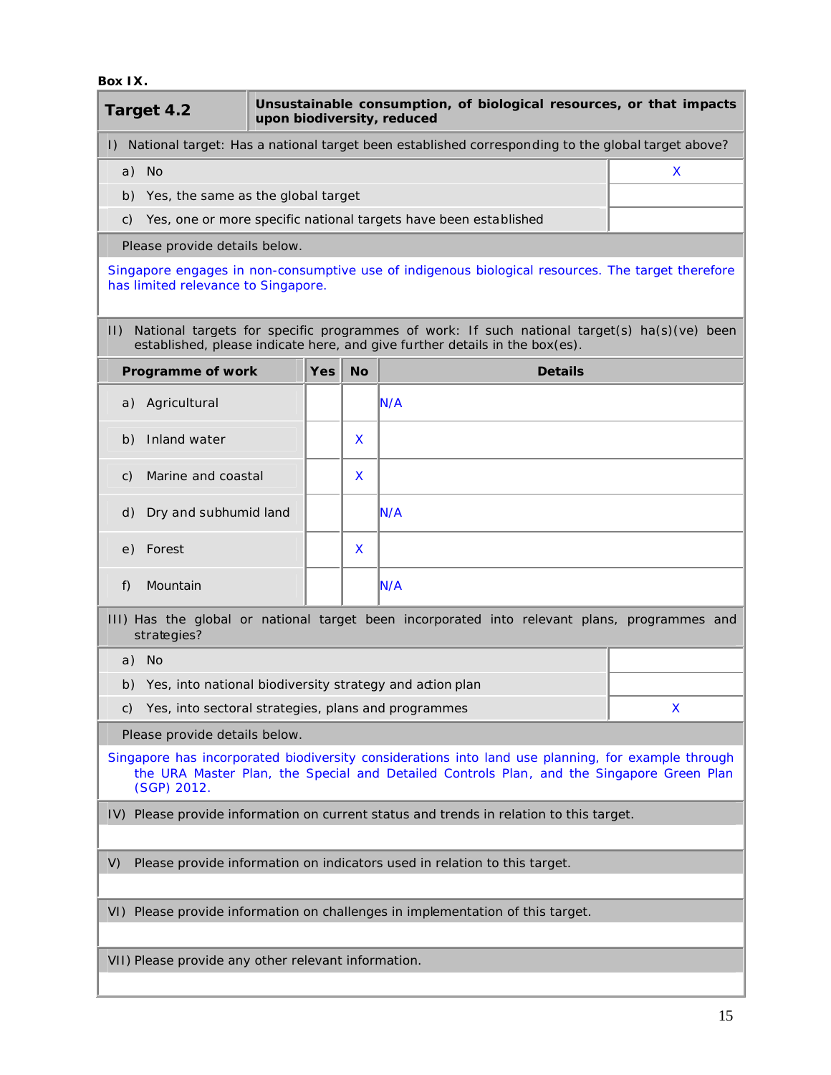#### **Box IX.**

I

| Target 4.2                                                                      | upon biodiversity, reduced |           | Unsustainable consumption, of biological resources, or that impacts                                                                                                                             |   |
|---------------------------------------------------------------------------------|----------------------------|-----------|-------------------------------------------------------------------------------------------------------------------------------------------------------------------------------------------------|---|
|                                                                                 |                            |           | I) National target: Has a national target been established corresponding to the global target above?                                                                                            |   |
| a) No                                                                           |                            |           |                                                                                                                                                                                                 | X |
| Yes, the same as the global target<br>b)                                        |                            |           |                                                                                                                                                                                                 |   |
| C)                                                                              |                            |           | Yes, one or more specific national targets have been established                                                                                                                                |   |
| Please provide details below.                                                   |                            |           |                                                                                                                                                                                                 |   |
| has limited relevance to Singapore.                                             |                            |           | Singapore engages in non-consumptive use of indigenous biological resources. The target therefore                                                                                               |   |
| $  \cdot  $                                                                     |                            |           | National targets for specific programmes of work: If such national target(s) ha(s)(ve) been<br>established, please indicate here, and give further details in the box(es).                      |   |
| Programme of work                                                               | <b>Yes</b>                 | <b>No</b> | <b>Details</b>                                                                                                                                                                                  |   |
| a) Agricultural                                                                 |                            |           | N/A                                                                                                                                                                                             |   |
| Inland water<br>b)                                                              |                            | X         |                                                                                                                                                                                                 |   |
| Marine and coastal<br>C)                                                        |                            | X         |                                                                                                                                                                                                 |   |
| Dry and subhumid land<br>d)                                                     |                            |           | N/A                                                                                                                                                                                             |   |
| Forest<br>e)                                                                    |                            | X         |                                                                                                                                                                                                 |   |
| Mountain<br>f)                                                                  |                            |           | N/A                                                                                                                                                                                             |   |
| strategies?                                                                     |                            |           | III) Has the global or national target been incorporated into relevant plans, programmes and                                                                                                    |   |
| a) No                                                                           |                            |           |                                                                                                                                                                                                 |   |
| Yes, into national biodiversity strategy and action plan<br>b)                  |                            |           |                                                                                                                                                                                                 |   |
| Yes, into sectoral strategies, plans and programmes<br>C)                       |                            |           |                                                                                                                                                                                                 | X |
| Please provide details below.                                                   |                            |           |                                                                                                                                                                                                 |   |
| (SGP) 2012.                                                                     |                            |           | Singapore has incorporated biodiversity considerations into land use planning, for example through<br>the URA Master Plan, the Special and Detailed Controls Plan, and the Singapore Green Plan |   |
|                                                                                 |                            |           | IV) Please provide information on current status and trends in relation to this target.                                                                                                         |   |
|                                                                                 |                            |           |                                                                                                                                                                                                 |   |
| Please provide information on indicators used in relation to this target.<br>V) |                            |           |                                                                                                                                                                                                 |   |
|                                                                                 |                            |           | VI) Please provide information on challenges in implementation of this target.                                                                                                                  |   |
| VII) Please provide any other relevant information.                             |                            |           |                                                                                                                                                                                                 |   |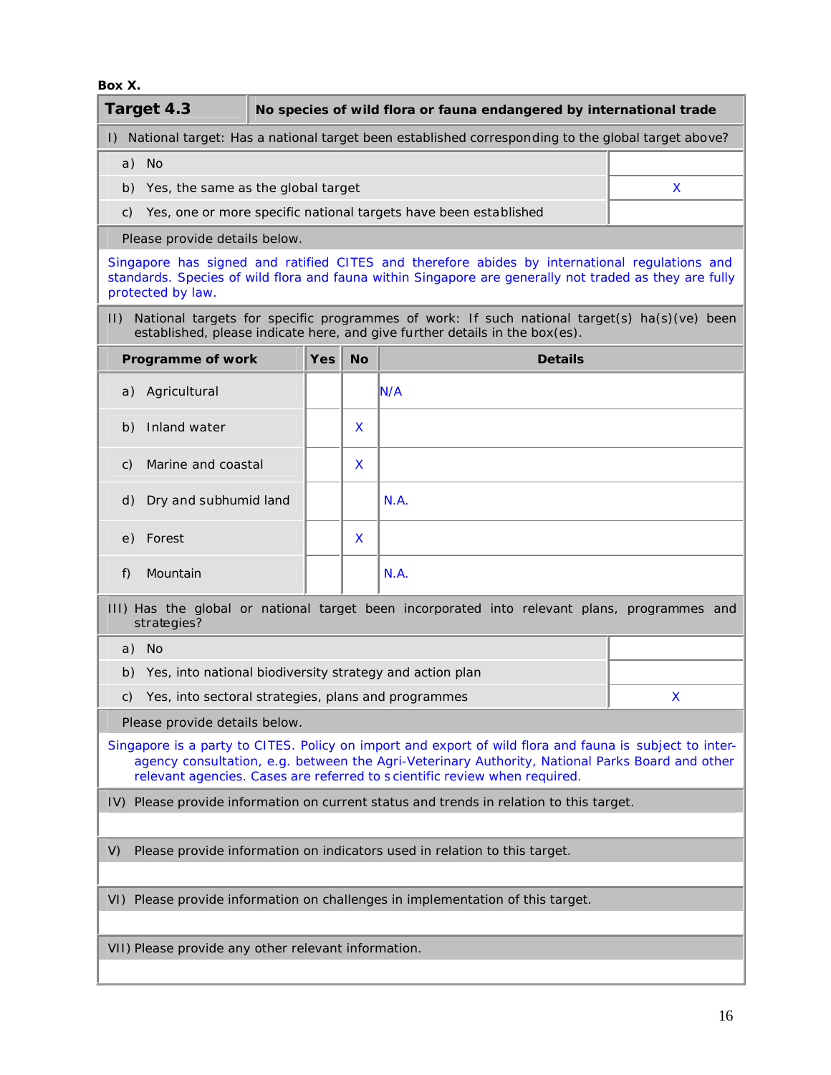**Box X.**

| Target 4.3                                                                              |            |           | No species of wild flora or fauna endangered by international trade                                                                                                                                                                                                                     |   |
|-----------------------------------------------------------------------------------------|------------|-----------|-----------------------------------------------------------------------------------------------------------------------------------------------------------------------------------------------------------------------------------------------------------------------------------------|---|
|                                                                                         |            |           | I) National target: Has a national target been established corresponding to the global target above?                                                                                                                                                                                    |   |
| a) No                                                                                   |            |           |                                                                                                                                                                                                                                                                                         |   |
| b) Yes, the same as the global target                                                   |            |           |                                                                                                                                                                                                                                                                                         | X |
| C)                                                                                      |            |           | Yes, one or more specific national targets have been established                                                                                                                                                                                                                        |   |
| Please provide details below.                                                           |            |           |                                                                                                                                                                                                                                                                                         |   |
| protected by law.                                                                       |            |           | Singapore has signed and ratified CITES and therefore abides by international regulations and<br>standards. Species of wild flora and fauna within Singapore are generally not traded as they are fully                                                                                 |   |
| $ 1\rangle$                                                                             |            |           | National targets for specific programmes of work: If such national target(s) ha(s)(ve) been<br>established, please indicate here, and give further details in the box(es).                                                                                                              |   |
| Programme of work                                                                       | <b>Yes</b> | <b>No</b> | <b>Details</b>                                                                                                                                                                                                                                                                          |   |
| a) Agricultural                                                                         |            |           | N/A                                                                                                                                                                                                                                                                                     |   |
| Inland water<br>b)                                                                      |            | X         |                                                                                                                                                                                                                                                                                         |   |
| Marine and coastal<br>C)                                                                |            | X         |                                                                                                                                                                                                                                                                                         |   |
| Dry and subhumid land<br>d)                                                             |            |           | N.A.                                                                                                                                                                                                                                                                                    |   |
| Forest<br>e)                                                                            |            | X         |                                                                                                                                                                                                                                                                                         |   |
| Mountain<br>f)                                                                          |            |           | N.A.                                                                                                                                                                                                                                                                                    |   |
| strategies?                                                                             |            |           | III) Has the global or national target been incorporated into relevant plans, programmes and                                                                                                                                                                                            |   |
| a) No                                                                                   |            |           |                                                                                                                                                                                                                                                                                         |   |
| b) Yes, into national biodiversity strategy and action plan                             |            |           |                                                                                                                                                                                                                                                                                         |   |
| Yes, into sectoral strategies, plans and programmes<br>C)                               |            |           |                                                                                                                                                                                                                                                                                         | X |
| Please provide details below.                                                           |            |           |                                                                                                                                                                                                                                                                                         |   |
|                                                                                         |            |           | Singapore is a party to CITES. Policy on import and export of wild flora and fauna is subject to inter-<br>agency consultation, e.g. between the Agri-Veterinary Authority, National Parks Board and other<br>relevant agencies. Cases are referred to scientific review when required. |   |
| IV) Please provide information on current status and trends in relation to this target. |            |           |                                                                                                                                                                                                                                                                                         |   |
| Please provide information on indicators used in relation to this target.<br>V)         |            |           |                                                                                                                                                                                                                                                                                         |   |
| VI) Please provide information on challenges in implementation of this target.          |            |           |                                                                                                                                                                                                                                                                                         |   |
|                                                                                         |            |           |                                                                                                                                                                                                                                                                                         |   |
| VII) Please provide any other relevant information.                                     |            |           |                                                                                                                                                                                                                                                                                         |   |
|                                                                                         |            |           |                                                                                                                                                                                                                                                                                         |   |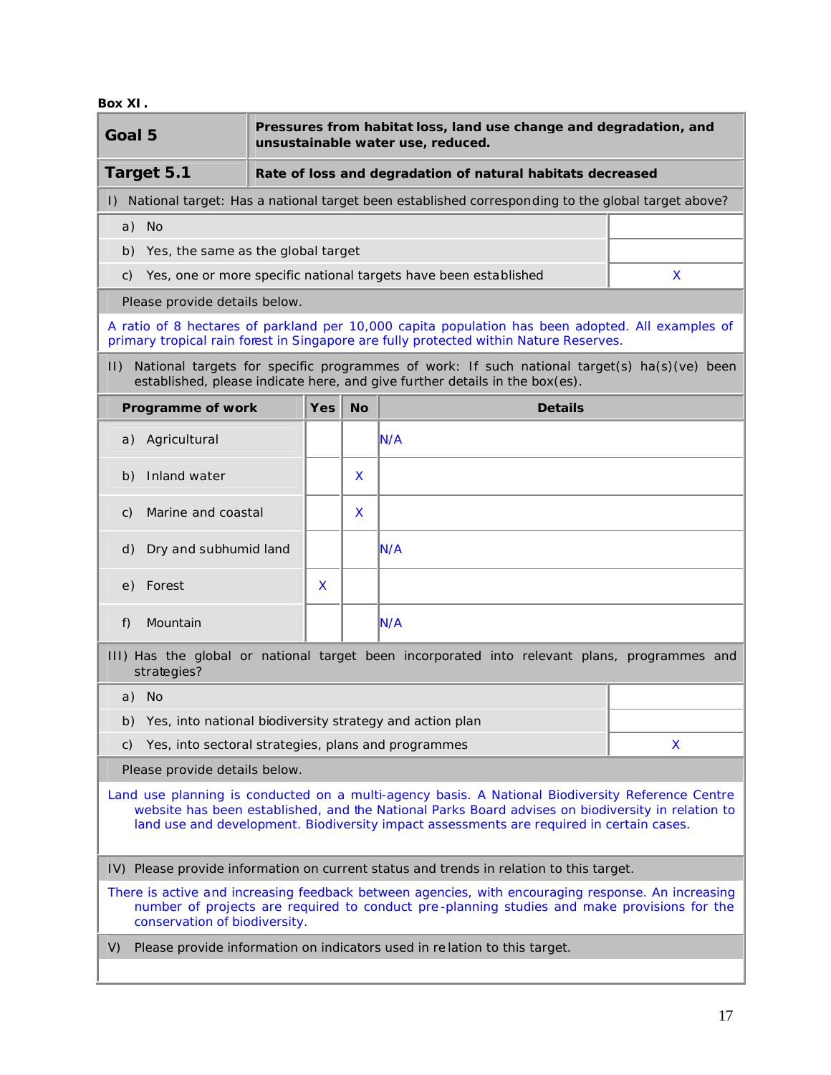**Box XI.**

|                                                                                                                                                                                                                                                                                                   | Pressures from habitat loss, land use change and degradation, and<br>Goal 5<br>unsustainable water use, reduced. |  |            |           |                                                                                                                                                                                                   |    |
|---------------------------------------------------------------------------------------------------------------------------------------------------------------------------------------------------------------------------------------------------------------------------------------------------|------------------------------------------------------------------------------------------------------------------|--|------------|-----------|---------------------------------------------------------------------------------------------------------------------------------------------------------------------------------------------------|----|
|                                                                                                                                                                                                                                                                                                   | Target 5.1                                                                                                       |  |            |           | Rate of loss and degradation of natural habitats decreased                                                                                                                                        |    |
| $\mathsf{I}$                                                                                                                                                                                                                                                                                      |                                                                                                                  |  |            |           | National target: Has a national target been established corresponding to the global target above?                                                                                                 |    |
|                                                                                                                                                                                                                                                                                                   | a) No                                                                                                            |  |            |           |                                                                                                                                                                                                   |    |
|                                                                                                                                                                                                                                                                                                   | b) Yes, the same as the global target                                                                            |  |            |           |                                                                                                                                                                                                   |    |
| C)                                                                                                                                                                                                                                                                                                |                                                                                                                  |  |            |           | Yes, one or more specific national targets have been established                                                                                                                                  | X. |
|                                                                                                                                                                                                                                                                                                   | Please provide details below.                                                                                    |  |            |           |                                                                                                                                                                                                   |    |
|                                                                                                                                                                                                                                                                                                   |                                                                                                                  |  |            |           | A ratio of 8 hectares of parkland per 10,000 capita population has been adopted. All examples of<br>primary tropical rain forest in Singapore are fully protected within Nature Reserves.         |    |
| $\vert \vert$                                                                                                                                                                                                                                                                                     |                                                                                                                  |  |            |           | National targets for specific programmes of work: If such national target(s) ha(s)(ve) been<br>established, please indicate here, and give further details in the box(es).                        |    |
|                                                                                                                                                                                                                                                                                                   | Programme of work                                                                                                |  | <b>Yes</b> | <b>No</b> | <b>Details</b>                                                                                                                                                                                    |    |
|                                                                                                                                                                                                                                                                                                   | a) Agricultural                                                                                                  |  |            |           | N/A                                                                                                                                                                                               |    |
| b)                                                                                                                                                                                                                                                                                                | Inland water                                                                                                     |  |            | X         |                                                                                                                                                                                                   |    |
| C)                                                                                                                                                                                                                                                                                                | Marine and coastal                                                                                               |  |            | X         |                                                                                                                                                                                                   |    |
| d)                                                                                                                                                                                                                                                                                                | Dry and subhumid land                                                                                            |  |            |           | N/A                                                                                                                                                                                               |    |
| e)                                                                                                                                                                                                                                                                                                | Forest                                                                                                           |  | X          |           |                                                                                                                                                                                                   |    |
| f)                                                                                                                                                                                                                                                                                                | Mountain                                                                                                         |  |            |           | N/A                                                                                                                                                                                               |    |
|                                                                                                                                                                                                                                                                                                   | strategies?                                                                                                      |  |            |           | III) Has the global or national target been incorporated into relevant plans, programmes and                                                                                                      |    |
|                                                                                                                                                                                                                                                                                                   | a) No                                                                                                            |  |            |           |                                                                                                                                                                                                   |    |
|                                                                                                                                                                                                                                                                                                   | b) Yes, into national biodiversity strategy and action plan                                                      |  |            |           |                                                                                                                                                                                                   |    |
| C)                                                                                                                                                                                                                                                                                                | Yes, into sectoral strategies, plans and programmes                                                              |  |            |           |                                                                                                                                                                                                   | X  |
|                                                                                                                                                                                                                                                                                                   | Please provide details below.                                                                                    |  |            |           |                                                                                                                                                                                                   |    |
| Land use planning is conducted on a multi-agency basis. A National Biodiversity Reference Centre<br>website has been established, and the National Parks Board advises on biodiversity in relation to<br>land use and development. Biodiversity impact assessments are required in certain cases. |                                                                                                                  |  |            |           |                                                                                                                                                                                                   |    |
| IV) Please provide information on current status and trends in relation to this target.                                                                                                                                                                                                           |                                                                                                                  |  |            |           |                                                                                                                                                                                                   |    |
|                                                                                                                                                                                                                                                                                                   | conservation of biodiversity.                                                                                    |  |            |           | There is active and increasing feedback between agencies, with encouraging response. An increasing<br>number of projects are required to conduct pre-planning studies and make provisions for the |    |
| V)                                                                                                                                                                                                                                                                                                |                                                                                                                  |  |            |           | Please provide information on indicators used in relation to this target.                                                                                                                         |    |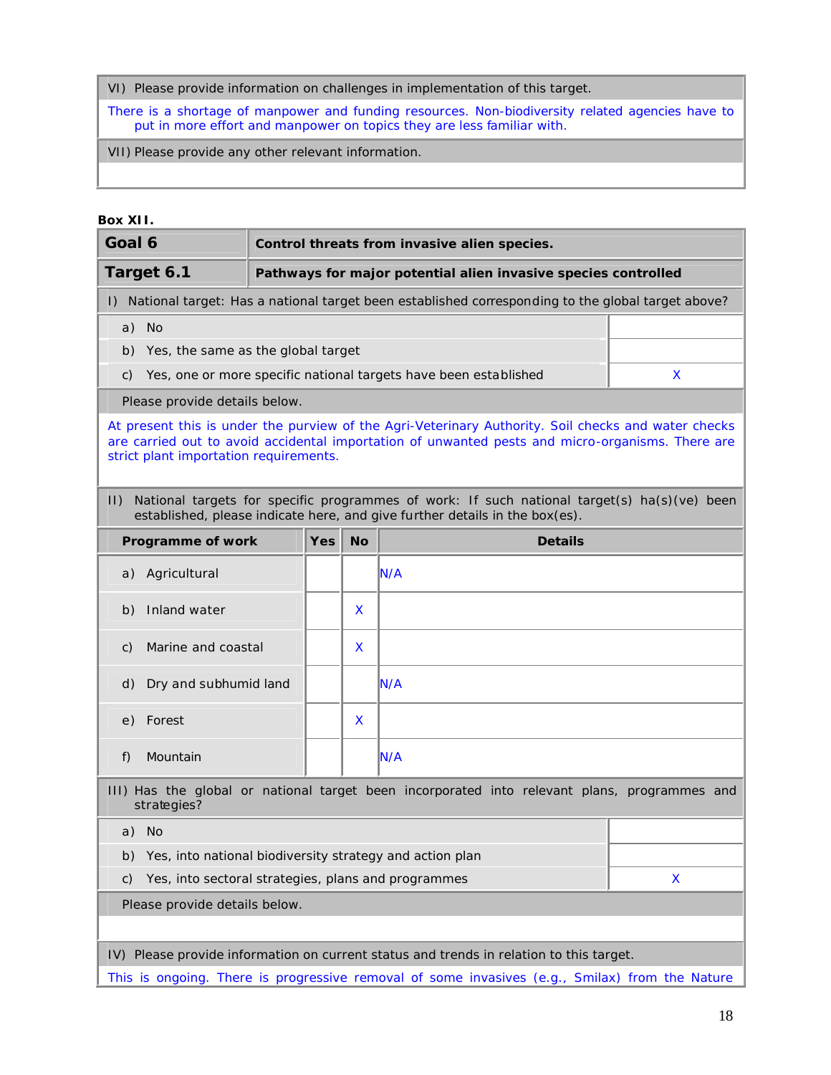VI) Please provide information on challenges in implementation of this target.

There is a shortage of manpower and funding resources. Non-biodiversity related agencies have to put in more effort and manpower on topics they are less familiar with.

VII) Please provide any other relevant information.

## **Box XII.**

| Goal 6                                                                                         | Control threats from invasive alien species. |    |                                                                                                                                                                                                         |   |  |
|------------------------------------------------------------------------------------------------|----------------------------------------------|----|---------------------------------------------------------------------------------------------------------------------------------------------------------------------------------------------------------|---|--|
| Target 6.1                                                                                     |                                              |    | Pathways for major potential alien invasive species controlled                                                                                                                                          |   |  |
| $\mathsf{D}$                                                                                   |                                              |    | National target: Has a national target been established corresponding to the global target above?                                                                                                       |   |  |
| a) No                                                                                          |                                              |    |                                                                                                                                                                                                         |   |  |
| Yes, the same as the global target<br>b)                                                       |                                              |    |                                                                                                                                                                                                         |   |  |
| C)                                                                                             |                                              |    | Yes, one or more specific national targets have been established                                                                                                                                        | X |  |
| Please provide details below.                                                                  |                                              |    |                                                                                                                                                                                                         |   |  |
| strict plant importation requirements.                                                         |                                              |    | At present this is under the purview of the Agri-Veterinary Authority. Soil checks and water checks<br>are carried out to avoid accidental importation of unwanted pests and micro-organisms. There are |   |  |
| $  \cdot  $                                                                                    |                                              |    | National targets for specific programmes of work: If such national target(s) ha(s)(ve) been<br>established, please indicate here, and give further details in the box(es).                              |   |  |
| Programme of work                                                                              | Yes                                          | No | <b>Details</b>                                                                                                                                                                                          |   |  |
| Agricultural<br>a)                                                                             |                                              |    | IN/A                                                                                                                                                                                                    |   |  |
| Inland water<br>b)                                                                             |                                              | X  |                                                                                                                                                                                                         |   |  |
| Marine and coastal<br>C)                                                                       |                                              | X  |                                                                                                                                                                                                         |   |  |
| Dry and subhumid land<br>d)                                                                    |                                              |    | N/A                                                                                                                                                                                                     |   |  |
| Forest<br>e)                                                                                   |                                              | X  |                                                                                                                                                                                                         |   |  |
| Mountain<br>f)                                                                                 |                                              |    | IN/A                                                                                                                                                                                                    |   |  |
| strategies?                                                                                    |                                              |    | III) Has the global or national target been incorporated into relevant plans, programmes and                                                                                                            |   |  |
| a) No                                                                                          |                                              |    |                                                                                                                                                                                                         |   |  |
| Yes, into national biodiversity strategy and action plan<br>b)                                 |                                              |    |                                                                                                                                                                                                         |   |  |
| Yes, into sectoral strategies, plans and programmes<br>X<br>C)                                 |                                              |    |                                                                                                                                                                                                         |   |  |
| Please provide details below.                                                                  |                                              |    |                                                                                                                                                                                                         |   |  |
|                                                                                                |                                              |    |                                                                                                                                                                                                         |   |  |
|                                                                                                |                                              |    | IV) Please provide information on current status and trends in relation to this target.                                                                                                                 |   |  |
| This is ongoing. There is progressive removal of some invasives (e.g., Smilax) from the Nature |                                              |    |                                                                                                                                                                                                         |   |  |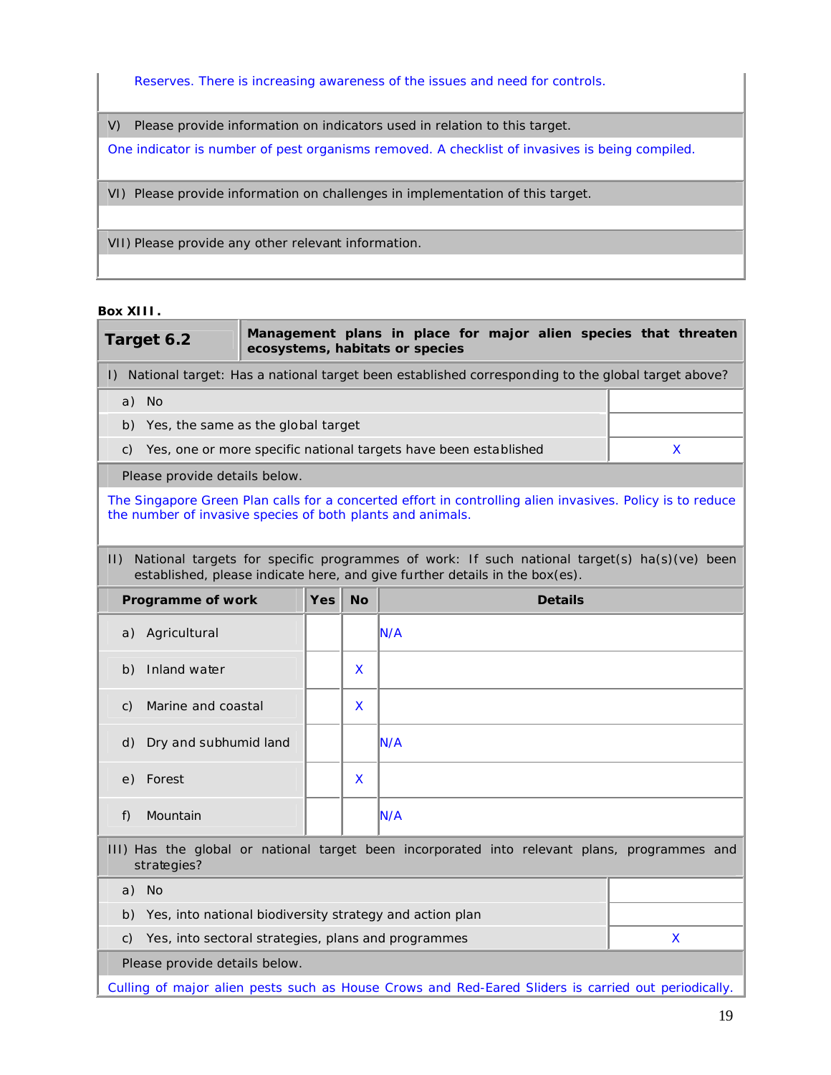Reserves. There is increasing awareness of the issues and need for controls.

V) Please provide information on indicators used in relation to this target.

One indicator is number of pest organisms removed. A checklist of invasives is being compiled.

VI) Please provide information on challenges in implementation of this target.

VII) Please provide any other relevant information.

#### **Box XIII.**

|                                                                                                                                                                                           | Target 6.2                                               |  |     |           | Management plans in place for major alien species that threaten<br>ecosystems, habitats or species |   |
|-------------------------------------------------------------------------------------------------------------------------------------------------------------------------------------------|----------------------------------------------------------|--|-----|-----------|----------------------------------------------------------------------------------------------------|---|
| $\vert$ )                                                                                                                                                                                 |                                                          |  |     |           | National target: Has a national target been established corresponding to the global target above?  |   |
|                                                                                                                                                                                           | a) No                                                    |  |     |           |                                                                                                    |   |
|                                                                                                                                                                                           | b) Yes, the same as the global target                    |  |     |           |                                                                                                    |   |
| C)                                                                                                                                                                                        |                                                          |  |     |           | Yes, one or more specific national targets have been established                                   | X |
|                                                                                                                                                                                           | Please provide details below.                            |  |     |           |                                                                                                    |   |
| The Singapore Green Plan calls for a concerted effort in controlling alien invasives. Policy is to reduce<br>the number of invasive species of both plants and animals.                   |                                                          |  |     |           |                                                                                                    |   |
| National targets for specific programmes of work: If such national target(s) ha(s)(ve) been<br>$  \cdot  $<br>established, please indicate here, and give further details in the box(es). |                                                          |  |     |           |                                                                                                    |   |
|                                                                                                                                                                                           | Programme of work                                        |  | Yes | <b>No</b> | <b>Details</b>                                                                                     |   |
| a)                                                                                                                                                                                        | Agricultural                                             |  |     |           | N/A                                                                                                |   |
| b)                                                                                                                                                                                        | Inland water                                             |  |     | X         |                                                                                                    |   |
| C)                                                                                                                                                                                        | Marine and coastal                                       |  |     | X         |                                                                                                    |   |
| d)                                                                                                                                                                                        | Dry and subhumid land                                    |  |     |           | N/A                                                                                                |   |
| e)                                                                                                                                                                                        | Forest                                                   |  |     | X         |                                                                                                    |   |
| f)                                                                                                                                                                                        | Mountain                                                 |  |     |           | N/A                                                                                                |   |
| III) Has the global or national target been incorporated into relevant plans, programmes and<br>strategies?                                                                               |                                                          |  |     |           |                                                                                                    |   |
|                                                                                                                                                                                           | a) No                                                    |  |     |           |                                                                                                    |   |
| b)                                                                                                                                                                                        | Yes, into national biodiversity strategy and action plan |  |     |           |                                                                                                    |   |
| C)                                                                                                                                                                                        | Yes, into sectoral strategies, plans and programmes      |  |     |           |                                                                                                    | X |
|                                                                                                                                                                                           | Please provide details below.                            |  |     |           |                                                                                                    |   |

Culling of major alien pests such as House Crows and Red-Eared Sliders is carried out periodically.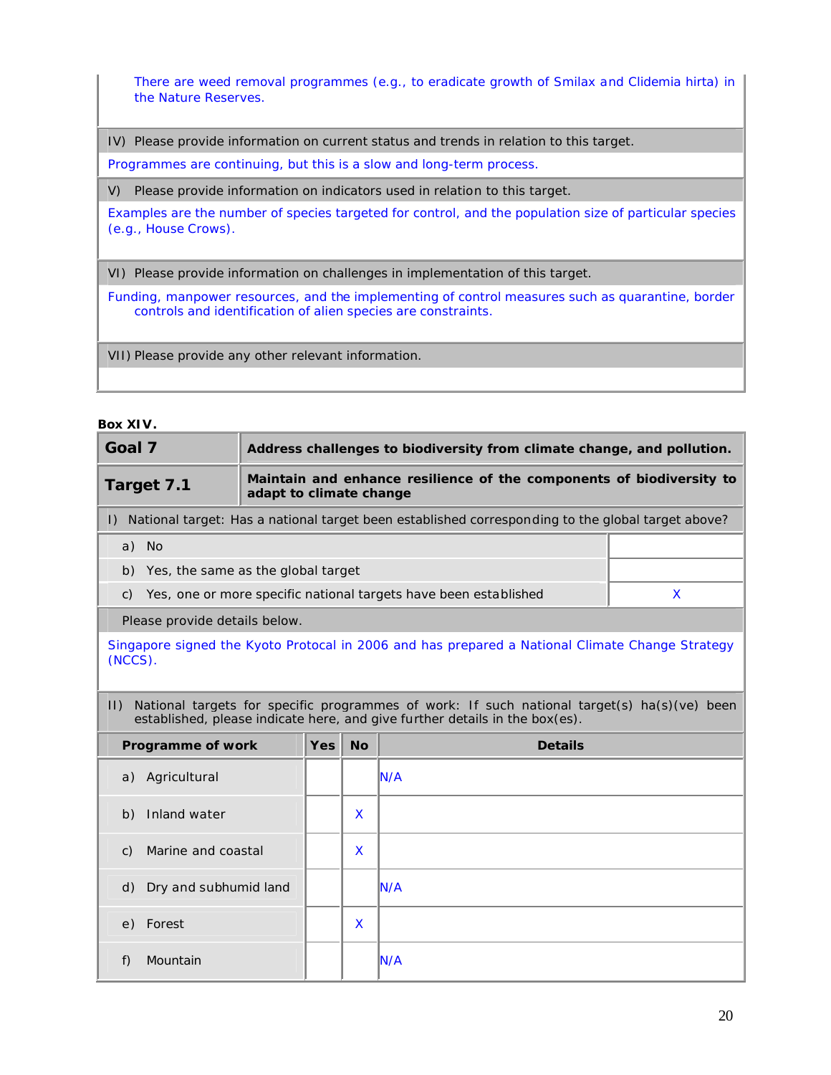There are weed removal programmes (e.g., to eradicate growth of Smilax and Clidemia hirta) in the Nature Reserves.

IV) Please provide information on current status and trends in relation to this target.

Programmes are continuing, but this is a slow and long-term process.

V) Please provide information on indicators used in relation to this target.

Examples are the number of species targeted for control, and the population size of particular species (e.g., House Crows).

VI) Please provide information on challenges in implementation of this target.

Funding, manpower resources, and the implementing of control measures such as quarantine, border controls and identification of alien species are constraints.

VII) Please provide any other relevant information.

#### **Box XIV.**

| Goal 7                                   |                                                                                                 | Address challenges to biodiversity from climate change, and pollution. |           |                                                                                                                                                                            |   |  |
|------------------------------------------|-------------------------------------------------------------------------------------------------|------------------------------------------------------------------------|-----------|----------------------------------------------------------------------------------------------------------------------------------------------------------------------------|---|--|
| Target 7.1                               | Maintain and enhance resilience of the components of biodiversity to<br>adapt to climate change |                                                                        |           |                                                                                                                                                                            |   |  |
|                                          |                                                                                                 |                                                                        |           | I) National target: Has a national target been established corresponding to the global target above?                                                                       |   |  |
| a) No                                    |                                                                                                 |                                                                        |           |                                                                                                                                                                            |   |  |
| Yes, the same as the global target<br>b) |                                                                                                 |                                                                        |           |                                                                                                                                                                            |   |  |
| C)                                       |                                                                                                 |                                                                        |           | Yes, one or more specific national targets have been established                                                                                                           | X |  |
| Please provide details below.            |                                                                                                 |                                                                        |           |                                                                                                                                                                            |   |  |
| (NCCS).                                  |                                                                                                 |                                                                        |           | Singapore signed the Kyoto Protocal in 2006 and has prepared a National Climate Change Strategy                                                                            |   |  |
| $ 1\rangle$                              |                                                                                                 |                                                                        |           | National targets for specific programmes of work: If such national target(s) ha(s)(ve) been<br>established, please indicate here, and give further details in the box(es). |   |  |
| Programme of work                        |                                                                                                 | <b>Yes</b>                                                             | <b>No</b> | <b>Details</b>                                                                                                                                                             |   |  |
| Agricultural<br>a)                       |                                                                                                 |                                                                        |           | <b>N/A</b>                                                                                                                                                                 |   |  |
| Inland water<br>b)                       |                                                                                                 |                                                                        | X         |                                                                                                                                                                            |   |  |
| Marine and coastal<br>$\mathcal{C}$ )    |                                                                                                 |                                                                        | X         |                                                                                                                                                                            |   |  |
| Dry and subhumid land<br>d)              |                                                                                                 |                                                                        |           | IN/A                                                                                                                                                                       |   |  |
| Forest<br>e)                             |                                                                                                 | X                                                                      |           |                                                                                                                                                                            |   |  |
| Mountain<br>f)                           |                                                                                                 |                                                                        |           | IN/A                                                                                                                                                                       |   |  |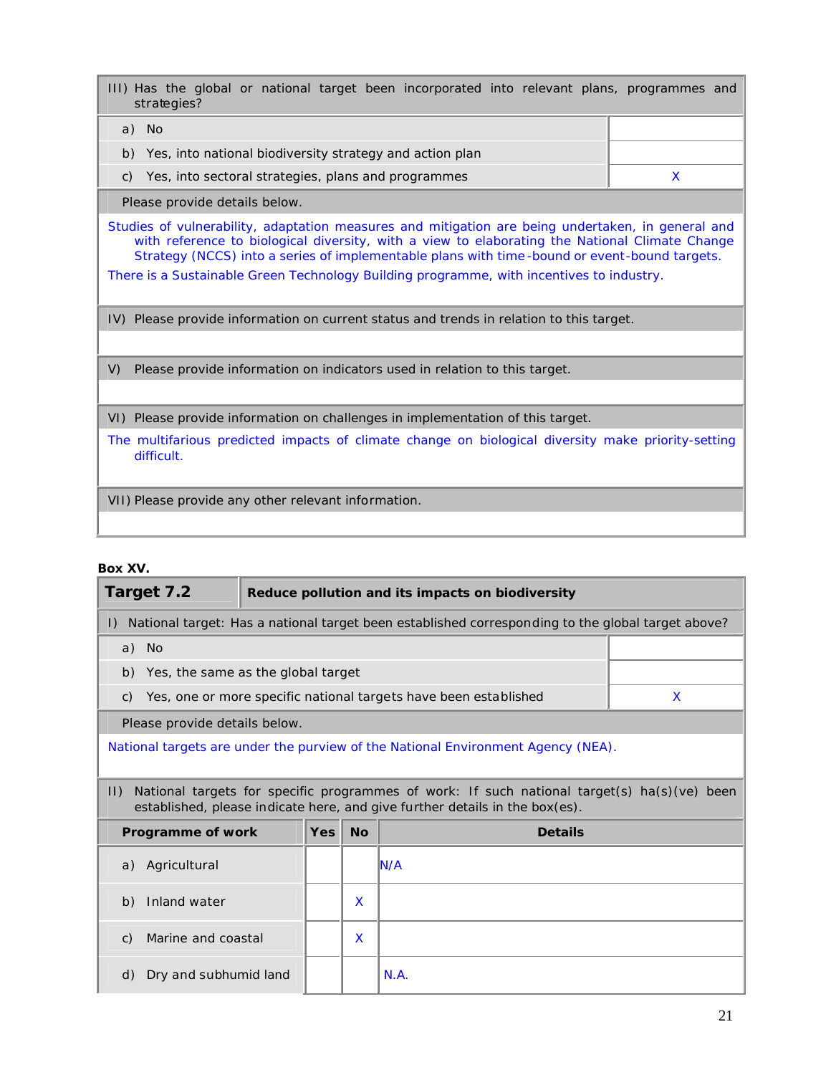III) Has the global or national target been incorporated into relevant plans, programmes and strategies?

| - No                                                        |  |
|-------------------------------------------------------------|--|
| b) Yes, into national biodiversity strategy and action plan |  |
| Yes, into sectoral strategies, plans and programmes         |  |

Please provide details below.

Studies of vulnerability, adaptation measures and mitigation are being undertaken, in general and with reference to biological diversity, with a view to elaborating the National Climate Change Strategy (NCCS) into a series of implementable plans with time -bound or event-bound targets.

There is a Sustainable Green Technology Building programme, with incentives to industry.

IV) Please provide information on current status and trends in relation to this target.

V) Please provide information on indicators used in relation to this target.

VI) Please provide information on challenges in implementation of this target.

The multifarious predicted impacts of climate change on biological diversity make priority-setting difficult.

VII) Please provide any other relevant information.

## **Box XV.**

| Target 7.2                                                                       |            | Reduce pollution and its impacts on biodiversity |                                                                                                                                                                            |   |  |  |
|----------------------------------------------------------------------------------|------------|--------------------------------------------------|----------------------------------------------------------------------------------------------------------------------------------------------------------------------------|---|--|--|
| $\vert$ )                                                                        |            |                                                  | National target: Has a national target been established corresponding to the global target above?                                                                          |   |  |  |
| a) No                                                                            |            |                                                  |                                                                                                                                                                            |   |  |  |
| Yes, the same as the global target<br>b)                                         |            |                                                  |                                                                                                                                                                            |   |  |  |
| C)                                                                               |            |                                                  | Yes, one or more specific national targets have been established                                                                                                           | X |  |  |
| Please provide details below.                                                    |            |                                                  |                                                                                                                                                                            |   |  |  |
| National targets are under the purview of the National Environment Agency (NEA). |            |                                                  |                                                                                                                                                                            |   |  |  |
| $  \cdot  $                                                                      |            |                                                  | National targets for specific programmes of work: If such national target(s) ha(s)(ve) been<br>established, please indicate here, and give further details in the box(es). |   |  |  |
| Programme of work                                                                | <b>Yes</b> | <b>No</b>                                        | <b>Details</b>                                                                                                                                                             |   |  |  |
| Agricultural<br>a)                                                               |            |                                                  | IN/A                                                                                                                                                                       |   |  |  |
| Inland water<br>b)                                                               |            | X                                                |                                                                                                                                                                            |   |  |  |
| Marine and coastal<br>C)                                                         |            | X                                                |                                                                                                                                                                            |   |  |  |
| Dry and subhumid land<br>d)                                                      |            |                                                  | N.A.                                                                                                                                                                       |   |  |  |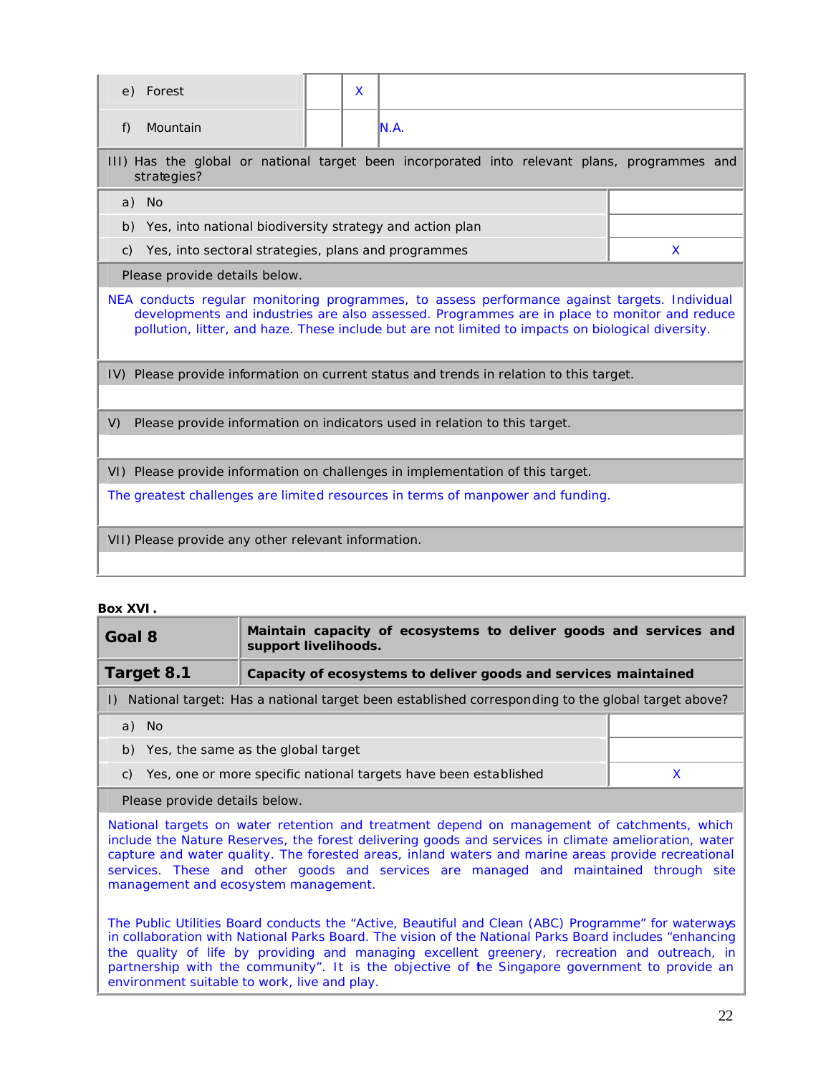| e) Forest                                                                      |                                                                                                                                                                                                                                                                                                     | X |  |                                                                                              |   |  |
|--------------------------------------------------------------------------------|-----------------------------------------------------------------------------------------------------------------------------------------------------------------------------------------------------------------------------------------------------------------------------------------------------|---|--|----------------------------------------------------------------------------------------------|---|--|
| f)                                                                             | Mountain                                                                                                                                                                                                                                                                                            |   |  | IN.A.                                                                                        |   |  |
|                                                                                | strategies?                                                                                                                                                                                                                                                                                         |   |  | III) Has the global or national target been incorporated into relevant plans, programmes and |   |  |
|                                                                                | a) No                                                                                                                                                                                                                                                                                               |   |  |                                                                                              |   |  |
| b)                                                                             | Yes, into national biodiversity strategy and action plan                                                                                                                                                                                                                                            |   |  |                                                                                              |   |  |
| C)                                                                             | Yes, into sectoral strategies, plans and programmes                                                                                                                                                                                                                                                 |   |  |                                                                                              | X |  |
|                                                                                | Please provide details below.                                                                                                                                                                                                                                                                       |   |  |                                                                                              |   |  |
|                                                                                | NEA conducts regular monitoring programmes, to assess performance against targets. Individual<br>developments and industries are also assessed. Programmes are in place to monitor and reduce<br>pollution, litter, and haze. These include but are not limited to impacts on biological diversity. |   |  |                                                                                              |   |  |
|                                                                                |                                                                                                                                                                                                                                                                                                     |   |  | IV) Please provide information on current status and trends in relation to this target.      |   |  |
| V)                                                                             | Please provide information on indicators used in relation to this target.                                                                                                                                                                                                                           |   |  |                                                                                              |   |  |
| VI) Please provide information on challenges in implementation of this target. |                                                                                                                                                                                                                                                                                                     |   |  |                                                                                              |   |  |
|                                                                                | The greatest challenges are limited resources in terms of manpower and funding.                                                                                                                                                                                                                     |   |  |                                                                                              |   |  |
|                                                                                | VII) Please provide any other relevant information.                                                                                                                                                                                                                                                 |   |  |                                                                                              |   |  |

## **Box XVI.**

| Goal 8                                                                                               | Maintain capacity of ecosystems to deliver goods and services and<br>support livelihoods. |  |  |  |  |  |  |
|------------------------------------------------------------------------------------------------------|-------------------------------------------------------------------------------------------|--|--|--|--|--|--|
| Target 8.1                                                                                           | Capacity of ecosystems to deliver goods and services maintained                           |  |  |  |  |  |  |
| I) National target: Has a national target been established corresponding to the global target above? |                                                                                           |  |  |  |  |  |  |
| a) No                                                                                                |                                                                                           |  |  |  |  |  |  |
| b) Yes, the same as the global target                                                                |                                                                                           |  |  |  |  |  |  |
| C)                                                                                                   | Yes, one or more specific national targets have been established                          |  |  |  |  |  |  |
|                                                                                                      |                                                                                           |  |  |  |  |  |  |

Please provide details below.

National targets on water retention and treatment depend on management of catchments, which include the Nature Reserves, the forest delivering goods and services in climate amelioration, water capture and water quality. The forested areas, inland waters and marine areas provide recreational services. These and other goods and services are managed and maintained through site management and ecosystem management.

The Public Utilities Board conducts the "Active, Beautiful and Clean (ABC) Programme" for waterways in collaboration with National Parks Board. The vision of the National Parks Board includes "enhancing the quality of life by providing and managing excellent greenery, recreation and outreach, in partnership with the community". It is the objective of the Singapore government to provide an environment suitable to work, live and play.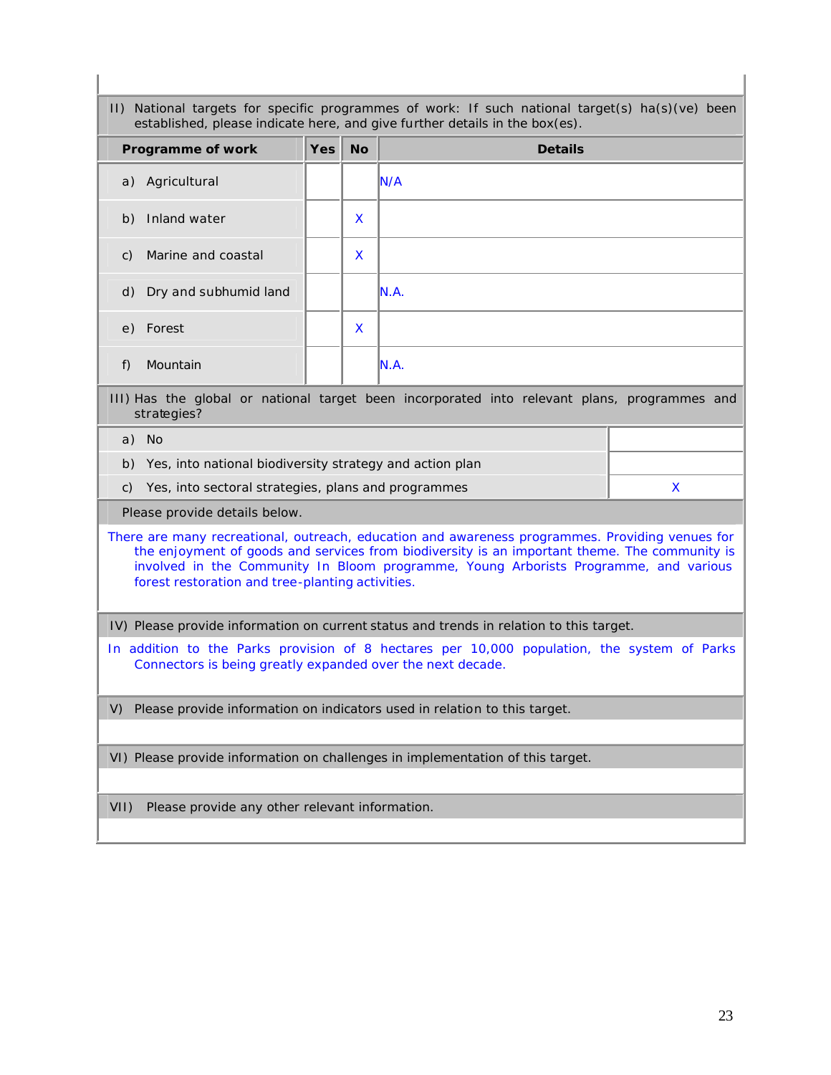| Programme of work                                                                                                                                                                                                                                                                                                                            | <b>Yes</b> | <b>No</b> | <b>Details</b>                                                                          |  |
|----------------------------------------------------------------------------------------------------------------------------------------------------------------------------------------------------------------------------------------------------------------------------------------------------------------------------------------------|------------|-----------|-----------------------------------------------------------------------------------------|--|
| a) Agricultural                                                                                                                                                                                                                                                                                                                              |            |           | N/A                                                                                     |  |
| Inland water<br>b)                                                                                                                                                                                                                                                                                                                           |            | X         |                                                                                         |  |
| Marine and coastal<br>C)                                                                                                                                                                                                                                                                                                                     |            | X         |                                                                                         |  |
| Dry and subhumid land<br>d)                                                                                                                                                                                                                                                                                                                  |            |           | N.A.                                                                                    |  |
| Forest<br>e)                                                                                                                                                                                                                                                                                                                                 |            | X         |                                                                                         |  |
| Mountain<br>f)                                                                                                                                                                                                                                                                                                                               |            |           | N.A.                                                                                    |  |
| III) Has the global or national target been incorporated into relevant plans, programmes and<br>strategies?                                                                                                                                                                                                                                  |            |           |                                                                                         |  |
| a) No                                                                                                                                                                                                                                                                                                                                        |            |           |                                                                                         |  |
| Yes, into national biodiversity strategy and action plan<br>b)                                                                                                                                                                                                                                                                               |            |           |                                                                                         |  |
| Yes, into sectoral strategies, plans and programmes<br>X<br>$\mathsf{C}$                                                                                                                                                                                                                                                                     |            |           |                                                                                         |  |
| Please provide details below.                                                                                                                                                                                                                                                                                                                |            |           |                                                                                         |  |
| There are many recreational, outreach, education and awareness programmes. Providing venues for<br>the enjoyment of goods and services from biodiversity is an important theme. The community is<br>involved in the Community In Bloom programme, Young Arborists Programme, and various<br>forest restoration and tree-planting activities. |            |           |                                                                                         |  |
|                                                                                                                                                                                                                                                                                                                                              |            |           | IV) Please provide information on current status and trends in relation to this target. |  |
| In addition to the Parks provision of 8 hectares per 10,000 population, the system of Parks<br>Connectors is being greatly expanded over the next decade.                                                                                                                                                                                    |            |           |                                                                                         |  |
| Please provide information on indicators used in relation to this target.<br>V)                                                                                                                                                                                                                                                              |            |           |                                                                                         |  |
| VI) Please provide information on challenges in implementation of this target.                                                                                                                                                                                                                                                               |            |           |                                                                                         |  |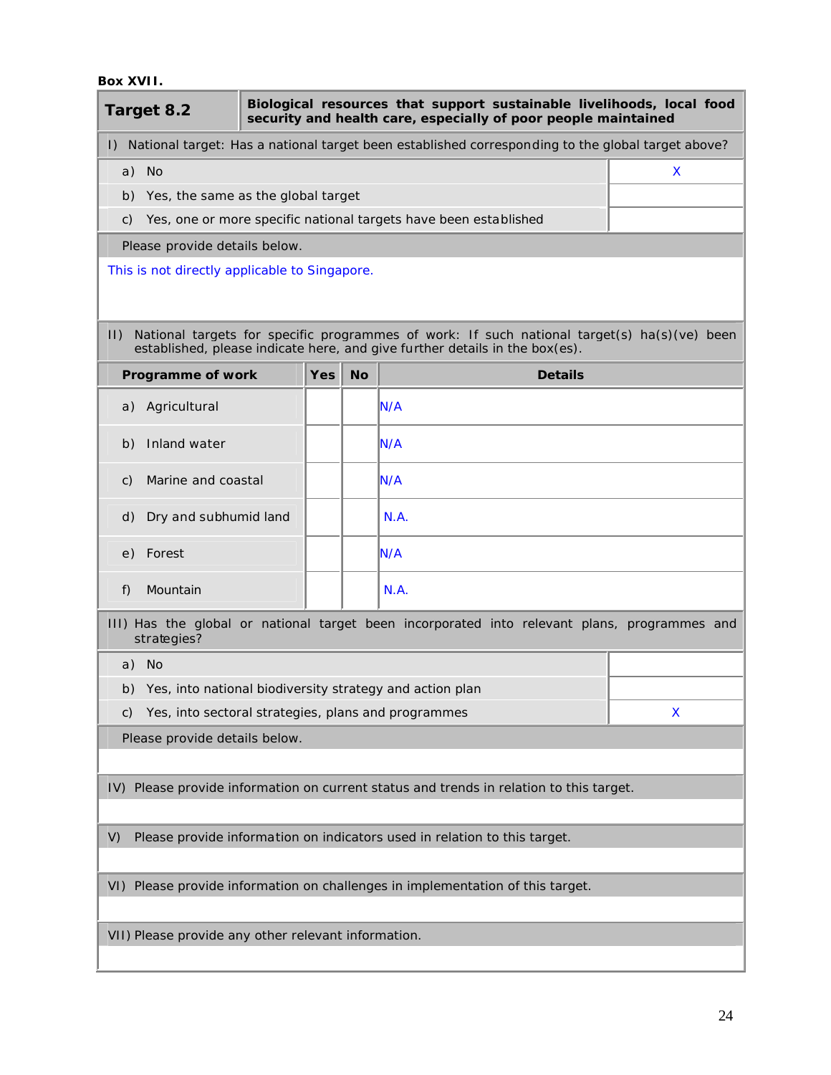## **Box XVII.**

| Target 8.2                                                                              |                                                                                                             |  |            |           | Biological resources that support sustainable livelihoods, local food<br>security and health care, especially of poor people maintained                                    |   |
|-----------------------------------------------------------------------------------------|-------------------------------------------------------------------------------------------------------------|--|------------|-----------|----------------------------------------------------------------------------------------------------------------------------------------------------------------------------|---|
|                                                                                         |                                                                                                             |  |            |           | I) National target: Has a national target been established corresponding to the global target above?                                                                       |   |
| a) No                                                                                   |                                                                                                             |  |            |           |                                                                                                                                                                            | X |
|                                                                                         | b) Yes, the same as the global target                                                                       |  |            |           |                                                                                                                                                                            |   |
| C)                                                                                      |                                                                                                             |  |            |           | Yes, one or more specific national targets have been established                                                                                                           |   |
|                                                                                         | Please provide details below.                                                                               |  |            |           |                                                                                                                                                                            |   |
|                                                                                         | This is not directly applicable to Singapore.                                                               |  |            |           |                                                                                                                                                                            |   |
| $  \cdot  $                                                                             |                                                                                                             |  |            |           | National targets for specific programmes of work: If such national target(s) ha(s)(ve) been<br>established, please indicate here, and give further details in the box(es). |   |
|                                                                                         | Programme of work                                                                                           |  | <b>Yes</b> | <b>No</b> | <b>Details</b>                                                                                                                                                             |   |
|                                                                                         | a) Agricultural                                                                                             |  |            |           | IN/A                                                                                                                                                                       |   |
| b)                                                                                      | Inland water                                                                                                |  |            |           | IN/A                                                                                                                                                                       |   |
| C)                                                                                      | Marine and coastal                                                                                          |  |            |           | IN/A                                                                                                                                                                       |   |
| d)                                                                                      | Dry and subhumid land                                                                                       |  |            |           | N.A.                                                                                                                                                                       |   |
| Forest<br>e)                                                                            |                                                                                                             |  |            |           | IN/A                                                                                                                                                                       |   |
| f)                                                                                      | Mountain                                                                                                    |  |            |           | N.A.                                                                                                                                                                       |   |
|                                                                                         | III) Has the global or national target been incorporated into relevant plans, programmes and<br>strategies? |  |            |           |                                                                                                                                                                            |   |
| a) No                                                                                   |                                                                                                             |  |            |           |                                                                                                                                                                            |   |
|                                                                                         |                                                                                                             |  |            |           | b) Yes, into national biodiversity strategy and action plan                                                                                                                |   |
| C)                                                                                      |                                                                                                             |  |            |           | Yes, into sectoral strategies, plans and programmes                                                                                                                        | X |
|                                                                                         | Please provide details below.                                                                               |  |            |           |                                                                                                                                                                            |   |
|                                                                                         |                                                                                                             |  |            |           |                                                                                                                                                                            |   |
| IV) Please provide information on current status and trends in relation to this target. |                                                                                                             |  |            |           |                                                                                                                                                                            |   |
| V)                                                                                      | Please provide information on indicators used in relation to this target.                                   |  |            |           |                                                                                                                                                                            |   |
|                                                                                         |                                                                                                             |  |            |           |                                                                                                                                                                            |   |
|                                                                                         |                                                                                                             |  |            |           | VI) Please provide information on challenges in implementation of this target.                                                                                             |   |
|                                                                                         | VII) Please provide any other relevant information.                                                         |  |            |           |                                                                                                                                                                            |   |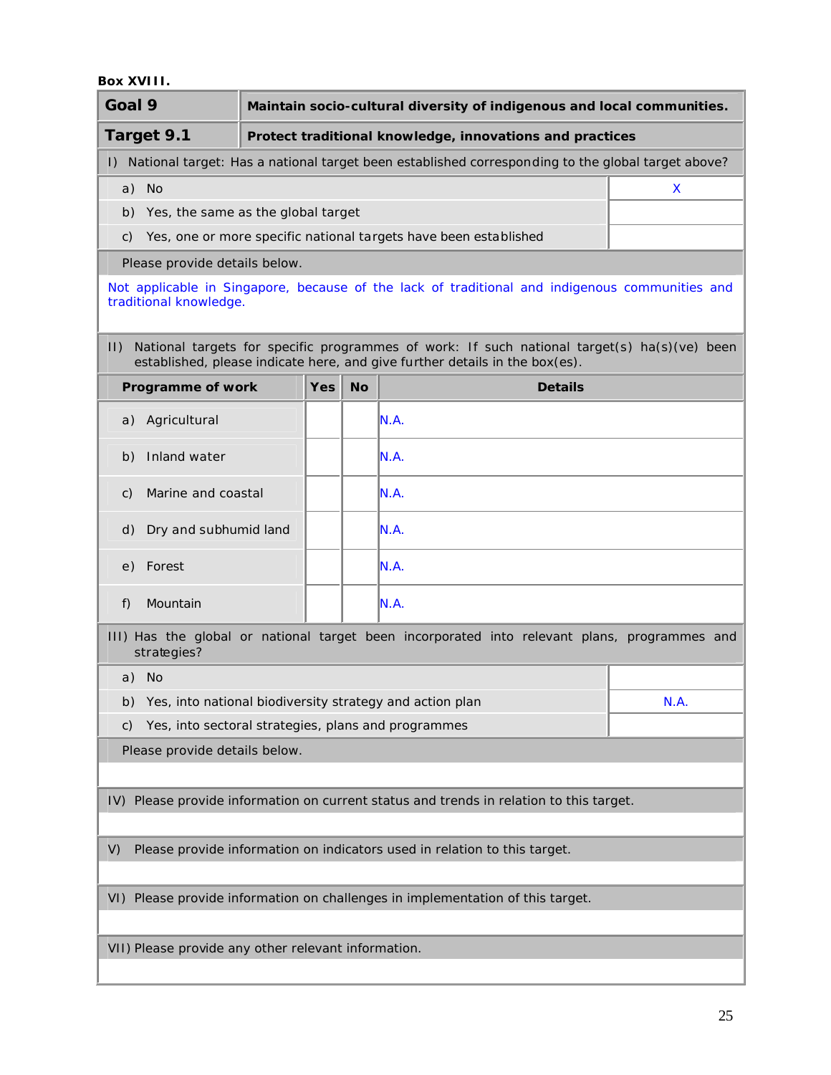## **Box XVIII.**

| Goal 9                                                      |                                                                           | Maintain socio-cultural diversity of indigenous and local communities. |                                                                                                                                                                            |      |  |
|-------------------------------------------------------------|---------------------------------------------------------------------------|------------------------------------------------------------------------|----------------------------------------------------------------------------------------------------------------------------------------------------------------------------|------|--|
| Target 9.1                                                  |                                                                           |                                                                        | Protect traditional knowledge, innovations and practices                                                                                                                   |      |  |
| $\Box$                                                      |                                                                           |                                                                        | National target: Has a national target been established corresponding to the global target above?                                                                          |      |  |
| a) No                                                       |                                                                           |                                                                        |                                                                                                                                                                            | X    |  |
| b) Yes, the same as the global target                       |                                                                           |                                                                        |                                                                                                                                                                            |      |  |
| C)                                                          |                                                                           |                                                                        | Yes, one or more specific national targets have been established                                                                                                           |      |  |
| Please provide details below.                               |                                                                           |                                                                        |                                                                                                                                                                            |      |  |
| traditional knowledge.                                      |                                                                           |                                                                        | Not applicable in Singapore, because of the lack of traditional and indigenous communities and                                                                             |      |  |
| $ 1\rangle$                                                 |                                                                           |                                                                        | National targets for specific programmes of work: If such national target(s) ha(s)(ve) been<br>established, please indicate here, and give further details in the box(es). |      |  |
| Programme of work                                           | <b>Yes</b>                                                                | <b>No</b>                                                              | <b>Details</b>                                                                                                                                                             |      |  |
| Agricultural<br>a)                                          |                                                                           |                                                                        | N.A.                                                                                                                                                                       |      |  |
| Inland water<br>b)                                          |                                                                           |                                                                        | IN.A.                                                                                                                                                                      |      |  |
| Marine and coastal<br>C)                                    |                                                                           |                                                                        | N.A.                                                                                                                                                                       |      |  |
| Dry and subhumid land<br>d)                                 |                                                                           |                                                                        | N.A.                                                                                                                                                                       |      |  |
| Forest<br>e)                                                |                                                                           |                                                                        | N.A.                                                                                                                                                                       |      |  |
| f)<br>Mountain                                              |                                                                           |                                                                        | N.A.                                                                                                                                                                       |      |  |
| strategies?                                                 |                                                                           |                                                                        | III) Has the global or national target been incorporated into relevant plans, programmes and                                                                               |      |  |
| a) No                                                       |                                                                           |                                                                        |                                                                                                                                                                            |      |  |
| b) Yes, into national biodiversity strategy and action plan |                                                                           |                                                                        |                                                                                                                                                                            | N.A. |  |
| C)                                                          | Yes, into sectoral strategies, plans and programmes                       |                                                                        |                                                                                                                                                                            |      |  |
| Please provide details below.                               |                                                                           |                                                                        |                                                                                                                                                                            |      |  |
|                                                             |                                                                           |                                                                        |                                                                                                                                                                            |      |  |
|                                                             |                                                                           |                                                                        | IV) Please provide information on current status and trends in relation to this target.                                                                                    |      |  |
|                                                             |                                                                           |                                                                        |                                                                                                                                                                            |      |  |
| V)                                                          | Please provide information on indicators used in relation to this target. |                                                                        |                                                                                                                                                                            |      |  |
|                                                             |                                                                           |                                                                        | VI) Please provide information on challenges in implementation of this target.                                                                                             |      |  |
|                                                             |                                                                           |                                                                        |                                                                                                                                                                            |      |  |
| VII) Please provide any other relevant information.         |                                                                           |                                                                        |                                                                                                                                                                            |      |  |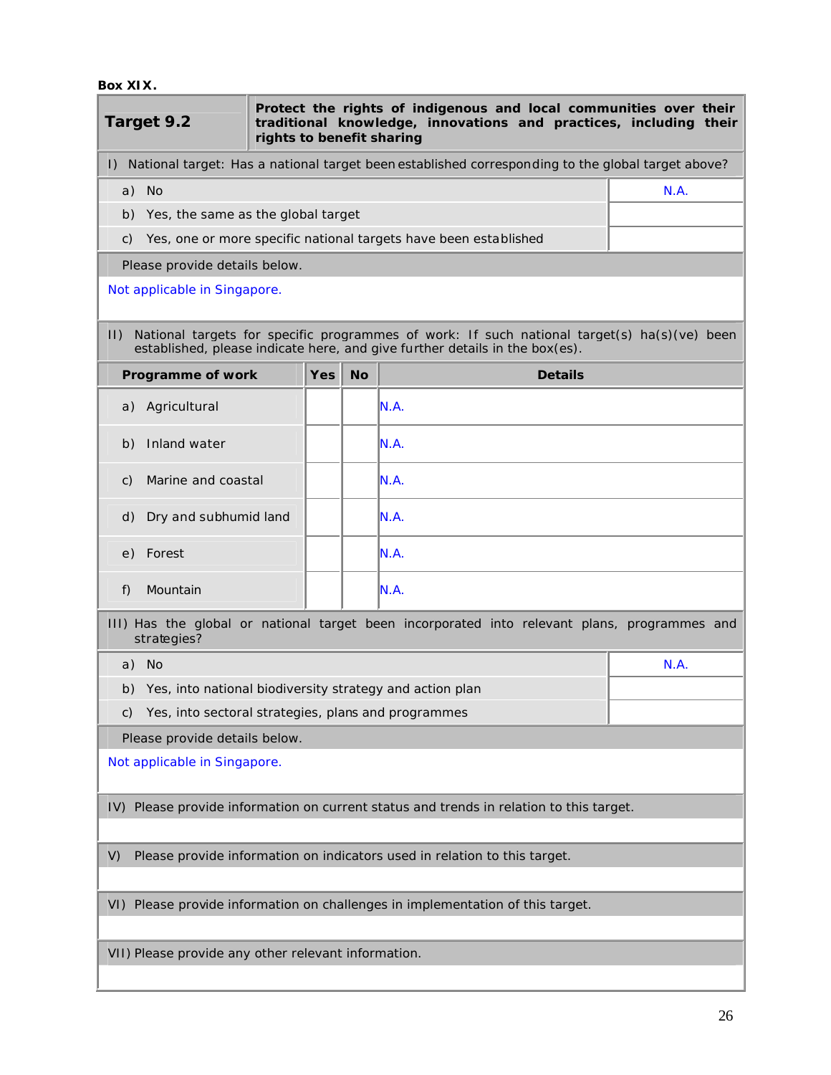**Box XIX.**

I

| Target 9.2                                                                              | rights to benefit sharing |           | Protect the rights of indigenous and local communities over their<br>traditional knowledge, innovations and practices, including their                                     |      |
|-----------------------------------------------------------------------------------------|---------------------------|-----------|----------------------------------------------------------------------------------------------------------------------------------------------------------------------------|------|
| $\mathsf{I}$                                                                            |                           |           | National target: Has a national target been established corresponding to the global target above?                                                                          |      |
| a) No                                                                                   |                           |           |                                                                                                                                                                            | N.A. |
| b) Yes, the same as the global target                                                   |                           |           |                                                                                                                                                                            |      |
| C)                                                                                      |                           |           | Yes, one or more specific national targets have been established                                                                                                           |      |
| Please provide details below.                                                           |                           |           |                                                                                                                                                                            |      |
| Not applicable in Singapore.                                                            |                           |           |                                                                                                                                                                            |      |
| $ 1\rangle$                                                                             |                           |           | National targets for specific programmes of work: If such national target(s) ha(s)(ve) been<br>established, please indicate here, and give further details in the box(es). |      |
| Programme of work                                                                       | <b>Yes</b>                | <b>No</b> | <b>Details</b>                                                                                                                                                             |      |
| Agricultural<br>a)                                                                      |                           |           | N.A.                                                                                                                                                                       |      |
| Inland water<br>b)                                                                      |                           |           | N.A.                                                                                                                                                                       |      |
| Marine and coastal<br>C)                                                                |                           |           | IN.A.                                                                                                                                                                      |      |
| Dry and subhumid land<br>d)                                                             |                           |           | IN.A.                                                                                                                                                                      |      |
| Forest<br>e)                                                                            |                           |           | N.A.                                                                                                                                                                       |      |
| Mountain<br>f)                                                                          |                           |           | IN.A.                                                                                                                                                                      |      |
| strategies?                                                                             |                           |           | III) Has the global or national target been incorporated into relevant plans, programmes and                                                                               |      |
| a) No                                                                                   |                           |           |                                                                                                                                                                            | N.A. |
| Yes, into national biodiversity strategy and action plan<br>b)                          |                           |           |                                                                                                                                                                            |      |
| Yes, into sectoral strategies, plans and programmes<br>C)                               |                           |           |                                                                                                                                                                            |      |
| Please provide details below.                                                           |                           |           |                                                                                                                                                                            |      |
| Not applicable in Singapore.                                                            |                           |           |                                                                                                                                                                            |      |
| IV) Please provide information on current status and trends in relation to this target. |                           |           |                                                                                                                                                                            |      |
| Please provide information on indicators used in relation to this target.<br>V)         |                           |           |                                                                                                                                                                            |      |
|                                                                                         |                           |           | VI) Please provide information on challenges in implementation of this target.                                                                                             |      |
| VII) Please provide any other relevant information.                                     |                           |           |                                                                                                                                                                            |      |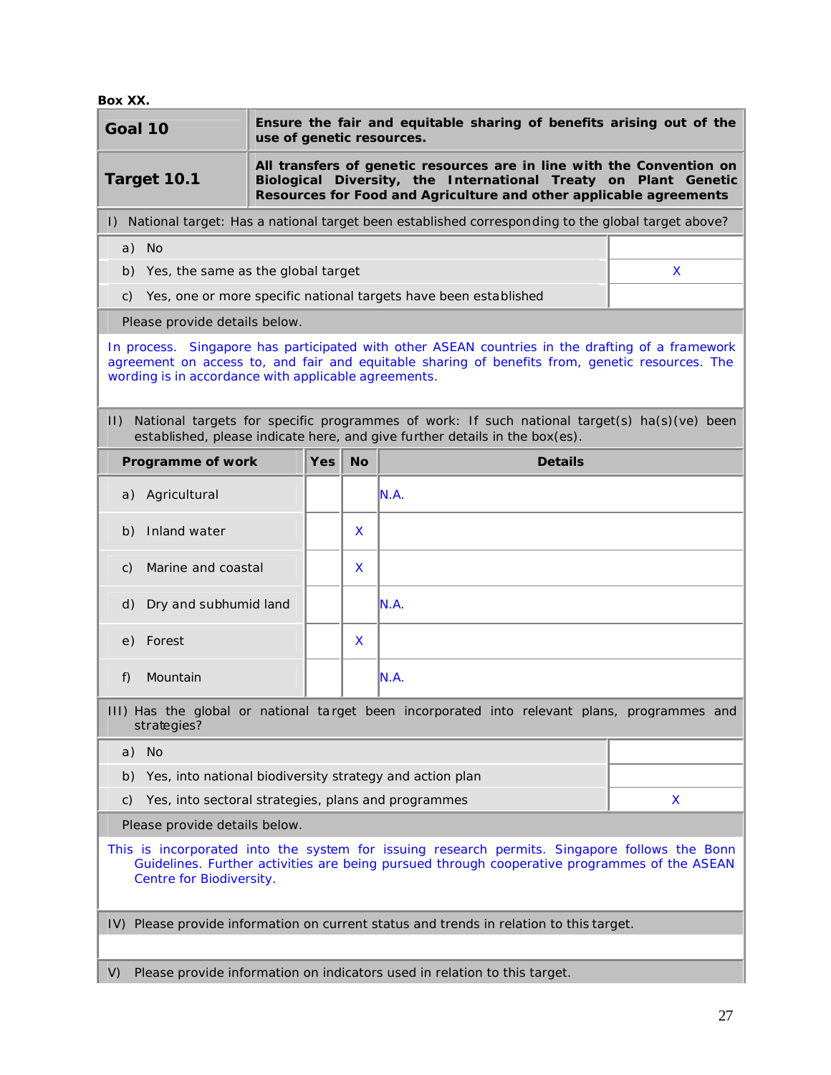**Box XX.**

| Goal 10                                                                                                                                                                                                                                                                                                                                                                                                                                                  |                                                                                                                                                                                                                               | use of genetic resources. |            |           | Ensure the fair and equitable sharing of benefits arising out of the                              |    |
|----------------------------------------------------------------------------------------------------------------------------------------------------------------------------------------------------------------------------------------------------------------------------------------------------------------------------------------------------------------------------------------------------------------------------------------------------------|-------------------------------------------------------------------------------------------------------------------------------------------------------------------------------------------------------------------------------|---------------------------|------------|-----------|---------------------------------------------------------------------------------------------------|----|
|                                                                                                                                                                                                                                                                                                                                                                                                                                                          | All transfers of genetic resources are in line with the Convention on<br>Target 10.1<br>Biological Diversity, the International Treaty on Plant Genetic<br>Resources for Food and Agriculture and other applicable agreements |                           |            |           |                                                                                                   |    |
| $\vert$ )                                                                                                                                                                                                                                                                                                                                                                                                                                                |                                                                                                                                                                                                                               |                           |            |           | National target: Has a national target been established corresponding to the global target above? |    |
| a) No                                                                                                                                                                                                                                                                                                                                                                                                                                                    |                                                                                                                                                                                                                               |                           |            |           |                                                                                                   |    |
|                                                                                                                                                                                                                                                                                                                                                                                                                                                          | b) Yes, the same as the global target                                                                                                                                                                                         |                           |            |           |                                                                                                   | X. |
| C)                                                                                                                                                                                                                                                                                                                                                                                                                                                       |                                                                                                                                                                                                                               |                           |            |           | Yes, one or more specific national targets have been established                                  |    |
|                                                                                                                                                                                                                                                                                                                                                                                                                                                          | Please provide details below.                                                                                                                                                                                                 |                           |            |           |                                                                                                   |    |
| In process. Singapore has participated with other ASEAN countries in the drafting of a framework<br>agreement on access to, and fair and equitable sharing of benefits from, genetic resources. The<br>wording is in accordance with applicable agreements.<br>National targets for specific programmes of work: If such national target(s) ha(s)(ve) been<br>$  \cdot  $<br>established, please indicate here, and give further details in the box(es). |                                                                                                                                                                                                                               |                           |            |           |                                                                                                   |    |
|                                                                                                                                                                                                                                                                                                                                                                                                                                                          | Programme of work                                                                                                                                                                                                             |                           | <b>Yes</b> | <b>No</b> | <b>Details</b>                                                                                    |    |
|                                                                                                                                                                                                                                                                                                                                                                                                                                                          | a) Agricultural                                                                                                                                                                                                               |                           |            |           | IN.A.                                                                                             |    |
| b)                                                                                                                                                                                                                                                                                                                                                                                                                                                       | Inland water                                                                                                                                                                                                                  |                           |            | X         |                                                                                                   |    |
|                                                                                                                                                                                                                                                                                                                                                                                                                                                          | c) Marine and coastal                                                                                                                                                                                                         |                           |            | X         |                                                                                                   |    |
| d)                                                                                                                                                                                                                                                                                                                                                                                                                                                       | Dry and subhumid land                                                                                                                                                                                                         |                           |            |           | N.A.                                                                                              |    |
| e)                                                                                                                                                                                                                                                                                                                                                                                                                                                       | Forest                                                                                                                                                                                                                        |                           |            | X         |                                                                                                   |    |
| f)                                                                                                                                                                                                                                                                                                                                                                                                                                                       | Mountain                                                                                                                                                                                                                      |                           |            |           | N.A.                                                                                              |    |
|                                                                                                                                                                                                                                                                                                                                                                                                                                                          | strategies?                                                                                                                                                                                                                   |                           |            |           | III) Has the global or national target been incorporated into relevant plans, programmes and      |    |
| a) No                                                                                                                                                                                                                                                                                                                                                                                                                                                    |                                                                                                                                                                                                                               |                           |            |           |                                                                                                   |    |
| b)                                                                                                                                                                                                                                                                                                                                                                                                                                                       |                                                                                                                                                                                                                               |                           |            |           | Yes, into national biodiversity strategy and action plan                                          |    |
| C)                                                                                                                                                                                                                                                                                                                                                                                                                                                       | Yes, into sectoral strategies, plans and programmes                                                                                                                                                                           |                           |            |           |                                                                                                   | X  |
|                                                                                                                                                                                                                                                                                                                                                                                                                                                          | Please provide details below.                                                                                                                                                                                                 |                           |            |           |                                                                                                   |    |
| This is incorporated into the system for issuing research permits. Singapore follows the Bonn<br>Guidelines. Further activities are being pursued through cooperative programmes of the ASEAN<br>Centre for Biodiversity.                                                                                                                                                                                                                                |                                                                                                                                                                                                                               |                           |            |           |                                                                                                   |    |
|                                                                                                                                                                                                                                                                                                                                                                                                                                                          |                                                                                                                                                                                                                               |                           |            |           | IV) Please provide information on current status and trends in relation to this target.           |    |
| V)                                                                                                                                                                                                                                                                                                                                                                                                                                                       | Please provide information on indicators used in relation to this target.                                                                                                                                                     |                           |            |           |                                                                                                   |    |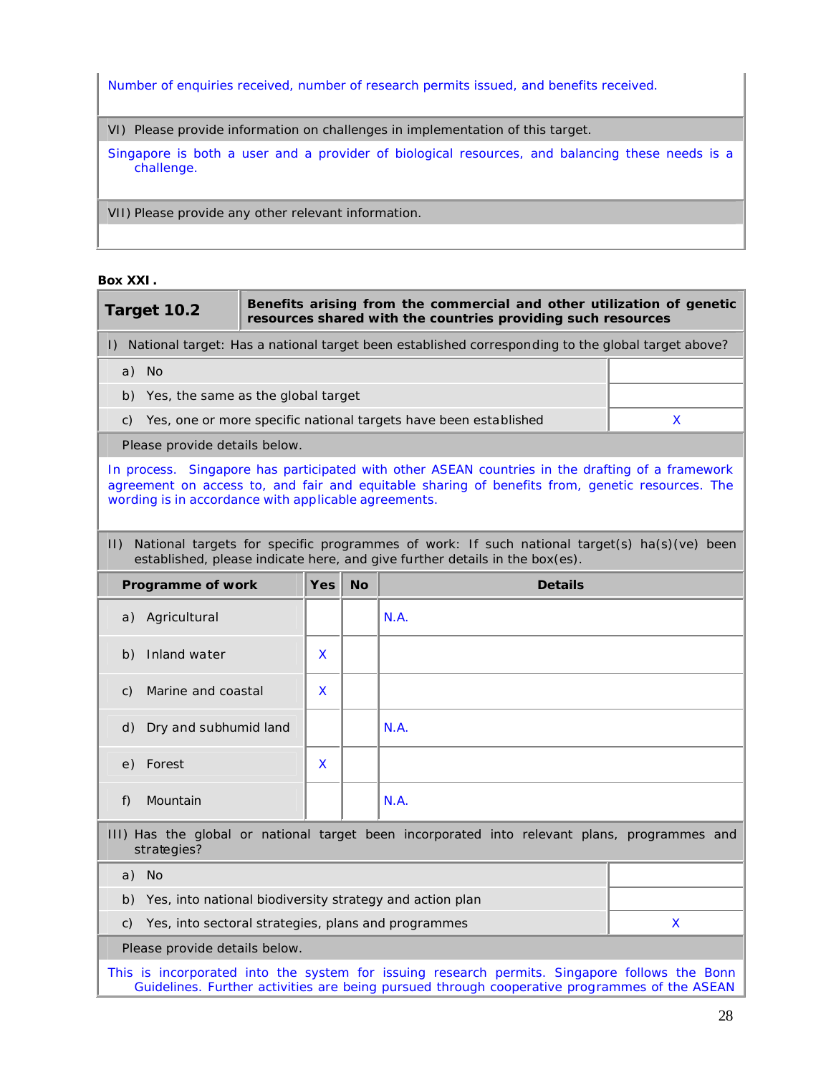Number of enquiries received, number of research permits issued, and benefits received.

VI) Please provide information on challenges in implementation of this target.

Singapore is both a user and a provider of biological resources, and balancing these needs is a challenge.

VII) Please provide any other relevant information.

#### **Box XXI.**

| Target 10.2                                                                                                                                                                                                                                                                                                                                                               |  |                         | Benefits arising from the commercial and other utilization of genetic<br>resources shared with the countries providing such resources                                                         |   |
|---------------------------------------------------------------------------------------------------------------------------------------------------------------------------------------------------------------------------------------------------------------------------------------------------------------------------------------------------------------------------|--|-------------------------|-----------------------------------------------------------------------------------------------------------------------------------------------------------------------------------------------|---|
| $\vert$ )                                                                                                                                                                                                                                                                                                                                                                 |  |                         | National target: Has a national target been established corresponding to the global target above?                                                                                             |   |
| a) No                                                                                                                                                                                                                                                                                                                                                                     |  |                         |                                                                                                                                                                                               |   |
| b) Yes, the same as the global target                                                                                                                                                                                                                                                                                                                                     |  |                         |                                                                                                                                                                                               |   |
| C)                                                                                                                                                                                                                                                                                                                                                                        |  |                         | Yes, one or more specific national targets have been established                                                                                                                              | X |
| Please provide details below.                                                                                                                                                                                                                                                                                                                                             |  |                         |                                                                                                                                                                                               |   |
| In process. Singapore has participated with other ASEAN countries in the drafting of a framework<br>agreement on access to, and fair and equitable sharing of benefits from, genetic resources. The<br>wording is in accordance with applicable agreements.<br>$  \cdot  $<br>National targets for specific programmes of work: If such national target(s) ha(s)(ve) been |  |                         |                                                                                                                                                                                               |   |
| Programme of work                                                                                                                                                                                                                                                                                                                                                         |  | <b>Yes</b><br><b>No</b> | established, please indicate here, and give further details in the box(es).<br><b>Details</b>                                                                                                 |   |
|                                                                                                                                                                                                                                                                                                                                                                           |  |                         |                                                                                                                                                                                               |   |
| Agricultural<br>a)                                                                                                                                                                                                                                                                                                                                                        |  |                         | N.A.                                                                                                                                                                                          |   |
| Inland water<br>b)                                                                                                                                                                                                                                                                                                                                                        |  | X                       |                                                                                                                                                                                               |   |
| Marine and coastal<br>C)                                                                                                                                                                                                                                                                                                                                                  |  | X.                      |                                                                                                                                                                                               |   |
| Dry and subhumid land<br>d)                                                                                                                                                                                                                                                                                                                                               |  |                         | N.A.                                                                                                                                                                                          |   |
| Forest<br>e)                                                                                                                                                                                                                                                                                                                                                              |  | X                       |                                                                                                                                                                                               |   |
| Mountain<br>f)                                                                                                                                                                                                                                                                                                                                                            |  |                         | N.A.                                                                                                                                                                                          |   |
| III) Has the global or national target been incorporated into relevant plans, programmes and<br>strategies?                                                                                                                                                                                                                                                               |  |                         |                                                                                                                                                                                               |   |
| a) No                                                                                                                                                                                                                                                                                                                                                                     |  |                         |                                                                                                                                                                                               |   |
| b)                                                                                                                                                                                                                                                                                                                                                                        |  |                         | Yes, into national biodiversity strategy and action plan                                                                                                                                      |   |
| Yes, into sectoral strategies, plans and programmes<br>C)                                                                                                                                                                                                                                                                                                                 |  |                         |                                                                                                                                                                                               | X |
| Please provide details below.                                                                                                                                                                                                                                                                                                                                             |  |                         |                                                                                                                                                                                               |   |
|                                                                                                                                                                                                                                                                                                                                                                           |  |                         | This is incorporated into the system for issuing research permits. Singapore follows the Bonn<br>Guidelines. Further activities are being pursued through cooperative programmes of the ASEAN |   |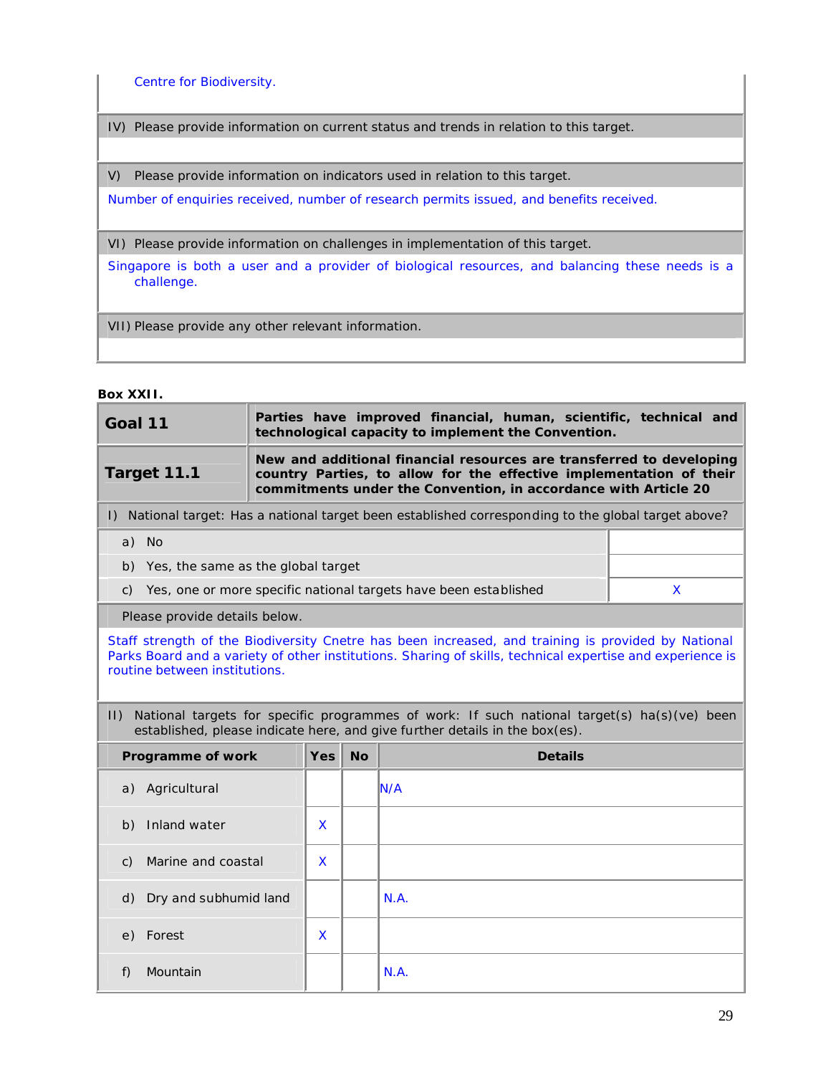Centre for Biodiversity.

IV) Please provide information on current status and trends in relation to this target.

V) Please provide information on indicators used in relation to this target.

Number of enquiries received, number of research permits issued, and benefits received.

VI) Please provide information on challenges in implementation of this target.

Singapore is both a user and a provider of biological resources, and balancing these needs is a challenge.

VII) Please provide any other relevant information.

**Box XXII.**

| Goal 11                                                                                                                                                                                                                                          |                                                                                                                                                                                                                |           | Parties have improved financial, human, scientific, technical and<br>technological capacity to implement the Convention.                                                   |              |  |
|--------------------------------------------------------------------------------------------------------------------------------------------------------------------------------------------------------------------------------------------------|----------------------------------------------------------------------------------------------------------------------------------------------------------------------------------------------------------------|-----------|----------------------------------------------------------------------------------------------------------------------------------------------------------------------------|--------------|--|
| Target 11.1                                                                                                                                                                                                                                      | New and additional financial resources are transferred to developing<br>country Parties, to allow for the effective implementation of their<br>commitments under the Convention, in accordance with Article 20 |           |                                                                                                                                                                            |              |  |
|                                                                                                                                                                                                                                                  |                                                                                                                                                                                                                |           | I) National target: Has a national target been established corresponding to the global target above?                                                                       |              |  |
| a) No                                                                                                                                                                                                                                            |                                                                                                                                                                                                                |           |                                                                                                                                                                            |              |  |
| b) Yes, the same as the global target                                                                                                                                                                                                            |                                                                                                                                                                                                                |           |                                                                                                                                                                            |              |  |
| C)                                                                                                                                                                                                                                               |                                                                                                                                                                                                                |           | Yes, one or more specific national targets have been established                                                                                                           | $\mathsf{x}$ |  |
| Please provide details below.                                                                                                                                                                                                                    |                                                                                                                                                                                                                |           |                                                                                                                                                                            |              |  |
| Staff strength of the Biodiversity Cnetre has been increased, and training is provided by National<br>Parks Board and a variety of other institutions. Sharing of skills, technical expertise and experience is<br>routine between institutions. |                                                                                                                                                                                                                |           |                                                                                                                                                                            |              |  |
| $  \cdot  $                                                                                                                                                                                                                                      |                                                                                                                                                                                                                |           | National targets for specific programmes of work: If such national target(s) ha(s)(ve) been<br>established, please indicate here, and give further details in the box(es). |              |  |
| Programme of work                                                                                                                                                                                                                                | <b>Yes</b>                                                                                                                                                                                                     | <b>No</b> | <b>Details</b>                                                                                                                                                             |              |  |
| Agricultural<br>a)                                                                                                                                                                                                                               |                                                                                                                                                                                                                |           | N/A                                                                                                                                                                        |              |  |
| Inland water<br>b)                                                                                                                                                                                                                               | X                                                                                                                                                                                                              |           |                                                                                                                                                                            |              |  |
| Marine and coastal<br>C)                                                                                                                                                                                                                         | X                                                                                                                                                                                                              |           |                                                                                                                                                                            |              |  |
| Dry and subhumid land<br>d)                                                                                                                                                                                                                      |                                                                                                                                                                                                                |           | N.A.                                                                                                                                                                       |              |  |
| Forest<br>e)                                                                                                                                                                                                                                     | <b>X</b>                                                                                                                                                                                                       |           |                                                                                                                                                                            |              |  |
| Mountain<br>f)                                                                                                                                                                                                                                   |                                                                                                                                                                                                                |           | N.A.                                                                                                                                                                       |              |  |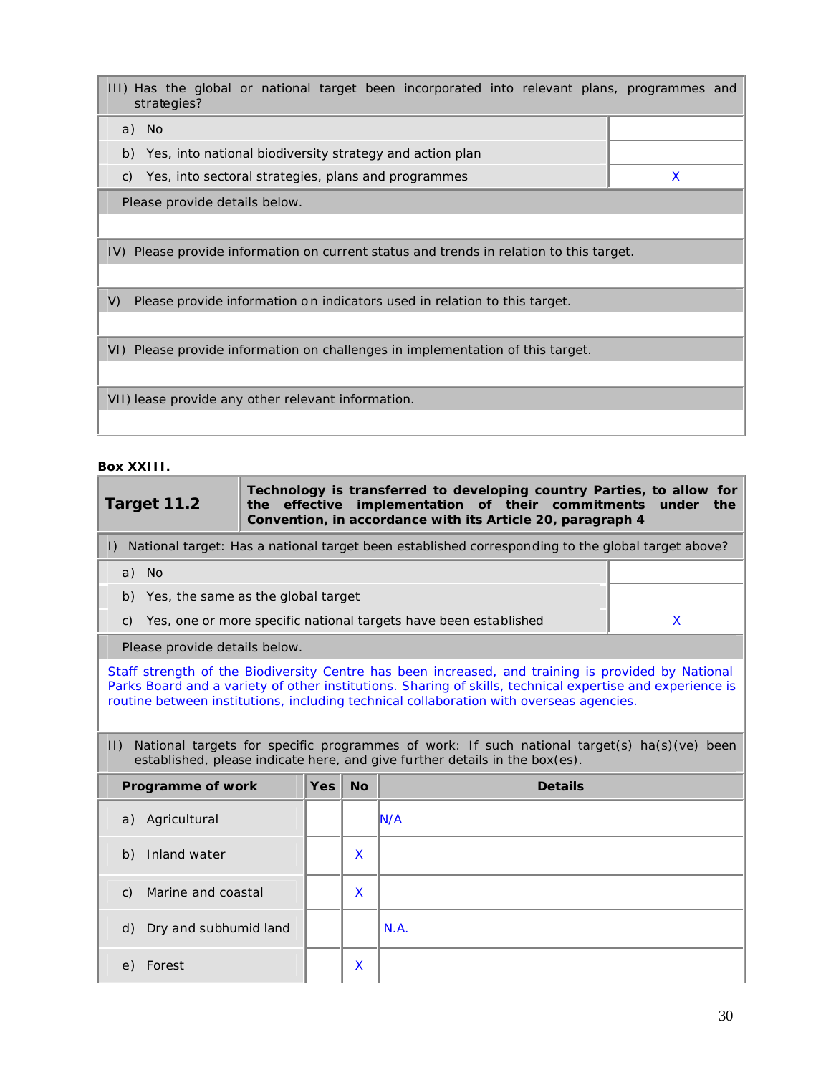III) Has the global or national target been incorporated into relevant plans, programmes and strategies? a) No b) Yes, into national biodiversity strategy and action plan c) Yes, into sectoral strategies, plans and programmes  $X$ Please provide details below. IV) Please provide information on current status and trends in relation to this target.

V) Please provide information o n indicators used in relation to this target.

VI) Please provide information on challenges in implementation of this target.

VII) lease provide any other relevant information.

#### **Box XXIII.**

| Target 11.2                                                                                       | Technology is transferred to developing country Parties, to allow for<br>the effective implementation of their commitments under the<br>Convention, in accordance with its Article 20, paragraph 4 |  |  |  |  |  |
|---------------------------------------------------------------------------------------------------|----------------------------------------------------------------------------------------------------------------------------------------------------------------------------------------------------|--|--|--|--|--|
| National target: Has a national target been established corresponding to the global target above? |                                                                                                                                                                                                    |  |  |  |  |  |
| a) No                                                                                             |                                                                                                                                                                                                    |  |  |  |  |  |
| b) Yes, the same as the global target                                                             |                                                                                                                                                                                                    |  |  |  |  |  |
| c) Yes, one or more specific national targets have been established                               |                                                                                                                                                                                                    |  |  |  |  |  |
| Please provide details below.                                                                     |                                                                                                                                                                                                    |  |  |  |  |  |

Staff strength of the Biodiversity Centre has been increased, and training is provided by National Parks Board and a variety of other institutions. Sharing of skills, technical expertise and experience is routine between institutions, including technical collaboration with overseas agencies.

II) National targets for specific programmes of work: If such national target(s) ha(s)(ve) been established, please indicate here, and give further details in the box(es).

| Programme of work                     | <b>Yes</b> | <b>No</b> | <b>Details</b> |
|---------------------------------------|------------|-----------|----------------|
| a) Agricultural                       |            |           | IN/A           |
| Inland water<br>b)                    |            | X         |                |
| Marine and coastal<br>$\mathcal{C}$ ) |            | X         |                |
| d) Dry and subhumid land              |            |           | N.A.           |
| Forest<br>e)                          |            | X         |                |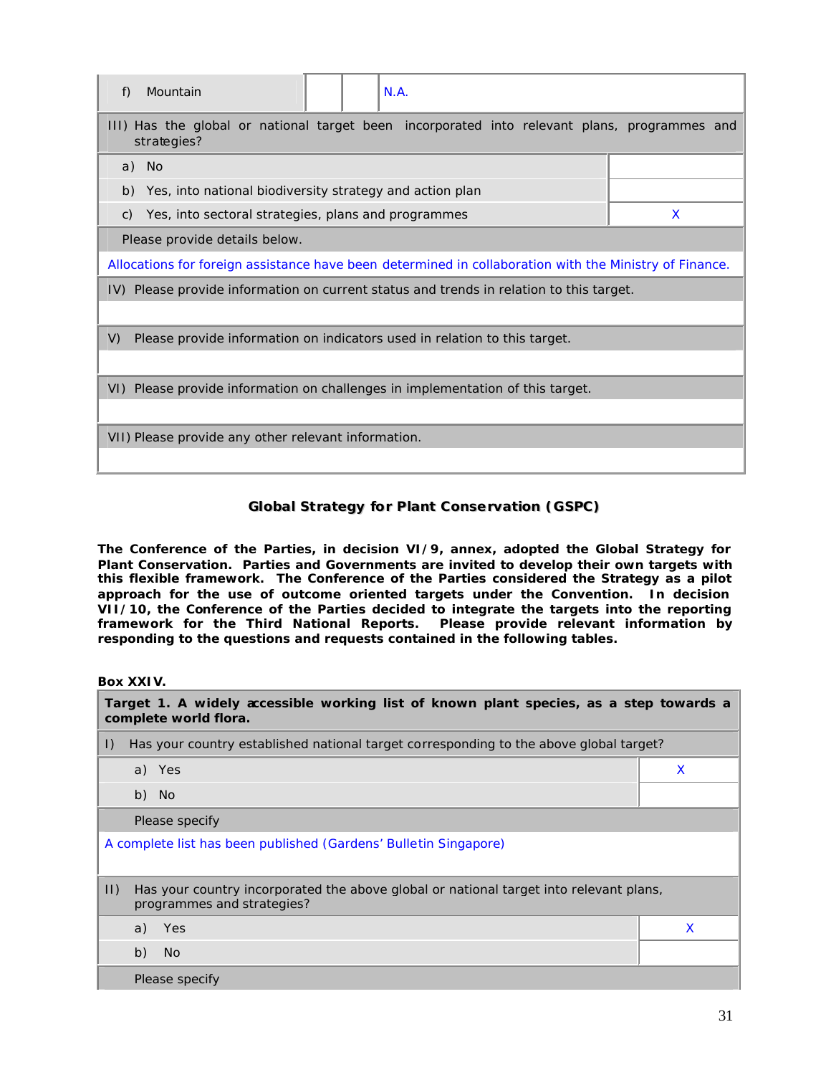| Mountain<br>N.A.<br>f)                                                                                      |   |  |  |
|-------------------------------------------------------------------------------------------------------------|---|--|--|
| III) Has the global or national target been incorporated into relevant plans, programmes and<br>strategies? |   |  |  |
| a) No                                                                                                       |   |  |  |
| Yes, into national biodiversity strategy and action plan<br>b)                                              |   |  |  |
| Yes, into sectoral strategies, plans and programmes<br>C)                                                   | X |  |  |
| Please provide details below.                                                                               |   |  |  |
| Allocations for foreign assistance have been determined in collaboration with the Ministry of Finance.      |   |  |  |
| IV) Please provide information on current status and trends in relation to this target.                     |   |  |  |
|                                                                                                             |   |  |  |
| V)<br>Please provide information on indicators used in relation to this target.                             |   |  |  |
|                                                                                                             |   |  |  |
| VI) Please provide information on challenges in implementation of this target.                              |   |  |  |
|                                                                                                             |   |  |  |
| VII) Please provide any other relevant information.                                                         |   |  |  |
|                                                                                                             |   |  |  |

## **Global Strategy for Plant Conservation (GSPC)**

**The Conference of the Parties, in decision VI/9, annex, adopted the Global Strategy for Plant Conservation. Parties and Governments are invited to develop their own targets with this flexible framework. The Conference of the Parties considered the Strategy as a pilot approach for the use of outcome oriented targets under the Convention. In decision VII/10, the Conference of the Parties decided to integrate the targets into the reporting framework for the Third National Reports. Please provide relevant information by responding to the questions and requests contained in the following tables.**

#### **Box XXIV.**

| Target 1. A widely accessible working list of known plant species, as a step towards a<br>complete world flora. |                                                                                                                      |   |  |
|-----------------------------------------------------------------------------------------------------------------|----------------------------------------------------------------------------------------------------------------------|---|--|
| $\vert$ )                                                                                                       | Has your country established national target corresponding to the above global target?                               |   |  |
|                                                                                                                 | a) Yes                                                                                                               | X |  |
|                                                                                                                 | b) No                                                                                                                |   |  |
|                                                                                                                 | Please specify                                                                                                       |   |  |
| A complete list has been published (Gardens' Bulletin Singapore)                                                |                                                                                                                      |   |  |
| $ 1\rangle$                                                                                                     | Has your country incorporated the above global or national target into relevant plans,<br>programmes and strategies? |   |  |
|                                                                                                                 | a) Yes                                                                                                               | X |  |
|                                                                                                                 | b)<br>- No                                                                                                           |   |  |
|                                                                                                                 | Please specify                                                                                                       |   |  |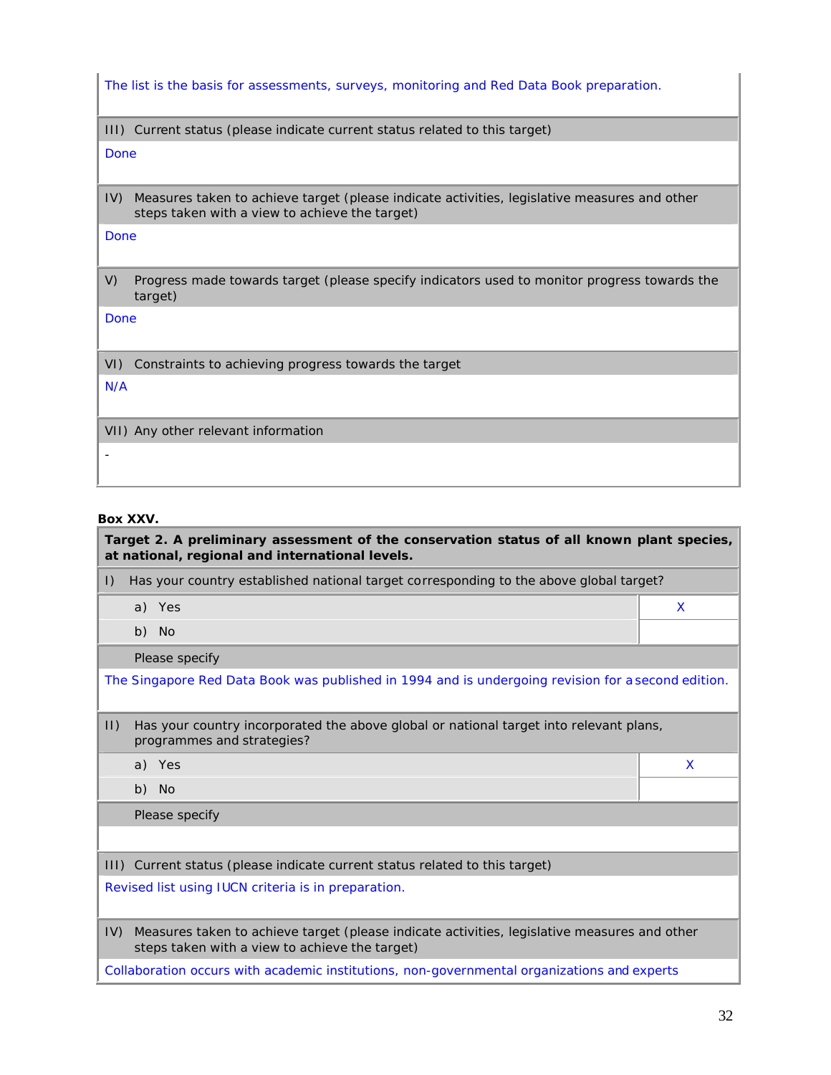The list is the basis for assessments, surveys, monitoring and Red Data Book preparation.

III) Current status (please indicate current status related to this target)

Done

IV) Measures taken to achieve target (please indicate activities, legislative measures and other steps taken with a view to achieve the target)

Done

V) Progress made towards target (please specify indicators used to monitor progress towards the target)

Done

VI) Constraints to achieving progress towards the target

N/A

VII) Any other relevant information

-

#### **Box XXV.**

**Target 2. A preliminary assessment of the conservation status of all known plant species, at national, regional and international levels.** I) Has your country established national target corresponding to the above global target? a) Yes X b) No Please specify The Singapore Red Data Book was published in 1994 and is undergoing revision for a second edition. II) Has your country incorporated the above global or national target into relevant plans, programmes and strategies? a) Yes X b) No Please specify III) Current status (please indicate current status related to this target) Revised list using IUCN criteria is in preparation. IV) Measures taken to achieve target (please indicate activities, legislative measures and other steps taken with a view to achieve the target)

Collaboration occurs with academic institutions, non-governmental organizations and experts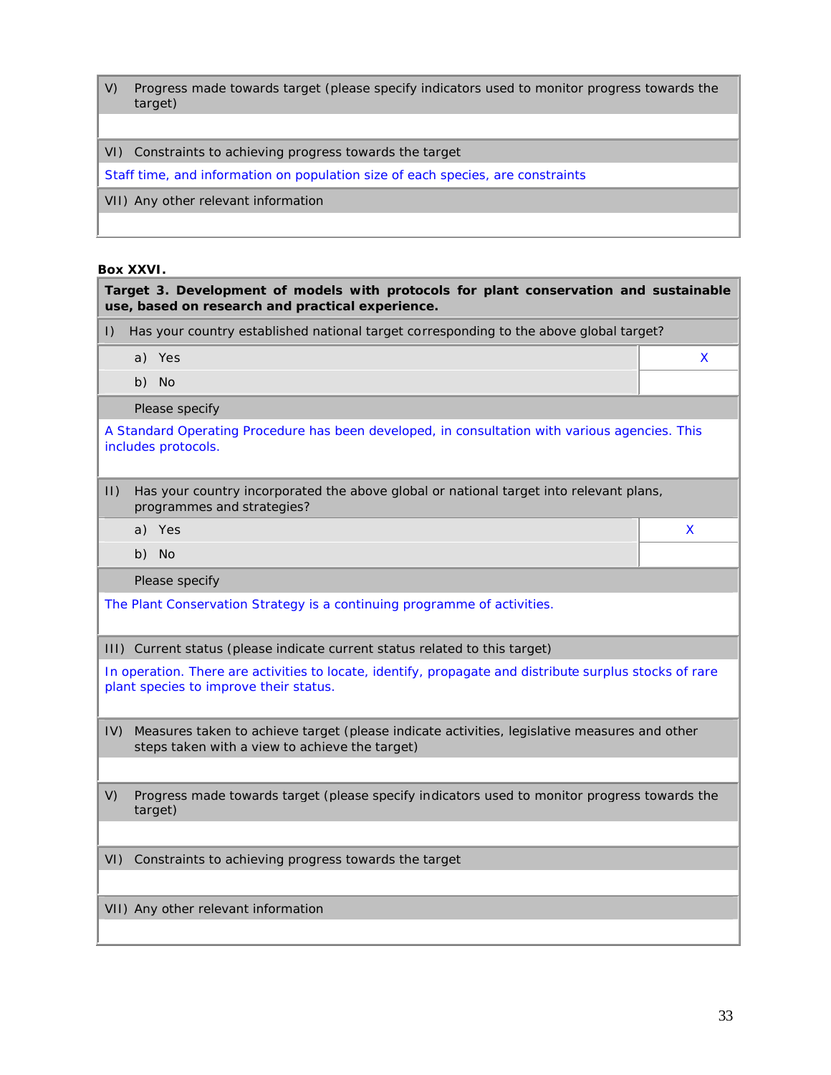V) Progress made towards target (please specify indicators used to monitor progress towards the target)

VI) Constraints to achieving progress towards the target

Staff time, and information on population size of each species, are constraints

VII) Any other relevant information

#### **Box XXVI.**

| Has your country established national target corresponding to the above global target?<br>$\vert$ ) |                                                                                                                                                   |   |
|-----------------------------------------------------------------------------------------------------|---------------------------------------------------------------------------------------------------------------------------------------------------|---|
|                                                                                                     | a) Yes                                                                                                                                            | X |
|                                                                                                     | b) No                                                                                                                                             |   |
|                                                                                                     | Please specify                                                                                                                                    |   |
|                                                                                                     | A Standard Operating Procedure has been developed, in consultation with various agencies. This<br>includes protocols.                             |   |
| $ 1\rangle$                                                                                         | Has your country incorporated the above global or national target into relevant plans,<br>programmes and strategies?                              |   |
|                                                                                                     | a) Yes                                                                                                                                            | X |
|                                                                                                     | b) No                                                                                                                                             |   |
|                                                                                                     |                                                                                                                                                   |   |
|                                                                                                     | Please specify                                                                                                                                    |   |
|                                                                                                     | The Plant Conservation Strategy is a continuing programme of activities.                                                                          |   |
|                                                                                                     | III) Current status (please indicate current status related to this target)                                                                       |   |
|                                                                                                     | In operation. There are activities to locate, identify, propagate and distribute surplus stocks of rare<br>plant species to improve their status. |   |
| IV)                                                                                                 | Measures taken to achieve target (please indicate activities, legislative measures and other<br>steps taken with a view to achieve the target)    |   |
|                                                                                                     | Progress made towards target (please specify indicators used to monitor progress towards the<br>target)                                           |   |
| V)<br>VI)                                                                                           | Constraints to achieving progress towards the target                                                                                              |   |

٦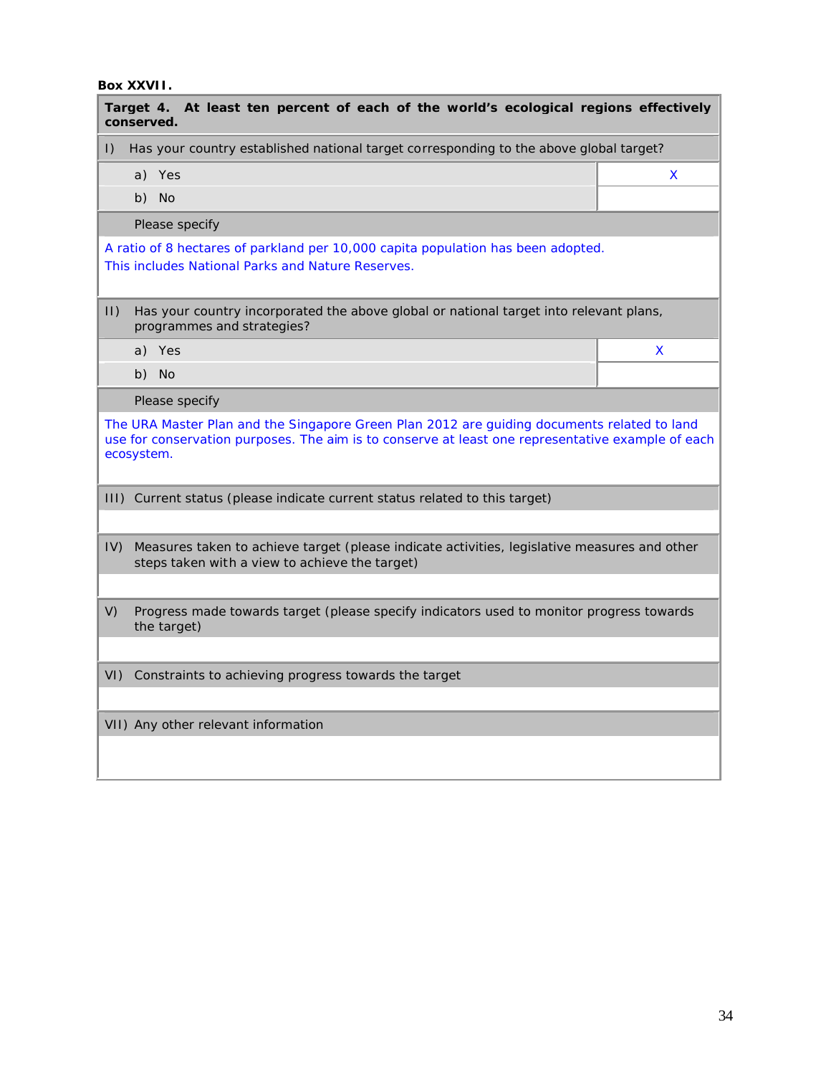### **Box XXVII.**

| Target 4. At least ten percent of each of the world's ecological regions effectively<br>conserved.                                                                                                             |    |  |
|----------------------------------------------------------------------------------------------------------------------------------------------------------------------------------------------------------------|----|--|
| Has your country established national target corresponding to the above global target?<br>$\vert$ )                                                                                                            |    |  |
| a) Yes                                                                                                                                                                                                         | X. |  |
| b) No                                                                                                                                                                                                          |    |  |
| Please specify                                                                                                                                                                                                 |    |  |
| A ratio of 8 hectares of parkland per 10,000 capita population has been adopted.<br>This includes National Parks and Nature Reserves.                                                                          |    |  |
| $ 1\rangle$<br>Has your country incorporated the above global or national target into relevant plans,<br>programmes and strategies?                                                                            |    |  |
| a) Yes                                                                                                                                                                                                         | X  |  |
| b) No                                                                                                                                                                                                          |    |  |
| Please specify                                                                                                                                                                                                 |    |  |
| The URA Master Plan and the Singapore Green Plan 2012 are guiding documents related to land<br>use for conservation purposes. The aim is to conserve at least one representative example of each<br>ecosystem. |    |  |
| III) Current status (please indicate current status related to this target)                                                                                                                                    |    |  |
|                                                                                                                                                                                                                |    |  |
| IV)<br>Measures taken to achieve target (please indicate activities, legislative measures and other<br>steps taken with a view to achieve the target)                                                          |    |  |
|                                                                                                                                                                                                                |    |  |
| V)<br>Progress made towards target (please specify indicators used to monitor progress towards<br>the target)                                                                                                  |    |  |
|                                                                                                                                                                                                                |    |  |
| VI) Constraints to achieving progress towards the target                                                                                                                                                       |    |  |
|                                                                                                                                                                                                                |    |  |
| VII) Any other relevant information                                                                                                                                                                            |    |  |
|                                                                                                                                                                                                                |    |  |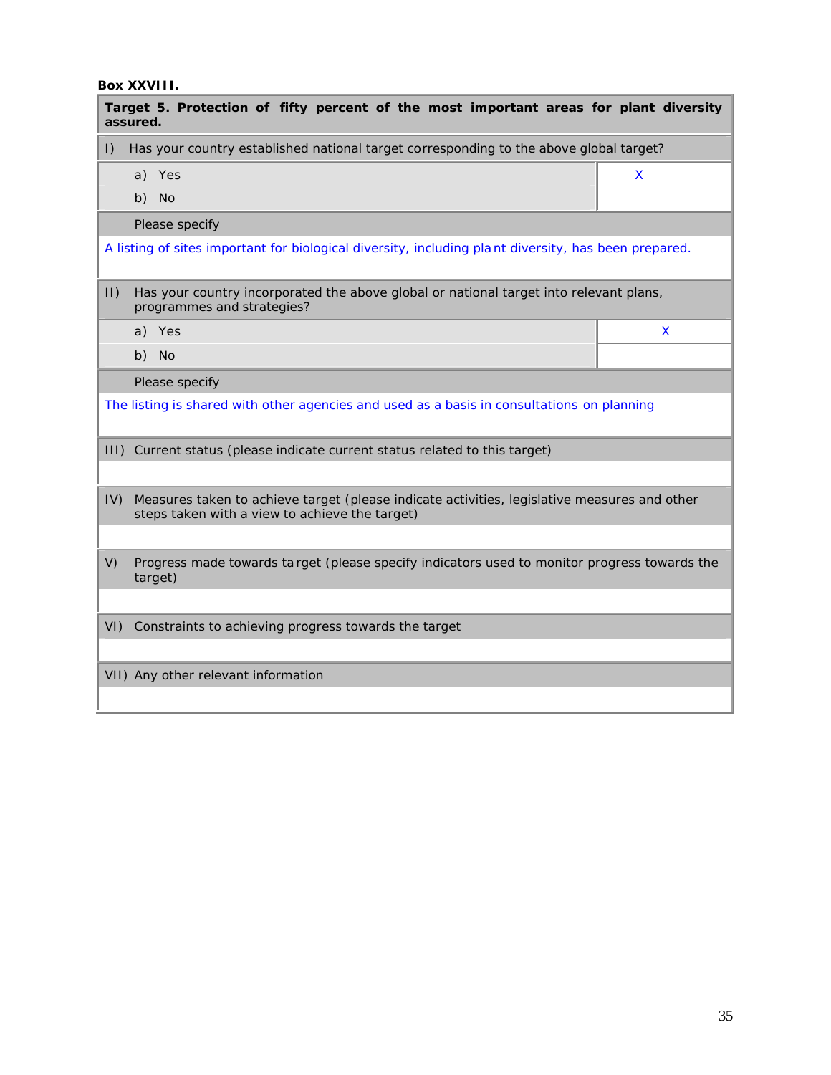### **Box XXVIII.**

| Target 5. Protection of fifty percent of the most important areas for plant diversity<br>assured.                                                     |    |  |
|-------------------------------------------------------------------------------------------------------------------------------------------------------|----|--|
| Has your country established national target corresponding to the above global target?<br>$\vert$ )                                                   |    |  |
| a) Yes                                                                                                                                                | X. |  |
| b) No                                                                                                                                                 |    |  |
| Please specify                                                                                                                                        |    |  |
| A listing of sites important for biological diversity, including plant diversity, has been prepared.                                                  |    |  |
| $ 1\rangle$<br>Has your country incorporated the above global or national target into relevant plans,<br>programmes and strategies?                   |    |  |
| a) Yes                                                                                                                                                | X  |  |
| b) No                                                                                                                                                 |    |  |
| Please specify                                                                                                                                        |    |  |
| The listing is shared with other agencies and used as a basis in consultations on planning                                                            |    |  |
| III) Current status (please indicate current status related to this target)                                                                           |    |  |
|                                                                                                                                                       |    |  |
| IV)<br>Measures taken to achieve target (please indicate activities, legislative measures and other<br>steps taken with a view to achieve the target) |    |  |
|                                                                                                                                                       |    |  |
| V)<br>Progress made towards ta rget (please specify indicators used to monitor progress towards the<br>target)                                        |    |  |
|                                                                                                                                                       |    |  |
| Constraints to achieving progress towards the target<br>$VI$ )                                                                                        |    |  |
|                                                                                                                                                       |    |  |
| VII) Any other relevant information                                                                                                                   |    |  |
|                                                                                                                                                       |    |  |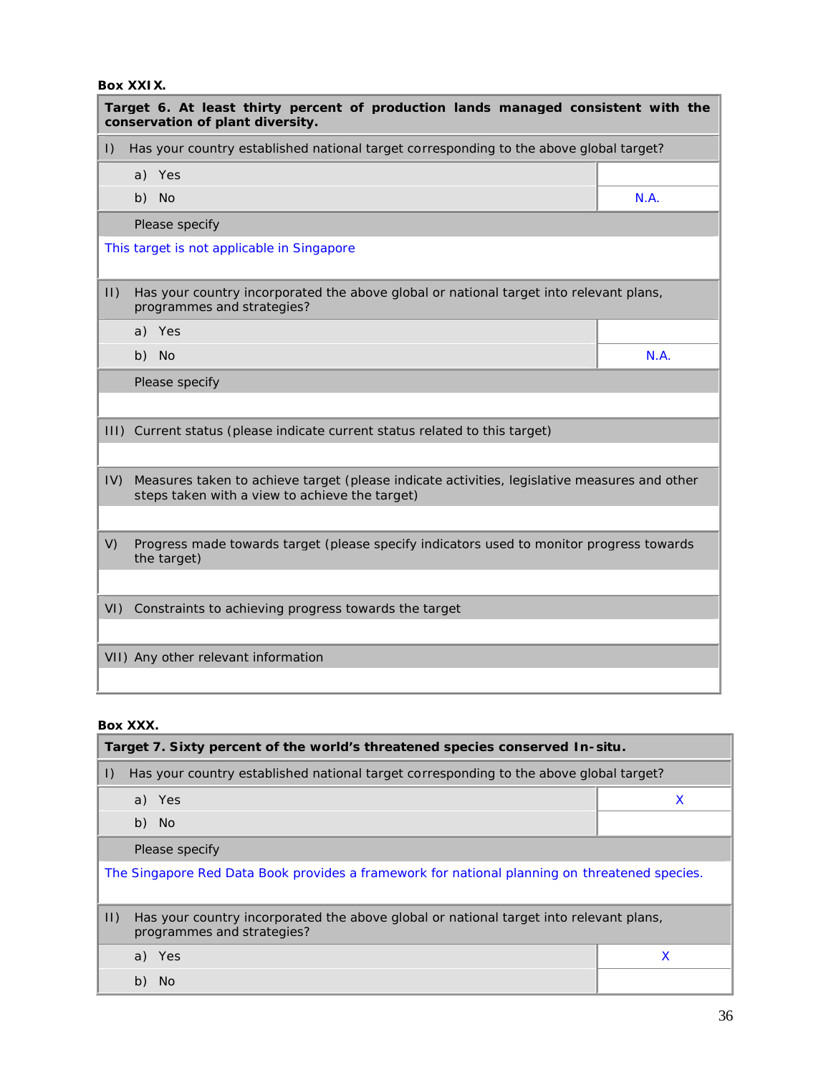### **Box XXIX.**

| Target 6. At least thirty percent of production lands managed consistent with the<br>conservation of plant diversity.                                 |      |  |
|-------------------------------------------------------------------------------------------------------------------------------------------------------|------|--|
| Has your country established national target corresponding to the above global target?<br>$\vert$ )                                                   |      |  |
| a) Yes                                                                                                                                                |      |  |
| b) No                                                                                                                                                 | N.A. |  |
| Please specify                                                                                                                                        |      |  |
| This target is not applicable in Singapore                                                                                                            |      |  |
| $ 1\rangle$<br>Has your country incorporated the above global or national target into relevant plans,<br>programmes and strategies?                   |      |  |
| a) Yes                                                                                                                                                |      |  |
| b) No                                                                                                                                                 | N.A. |  |
| Please specify                                                                                                                                        |      |  |
|                                                                                                                                                       |      |  |
| III) Current status (please indicate current status related to this target)                                                                           |      |  |
|                                                                                                                                                       |      |  |
| IV)<br>Measures taken to achieve target (please indicate activities, legislative measures and other<br>steps taken with a view to achieve the target) |      |  |
|                                                                                                                                                       |      |  |
| V)<br>Progress made towards target (please specify indicators used to monitor progress towards<br>the target)                                         |      |  |
| Constraints to achieving progress towards the target<br>$VI$ )                                                                                        |      |  |
|                                                                                                                                                       |      |  |
| VII) Any other relevant information                                                                                                                   |      |  |
|                                                                                                                                                       |      |  |

## **Box XXX.**

| Target 7. Sixty percent of the world's threatened species conserved In-situ.                                                        |   |  |
|-------------------------------------------------------------------------------------------------------------------------------------|---|--|
| Has your country established national target corresponding to the above global target?<br>$\vert$ )                                 |   |  |
| a) Yes                                                                                                                              | X |  |
| b)<br>No.                                                                                                                           |   |  |
| Please specify                                                                                                                      |   |  |
| The Singapore Red Data Book provides a framework for national planning on threatened species.                                       |   |  |
| $ 1\rangle$<br>Has your country incorporated the above global or national target into relevant plans,<br>programmes and strategies? |   |  |
| a) Yes                                                                                                                              |   |  |
| b)<br>No.                                                                                                                           |   |  |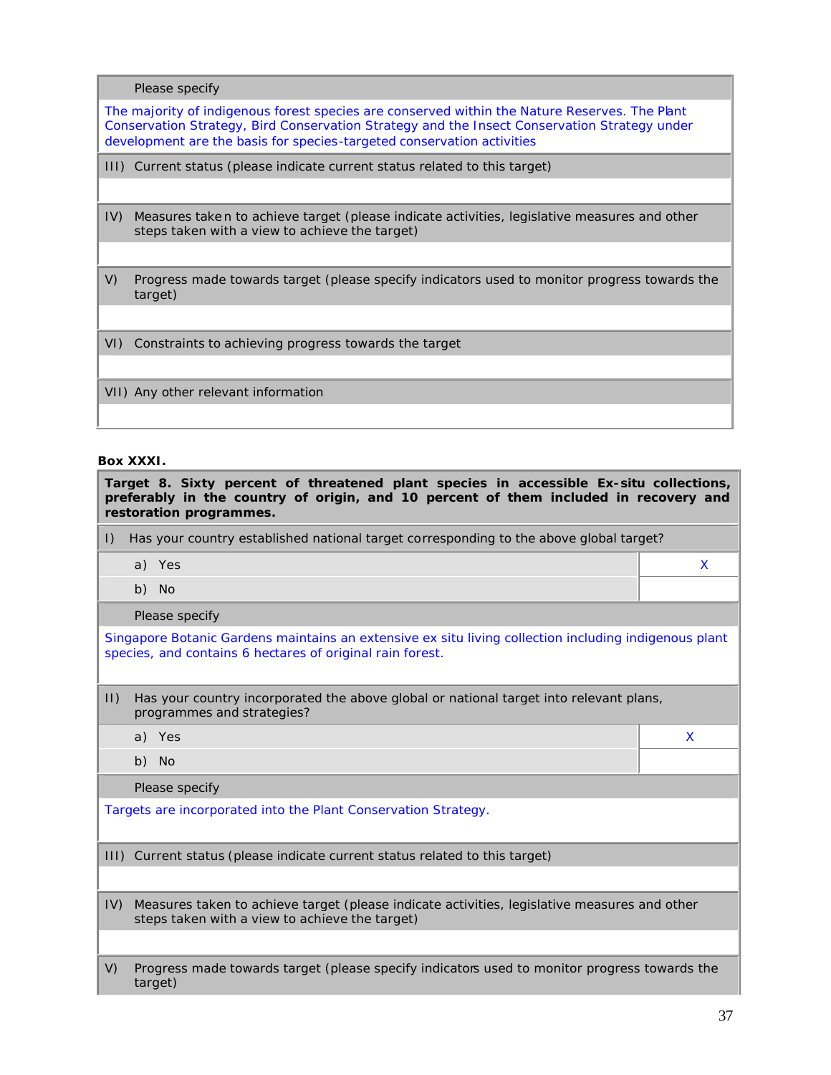Please specify

The majority of indigenous forest species are conserved within the Nature Reserves. The Plant Conservation Strategy, Bird Conservation Strategy and the Insect Conservation Strategy under development are the basis for species-targeted conservation activities

III) Current status (please indicate current status related to this target)

- IV) Measures take n to achieve target (please indicate activities, legislative measures and other steps taken with a view to achieve the target)
- V) Progress made towards target (please specify indicators used to monitor progress towards the target)

VI) Constraints to achieving progress towards the target

VII) Any other relevant information

#### **Box XXXI.**

| Target 8. Sixty percent of threatened plant species in accessible Ex-situ collections,<br>preferably in the country of origin, and 10 percent of them included in recovery and<br>restoration programmes. |   |  |
|-----------------------------------------------------------------------------------------------------------------------------------------------------------------------------------------------------------|---|--|
| Has your country established national target corresponding to the above global target?<br>$\vert$ )                                                                                                       |   |  |
| a) Yes                                                                                                                                                                                                    | X |  |
| b) No                                                                                                                                                                                                     |   |  |
| Please specify                                                                                                                                                                                            |   |  |
| Singapore Botanic Gardens maintains an extensive ex situ living collection including indigenous plant<br>species, and contains 6 hectares of original rain forest.                                        |   |  |
| $ 1\rangle$<br>Has your country incorporated the above global or national target into relevant plans,<br>programmes and strategies?                                                                       |   |  |
| a) Yes                                                                                                                                                                                                    | X |  |
| b) No                                                                                                                                                                                                     |   |  |
| Please specify                                                                                                                                                                                            |   |  |
| Targets are incorporated into the Plant Conservation Strategy.                                                                                                                                            |   |  |
| III) Current status (please indicate current status related to this target)                                                                                                                               |   |  |
| IV<br>Measures taken to achieve target (please indicate activities, legislative measures and other<br>steps taken with a view to achieve the target)                                                      |   |  |
| V)<br>Progress made towards target (please specify indicators used to monitor progress towards the<br>target)                                                                                             |   |  |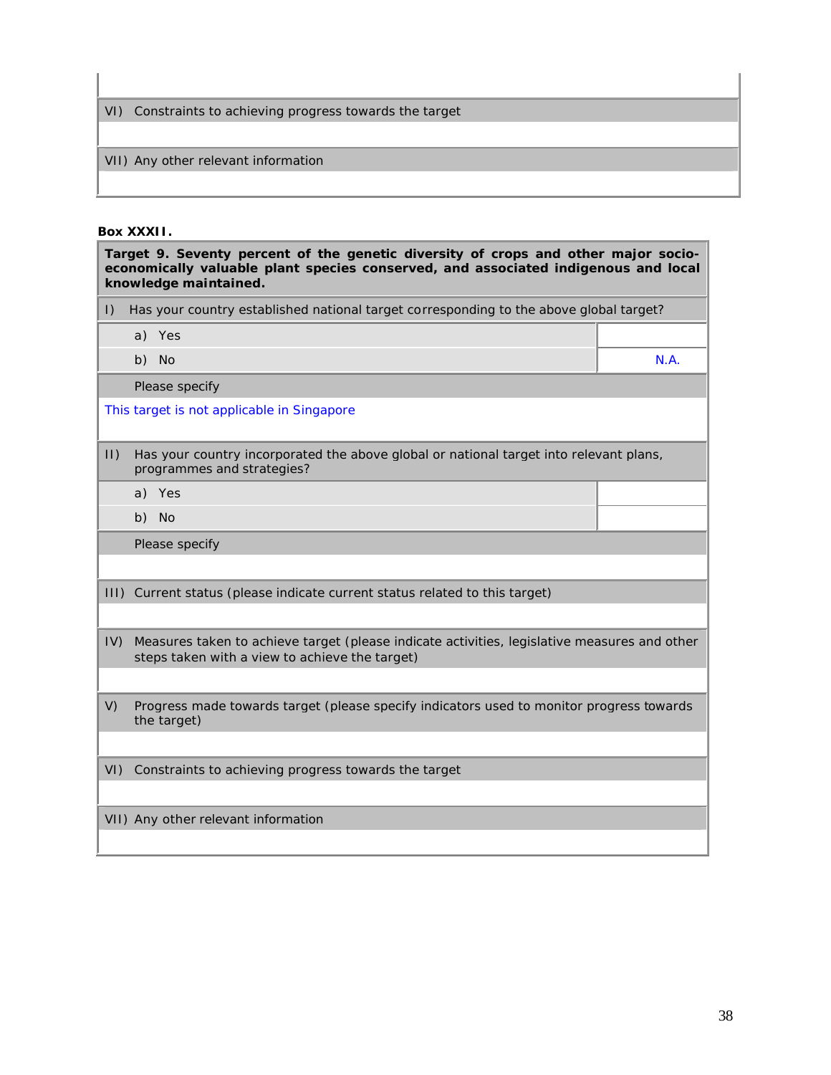VI) Constraints to achieving progress towards the target

# VII) Any other relevant information

#### **Box XXXII.**

| Target 9. Seventy percent of the genetic diversity of crops and other major socio-<br>economically valuable plant species conserved, and associated indigenous and local<br>knowledge maintained. |                                                                                                                                                |      |  |
|---------------------------------------------------------------------------------------------------------------------------------------------------------------------------------------------------|------------------------------------------------------------------------------------------------------------------------------------------------|------|--|
| $\vert$ )                                                                                                                                                                                         | Has your country established national target corresponding to the above global target?                                                         |      |  |
|                                                                                                                                                                                                   | a) Yes                                                                                                                                         |      |  |
|                                                                                                                                                                                                   | b) No                                                                                                                                          | N.A. |  |
|                                                                                                                                                                                                   | Please specify                                                                                                                                 |      |  |
|                                                                                                                                                                                                   | This target is not applicable in Singapore                                                                                                     |      |  |
| $  \cdot  $                                                                                                                                                                                       | Has your country incorporated the above global or national target into relevant plans,<br>programmes and strategies?                           |      |  |
|                                                                                                                                                                                                   | a) Yes                                                                                                                                         |      |  |
|                                                                                                                                                                                                   | b) No                                                                                                                                          |      |  |
|                                                                                                                                                                                                   | Please specify                                                                                                                                 |      |  |
|                                                                                                                                                                                                   |                                                                                                                                                |      |  |
|                                                                                                                                                                                                   | III) Current status (please indicate current status related to this target)                                                                    |      |  |
| IV)                                                                                                                                                                                               | Measures taken to achieve target (please indicate activities, legislative measures and other<br>steps taken with a view to achieve the target) |      |  |
|                                                                                                                                                                                                   |                                                                                                                                                |      |  |
| V)                                                                                                                                                                                                | Progress made towards target (please specify indicators used to monitor progress towards<br>the target)                                        |      |  |
|                                                                                                                                                                                                   |                                                                                                                                                |      |  |
| $VI$ )                                                                                                                                                                                            | Constraints to achieving progress towards the target                                                                                           |      |  |
|                                                                                                                                                                                                   |                                                                                                                                                |      |  |
|                                                                                                                                                                                                   | VII) Any other relevant information                                                                                                            |      |  |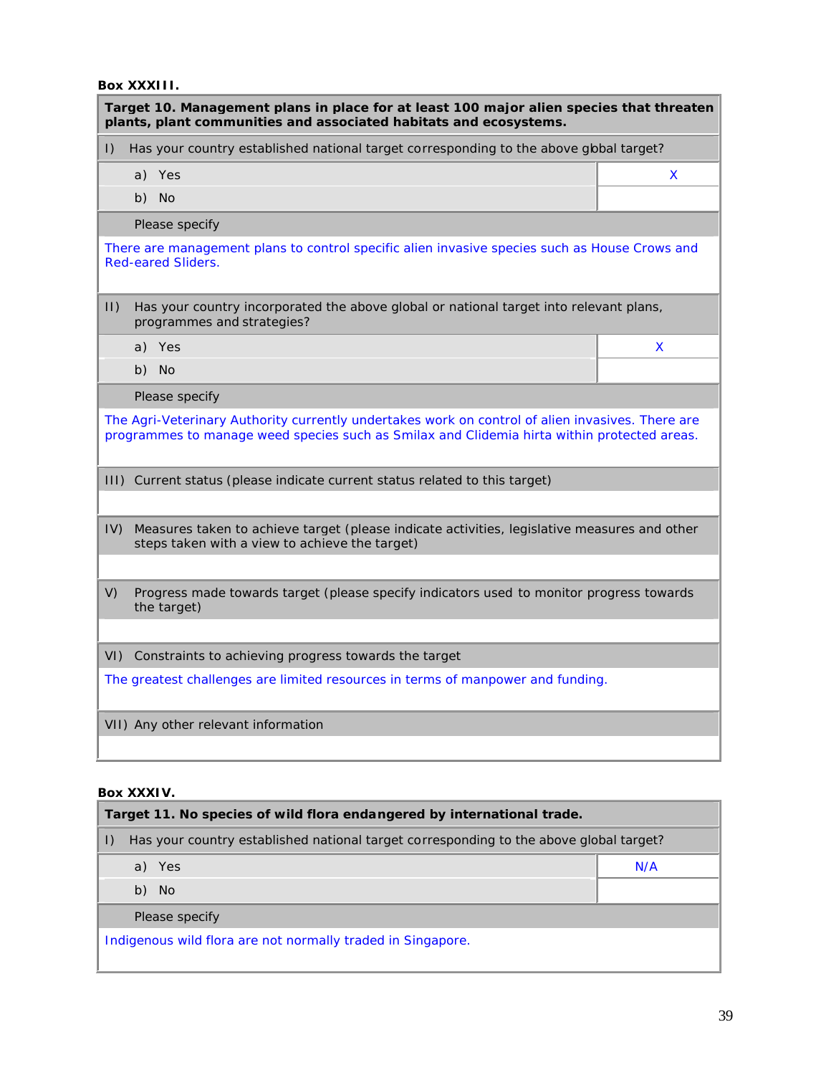#### **Box XXXIII.**

| Target 10. Management plans in place for at least 100 major alien species that threaten<br>plants, plant communities and associated habitats and ecosystems.                                    |   |  |
|-------------------------------------------------------------------------------------------------------------------------------------------------------------------------------------------------|---|--|
| Has your country established national target corresponding to the above global target?<br>$\vert$ )                                                                                             |   |  |
| a) Yes                                                                                                                                                                                          | X |  |
| b) No                                                                                                                                                                                           |   |  |
| Please specify                                                                                                                                                                                  |   |  |
| There are management plans to control specific alien invasive species such as House Crows and<br><b>Red-eared Sliders.</b>                                                                      |   |  |
| $ 1\rangle$<br>Has your country incorporated the above global or national target into relevant plans,<br>programmes and strategies?                                                             |   |  |
| a) Yes                                                                                                                                                                                          | X |  |
| b) No                                                                                                                                                                                           |   |  |
| Please specify                                                                                                                                                                                  |   |  |
| The Agri-Veterinary Authority currently undertakes work on control of alien invasives. There are<br>programmes to manage weed species such as Smilax and Clidemia hirta within protected areas. |   |  |
| III) Current status (please indicate current status related to this target)                                                                                                                     |   |  |
|                                                                                                                                                                                                 |   |  |
| IV)<br>Measures taken to achieve target (please indicate activities, legislative measures and other<br>steps taken with a view to achieve the target)                                           |   |  |
|                                                                                                                                                                                                 |   |  |
| V)<br>Progress made towards target (please specify indicators used to monitor progress towards<br>the target)                                                                                   |   |  |
|                                                                                                                                                                                                 |   |  |
| VI) Constraints to achieving progress towards the target                                                                                                                                        |   |  |
| The greatest challenges are limited resources in terms of manpower and funding.                                                                                                                 |   |  |
| VII) Any other relevant information                                                                                                                                                             |   |  |

#### **Box XXXIV.**

| Target 11. No species of wild flora endangered by international trade. |                                                                                        |     |  |
|------------------------------------------------------------------------|----------------------------------------------------------------------------------------|-----|--|
| $\vert$ )                                                              | Has your country established national target corresponding to the above global target? |     |  |
|                                                                        | a) Yes                                                                                 | N/A |  |
|                                                                        | b) No                                                                                  |     |  |
|                                                                        | Please specify                                                                         |     |  |
| Indigenous wild flora are not normally traded in Singapore.            |                                                                                        |     |  |
|                                                                        |                                                                                        |     |  |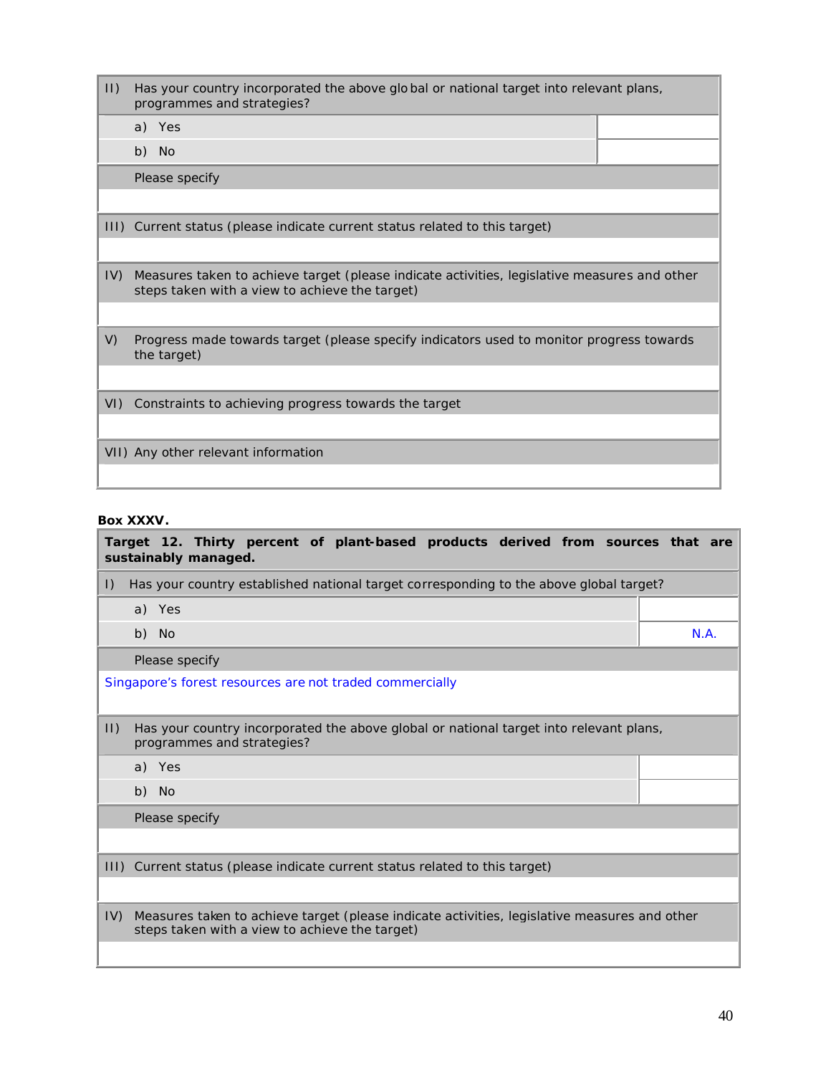| $  \cdot  $ | Has your country incorporated the above global or national target into relevant plans,<br>programmes and strategies?                           |  |
|-------------|------------------------------------------------------------------------------------------------------------------------------------------------|--|
|             | a) Yes                                                                                                                                         |  |
|             | b) No                                                                                                                                          |  |
|             | Please specify                                                                                                                                 |  |
|             |                                                                                                                                                |  |
|             | III) Current status (please indicate current status related to this target)                                                                    |  |
|             |                                                                                                                                                |  |
| IV)         | Measures taken to achieve target (please indicate activities, legislative measures and other<br>steps taken with a view to achieve the target) |  |
|             |                                                                                                                                                |  |
| V)          | Progress made towards target (please specify indicators used to monitor progress towards<br>the target)                                        |  |
|             |                                                                                                                                                |  |
|             | VI) Constraints to achieving progress towards the target                                                                                       |  |
|             |                                                                                                                                                |  |
|             | VII) Any other relevant information                                                                                                            |  |
|             |                                                                                                                                                |  |

### **Box XXXV.**

| Target 12. Thirty percent of plant-based products derived from sources that are<br>sustainably managed.                                               |      |  |
|-------------------------------------------------------------------------------------------------------------------------------------------------------|------|--|
| Has your country established national target corresponding to the above global target?<br>$\vert$ )                                                   |      |  |
| a) Yes                                                                                                                                                |      |  |
| b) No                                                                                                                                                 | N.A. |  |
| Please specify                                                                                                                                        |      |  |
| Singapore's forest resources are not traded commercially                                                                                              |      |  |
| $ 1\rangle$<br>Has your country incorporated the above global or national target into relevant plans,<br>programmes and strategies?                   |      |  |
| a) Yes                                                                                                                                                |      |  |
| b) No                                                                                                                                                 |      |  |
| Please specify                                                                                                                                        |      |  |
|                                                                                                                                                       |      |  |
| III) Current status (please indicate current status related to this target)                                                                           |      |  |
|                                                                                                                                                       |      |  |
| Measures taken to achieve target (please indicate activities, legislative measures and other<br>IV)<br>steps taken with a view to achieve the target) |      |  |
|                                                                                                                                                       |      |  |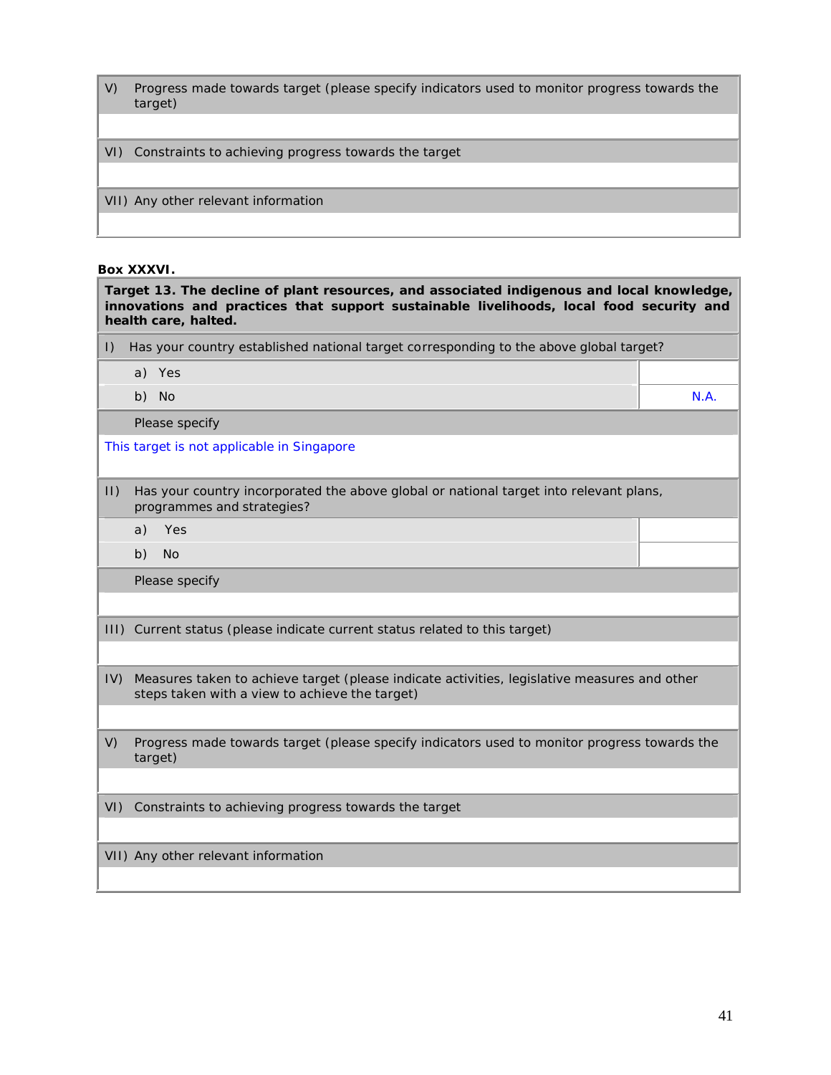- V) Progress made towards target (please specify indicators used to monitor progress towards the target)
- VI) Constraints to achieving progress towards the target
- VII) Any other relevant information

#### **Box XXXVI.**

| Target 13. The decline of plant resources, and associated indigenous and local knowledge,<br>innovations and practices that support sustainable livelihoods, local food security and<br>health care, halted. |                                                                                                                                                |      |
|--------------------------------------------------------------------------------------------------------------------------------------------------------------------------------------------------------------|------------------------------------------------------------------------------------------------------------------------------------------------|------|
| $\vert$ )                                                                                                                                                                                                    | Has your country established national target corresponding to the above global target?                                                         |      |
|                                                                                                                                                                                                              | a) Yes                                                                                                                                         |      |
|                                                                                                                                                                                                              | b) No                                                                                                                                          | N.A. |
|                                                                                                                                                                                                              | Please specify                                                                                                                                 |      |
|                                                                                                                                                                                                              | This target is not applicable in Singapore                                                                                                     |      |
| $ 1\rangle$                                                                                                                                                                                                  | Has your country incorporated the above global or national target into relevant plans,<br>programmes and strategies?                           |      |
|                                                                                                                                                                                                              | Yes<br>a)                                                                                                                                      |      |
|                                                                                                                                                                                                              | b)<br><b>No</b>                                                                                                                                |      |
|                                                                                                                                                                                                              | Please specify                                                                                                                                 |      |
|                                                                                                                                                                                                              |                                                                                                                                                |      |
|                                                                                                                                                                                                              | III) Current status (please indicate current status related to this target)                                                                    |      |
|                                                                                                                                                                                                              |                                                                                                                                                |      |
| IV)                                                                                                                                                                                                          | Measures taken to achieve target (please indicate activities, legislative measures and other<br>steps taken with a view to achieve the target) |      |
|                                                                                                                                                                                                              |                                                                                                                                                |      |
| V)                                                                                                                                                                                                           | Progress made towards target (please specify indicators used to monitor progress towards the<br>target)                                        |      |
|                                                                                                                                                                                                              |                                                                                                                                                |      |
| VI)                                                                                                                                                                                                          | Constraints to achieving progress towards the target                                                                                           |      |
|                                                                                                                                                                                                              | VII) Any other relevant information                                                                                                            |      |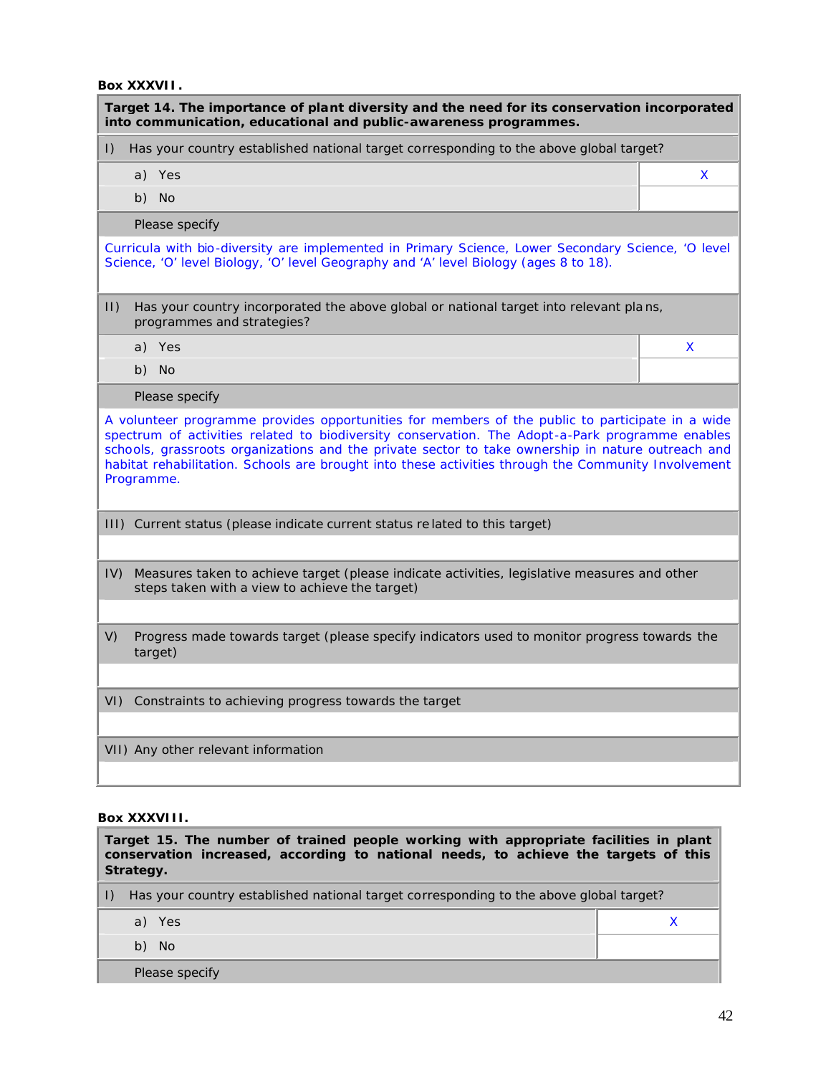**Box XXXVII.**

| Target 14. The importance of plant diversity and the need for its conservation incorporated<br>into communication, educational and public-awareness programmes.                                                                                                                                                                                                                                                              |   |  |
|------------------------------------------------------------------------------------------------------------------------------------------------------------------------------------------------------------------------------------------------------------------------------------------------------------------------------------------------------------------------------------------------------------------------------|---|--|
| Has your country established national target corresponding to the above global target?<br>$\vert$ )                                                                                                                                                                                                                                                                                                                          |   |  |
| a) Yes                                                                                                                                                                                                                                                                                                                                                                                                                       | X |  |
| <b>No</b><br>b)                                                                                                                                                                                                                                                                                                                                                                                                              |   |  |
| Please specify                                                                                                                                                                                                                                                                                                                                                                                                               |   |  |
| Curricula with bio-diversity are implemented in Primary Science, Lower Secondary Science, 'O level<br>Science, 'O' level Biology, 'O' level Geography and 'A' level Biology (ages 8 to 18).                                                                                                                                                                                                                                  |   |  |
| $ 1\rangle$<br>Has your country incorporated the above global or national target into relevant plans,<br>programmes and strategies?                                                                                                                                                                                                                                                                                          |   |  |
| a) Yes                                                                                                                                                                                                                                                                                                                                                                                                                       | X |  |
| b) No                                                                                                                                                                                                                                                                                                                                                                                                                        |   |  |
| Please specify                                                                                                                                                                                                                                                                                                                                                                                                               |   |  |
| A volunteer programme provides opportunities for members of the public to participate in a wide<br>spectrum of activities related to biodiversity conservation. The Adopt-a-Park programme enables<br>schools, grassroots organizations and the private sector to take ownership in nature outreach and<br>habitat rehabilitation. Schools are brought into these activities through the Community Involvement<br>Programme. |   |  |
| III) Current status (please indicate current status related to this target)                                                                                                                                                                                                                                                                                                                                                  |   |  |
| Measures taken to achieve target (please indicate activities, legislative measures and other<br>IV)<br>steps taken with a view to achieve the target)                                                                                                                                                                                                                                                                        |   |  |
| V)<br>Progress made towards target (please specify indicators used to monitor progress towards the<br>target)                                                                                                                                                                                                                                                                                                                |   |  |
| VI) Constraints to achieving progress towards the target                                                                                                                                                                                                                                                                                                                                                                     |   |  |
| VII) Any other relevant information                                                                                                                                                                                                                                                                                                                                                                                          |   |  |

#### **Box XXXVIII.**

| Target 15. The number of trained people working with appropriate facilities in plant<br>conservation increased, according to national needs, to achieve the targets of this<br>Strategy. |                                                                                           |  |  |
|------------------------------------------------------------------------------------------------------------------------------------------------------------------------------------------|-------------------------------------------------------------------------------------------|--|--|
|                                                                                                                                                                                          | I) Has your country established national target corresponding to the above global target? |  |  |
|                                                                                                                                                                                          | a) Yes                                                                                    |  |  |
|                                                                                                                                                                                          | b) No                                                                                     |  |  |
|                                                                                                                                                                                          | Please specify                                                                            |  |  |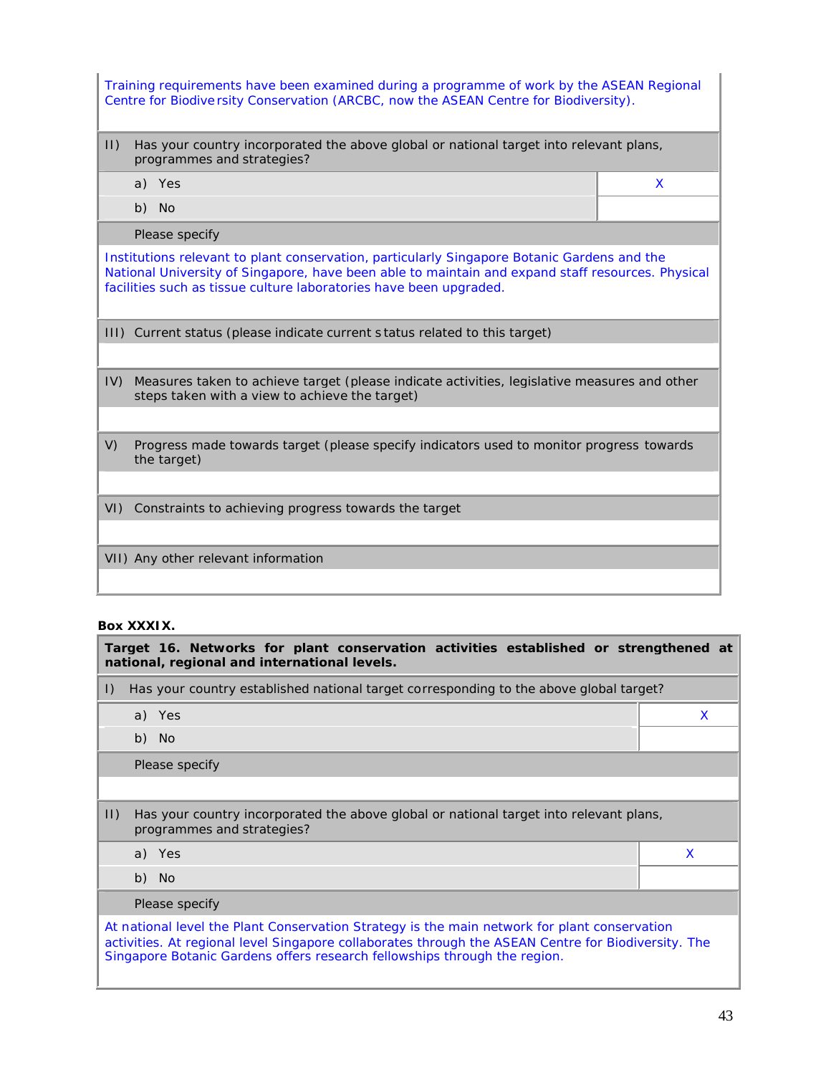| Training requirements have been examined during a programme of work by the ASEAN Regional<br>Centre for Biodiversity Conservation (ARCBC, now the ASEAN Centre for Biodiversity).                                                                                      |   |  |
|------------------------------------------------------------------------------------------------------------------------------------------------------------------------------------------------------------------------------------------------------------------------|---|--|
| $  \cdot  $<br>Has your country incorporated the above global or national target into relevant plans,<br>programmes and strategies?                                                                                                                                    |   |  |
| a) Yes                                                                                                                                                                                                                                                                 | X |  |
| b) No                                                                                                                                                                                                                                                                  |   |  |
| Please specify                                                                                                                                                                                                                                                         |   |  |
| Institutions relevant to plant conservation, particularly Singapore Botanic Gardens and the<br>National University of Singapore, have been able to maintain and expand staff resources. Physical<br>facilities such as tissue culture laboratories have been upgraded. |   |  |
| III) Current status (please indicate current status related to this target)                                                                                                                                                                                            |   |  |
|                                                                                                                                                                                                                                                                        |   |  |
| Measures taken to achieve target (please indicate activities, legislative measures and other<br>IV)<br>steps taken with a view to achieve the target)                                                                                                                  |   |  |
|                                                                                                                                                                                                                                                                        |   |  |
| V)<br>Progress made towards target (please specify indicators used to monitor progress towards<br>the target)                                                                                                                                                          |   |  |
|                                                                                                                                                                                                                                                                        |   |  |
| VI) Constraints to achieving progress towards the target                                                                                                                                                                                                               |   |  |
|                                                                                                                                                                                                                                                                        |   |  |
| VII) Any other relevant information                                                                                                                                                                                                                                    |   |  |
|                                                                                                                                                                                                                                                                        |   |  |

#### **Box XXXIX.**

|                                                                                                                                                                                                                                                                                  | Target 16. Networks for plant conservation activities established or strengthened at<br>national, regional and international levels. |   |  |
|----------------------------------------------------------------------------------------------------------------------------------------------------------------------------------------------------------------------------------------------------------------------------------|--------------------------------------------------------------------------------------------------------------------------------------|---|--|
| $\vert$ )                                                                                                                                                                                                                                                                        | Has your country established national target corresponding to the above global target?                                               |   |  |
|                                                                                                                                                                                                                                                                                  | a) Yes                                                                                                                               | X |  |
|                                                                                                                                                                                                                                                                                  | b) No                                                                                                                                |   |  |
|                                                                                                                                                                                                                                                                                  | Please specify                                                                                                                       |   |  |
|                                                                                                                                                                                                                                                                                  |                                                                                                                                      |   |  |
| $ 1\rangle$                                                                                                                                                                                                                                                                      | Has your country incorporated the above global or national target into relevant plans,<br>programmes and strategies?                 |   |  |
|                                                                                                                                                                                                                                                                                  | a) Yes                                                                                                                               | X |  |
|                                                                                                                                                                                                                                                                                  | b) No                                                                                                                                |   |  |
| Please specify                                                                                                                                                                                                                                                                   |                                                                                                                                      |   |  |
| At national level the Plant Conservation Strategy is the main network for plant conservation<br>activities. At regional level Singapore collaborates through the ASEAN Centre for Biodiversity. The<br>Singapore Botanic Gardens offers research fellowships through the region. |                                                                                                                                      |   |  |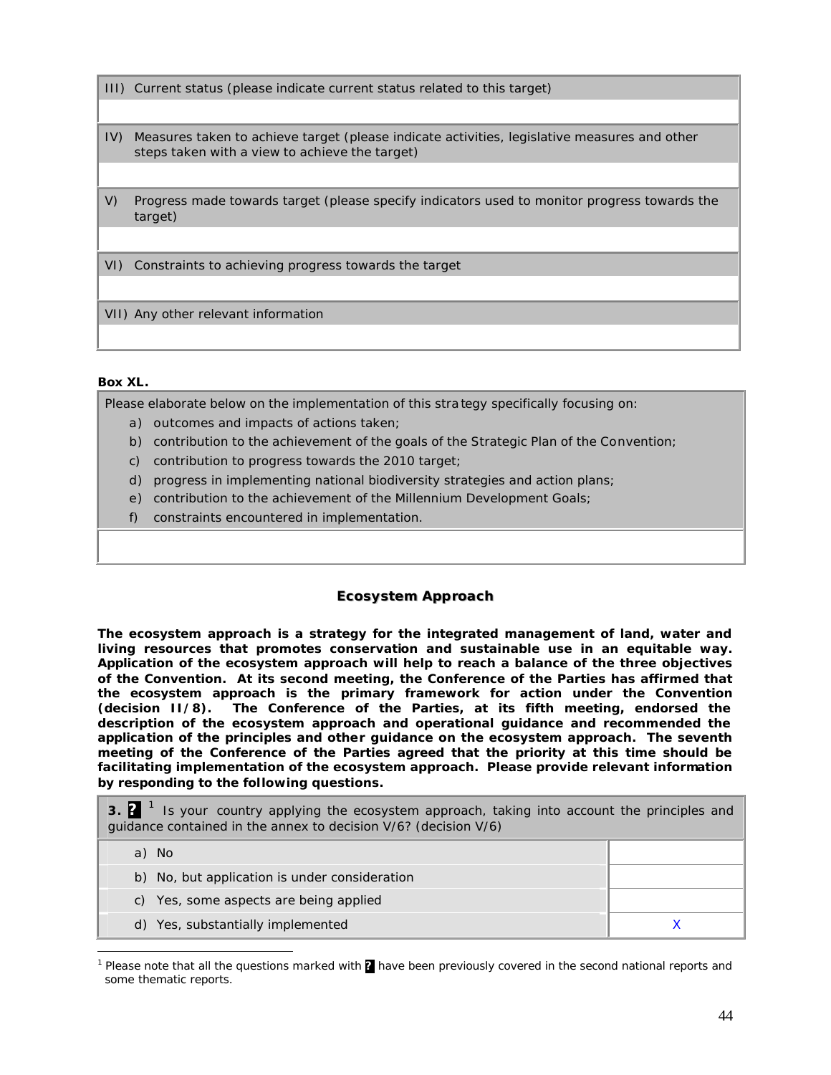- III) Current status (please indicate current status related to this target)
- IV) Measures taken to achieve target (please indicate activities, legislative measures and other steps taken with a view to achieve the target)
- V) Progress made towards target (please specify indicators used to monitor progress towards the target)

VI) Constraints to achieving progress towards the target

VII) Any other relevant information

#### **Box XL.**

 $\overline{a}$ 

Please elaborate below on the implementation of this stra tegy specifically focusing on:

- a) outcomes and impacts of actions taken;
- b) contribution to the achievement of the goals of the Strategic Plan of the Convention;
- c) contribution to progress towards the 2010 target;
- d) progress in implementing national biodiversity strategies and action plans;
- e) contribution to the achievement of the Millennium Development Goals;
- f) constraints encountered in implementation.

#### **Ecosystem Approach**

**The ecosystem approach is a strategy for the integrated management of land, water and living resources that promotes conservation and sustainable use in an equitable way. Application of the ecosystem approach will help to reach a balance of the three objectives of the Convention. At its second meeting, the Conference of the Parties has affirmed that the ecosystem approach is the primary framework for action under the Convention (decision II/8). The Conference of the Parties, at its fifth meeting, endorsed the description of the ecosystem approach and operational guidance and recommended the application of the principles and other guidance on the ecosystem approach. The seventh meeting of the Conference of the Parties agreed that the priority at this time should be facilitating implementation of the ecosystem approach. Please provide relevant information by responding to the following questions.**

**3. 2**<sup>1</sup> Is your country applying the ecosystem approach, taking into account the principles and guidance contained in the annex to decision V/6? (decision V/6)

| - No<br>a)                                    |  |
|-----------------------------------------------|--|
| b) No, but application is under consideration |  |
| c) Yes, some aspects are being applied        |  |
| d) Yes, substantially implemented             |  |

<sup>&</sup>lt;sup>1</sup> Please note that all the questions marked with **?** have been previously covered in the second national reports and some thematic reports.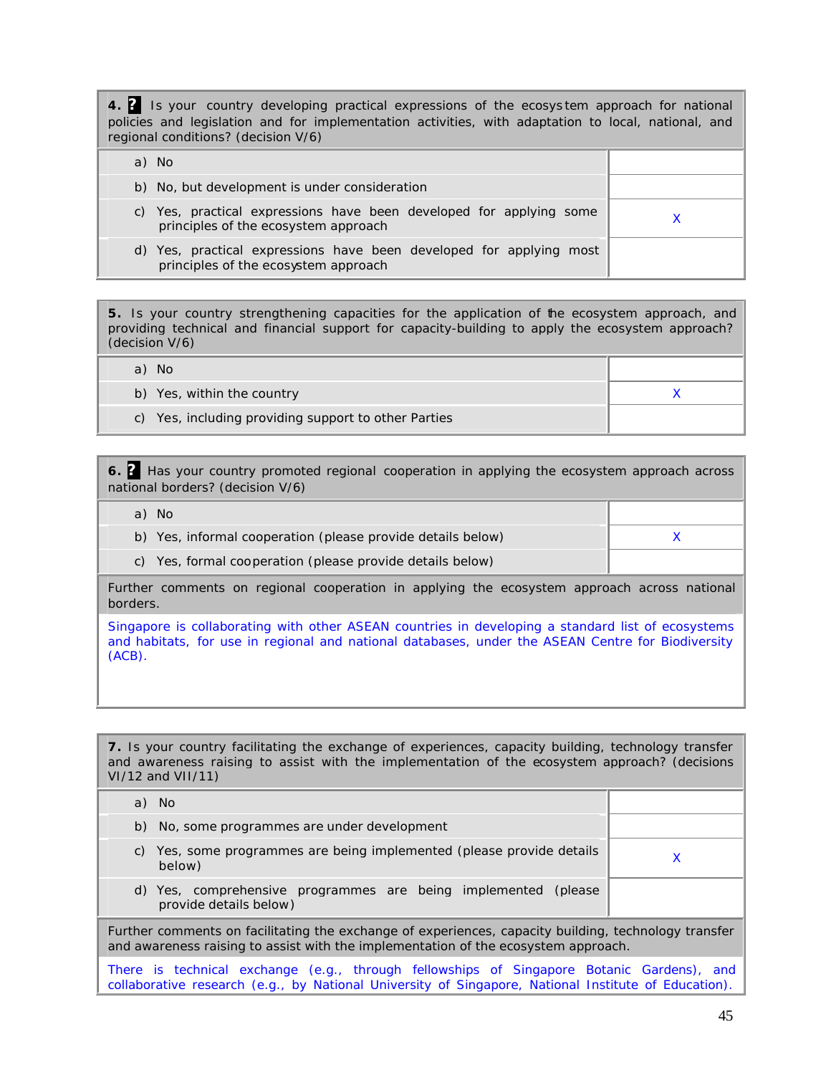**4. ?** Is your country developing practical expressions of the ecosys tem approach for national policies and legislation and for implementation activities, with adaptation to local, national, and regional conditions? (decision V/6)

| a) No                                                                                                       |  |
|-------------------------------------------------------------------------------------------------------------|--|
| b) No, but development is under consideration                                                               |  |
| c) Yes, practical expressions have been developed for applying some<br>principles of the ecosystem approach |  |
| d) Yes, practical expressions have been developed for applying most<br>principles of the ecosystem approach |  |

**5.** Is your country strengthening capacities for the application of the ecosystem approach, and providing technical and financial support for capacity-building to apply the ecosystem approach? (decision V/6)

a) No b) Yes, within the country  $X = \begin{bmatrix} 1 & 1 \\ 1 & 1 \end{bmatrix}$  and  $X = \begin{bmatrix} 1 & 1 \\ 1 & 1 \end{bmatrix}$ c) Yes, including providing support to other Parties

**6. ?** Has your country promoted regional cooperation in applying the ecosystem approach across national borders? (decision V/6)

| No.<br>a)                                                   |  |
|-------------------------------------------------------------|--|
| b) Yes, informal cooperation (please provide details below) |  |
| c) Yes, formal cooperation (please provide details below)   |  |

Further comments on regional cooperation in applying the ecosystem approach across national borders.

Singapore is collaborating with other ASEAN countries in developing a standard list of ecosystems and habitats, for use in regional and national databases, under the ASEAN Centre for Biodiversity (ACB).

**7.** Is your country facilitating the exchange of experiences, capacity building, technology transfer and awareness raising to assist with the implementation of the ecosystem approach? (decisions VI/12 and VII/11)

| a) No                                                                                                |  |  |
|------------------------------------------------------------------------------------------------------|--|--|
| No, some programmes are under development<br>b)                                                      |  |  |
| Yes, some programmes are being implemented (please provide details<br>C)<br>below)                   |  |  |
| Yes, comprehensive programmes are being implemented (please<br>d)<br>provide details below)          |  |  |
| Further commente on foollitating the evahenge of evantionees, conseity building, technology transfer |  |  |

Further comments on facilitating the exchange of experiences, capacity building, technology transfer and awareness raising to assist with the implementation of the ecosystem approach.

There is technical exchange (e.g., through fellowships of Singapore Botanic Gardens), and collaborative research (e.g., by National University of Singapore, National Institute of Education).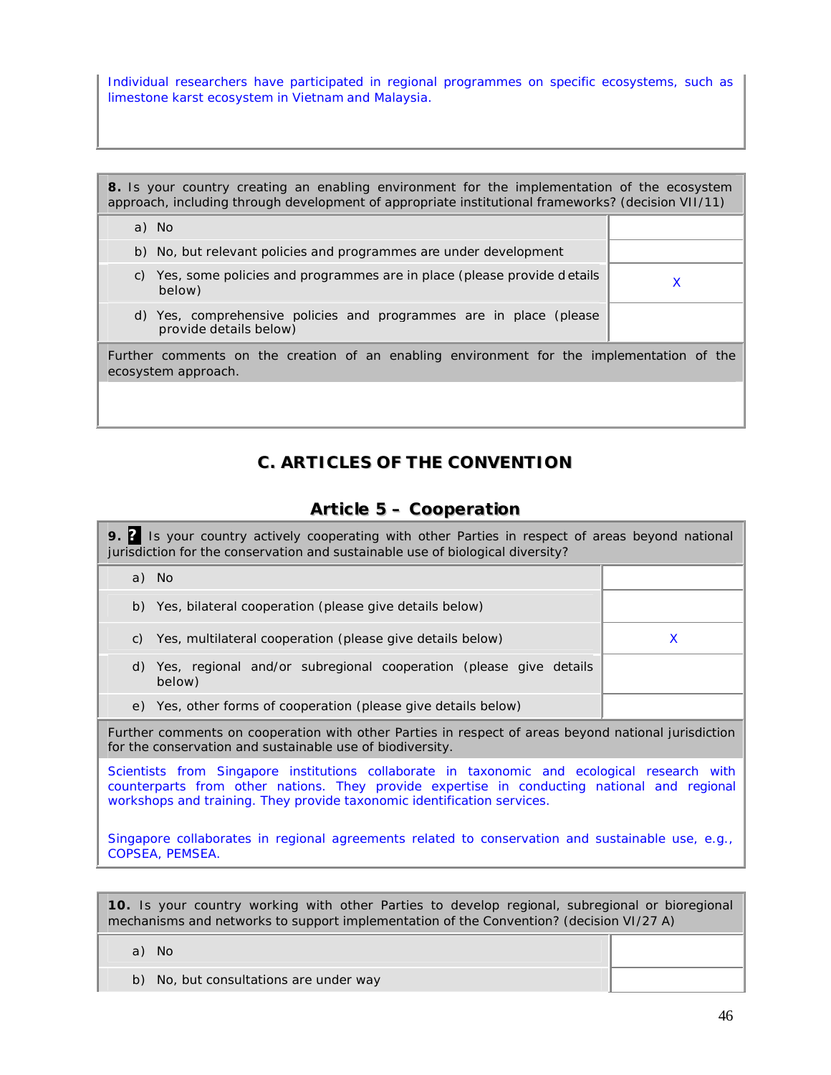Individual researchers have participated in regional programmes on specific ecosystems, such as limestone karst ecosystem in Vietnam and Malaysia.

**8.** Is your country creating an enabling environment for the implementation of the ecosystem approach, including through development of appropriate institutional frameworks? (decision VII/11) a) No b) No, but relevant policies and programmes are under development c) Yes, some policies and programmes are in place (please provide d etails below) <sup>X</sup> d) Yes, comprehensive policies and programmes are in place (please provide details below) Further comments on the creation of an enabling environment for the implementation of the ecosystem approach.

# **C. ARTICLES OF THE CONVENTION**

# **Article 5 – Cooperation**

| 9. <sup>2</sup> Is your country actively cooperating with other Parties in respect of areas beyond national<br>jurisdiction for the conservation and sustainable use of biological diversity?                                                                          |   |  |
|------------------------------------------------------------------------------------------------------------------------------------------------------------------------------------------------------------------------------------------------------------------------|---|--|
| a) No                                                                                                                                                                                                                                                                  |   |  |
| Yes, bilateral cooperation (please give details below)<br>b)                                                                                                                                                                                                           |   |  |
| Yes, multilateral cooperation (please give details below)<br>C)                                                                                                                                                                                                        | X |  |
| d) Yes, regional and/or subregional cooperation (please give details<br>below)                                                                                                                                                                                         |   |  |
| e) Yes, other forms of cooperation (please give details below)                                                                                                                                                                                                         |   |  |
| Further comments on cooperation with other Parties in respect of areas beyond national jurisdiction<br>for the conservation and sustainable use of biodiversity.                                                                                                       |   |  |
| Scientists from Singapore institutions collaborate in taxonomic and ecological research with<br>counterparts from other nations. They provide expertise in conducting national and regional<br>workshops and training. They provide taxonomic identification services. |   |  |
| Singapore collaborates in regional agreements related to conservation and sustainable use, e.g.,                                                                                                                                                                       |   |  |

**10.** Is your country working with other Parties to develop regional, subregional or bioregional

mechanisms and networks to support implementation of the Convention? (decision VI/27 A)

a) No

COPSEA, PEMSEA.

b) No, but consultations are under way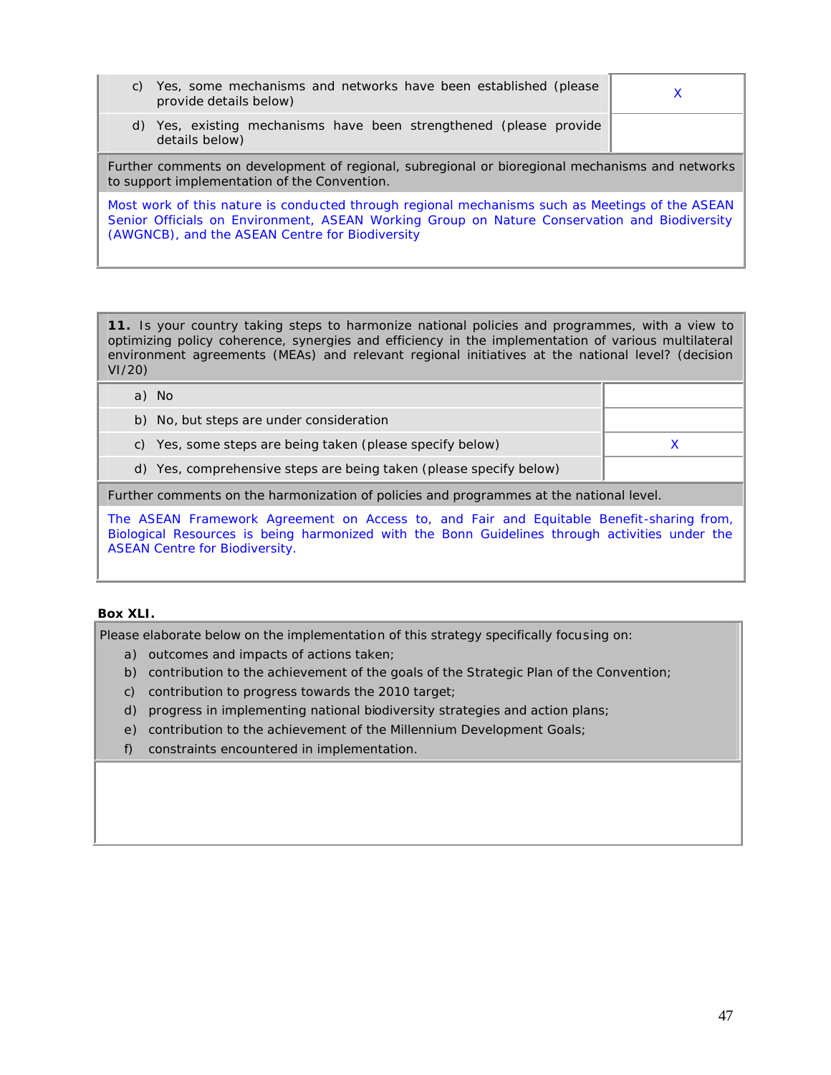| C)                                                                                                                                                                                                                                                 | Yes, some mechanisms and networks have been established (please<br>provide details below) | х |  |
|----------------------------------------------------------------------------------------------------------------------------------------------------------------------------------------------------------------------------------------------------|-------------------------------------------------------------------------------------------|---|--|
|                                                                                                                                                                                                                                                    | d) Yes, existing mechanisms have been strengthened (please provide<br>details below)      |   |  |
| Further comments on development of regional, subregional or bioregional mechanisms and networks<br>to support implementation of the Convention.                                                                                                    |                                                                                           |   |  |
| Most work of this nature is conducted through regional mechanisms such as Meetings of the ASEAN<br>Senior Officials on Environment, ASEAN Working Group on Nature Conservation and Biodiversity<br>(AWGNCB), and the ASEAN Centre for Biodiversity |                                                                                           |   |  |

**11.** Is your country taking steps to harmonize national policies and programmes, with a view to optimizing policy coherence, synergies and efficiency in the implementation of various multilateral environment agreements (MEAs) and relevant regional initiatives at the national level? (decision VI/20)

| a) No                                                              |  |
|--------------------------------------------------------------------|--|
| b) No, but steps are under consideration                           |  |
| c) Yes, some steps are being taken (please specify below)          |  |
| d) Yes, comprehensive steps are being taken (please specify below) |  |
|                                                                    |  |

Further comments on the harmonization of policies and programmes at the national level.

The ASEAN Framework Agreement on Access to, and Fair and Equitable Benefit-sharing from, Biological Resources is being harmonized with the Bonn Guidelines through activities under the ASEAN Centre for Biodiversity.

#### **Box XLI.**

Please elaborate below on the implementation of this strategy specifically focusing on:

- a) outcomes and impacts of actions taken;
- b) contribution to the achievement of the goals of the Strategic Plan of the Convention;
- c) contribution to progress towards the 2010 target;
- d) progress in implementing national biodiversity strategies and action plans;
- e) contribution to the achievement of the Millennium Development Goals;
- f) constraints encountered in implementation.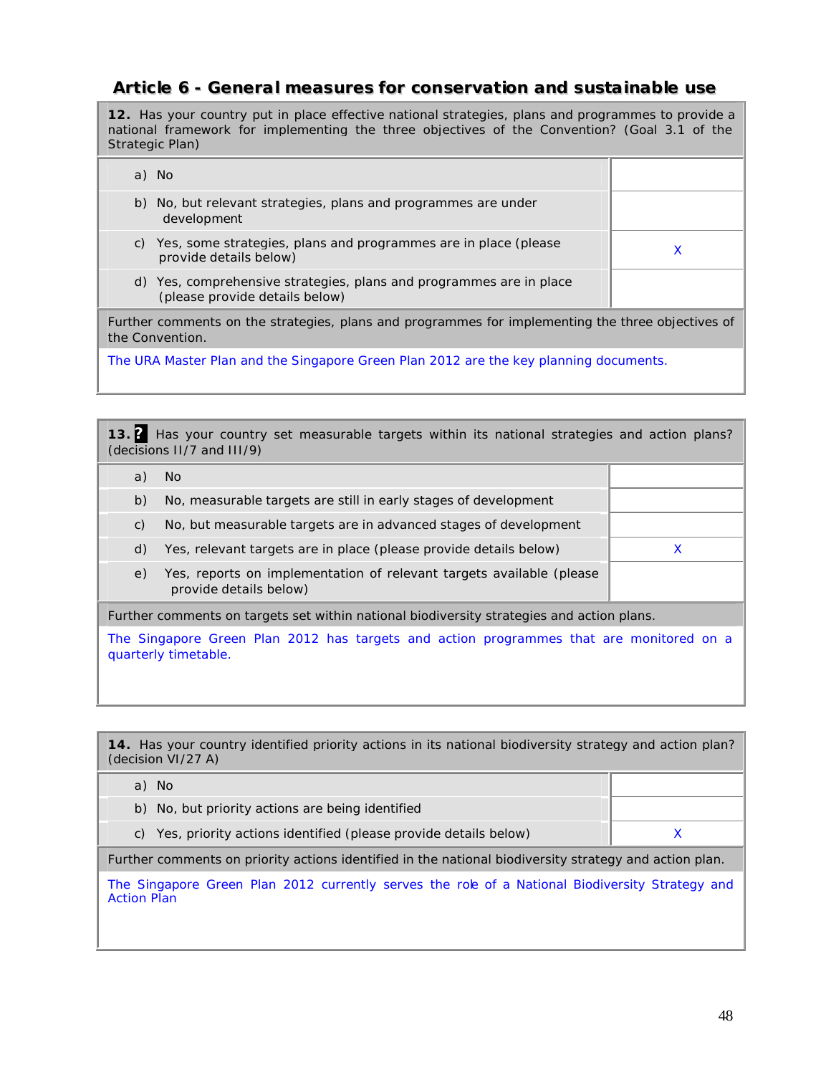# **Article 6 - General measures for conservation and sustainable use**

**12.** Has your country put in place effective national strategies, plans and programmes to provide a national framework for implementing the three objectives of the Convention? (Goal 3.1 of the Strategic Plan)

|                                                                                                                      | a) No                                                                                                 |   |
|----------------------------------------------------------------------------------------------------------------------|-------------------------------------------------------------------------------------------------------|---|
|                                                                                                                      | b) No, but relevant strategies, plans and programmes are under<br>development                         |   |
| C)                                                                                                                   | Yes, some strategies, plans and programmes are in place (please)<br>provide details below)            | X |
|                                                                                                                      | d) Yes, comprehensive strategies, plans and programmes are in place<br>(please provide details below) |   |
| Further comments on the strategies, plans and programmes for implementing the three objectives of<br>the Convention. |                                                                                                       |   |
| The URA Master Plan and the Singapore Green Plan 2012 are the key planning documents.                                |                                                                                                       |   |

**13. ?** Has your country set measurable targets within its national strategies and action plans? (decisions II/7 and III/9)

| a)                                                                                                              | No.                                                                                            |   |  |
|-----------------------------------------------------------------------------------------------------------------|------------------------------------------------------------------------------------------------|---|--|
| b)                                                                                                              | No, measurable targets are still in early stages of development                                |   |  |
| C)                                                                                                              | No, but measurable targets are in advanced stages of development                               |   |  |
| d)                                                                                                              | Yes, relevant targets are in place (please provide details below)                              | X |  |
| e)                                                                                                              | Yes, reports on implementation of relevant targets available (please<br>provide details below) |   |  |
| Further comments on targets set within national biodiversity strategies and action plans.                       |                                                                                                |   |  |
| The Singapore Green Plan 2012 has targets and action programmes that are monitored on a<br>quarterly timetable. |                                                                                                |   |  |

**14.** Has your country identified priority actions in its national biodiversity strategy and action plan? (decision VI/27 A) a) No b) No, but priority actions are being identified

c) Yes, priority actions identified (please provide details below)  $\times$ 

Further comments on priority actions identified in the national biodiversity strategy and action plan.

The Singapore Green Plan 2012 currently serves the role of a National Biodiversity Strategy and Action Plan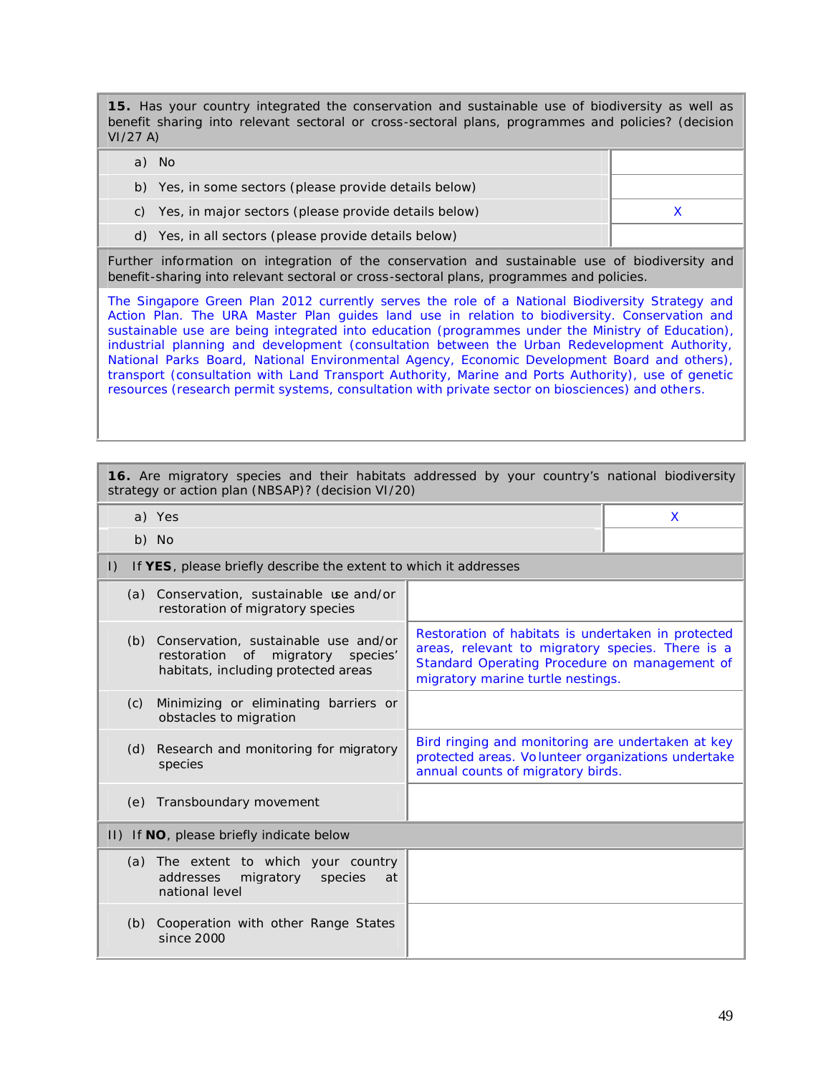**15.** Has your country integrated the conservation and sustainable use of biodiversity as well as benefit sharing into relevant sectoral or cross-sectoral plans, programmes and policies? (decision VI/27 A)

| No.                                                     |  |
|---------------------------------------------------------|--|
| b) Yes, in some sectors (please provide details below)  |  |
| c) Yes, in major sectors (please provide details below) |  |
| d) Yes, in all sectors (please provide details below)   |  |

Further information on integration of the conservation and sustainable use of biodiversity and benefit-sharing into relevant sectoral or cross-sectoral plans, programmes and policies.

The Singapore Green Plan 2012 currently serves the role of a National Biodiversity Strategy and Action Plan. The URA Master Plan guides land use in relation to biodiversity. Conservation and sustainable use are being integrated into education (programmes under the Ministry of Education), industrial planning and development (consultation between the Urban Redevelopment Authority, National Parks Board, National Environmental Agency, Economic Development Board and others), transport (consultation with Land Transport Authority, Marine and Ports Authority), use of genetic resources (research permit systems, consultation with private sector on biosciences) and others.

| 16. Are migratory species and their habitats addressed by your country's national biodiversity<br>strategy or action plan (NBSAP)? (decision VI/20) |                                                                                                                                                                                              |   |  |
|-----------------------------------------------------------------------------------------------------------------------------------------------------|----------------------------------------------------------------------------------------------------------------------------------------------------------------------------------------------|---|--|
| a) Yes                                                                                                                                              |                                                                                                                                                                                              | X |  |
| b) No                                                                                                                                               |                                                                                                                                                                                              |   |  |
| If YES, please briefly describe the extent to which it addresses<br>$\vert$ )                                                                       |                                                                                                                                                                                              |   |  |
| (a) Conservation, sustainable use and/or<br>restoration of migratory species                                                                        |                                                                                                                                                                                              |   |  |
| Conservation, sustainable use and/or<br>(b)<br>restoration<br>of migratory species'<br>habitats, including protected areas                          | Restoration of habitats is undertaken in protected<br>areas, relevant to migratory species. There is a<br>Standard Operating Procedure on management of<br>migratory marine turtle nestings. |   |  |
| Minimizing or eliminating barriers or<br>(c)<br>obstacles to migration                                                                              |                                                                                                                                                                                              |   |  |
| Research and monitoring for migratory<br>(d)<br>species                                                                                             | Bird ringing and monitoring are undertaken at key<br>protected areas. Volunteer organizations undertake<br>annual counts of migratory birds.                                                 |   |  |
| (e) Transboundary movement                                                                                                                          |                                                                                                                                                                                              |   |  |
| II) If NO, please briefly indicate below                                                                                                            |                                                                                                                                                                                              |   |  |
| (a) The extent to which your country<br>addresses<br>migratory<br>species<br>at<br>national level                                                   |                                                                                                                                                                                              |   |  |
| Cooperation with other Range States<br>(b)<br>since 2000                                                                                            |                                                                                                                                                                                              |   |  |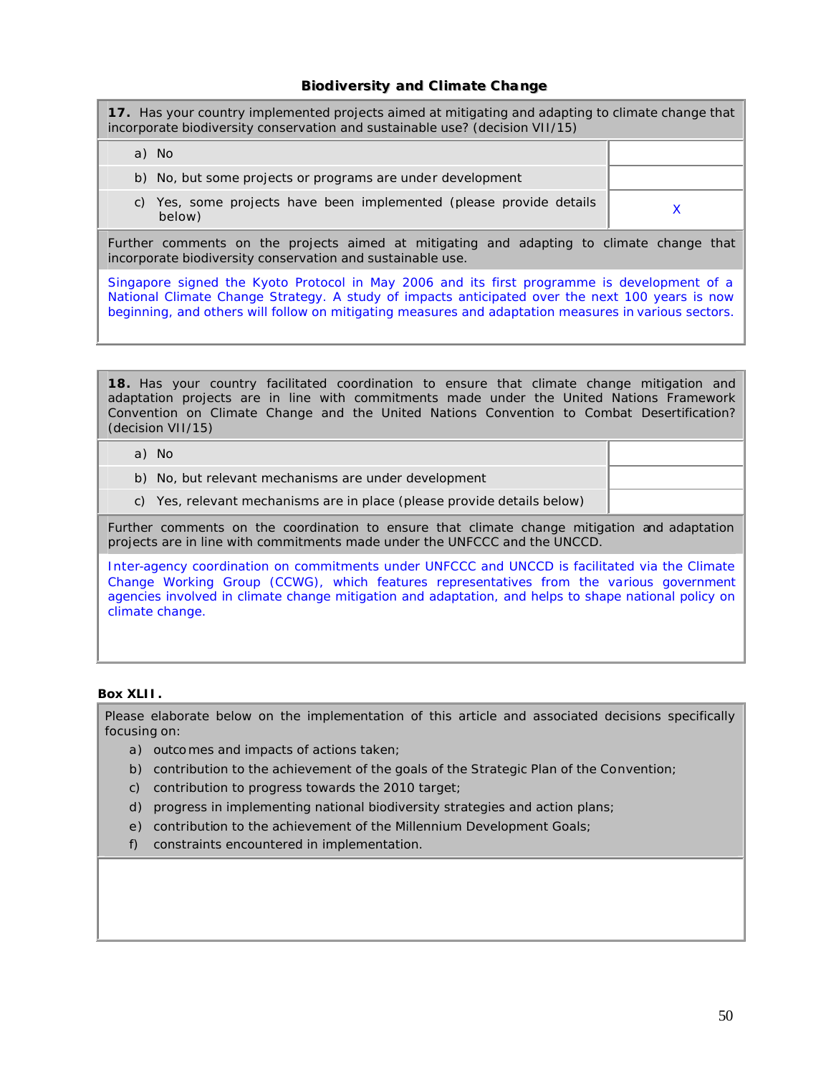#### **Biiodiiversiity and Clliimate Change**

**17.** Has your country implemented projects aimed at mitigating and adapting to climate change that incorporate biodiversity conservation and sustainable use? (decision VII/15)

| a) No                                                                            |  |
|----------------------------------------------------------------------------------|--|
| b) No, but some projects or programs are under development                       |  |
| Yes, some projects have been implemented (please provide details<br>C)<br>below) |  |

Further comments on the projects aimed at mitigating and adapting to climate change that incorporate biodiversity conservation and sustainable use.

Singapore signed the Kyoto Protocol in May 2006 and its first programme is development of a National Climate Change Strategy. A study of impacts anticipated over the next 100 years is now beginning, and others will follow on mitigating measures and adaptation measures in various sectors.

**18.** Has your country facilitated coordination to ensure that climate change mitigation and adaptation projects are in line with commitments made under the United Nations Framework Convention on Climate Change and the United Nations Convention to Combat Desertification? (decision VII/15)

|  | a) No                                                                   |  |
|--|-------------------------------------------------------------------------|--|
|  | b) No, but relevant mechanisms are under development                    |  |
|  | c) Yes, relevant mechanisms are in place (please provide details below) |  |
|  |                                                                         |  |

Further comments on the coordination to ensure that climate change mitigation and adaptation projects are in line with commitments made under the UNFCCC and the UNCCD.

Inter-agency coordination on commitments under UNFCCC and UNCCD is facilitated via the Climate Change Working Group (CCWG), which features representatives from the various government agencies involved in climate change mitigation and adaptation, and helps to shape national policy on climate change.

#### **Box XLII.**

Please elaborate below on the implementation of this article and associated decisions specifically focusing on:

- a) outcomes and impacts of actions taken;
- b) contribution to the achievement of the goals of the Strategic Plan of the Convention;
- c) contribution to progress towards the 2010 target;
- d) progress in implementing national biodiversity strategies and action plans;
- e) contribution to the achievement of the Millennium Development Goals;
- f) constraints encountered in implementation.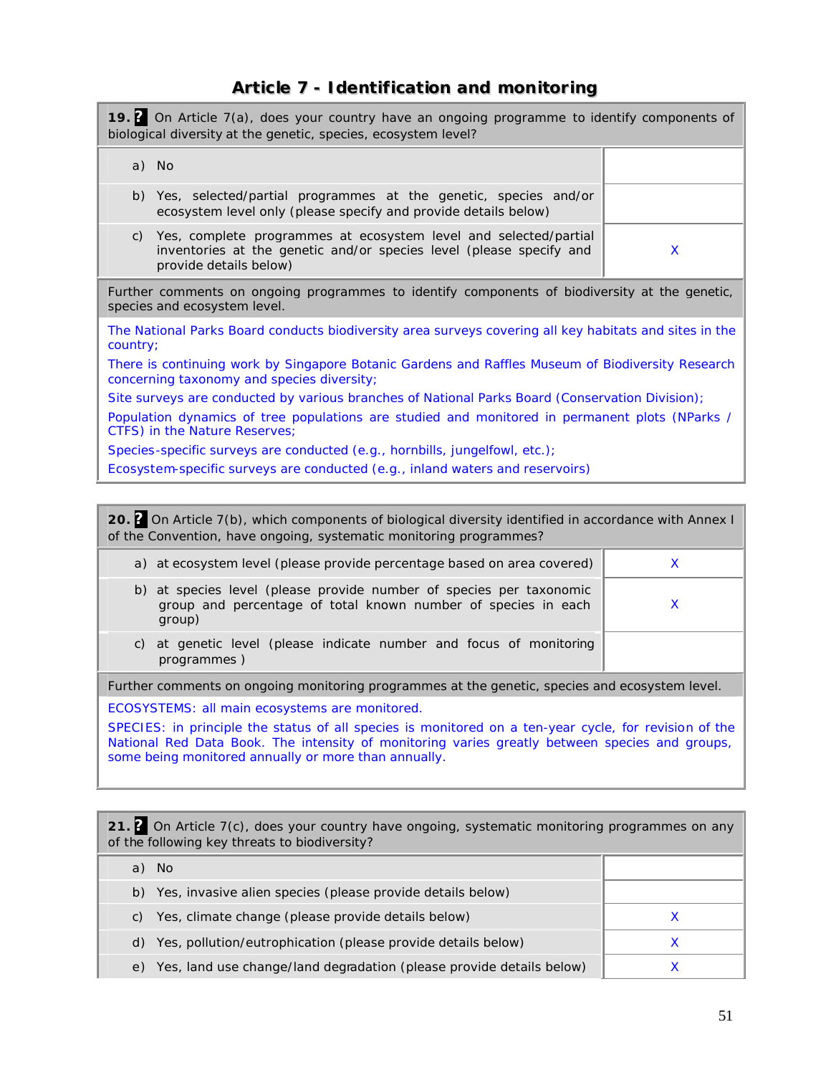# **Article 7 - Identification and monitoring**

| 19. 2 On Article 7(a), does your country have an ongoing programme to identify components of<br>biological diversity at the genetic, species, ecosystem level?          |  |   |
|-------------------------------------------------------------------------------------------------------------------------------------------------------------------------|--|---|
| a) No                                                                                                                                                                   |  |   |
| Yes, selected/partial programmes at the genetic, species and/or<br>b)<br>ecosystem level only (please specify and provide details below)                                |  |   |
| Yes, complete programmes at ecosystem level and selected/partial<br>C)<br>inventories at the genetic and/or species level (please specify and<br>provide details below) |  | X |
| Further comments on ongoing programmes to identify components of biodiversity at the genetic,<br>species and ecosystem level.                                           |  |   |
| The National Parks Board conducts biodiversity area surveys covering all key habitats and sites in the<br>country;                                                      |  |   |
| There is continuing work by Singapore Botanic Gardens and Raffles Museum of Biodiversity Research<br>concerning taxonomy and species diversity;                         |  |   |
| Site surveys are conducted by various branches of National Parks Board (Conservation Division);                                                                         |  |   |
| Population dynamics of tree populations are studied and monitored in permanent plots (NParks /<br>CTFS) in the Nature Reserves;                                         |  |   |
| Species-specific surveys are conducted (e.g., hornbills, jungelfowl, etc.);                                                                                             |  |   |
| Ecosystem-specific surveys are conducted (e.g., inland waters and reservoirs)                                                                                           |  |   |
|                                                                                                                                                                         |  |   |

**20. ?** On Article 7(b), which components of biological diversity identified in accordance with Annex I of the Convention, have ongoing, systematic monitoring programmes?

| b) at species level (please provide number of species per taxonomic<br>group and percentage of total known number of species in each<br>group)<br>c) at genetic level (please indicate number and focus of monitoring<br>programmes) | a) at ecosystem level (please provide percentage based on area covered) |  |
|--------------------------------------------------------------------------------------------------------------------------------------------------------------------------------------------------------------------------------------|-------------------------------------------------------------------------|--|
|                                                                                                                                                                                                                                      |                                                                         |  |
|                                                                                                                                                                                                                                      |                                                                         |  |

Further comments on ongoing monitoring programmes at the genetic, species and ecosystem level.

ECOSYSTEMS: all main ecosystems are monitored.

SPECIES: in principle the status of all species is monitored on a ten-year cycle, for revision of the National Red Data Book. The intensity of monitoring varies greatly between species and groups, some being monitored annually or more than annually.

**21. ?** On Article 7(c), does your country have ongoing, systematic monitoring programmes on any of the following key threats to biodiversity?

| -No                                                                        |  |
|----------------------------------------------------------------------------|--|
| Yes, invasive alien species (please provide details below)<br>b)           |  |
| Yes, climate change (please provide details below)<br>C)                   |  |
| Yes, pollution/eutrophication (please provide details below)<br>d)         |  |
| Yes, land use change/land degradation (please provide details below)<br>e) |  |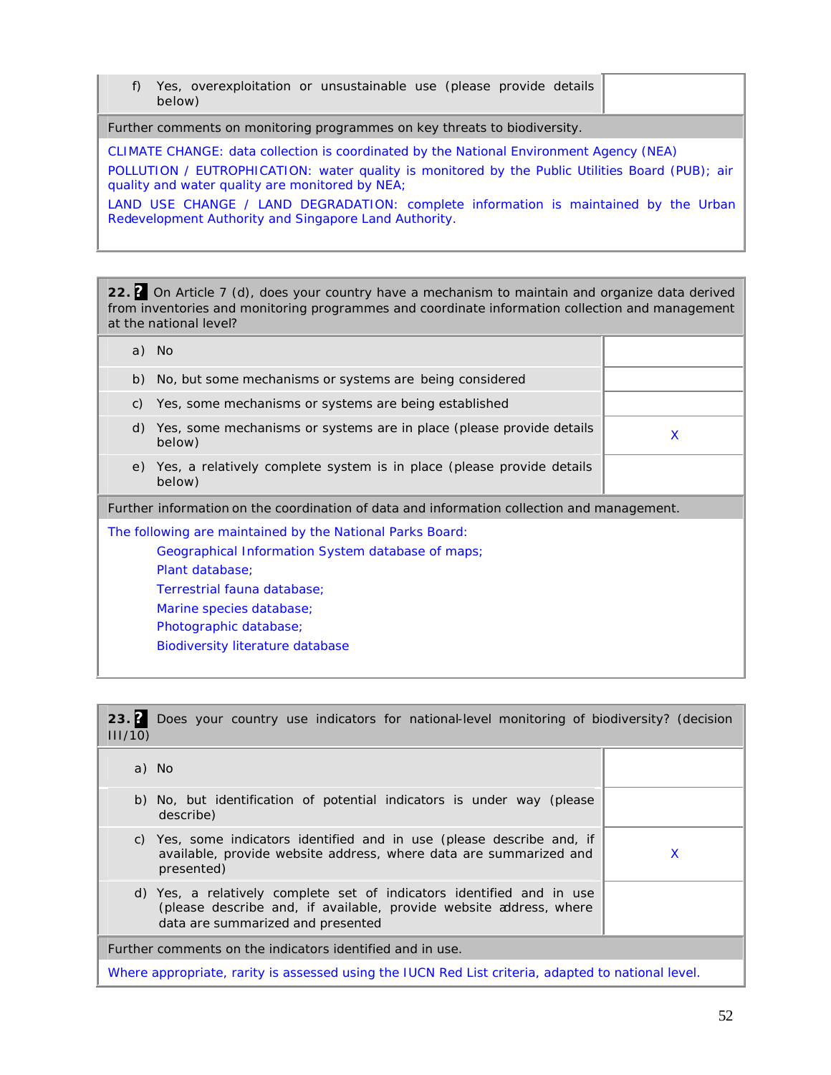f) Yes, overexploitation or unsustainable use (please provide details below)

Further comments on monitoring programmes on key threats to biodiversity.

CLIMATE CHANGE: data collection is coordinated by the National Environment Agency (NEA)

POLLUTION / EUTROPHICATION: water quality is monitored by the Public Utilities Board (PUB); air quality and water quality are monitored by NEA;

LAND USE CHANGE / LAND DEGRADATION: complete information is maintained by the Urban Redevelopment Authority and Singapore Land Authority.

**22. ?** On Article 7 (d), does your country have a mechanism to maintain and organize data derived from inventories and monitoring programmes and coordinate information collection and management at the national level?

|                 | a) No                                                                                                                                                                                                                                                             |   |
|-----------------|-------------------------------------------------------------------------------------------------------------------------------------------------------------------------------------------------------------------------------------------------------------------|---|
| b)              | No, but some mechanisms or systems are being considered                                                                                                                                                                                                           |   |
| $\mathcal{C}$ ) | Yes, some mechanisms or systems are being established                                                                                                                                                                                                             |   |
| d)              | Yes, some mechanisms or systems are in place (please provide details<br>below)                                                                                                                                                                                    | X |
| e)              | Yes, a relatively complete system is in place (please provide details<br>below)                                                                                                                                                                                   |   |
|                 | Further information on the coordination of data and information collection and management.                                                                                                                                                                        |   |
|                 | The following are maintained by the National Parks Board:<br>Geographical Information System database of maps;<br>Plant database:<br>Terrestrial fauna database;<br>Marine species database;<br>Photographic database;<br><b>Biodiversity literature database</b> |   |

| 23.7<br>111/10 | Does your country use indicators for national-level monitoring of biodiversity? (decision                                                                                        |   |
|----------------|----------------------------------------------------------------------------------------------------------------------------------------------------------------------------------|---|
|                | a) No                                                                                                                                                                            |   |
|                | b) No, but identification of potential indicators is under way (please<br>describe)                                                                                              |   |
| C)             | Yes, some indicators identified and in use (please describe and, if<br>available, provide website address, where data are summarized and<br>presented)                           | X |
|                | d) Yes, a relatively complete set of indicators identified and in use<br>(please describe and, if available, provide website address, where<br>data are summarized and presented |   |
|                | Further comments on the indicators identified and in use.                                                                                                                        |   |

Where appropriate, rarity is assessed using the IUCN Red List criteria, adapted to national level.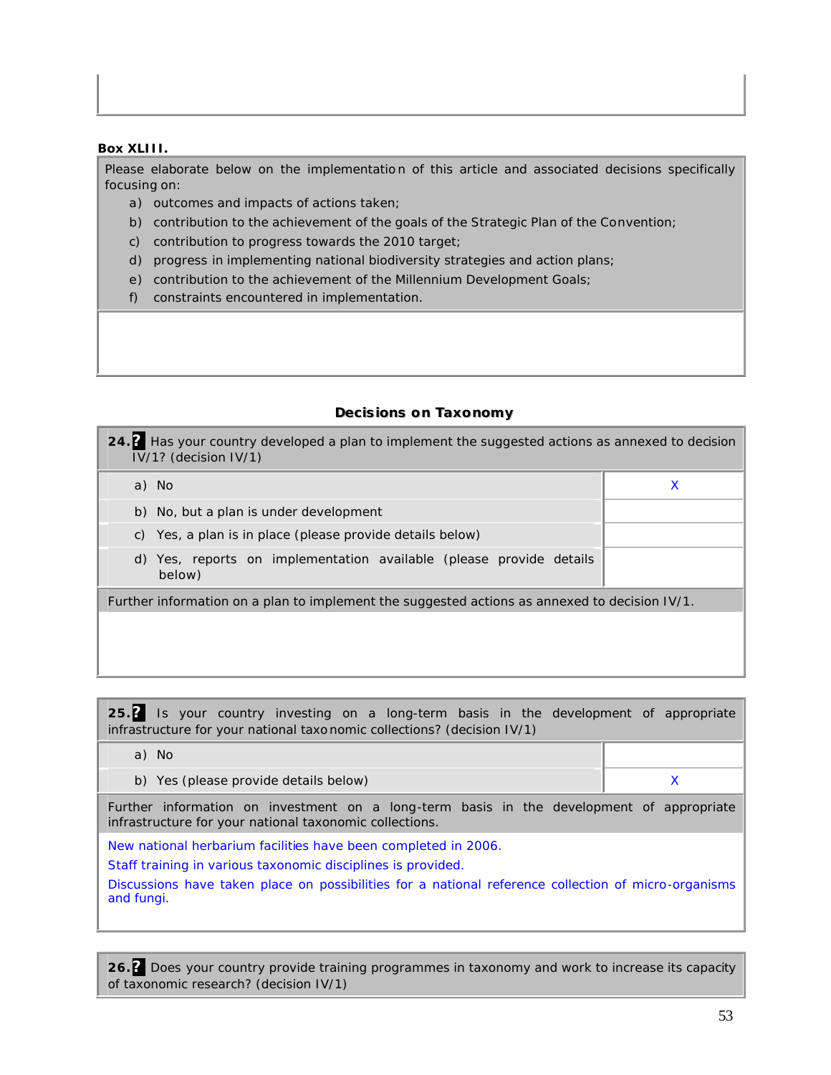#### **Box XLIII.**

Please elaborate below on the implementation of this article and associated decisions specifically focusing on:

- a) outcomes and impacts of actions taken;
- b) contribution to the achievement of the goals of the Strategic Plan of the Convention;
- c) contribution to progress towards the 2010 target;
- d) progress in implementing national biodiversity strategies and action plans;
- e) contribution to the achievement of the Millennium Development Goals;
- f) constraints encountered in implementation.

#### **Decisions on Taxonomy**

| 24. Has your country developed a plan to implement the suggested actions as annexed to decision<br>$IV/1?$ (decision $IV/1$ ) |   |  |
|-------------------------------------------------------------------------------------------------------------------------------|---|--|
| a) No                                                                                                                         | X |  |
| b) No, but a plan is under development                                                                                        |   |  |
| c) Yes, a plan is in place (please provide details below)                                                                     |   |  |
| d) Yes, reports on implementation available (please provide details<br>below)                                                 |   |  |
| Further information on a plan to implement the suggested actions as annexed to decision IV/1.                                 |   |  |
|                                                                                                                               |   |  |

**25.?** Is your country investing on a long-term basis in the development of appropriate infrastructure for your national taxo nomic collections? (decision IV/1)

| a) No                                                                                                                                               |   |  |
|-----------------------------------------------------------------------------------------------------------------------------------------------------|---|--|
| b) Yes (please provide details below)                                                                                                               | X |  |
| Further information on investment on a long-term basis in the development of appropriate<br>infrastructure for your national taxonomic collections. |   |  |
| New national herbarium facilities have been completed in 2006.                                                                                      |   |  |
| Staff training in various taxonomic disciplines is provided.                                                                                        |   |  |
| Discussions have taken place on possibilities for a national reference collection of micro-organisms<br>and fungi.                                  |   |  |

**26.?** Does your country provide training programmes in taxonomy and work to increase its capacity of taxonomic research? (decision IV/1)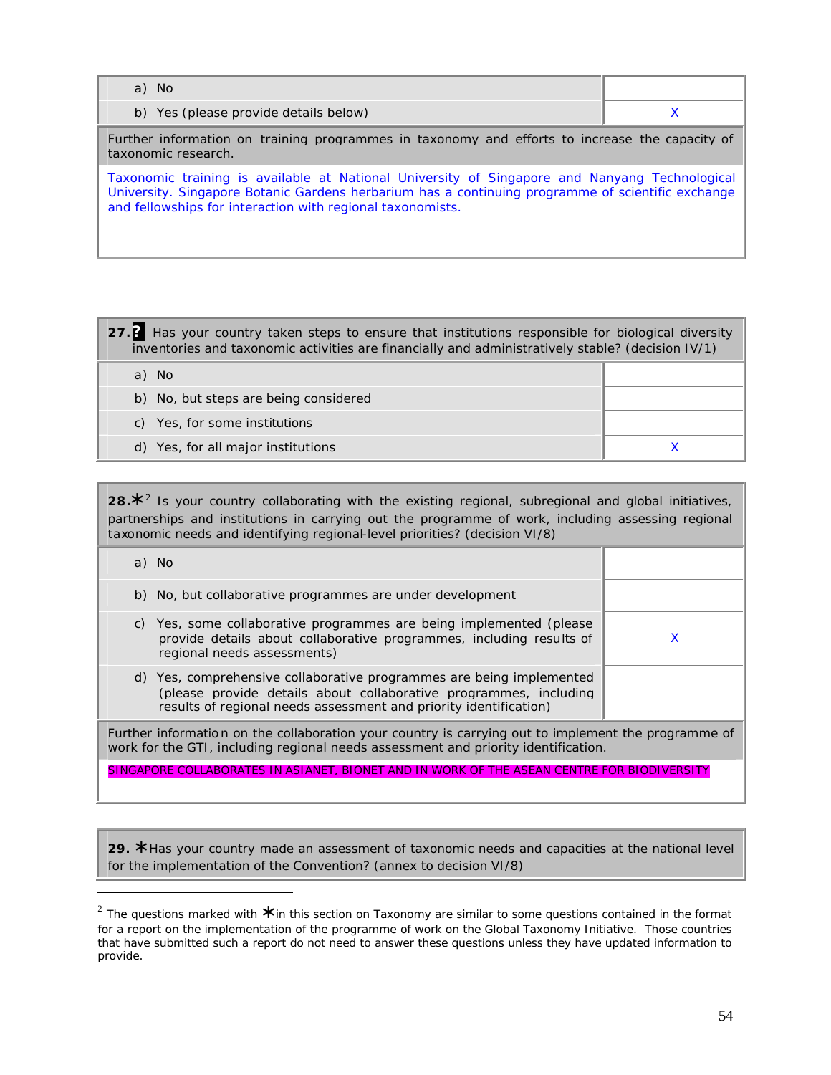| a) No                                                                                                                                                                                                                                                            |   |  |
|------------------------------------------------------------------------------------------------------------------------------------------------------------------------------------------------------------------------------------------------------------------|---|--|
| b) Yes (please provide details below)                                                                                                                                                                                                                            | X |  |
| Further information on training programmes in taxonomy and efforts to increase the capacity of<br>taxonomic research.                                                                                                                                            |   |  |
| Taxonomic training is available at National University of Singapore and Nanyang Technological<br>University. Singapore Botanic Gardens herbarium has a continuing programme of scientific exchange<br>and fellowships for interaction with regional taxonomists. |   |  |

**27.?** Has your country taken steps to ensure that institutions responsible for biological diversity inventories and taxonomic activities are financially and administratively stable? (decision IV/1)

| a) No                                 |  |
|---------------------------------------|--|
| b) No, but steps are being considered |  |
| c) Yes, for some institutions         |  |
| d) Yes, for all major institutions    |  |

28.<sup>\*</sup> <sup>2</sup> Is your country collaborating with the existing regional, subregional and global initiatives, partnerships and institutions in carrying out the programme of work, including assessing regional taxonomic needs and identifying regional-level priorities? (decision VI/8)

| a) No                                                                                                                                                                                                          |   |
|----------------------------------------------------------------------------------------------------------------------------------------------------------------------------------------------------------------|---|
| b) No, but collaborative programmes are under development                                                                                                                                                      |   |
| c) Yes, some collaborative programmes are being implemented (please<br>provide details about collaborative programmes, including results of<br>regional needs assessments)                                     | x |
| d) Yes, comprehensive collaborative programmes are being implemented<br>(please provide details about collaborative programmes, including<br>results of regional needs assessment and priority identification) |   |
| Eurther information on the collaboration your country is carrying out to implement the programme of                                                                                                            |   |

Further information on the collaboration your country is carrying out to implement the programme of work for the GTI, including regional needs assessment and priority identification.

SINGAPORE COLLABORATES IN ASIANET, BIONET AND IN WORK OF THE ASEAN CENTRE FOR BIODIVERSITY

**29. \*** Has your country made an assessment of taxonomic needs and capacities at the national level for the implementation of the Convention? (annex to decision VI/8)

 $\overline{a}$ 

<sup>2</sup> The questions marked with **\*** in this section on Taxonomy are similar to some questions contained in the format for a report on the implementation of the programme of work on the Global Taxonomy Initiative. Those countries that have submitted such a report do not need to answer these questions unless they have updated information to provide.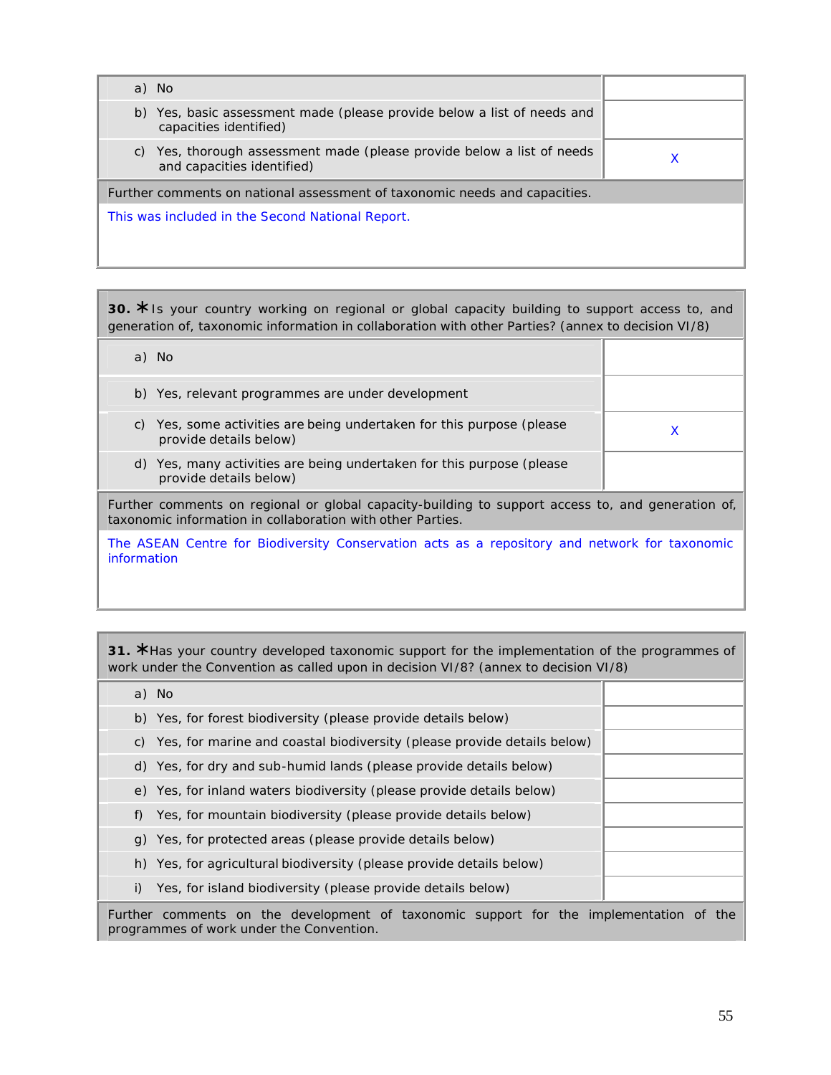| a) No                                                                                                   |   |
|---------------------------------------------------------------------------------------------------------|---|
| b) Yes, basic assessment made (please provide below a list of needs and<br>capacities identified)       |   |
| Yes, thorough assessment made (please provide below a list of needs<br>C)<br>and capacities identified) | x |
| Further comments on national assessment of taxonomic needs and capacities.                              |   |
| This was included in the Second National Report.                                                        |   |
|                                                                                                         |   |
|                                                                                                         |   |

**30. \*** Is your country working on regional or global capacity building to support access to, and generation of, taxonomic information in collaboration with other Parties? (annex to decision VI/8)

| a) No                                                                                                                                                           |   |  |
|-----------------------------------------------------------------------------------------------------------------------------------------------------------------|---|--|
| b) Yes, relevant programmes are under development                                                                                                               |   |  |
| Yes, some activities are being undertaken for this purpose (please<br>C)<br>provide details below)                                                              | X |  |
| d) Yes, many activities are being undertaken for this purpose (please<br>provide details below)                                                                 |   |  |
| Further comments on regional or global capacity-building to support access to, and generation of,<br>taxonomic information in collaboration with other Parties. |   |  |
| The ASEAN Centre for Biodiversity Conservation acts as a repository and network for taxonomic<br>information                                                    |   |  |

**31. \*** Has your country developed taxonomic support for the implementation of the programmes of work under the Convention as called upon in decision VI/8? (annex to decision VI/8)

|    | a) No                                                                      |  |
|----|----------------------------------------------------------------------------|--|
|    | b) Yes, for forest biodiversity (please provide details below)             |  |
|    | c) Yes, for marine and coastal biodiversity (please provide details below) |  |
|    | d) Yes, for dry and sub-humid lands (please provide details below)         |  |
|    | e) Yes, for inland waters biodiversity (please provide details below)      |  |
| f) | Yes, for mountain biodiversity (please provide details below)              |  |
|    | g) Yes, for protected areas (please provide details below)                 |  |
|    | h) Yes, for agricultural biodiversity (please provide details below)       |  |
|    | Yes, for island biodiversity (please provide details below)                |  |
|    |                                                                            |  |

Further comments on the development of taxonomic support for the implementation of the programmes of work under the Convention.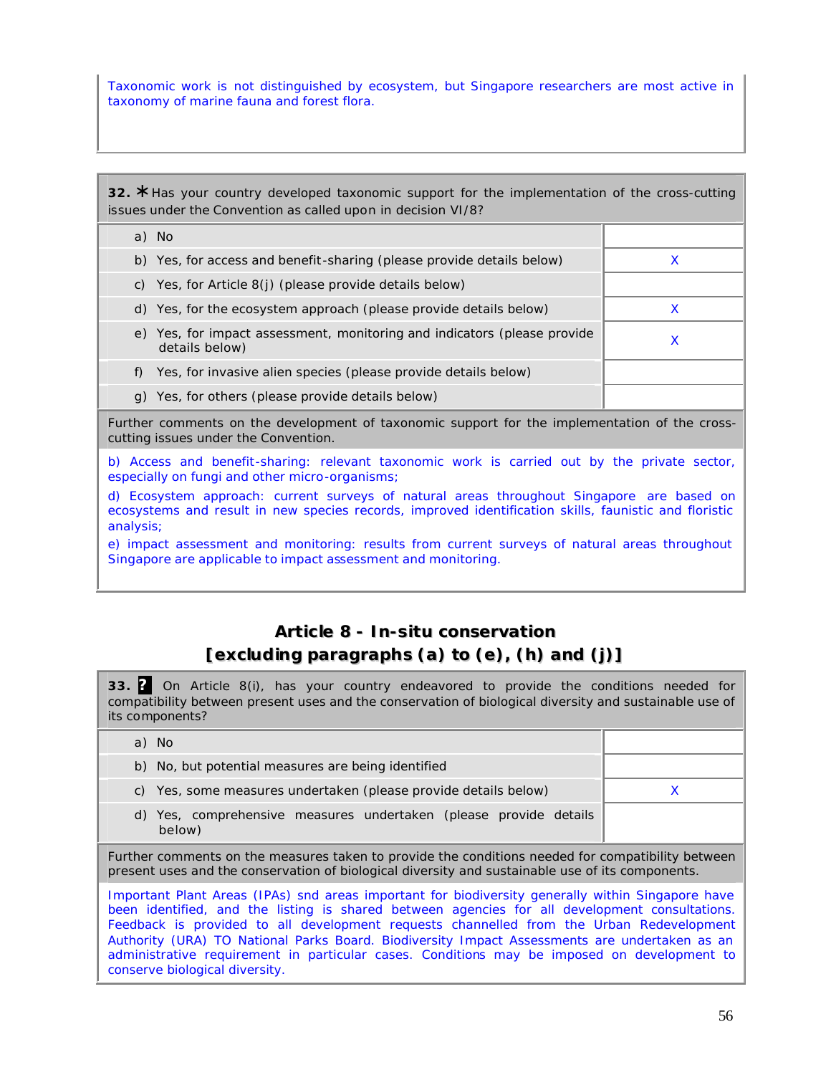Taxonomic work is not distinguished by ecosystem, but Singapore researchers are most active in taxonomy of marine fauna and forest flora.

**32. \*** Has your country developed taxonomic support for the implementation of the cross-cutting issues under the Convention as called upon in decision VI/8?

| a) No                                                                                      |   |
|--------------------------------------------------------------------------------------------|---|
| b) Yes, for access and benefit-sharing (please provide details below)                      | х |
| Yes, for Article 8(j) (please provide details below)<br>C)                                 |   |
| d) Yes, for the ecosystem approach (please provide details below)                          |   |
| e) Yes, for impact assessment, monitoring and indicators (please provide<br>details below) |   |
| Yes, for invasive alien species (please provide details below)                             |   |
| Yes, for others (please provide details below)                                             |   |

Further comments on the development of taxonomic support for the implementation of the crosscutting issues under the Convention.

b) Access and benefit-sharing: relevant taxonomic work is carried out by the private sector, especially on fungi and other micro-organisms;

d) Ecosystem approach: current surveys of natural areas throughout Singapore are based on ecosystems and result in new species records, improved identification skills, faunistic and floristic analysis;

e) impact assessment and monitoring: results from current surveys of natural areas throughout Singapore are applicable to impact assessment and monitoring.

# **Article 8 -** *In-situ* **conservation [excluding paragraphs (a) to (e), (h) and (j)]**

**33. ?** On Article 8(i), has your country endeavored to provide the conditions needed for compatibility between present uses and the conservation of biological diversity and sustainable use of its components?

| a) No                                                                                                                                                                                                                                                                                                                                                                                                                                                                                                                             |   |
|-----------------------------------------------------------------------------------------------------------------------------------------------------------------------------------------------------------------------------------------------------------------------------------------------------------------------------------------------------------------------------------------------------------------------------------------------------------------------------------------------------------------------------------|---|
| b) No, but potential measures are being identified                                                                                                                                                                                                                                                                                                                                                                                                                                                                                |   |
| c) Yes, some measures undertaken (please provide details below)                                                                                                                                                                                                                                                                                                                                                                                                                                                                   | x |
| d) Yes, comprehensive measures undertaken (please provide details<br>below)                                                                                                                                                                                                                                                                                                                                                                                                                                                       |   |
| Further comments on the measures taken to provide the conditions needed for compatibility between<br>present uses and the conservation of biological diversity and sustainable use of its components.                                                                                                                                                                                                                                                                                                                             |   |
| Important Plant Areas (IPAs) snd areas important for biodiversity generally within Singapore have<br>been identified, and the listing is shared between agencies for all development consultations.<br>Feedback is provided to all development requests channelled from the Urban Redevelopment<br>Authority (URA) TO National Parks Board. Biodiversity Impact Assessments are undertaken as an<br>administrative requirement in particular cases. Conditions may be imposed on development to<br>conserve biological diversity. |   |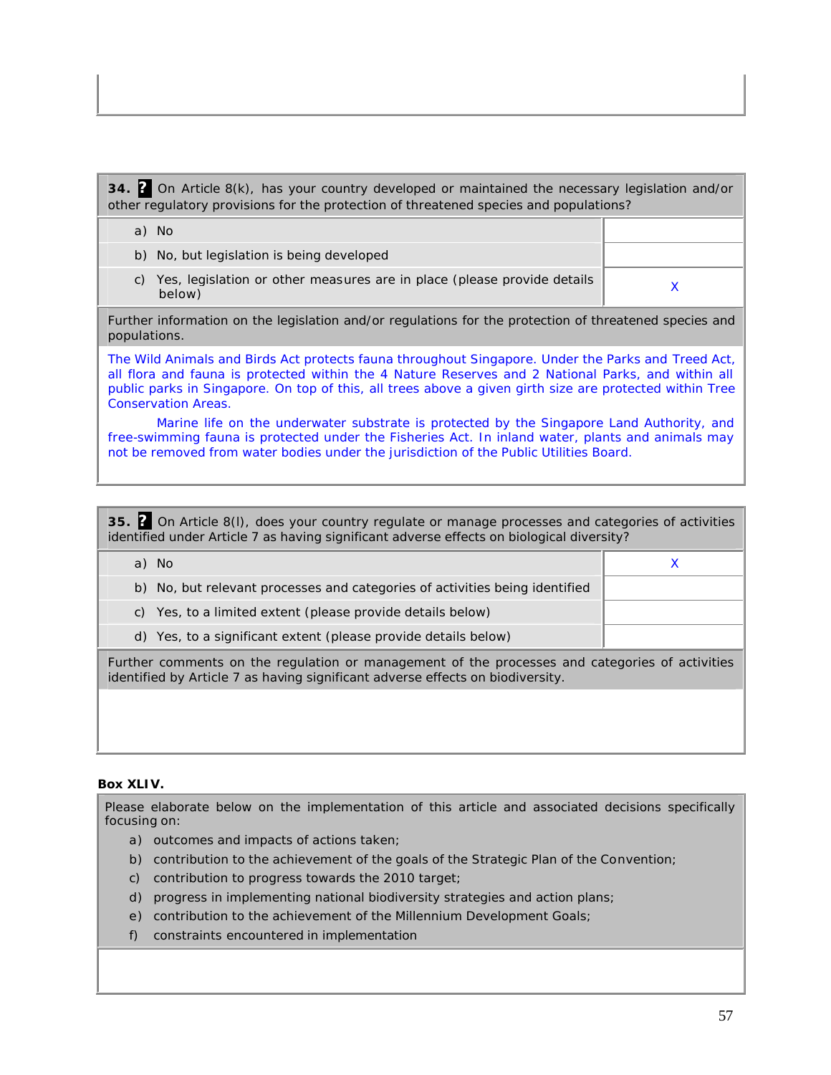**34. ?** On Article 8(k), has your country developed or maintained the necessary legislation and/or other regulatory provisions for the protection of threatened species and populations?

a) No

- b) No, but legislation is being developed
- c) Yes, legislation or other measures are in place (please provide details  $\times$  below)

Further information on the legislation and/or regulations for the protection of threatened species and populations.

The Wild Animals and Birds Act protects fauna throughout Singapore. Under the Parks and Treed Act, all flora and fauna is protected within the 4 Nature Reserves and 2 National Parks, and within all public parks in Singapore. On top of this, all trees above a given girth size are protected within Tree Conservation Areas.

Marine life on the underwater substrate is protected by the Singapore Land Authority, and free-swimming fauna is protected under the Fisheries Act. In inland water, plants and animals may not be removed from water bodies under the jurisdiction of the Public Utilities Board.

**35. ?** On Article 8(l), does your country regulate or manage processes and categories of activities identified under Article 7 as having significant adverse effects on biological diversity?

| a) No                                                                                                                                                                            |  |
|----------------------------------------------------------------------------------------------------------------------------------------------------------------------------------|--|
| b) No, but relevant processes and categories of activities being identified                                                                                                      |  |
| c) Yes, to a limited extent (please provide details below)                                                                                                                       |  |
| d) Yes, to a significant extent (please provide details below)                                                                                                                   |  |
| Further comments on the regulation or management of the processes and categories of activities<br>identified by Article 7 as having significant adverse effects on biodiversity. |  |

#### **Box XLIV.**

Please elaborate below on the implementation of this article and associated decisions specifically focusing on:

- a) outcomes and impacts of actions taken;
- b) contribution to the achievement of the goals of the Strategic Plan of the Convention;
- c) contribution to progress towards the 2010 target;
- d) progress in implementing national biodiversity strategies and action plans;
- e) contribution to the achievement of the Millennium Development Goals;
- f) constraints encountered in implementation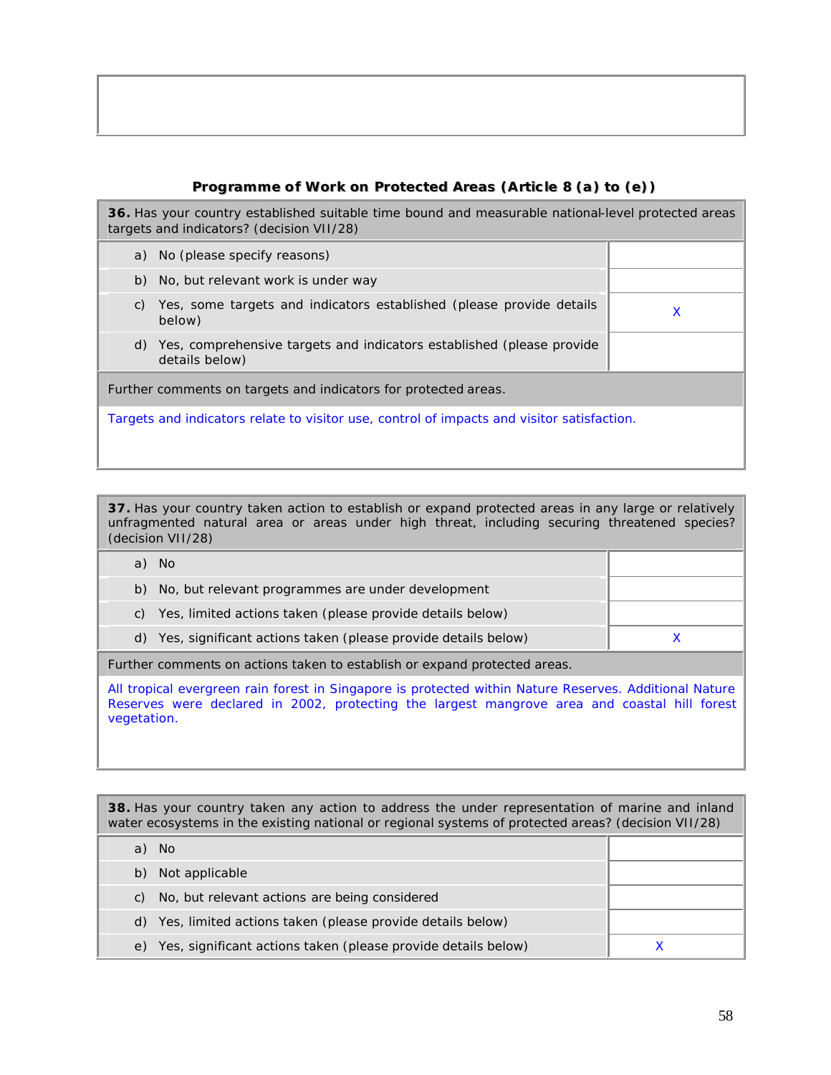## **Programme of Work on Protected Areas (Article 8 (a) to (e))**

**36.** Has your country established suitable time bound and measurable national-level protected areas targets and indicators? (decision VII/28)

| a) No (please specify reasons)                                                                |   |  |  |
|-----------------------------------------------------------------------------------------------|---|--|--|
| b) No, but relevant work is under way                                                         |   |  |  |
| Yes, some targets and indicators established (please provide details<br>C)<br>below)          | X |  |  |
| Yes, comprehensive targets and indicators established (please provide<br>d)<br>details below) |   |  |  |
| Further comments on targets and indicators for protected areas.                               |   |  |  |
| Targets and indicators relate to visitor use, control of impacts and visitor satisfaction.    |   |  |  |

**37.** Has your country taken action to establish or expand protected areas in any large or relatively unfragmented natural area or areas under high threat, including securing threatened species?

| (decision VII/28)                                                         |  |
|---------------------------------------------------------------------------|--|
| a) No                                                                     |  |
| No, but relevant programmes are under development<br>b)                   |  |
| Yes, limited actions taken (please provide details below)<br>C)           |  |
| Yes, significant actions taken (please provide details below)<br>d)       |  |
| Further comments on actions taken to establish or expand protected areas. |  |

All tropical evergreen rain forest in Singapore is protected within Nature Reserves. Additional Nature Reserves were declared in 2002, protecting the largest mangrove area and coastal hill forest vegetation.

**38.** Has your country taken any action to address the under representation of marine and inland water ecosystems in the existing national or regional systems of protected areas? (decision VII/28) a) No b) Not applicable c) No, but relevant actions are being considered d) Yes, limited actions taken (please provide details below) e) Yes, significant actions taken (please provide details below) X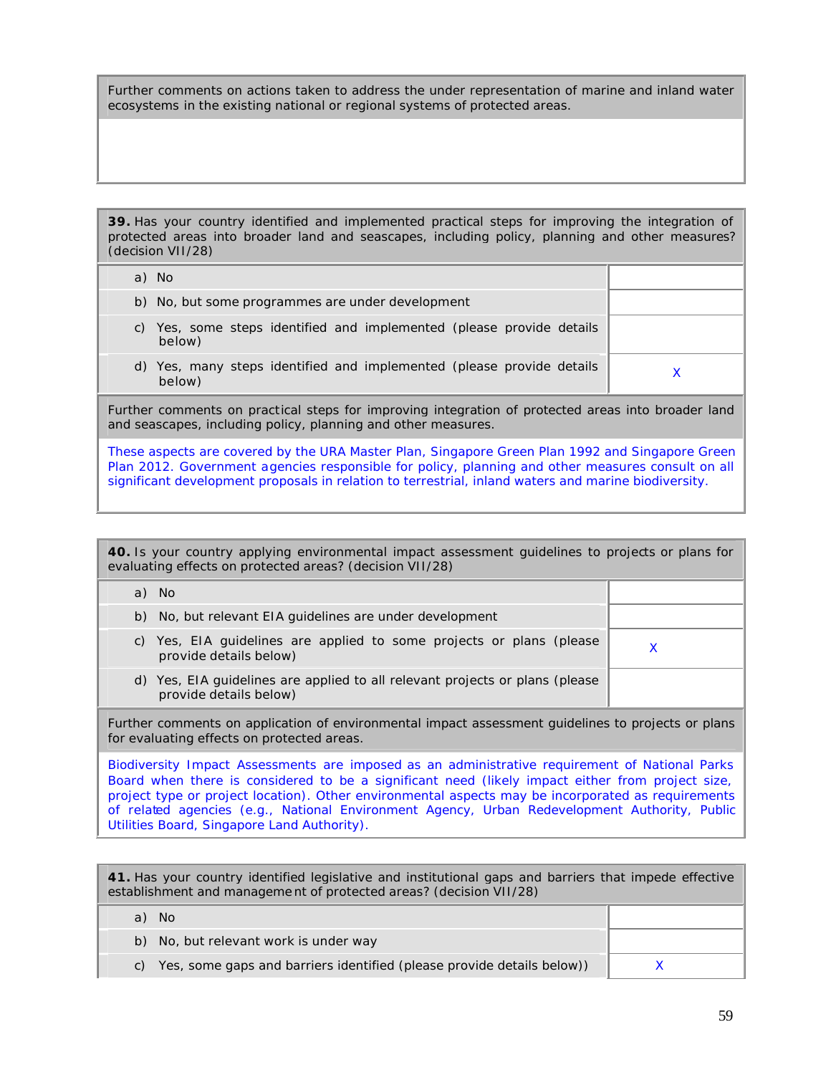Further comments on actions taken to address the under representation of marine and inland water ecosystems in the existing national or regional systems of protected areas.

**39.** Has your country identified and implemented practical steps for improving the integration of protected areas into broader land and seascapes, including policy, planning and other measures? (decision VII/28)

| a) No                                                                              |  |
|------------------------------------------------------------------------------------|--|
| b) No, but some programmes are under development                                   |  |
| Yes, some steps identified and implemented (please provide details<br>C)<br>below) |  |
| d) Yes, many steps identified and implemented (please provide details<br>below)    |  |
|                                                                                    |  |

Further comments on practical steps for improving integration of protected areas into broader land and seascapes, including policy, planning and other measures.

These aspects are covered by the URA Master Plan, Singapore Green Plan 1992 and Singapore Green Plan 2012. Government agencies responsible for policy, planning and other measures consult on all significant development proposals in relation to terrestrial, inland waters and marine biodiversity.

| 40. Is your country applying environmental impact assessment quidelines to projects or plans for<br>evaluating effects on protected areas? (decision VII/28)<br>a) No<br>b) No, but relevant EIA quidelines are under development<br>c) Yes, EIA guidelines are applied to some projects or plans (please<br>X<br>provide details below)<br>d) Yes, EIA quidelines are applied to all relevant projects or plans (please<br>provide details below)<br>for evaluating effects on protected areas.<br>Biodiversity Impact Assessments are imposed as an administrative requirement of National Parks<br>Board when there is considered to be a significant need (likely impact either from project size,<br>project type or project location). Other environmental aspects may be incorporated as requirements<br>of related agencies (e.g., National Environment Agency, Urban Redevelopment Authority, Public |                                                                                                    |  |  |  |
|---------------------------------------------------------------------------------------------------------------------------------------------------------------------------------------------------------------------------------------------------------------------------------------------------------------------------------------------------------------------------------------------------------------------------------------------------------------------------------------------------------------------------------------------------------------------------------------------------------------------------------------------------------------------------------------------------------------------------------------------------------------------------------------------------------------------------------------------------------------------------------------------------------------|----------------------------------------------------------------------------------------------------|--|--|--|
|                                                                                                                                                                                                                                                                                                                                                                                                                                                                                                                                                                                                                                                                                                                                                                                                                                                                                                               |                                                                                                    |  |  |  |
|                                                                                                                                                                                                                                                                                                                                                                                                                                                                                                                                                                                                                                                                                                                                                                                                                                                                                                               |                                                                                                    |  |  |  |
|                                                                                                                                                                                                                                                                                                                                                                                                                                                                                                                                                                                                                                                                                                                                                                                                                                                                                                               |                                                                                                    |  |  |  |
|                                                                                                                                                                                                                                                                                                                                                                                                                                                                                                                                                                                                                                                                                                                                                                                                                                                                                                               |                                                                                                    |  |  |  |
|                                                                                                                                                                                                                                                                                                                                                                                                                                                                                                                                                                                                                                                                                                                                                                                                                                                                                                               |                                                                                                    |  |  |  |
|                                                                                                                                                                                                                                                                                                                                                                                                                                                                                                                                                                                                                                                                                                                                                                                                                                                                                                               | Further comments on application of environmental impact assessment quidelines to projects or plans |  |  |  |
| Utilities Board, Singapore Land Authority).                                                                                                                                                                                                                                                                                                                                                                                                                                                                                                                                                                                                                                                                                                                                                                                                                                                                   |                                                                                                    |  |  |  |

| 41. Has your country identified legislative and institutional gaps and barriers that impede effective<br>establishment and management of protected areas? (decision VII/28) |  |  |
|-----------------------------------------------------------------------------------------------------------------------------------------------------------------------------|--|--|
| a) No                                                                                                                                                                       |  |  |
| b) No, but relevant work is under way                                                                                                                                       |  |  |
| c) Yes, some gaps and barriers identified (please provide details below))                                                                                                   |  |  |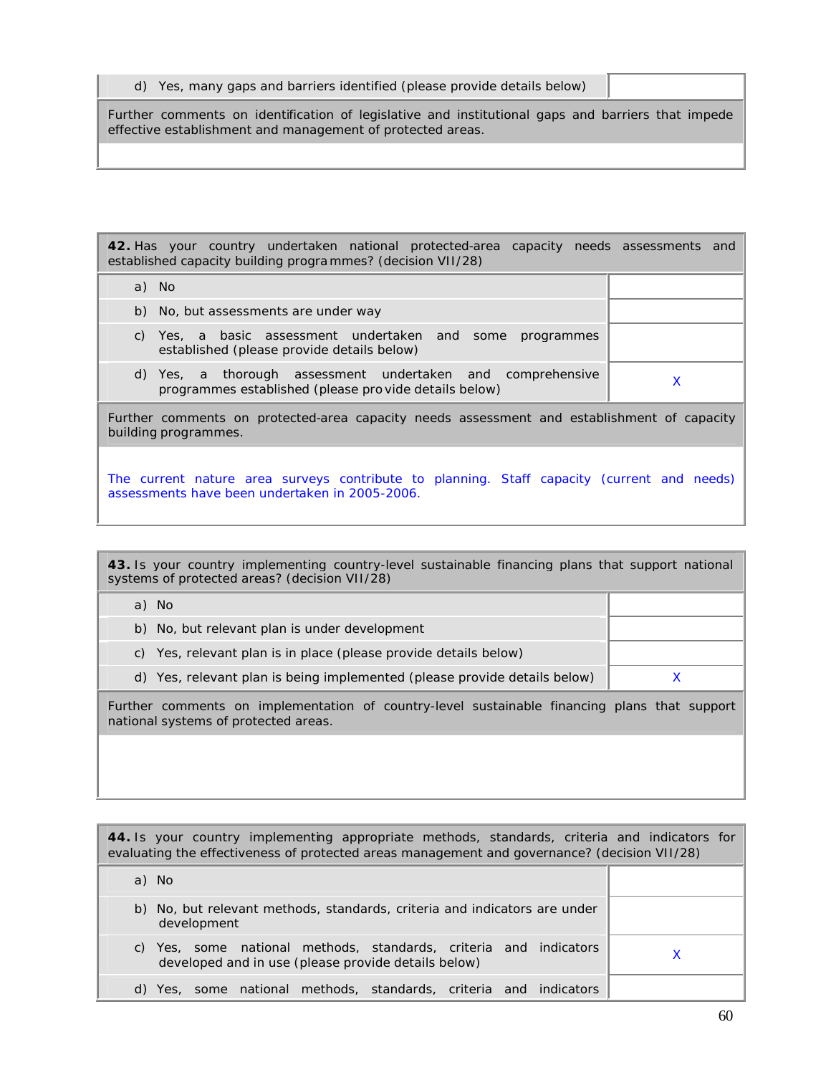|  |  | d) Yes, many gaps and barriers identified (please provide details below) |  |  |
|--|--|--------------------------------------------------------------------------|--|--|
|--|--|--------------------------------------------------------------------------|--|--|

building programmes.

Further comments on identification of legislative and institutional gaps and barriers that impede effective establishment and management of protected areas.

**42.** Has your country undertaken national protected-area capacity needs assessments and established capacity building progra mmes? (decision VII/28) a) No b) No, but assessments are under way c) Yes, a basic assessment undertaken and some programmes established (please provide details below) d) Yes, a thorough assessment undertaken and comprehensive res, a morough assessment undertaken and comprenensive  $\chi$  programmes established (please pro vide details below) Further comments on protected-area capacity needs assessment and establishment of capacity

The current nature area surveys contribute to planning. Staff capacity (current and needs) assessments have been undertaken in 2005-2006.

**43.** Is your country implementing country-level sustainable financing plans that support national systems of protected areas? (decision VII/28) a) No b) No, but relevant plan is under development c) Yes, relevant plan is in place (please provide details below) d) Yes, relevant plan is being implemented (please provide details below) X Further comments on implementation of country-level sustainable financing plans that support national systems of protected areas.

| 44. Is your country implementing appropriate methods, standards, criteria and indicators for<br>evaluating the effectiveness of protected areas management and governance? (decision VII/28) |  |
|----------------------------------------------------------------------------------------------------------------------------------------------------------------------------------------------|--|
| a) No                                                                                                                                                                                        |  |
| b) No, but relevant methods, standards, criteria and indicators are under<br>development                                                                                                     |  |
| Yes, some national methods, standards, criteria and indicators<br>C)<br>developed and in use (please provide details below)                                                                  |  |
| Yes, some national methods, standards, criteria and indicators<br>d)                                                                                                                         |  |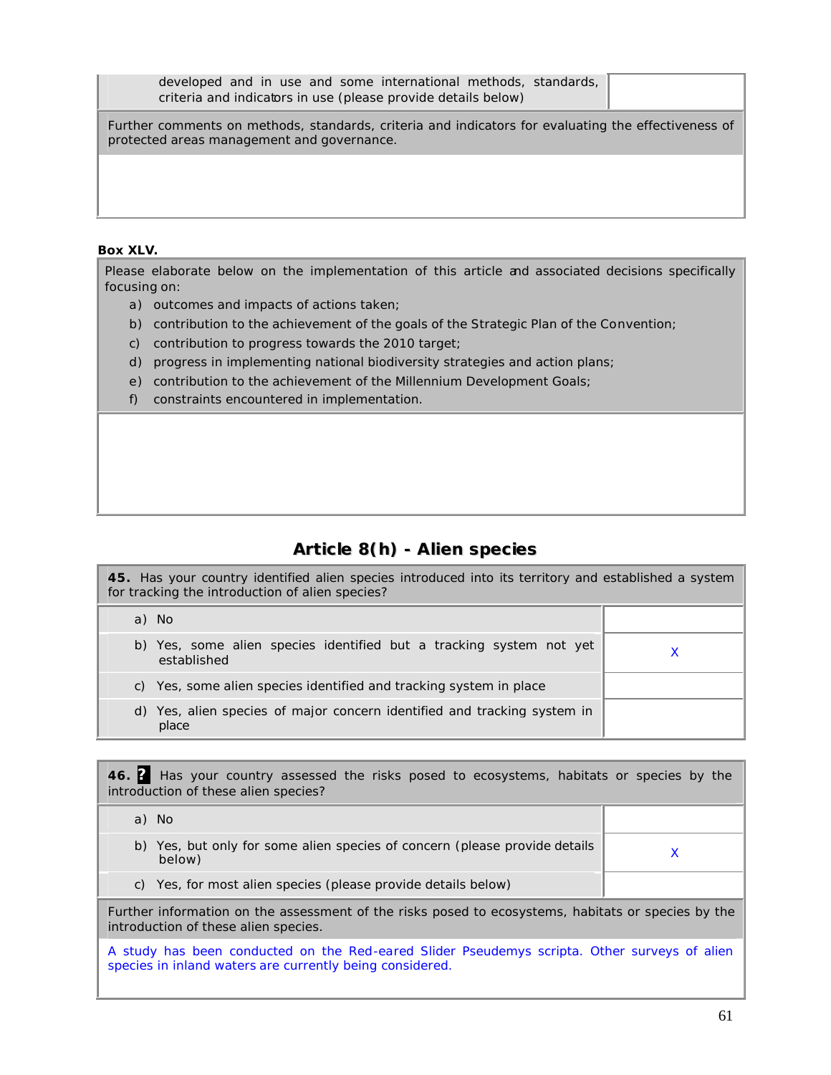| developed and in use and some international methods, standards,<br>criteria and indicators in use (please provide details below)                  |  |
|---------------------------------------------------------------------------------------------------------------------------------------------------|--|
| Further comments on methods, standards, criteria and indicators for evaluating the effectiveness of<br>protected areas management and governance. |  |
|                                                                                                                                                   |  |
|                                                                                                                                                   |  |

### **Box XLV.**

Please elaborate below on the implementation of this article and associated decisions specifically focusing on:

- a) outcomes and impacts of actions taken;
- b) contribution to the achievement of the goals of the Strategic Plan of the Convention;
- c) contribution to progress towards the 2010 target;
- d) progress in implementing national biodiversity strategies and action plans;
- e) contribution to the achievement of the Millennium Development Goals;
- f) constraints encountered in implementation.

# **Article 8(h) - Alien species**

| 45. Has your country identified alien species introduced into its territory and established a system<br>for tracking the introduction of alien species? |  |  |
|---------------------------------------------------------------------------------------------------------------------------------------------------------|--|--|
| a) No                                                                                                                                                   |  |  |
| b) Yes, some alien species identified but a tracking system not yet<br>established                                                                      |  |  |
| Yes, some alien species identified and tracking system in place<br>C)                                                                                   |  |  |
| d) Yes, alien species of major concern identified and tracking system in<br>place                                                                       |  |  |

**46. ?** Has your country assessed the risks posed to ecosystems, habitats or species by the introduction of these alien species?

| a) No                                                                                                                                      |  |
|--------------------------------------------------------------------------------------------------------------------------------------------|--|
| Yes, but only for some alien species of concern (please provide details<br>b)<br>below)                                                    |  |
| Yes, for most alien species (please provide details below)<br>C)                                                                           |  |
| Further information on the assessment of the risks posed to ecosystems, habitats or species by the<br>introduction of these alien species. |  |

A study has been conducted on the Red-eared Slider Pseudemys scripta. Other surveys of alien species in inland waters are currently being considered.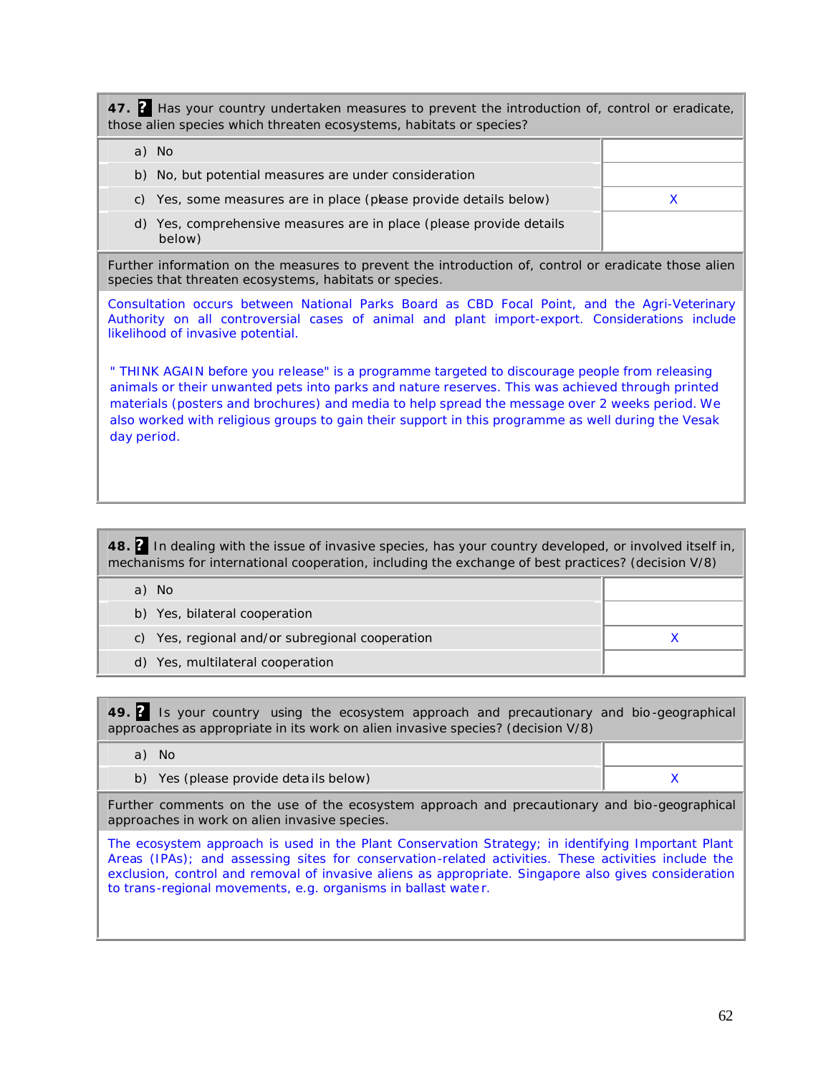**47. ?** Has your country undertaken measures to prevent the introduction of, control or eradicate, those alien species which threaten ecosystems, habitats or species?

| a) No                                                                            |  |
|----------------------------------------------------------------------------------|--|
| b) No, but potential measures are under consideration                            |  |
| c) Yes, some measures are in place (please provide details below)                |  |
| Yes, comprehensive measures are in place (please provide details<br>d)<br>below) |  |

Further information on the measures to prevent the introduction of, control or eradicate those alien species that threaten ecosystems, habitats or species.

Consultation occurs between National Parks Board as CBD Focal Point, and the Agri-Veterinary Authority on all controversial cases of animal and plant import-export. Considerations include likelihood of invasive potential.

" THINK AGAIN before you release" is a programme targeted to discourage people from releasing animals or their unwanted pets into parks and nature reserves. This was achieved through printed materials (posters and brochures) and media to help spread the message over 2 weeks period. We also worked with religious groups to gain their support in this programme as well during the Vesak day period.

**48. ?** In dealing with the issue of invasive species, has your country developed, or involved itself in, mechanisms for international cooperation, including the exchange of best practices? (decision V/8)

| - No<br>a)                                      |  |
|-------------------------------------------------|--|
| b) Yes, bilateral cooperation                   |  |
| c) Yes, regional and/or subregional cooperation |  |
| d) Yes, multilateral cooperation                |  |

**49. ?** Is your country using the ecosystem approach and precautionary and bio -geographical approaches as appropriate in its work on alien invasive species? (decision V/8)

| a) No                                                                                        |  |
|----------------------------------------------------------------------------------------------|--|
| b) Yes (please provide details below)                                                        |  |
| Eurther comments on the use of the esesystem approach and presentionary and bio geographical |  |

Further comments on the use of the ecosystem approach and precautionary and bio-geographical approaches in work on alien invasive species.

The ecosystem approach is used in the Plant Conservation Strategy; in identifying Important Plant Areas (IPAs); and assessing sites for conservation-related activities. These activities include the exclusion, control and removal of invasive aliens as appropriate. Singapore also gives consideration to trans-regional movements, e.g. organisms in ballast wate r.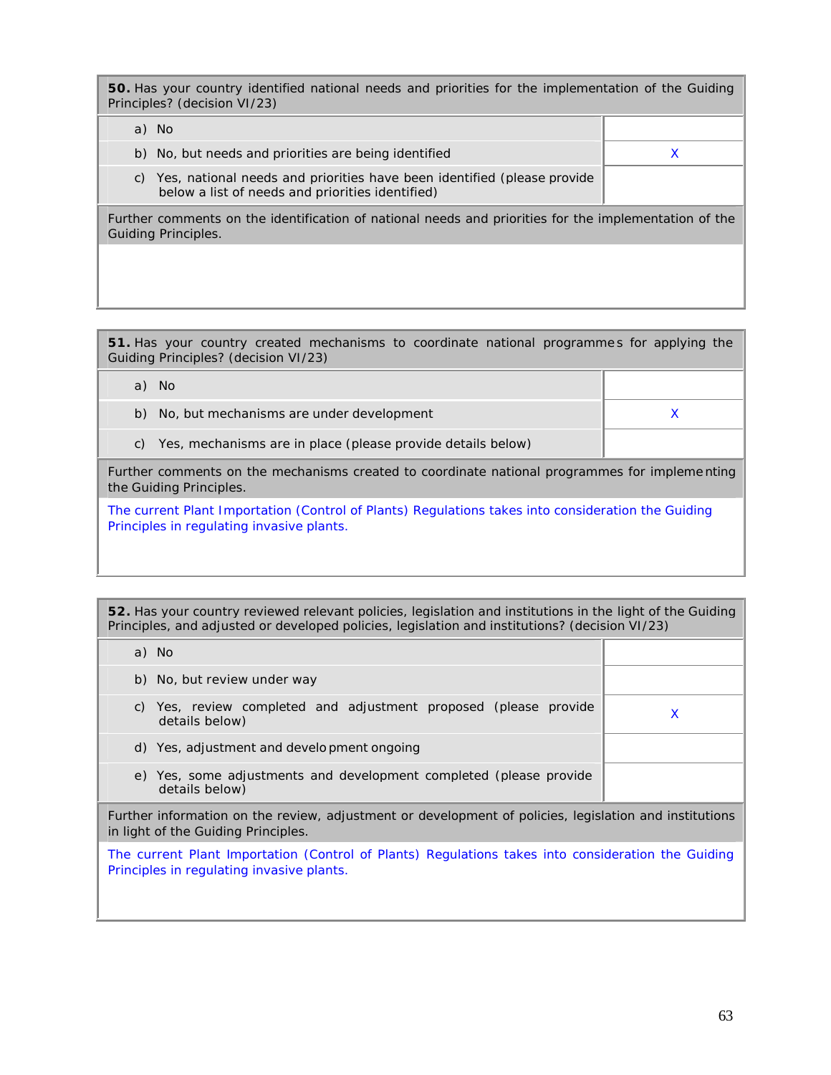**50.** Has your country identified national needs and priorities for the implementation of the Guiding Principles? (decision VI/23)

|    | a) No                                                                                                                       |  |
|----|-----------------------------------------------------------------------------------------------------------------------------|--|
|    | b) No, but needs and priorities are being identified                                                                        |  |
| C) | Yes, national needs and priorities have been identified (please provide<br>below a list of needs and priorities identified) |  |
|    | Further comments on the identification of national needs and priorities for the implementation of the                       |  |

Guiding Principles.

**51.** Has your country created mechanisms to coordinate national programme s for applying the Guiding Principles? (decision VI/23)

| a) No                                                                                                                                           |  |  |  |
|-------------------------------------------------------------------------------------------------------------------------------------------------|--|--|--|
| No, but mechanisms are under development<br>b)                                                                                                  |  |  |  |
| Yes, mechanisms are in place (please provide details below)<br>$\mathcal{C}$ )                                                                  |  |  |  |
| Further comments on the mechanisms created to coordinate national programmes for implementing<br>the Guiding Principles.                        |  |  |  |
| The current Plant Importation (Control of Plants) Regulations takes into consideration the Guiding<br>Principles in regulating invasive plants. |  |  |  |

**52.** Has your country reviewed relevant policies, legislation and institutions in the light of the Guiding Principles, and adjusted or developed policies, legislation and institutions? (decision VI/23)

| a) No                                                                                                                                           |   |  |
|-------------------------------------------------------------------------------------------------------------------------------------------------|---|--|
| b) No, but review under way                                                                                                                     |   |  |
| Yes, review completed and adjustment proposed (please provide<br>C)<br>details below)                                                           | X |  |
| d) Yes, adjustment and development ongoing                                                                                                      |   |  |
| e) Yes, some adjustments and development completed (please provide<br>details below)                                                            |   |  |
| Further information on the review, adjustment or development of policies, legislation and institutions<br>in light of the Guiding Principles.   |   |  |
| The current Plant Importation (Control of Plants) Regulations takes into consideration the Guiding<br>Principles in regulating invasive plants. |   |  |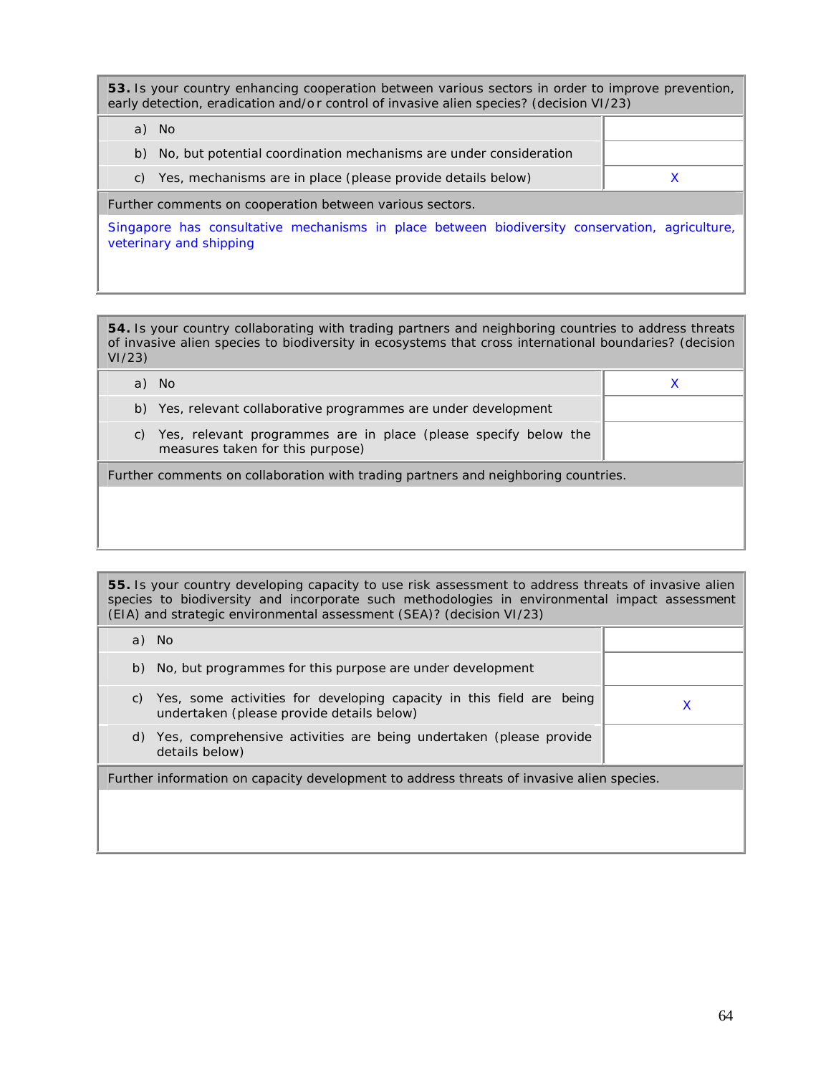**53.** Is your country enhancing cooperation between various sectors in order to improve prevention, early detection, eradication and/o r control of invasive alien species? (decision VI/23)

| a)                                                       | No.                                                                                            |  |  |
|----------------------------------------------------------|------------------------------------------------------------------------------------------------|--|--|
|                                                          | b) No, but potential coordination mechanisms are under consideration                           |  |  |
|                                                          | c) Yes, mechanisms are in place (please provide details below)                                 |  |  |
| Further comments on cooperation between various sectors. |                                                                                                |  |  |
|                                                          | Singapore has consultative mechanisms in place between biodiversity conservation, agriculture, |  |  |

veterinary and shipping

**54.** Is your country collaborating with trading partners and neighboring countries to address threats of invasive alien species to biodiversity in ecosystems that cross international boundaries? (decision VI/23)

| Further comments on collaboration with trading partners and neighboring countries. |
|------------------------------------------------------------------------------------|
|                                                                                    |
|                                                                                    |

**55.** Is your country developing capacity to use risk assessment to address threats of invasive alien species to biodiversity and incorporate such methodologies in environmental impact assessment (EIA) and strategic environmental assessment (SEA)? (decision VI/23)

|                                                                                           | a) No                                                                                                             |  |
|-------------------------------------------------------------------------------------------|-------------------------------------------------------------------------------------------------------------------|--|
| b)                                                                                        | No, but programmes for this purpose are under development                                                         |  |
| C)                                                                                        | Yes, some activities for developing capacity in this field are being<br>undertaken (please provide details below) |  |
| d)                                                                                        | Yes, comprehensive activities are being undertaken (please provide<br>details below)                              |  |
| Further information on capacity development to address threats of invasive alien species. |                                                                                                                   |  |
|                                                                                           |                                                                                                                   |  |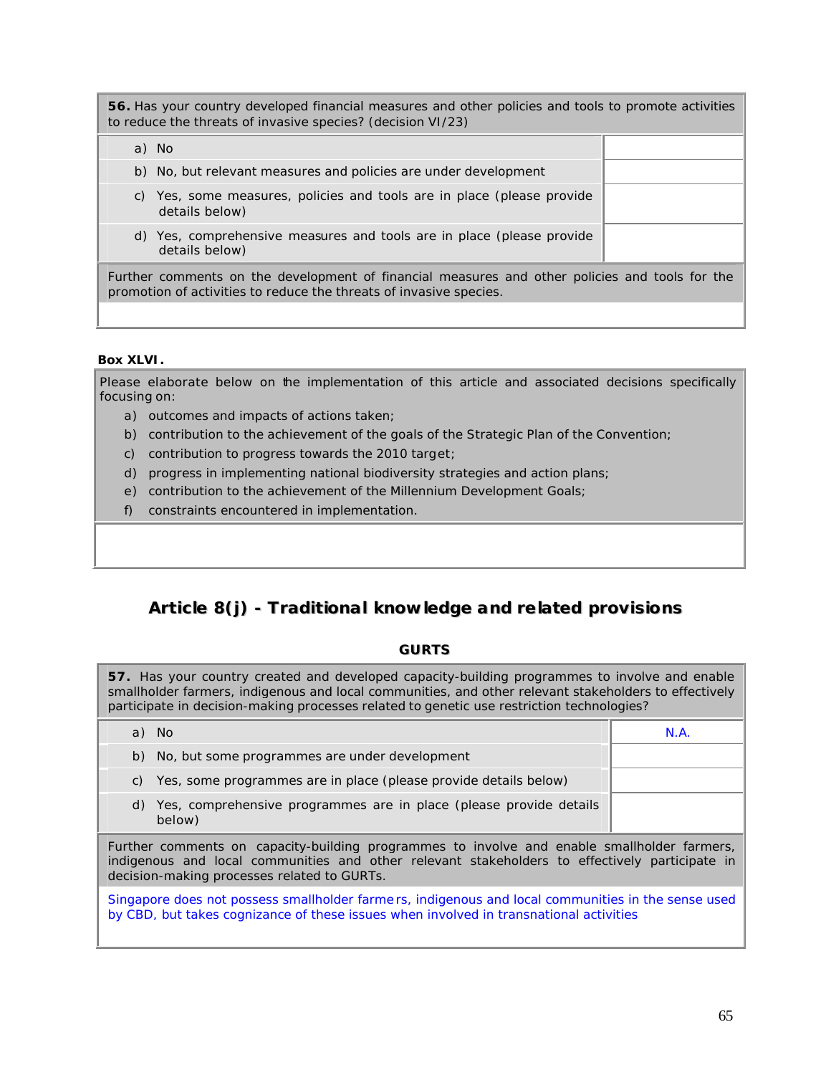**56.** Has your country developed financial measures and other policies and tools to promote activities to reduce the threats of invasive species? (decision VI/23)

a) No

- b) No, but relevant measures and policies are under development
- c) Yes, some measures, policies and tools are in place (please provide details below)
- d) Yes, comprehensive measures and tools are in place (please provide details below)

Further comments on the development of financial measures and other policies and tools for the promotion of activities to reduce the threats of invasive species.

#### **Box XLVI.**

Please elaborate below on the implementation of this article and associated decisions specifically focusing on:

- a) outcomes and impacts of actions taken;
- b) contribution to the achievement of the goals of the Strategic Plan of the Convention;
- c) contribution to progress towards the 2010 target;
- d) progress in implementing national biodiversity strategies and action plans;
- e) contribution to the achievement of the Millennium Development Goals;
- f) constraints encountered in implementation.

# **Article 8(j) - Traditional knowledge and related provisions**

#### **GURTS**

**57.** Has your country created and developed capacity-building programmes to involve and enable smallholder farmers, indigenous and local communities, and other relevant stakeholders to effectively participate in decision-making processes related to genetic use restriction technologies?

|                                                                                                                                                                                                                                              | a) No                                                                           | N.A. |  |
|----------------------------------------------------------------------------------------------------------------------------------------------------------------------------------------------------------------------------------------------|---------------------------------------------------------------------------------|------|--|
|                                                                                                                                                                                                                                              | b) No, but some programmes are under development                                |      |  |
| C)                                                                                                                                                                                                                                           | Yes, some programmes are in place (please provide details below)                |      |  |
|                                                                                                                                                                                                                                              | d) Yes, comprehensive programmes are in place (please provide details<br>below) |      |  |
| Further comments on capacity-building programmes to involve and enable smallholder farmers,<br>indigenous and local communities and other relevant stakeholders to effectively participate in<br>decision-making processes related to GURTs. |                                                                                 |      |  |
| Singapore does not possess smallholder farmers, indigenous and local communities in the sense used<br>by CBD, but takes cognizance of these issues when involved in transnational activities                                                 |                                                                                 |      |  |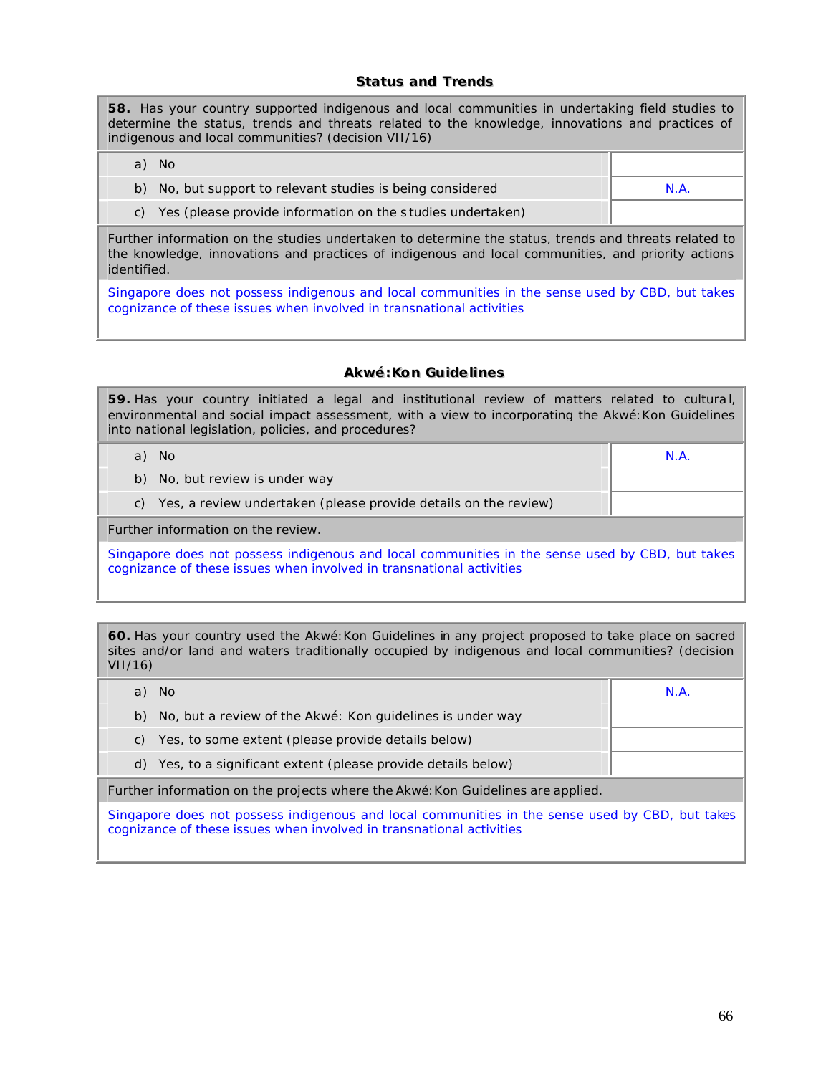#### **Status and Trends**

**58.** Has your country supported indigenous and local communities in undertaking field studies to determine the status, trends and threats related to the knowledge, innovations and practices of indigenous and local communities? (decision VII/16)

| a) No                                                      |      |
|------------------------------------------------------------|------|
| b) No, but support to relevant studies is being considered | N.A. |
| Yes (please provide information on the studies undertaken) |      |

Further information on the studies undertaken to determine the status, trends and threats related to the knowledge, innovations and practices of indigenous and local communities, and priority actions identified.

Singapore does not possess indigenous and local communities in the sense used by CBD, but takes cognizance of these issues when involved in transnational activities

#### **Akwé::Kon Guiidelliines**

**59.** Has your country initiated a legal and institutional review of matters related to cultura l, environmental and social impact assessment, with a view to incorporating the Akwé:Kon Guidelines into national legislation, policies, and procedures?

| a) No                                                                                                                                                                   | N.A. |  |
|-------------------------------------------------------------------------------------------------------------------------------------------------------------------------|------|--|
| b) No, but review is under way                                                                                                                                          |      |  |
| c) Yes, a review undertaken (please provide details on the review)                                                                                                      |      |  |
| Further information on the review.                                                                                                                                      |      |  |
| Singapore does not possess indigenous and local communities in the sense used by CBD, but takes<br>cognizance of these issues when involved in transnational activities |      |  |

**60.** Has your country used the Akwé: Kon Guidelines in any project proposed to take place on sacred sites and/or land and waters traditionally occupied by indigenous and local communities? (decision VII/16)

| a)                                                                                              | - No                                                                            | N.A. |
|-------------------------------------------------------------------------------------------------|---------------------------------------------------------------------------------|------|
|                                                                                                 | b) No, but a review of the Akwé: Kon quidelines is under way                    |      |
| C)                                                                                              | Yes, to some extent (please provide details below)                              |      |
|                                                                                                 | d) Yes, to a significant extent (please provide details below)                  |      |
|                                                                                                 | Further information on the projects where the Akwé: Kon Guidelines are applied. |      |
| Singapora doas not possass indigapous and local communitias in tha sansa usad by CRD, but takes |                                                                                 |      |

Singapore does not possess indigenous and local communities in the sense used by CBD, but takes cognizance of these issues when involved in transnational activities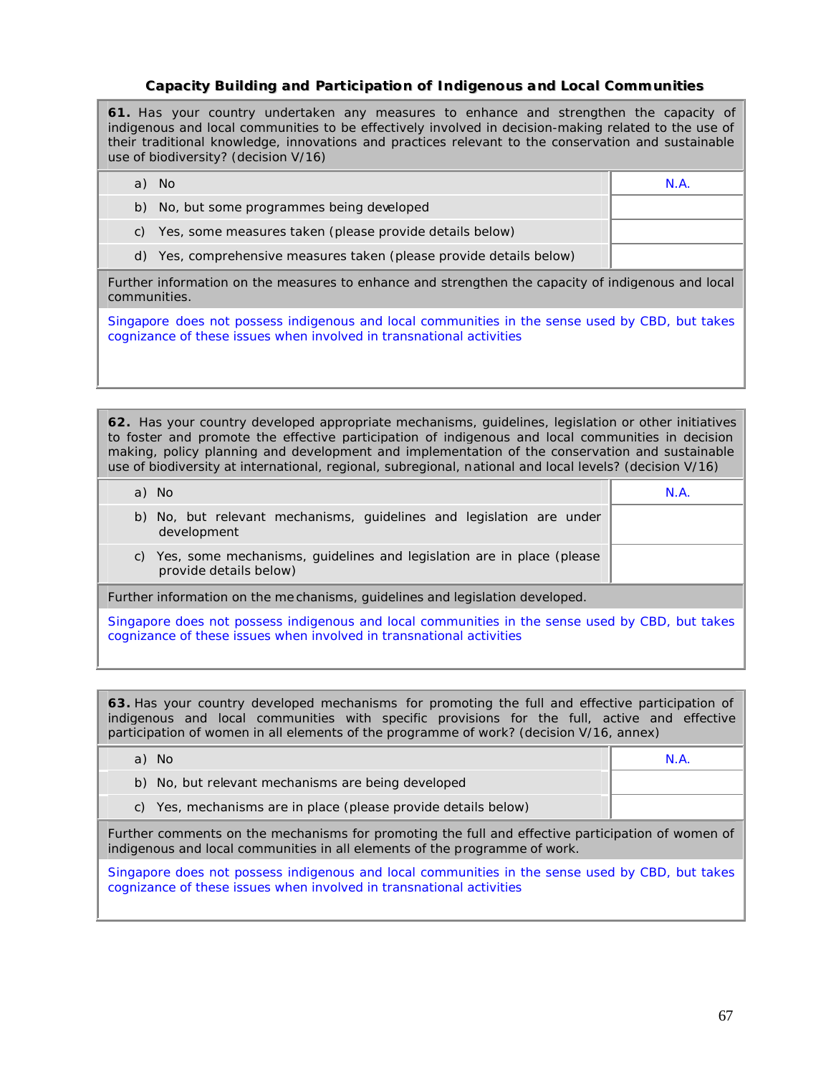#### **Capaciity Buiilldiing and Partiiciipatiion of IIndiigenous and Locall Communiitiies**

**61.** Has your country undertaken any measures to enhance and strengthen the capacity of indigenous and local communities to be effectively involved in decision-making related to the use of their traditional knowledge, innovations and practices relevant to the conservation and sustainable use of biodiversity? (decision V/16)

| No.                                                                                                                | N.A. |
|--------------------------------------------------------------------------------------------------------------------|------|
| b) No, but some programmes being developed                                                                         |      |
| Yes, some measures taken (please provide details below)<br>C)                                                      |      |
| d) Yes, comprehensive measures taken (please provide details below)                                                |      |
| Further information on the measures to enhance and strengthen the capacity of indigenous and local<br>communities. |      |

Singapore does not possess indigenous and local communities in the sense used by CBD, but takes cognizance of these issues when involved in transnational activities

**62.** Has your country developed appropriate mechanisms, guidelines, legislation or other initiatives to foster and promote the effective participation of indigenous and local communities in decision making, policy planning and development and implementation of the conservation and sustainable use of biodiversity at international, regional, subregional, national and local levels? (decision V/16)

| a) No                                                                                                 | N.A. |
|-------------------------------------------------------------------------------------------------------|------|
| b) No, but relevant mechanisms, guidelines and legislation are under<br>development                   |      |
| Yes, some mechanisms, guidelines and legislation are in place (please<br>C)<br>provide details below) |      |
| Further information on the me chanisms, guidelines and legislation developed.                         |      |

Singapore does not possess indigenous and local communities in the sense used by CBD, but takes cognizance of these issues when involved in transnational activities

**63.** Has your country developed mechanisms for promoting the full and effective participation of indigenous and local communities with specific provisions for the full, active and effective participation of women in all elements of the programme of work? (decision V/16, annex)

| a) No                                                                                                                                                                           | N.A. |  |
|---------------------------------------------------------------------------------------------------------------------------------------------------------------------------------|------|--|
| b) No, but relevant mechanisms are being developed                                                                                                                              |      |  |
| c) Yes, mechanisms are in place (please provide details below)                                                                                                                  |      |  |
| Further comments on the mechanisms for promoting the full and effective participation of women of<br>indigenous and local communities in all elements of the programme of work. |      |  |
| Singapore does not possess indigenous and local communities in the sense used by CBD, but takes                                                                                 |      |  |

cognizance of these issues when involved in transnational activities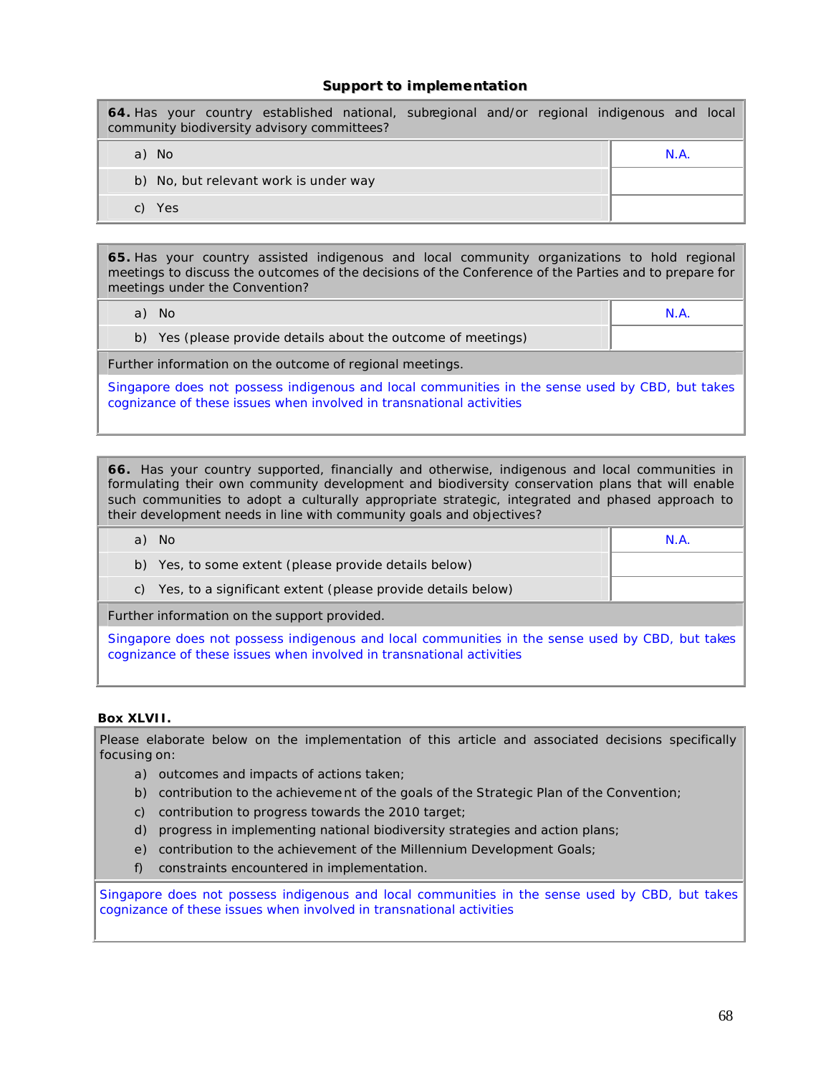#### **Support to implementation**

**64.** Has your country established national, subregional and/or regional indigenous and local community biodiversity advisory committees?

a) No N.A.

- b) No, but relevant work is under way
- c) Yes

**65.** Has your country assisted indigenous and local community organizations to hold regional meetings to discuss the outcomes of the decisions of the Conference of the Parties and to prepare for meetings under the Convention?

| a) No                                                                                                                                                                                                                                | N.A. |  |
|--------------------------------------------------------------------------------------------------------------------------------------------------------------------------------------------------------------------------------------|------|--|
| b) Yes (please provide details about the outcome of meetings)                                                                                                                                                                        |      |  |
| Further information on the outcome of regional meetings.                                                                                                                                                                             |      |  |
| <u>of the second the second in the second in the second in the second in the second in the second in the second in the second in the second in the second in the second in the second in the second in the second in the second </u> |      |  |

Singapore does not possess indigenous and local communities in the sense used by CBD, but takes cognizance of these issues when involved in transnational activities

**66.** Has your country supported, financially and otherwise, indigenous and local communities in formulating their own community development and biodiversity conservation plans that will enable such communities to adopt a culturally appropriate strategic, integrated and phased approach to their development needs in line with community goals and objectives?

| a) No                                                                                           | N.A. |  |
|-------------------------------------------------------------------------------------------------|------|--|
| b) Yes, to some extent (please provide details below)                                           |      |  |
| Yes, to a significant extent (please provide details below)<br>C)                               |      |  |
| Further information on the support provided.                                                    |      |  |
| Singapore does not possess indigenous and local communities in the sense used by CRD, but takes |      |  |

Singapore does not possess indigenous and local communities in the sense used by CBD, but takes cognizance of these issues when involved in transnational activities

#### **Box XLVII.**

Please elaborate below on the implementation of this article and associated decisions specifically focusing on:

- a) outcomes and impacts of actions taken;
- b) contribution to the achieveme nt of the goals of the Strategic Plan of the Convention;
- c) contribution to progress towards the 2010 target;
- d) progress in implementing national biodiversity strategies and action plans;
- e) contribution to the achievement of the Millennium Development Goals;
- f) constraints encountered in implementation.

Singapore does not possess indigenous and local communities in the sense used by CBD, but takes cognizance of these issues when involved in transnational activities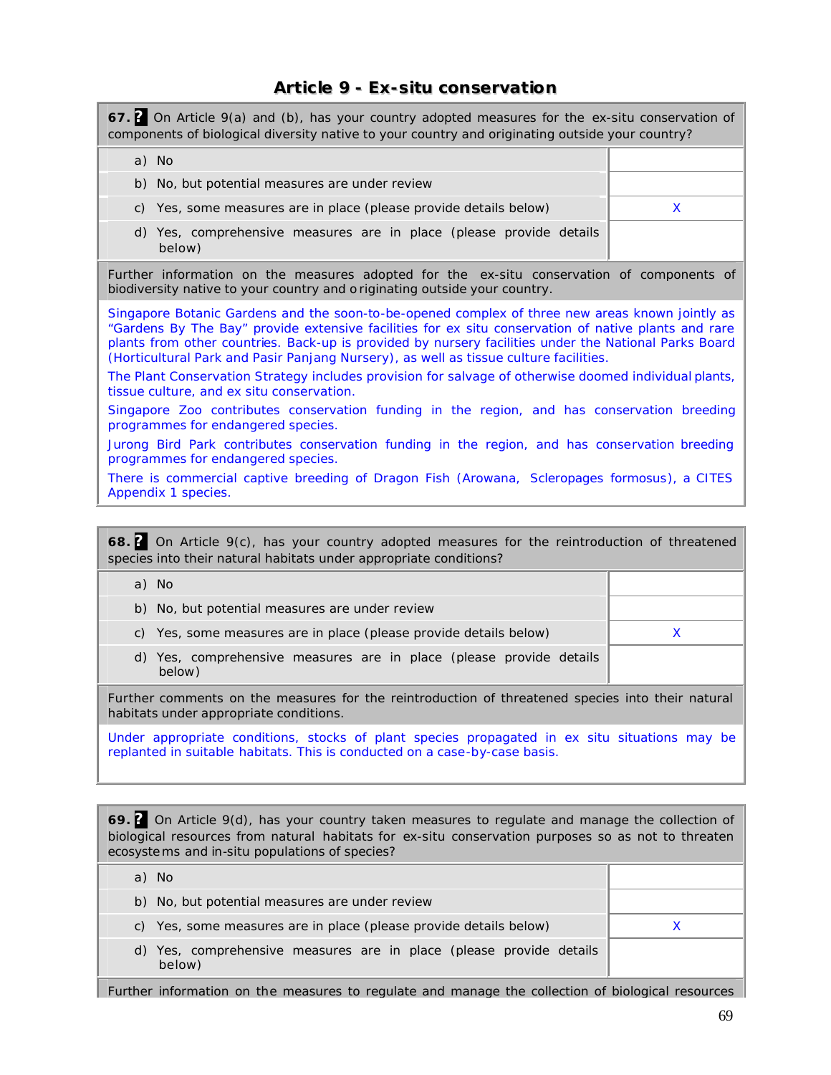## **Article 9 -** *Ex-situ* **conservation**

**67. ?** On Article 9(a) and (b), has your country adopted measures for the *ex-situ* conservation of components of biological diversity native to your country and originating outside your country? a) No b) No, but potential measures are under review c) Yes, some measures are in place (please provide details below)  $\times$ d) Yes, comprehensive measures are in place (please provide details below) Further information on the measures adopted for the *ex-situ* conservation of components of biodiversity native to your country and o riginating outside your country. Singapore Botanic Gardens and the soon-to-be-opened complex of three new areas known jointly as "Gardens By The Bay" provide extensive facilities for ex situ conservation of native plants and rare plants from other countries. Back-up is provided by nursery facilities under the National Parks Board (Horticultural Park and Pasir Panjang Nursery), as well as tissue culture facilities. The Plant Conservation Strategy includes provision for salvage of otherwise doomed individual plants, tissue culture, and ex situ conservation. Singapore Zoo contributes conservation funding in the region, and has conservation breeding programmes for endangered species. Jurong Bird Park contributes conservation funding in the region, and has conservation breeding programmes for endangered species. There is commercial captive breeding of Dragon Fish (Arowana, *Scleropages formosus*), a CITES Appendix 1 species.

**68. ?** On Article 9(c), has your country adopted measures for the reintroduction of threatened species into their natural habitats under appropriate conditions? a) No b) No, but potential measures are under review c) Yes, some measures are in place (please provide details below)  $\times$ d) Yes, comprehensive measures are in place (please provide details below) Further comments on the measures for the reintroduction of threatened species into their natural habitats under appropriate conditions. Under appropriate conditions, stocks of plant species propagated in ex situ situations may be replanted in suitable habitats. This is conducted on a case-by-case basis.

**69. ?** On Article 9(d), has your country taken measures to regulate and manage the collection of biological resources from natural habitats for *ex-situ* conservation purposes so as not to threaten ecosystems and *in-situ* populations of species?

| - No<br>a)                                                                    |  |
|-------------------------------------------------------------------------------|--|
| b) No, but potential measures are under review                                |  |
| c) Yes, some measures are in place (please provide details below)             |  |
| d) Yes, comprehensive measures are in place (please provide details<br>below) |  |

Further information on the measures to regulate and manage the collection of biological resources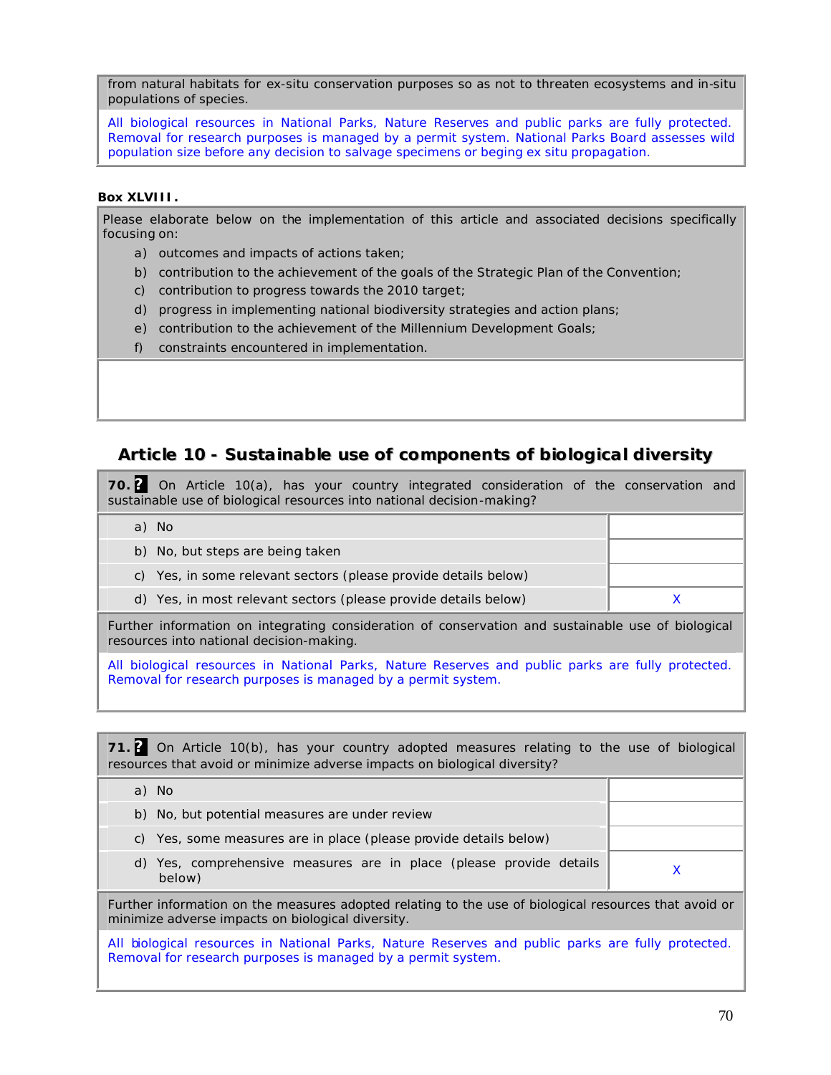from natural habitats for *ex-situ* conservation purposes so as not to threaten ecosystems and *in-situ* populations of species.

All biological resources in National Parks, Nature Reserves and public parks are fully protected. Removal for research purposes is managed by a permit system. National Parks Board assesses wild population size before any decision to salvage specimens or beging ex situ propagation.

#### **Box XLVIII.**

Please elaborate below on the implementation of this article and associated decisions specifically focusing on:

- a) outcomes and impacts of actions taken;
- b) contribution to the achievement of the goals of the Strategic Plan of the Convention;
- c) contribution to progress towards the 2010 target;
- d) progress in implementing national biodiversity strategies and action plans;
- e) contribution to the achievement of the Millennium Development Goals;
- f) constraints encountered in implementation.

### **Article 10 - Sustainable use of components of biological diversity**

**70. ?** On Article 10(a), has your country integrated consideration of the conservation and sustainable use of biological resources into national decision-making?

a) No

| b) No, but steps are being taken                                |  |
|-----------------------------------------------------------------|--|
| c) Yes, in some relevant sectors (please provide details below) |  |
| d) Yes, in most relevant sectors (please provide details below) |  |

Further information on integrating consideration of conservation and sustainable use of biological resources into national decision-making.

All biological resources in National Parks, Nature Reserves and public parks are fully protected. Removal for research purposes is managed by a permit system.

**71. ?** On Article 10(b), has your country adopted measures relating to the use of biological resources that avoid or minimize adverse impacts on biological diversity? a) No b) No, but potential measures are under review c) Yes, some measures are in place (please provide details below) d) Yes, comprehensive measures are in place (please provide details below) <sup>X</sup>

Further information on the measures adopted relating to the use of biological resources that avoid or minimize adverse impacts on biological diversity.

All biological resources in National Parks, Nature Reserves and public parks are fully protected. Removal for research purposes is managed by a permit system.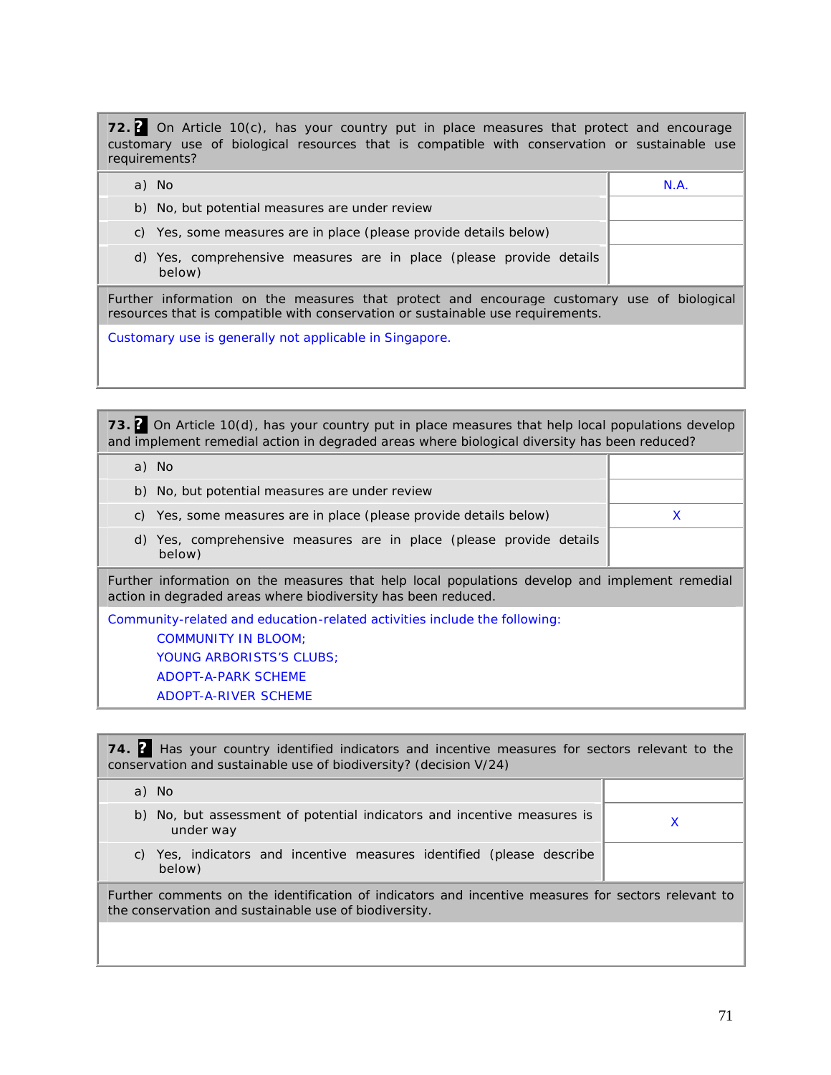**72. ?** On Article 10(c), has your country put in place measures that protect and encourage customary use of biological resources that is compatible with conservation or sustainable use requirements?

| a) No                                                                                                                                                                         | N.A. |  |
|-------------------------------------------------------------------------------------------------------------------------------------------------------------------------------|------|--|
| b) No, but potential measures are under review                                                                                                                                |      |  |
| c) Yes, some measures are in place (please provide details below)                                                                                                             |      |  |
| d) Yes, comprehensive measures are in place (please provide details<br>below)                                                                                                 |      |  |
| Further information on the measures that protect and encourage customary use of biological<br>resources that is compatible with conservation or sustainable use requirements. |      |  |
| Customary use is generally not applicable in Singapore.                                                                                                                       |      |  |

**73. ?** On Article 10(d), has your country put in place measures that help local populations develop and implement remedial action in degraded areas where biological diversity has been reduced?

| a) No                                                                                                                                                                                            |   |
|--------------------------------------------------------------------------------------------------------------------------------------------------------------------------------------------------|---|
| b) No, but potential measures are under review                                                                                                                                                   |   |
| c) Yes, some measures are in place (please provide details below)                                                                                                                                | X |
| d) Yes, comprehensive measures are in place (please provide details<br>below)                                                                                                                    |   |
| Further information on the measures that help local populations develop and implement remedial<br>action in degraded areas where biodiversity has been reduced.                                  |   |
| Community-related and education-related activities include the following:<br><b>COMMUNITY IN BLOOM:</b><br><b>YOUNG ARBORISTS'S CLUBS:</b><br><b>ADOPT-A-PARK SCHEME</b><br>ADOPT-A-RIVER SCHEME |   |

| 74. <sup>2</sup> Has your country identified indicators and incentive measures for sectors relevant to the<br>conservation and sustainable use of biodiversity? (decision V/24) |  |  |  |
|---------------------------------------------------------------------------------------------------------------------------------------------------------------------------------|--|--|--|
| a) No                                                                                                                                                                           |  |  |  |
| b) No, but assessment of potential indicators and incentive measures is<br>under way                                                                                            |  |  |  |
| c) Yes, indicators and incentive measures identified (please describe<br>below)                                                                                                 |  |  |  |
| Further comments on the identification of indicators and incentive measures for sectors relevant to<br>the conservation and sustainable use of biodiversity.                    |  |  |  |
|                                                                                                                                                                                 |  |  |  |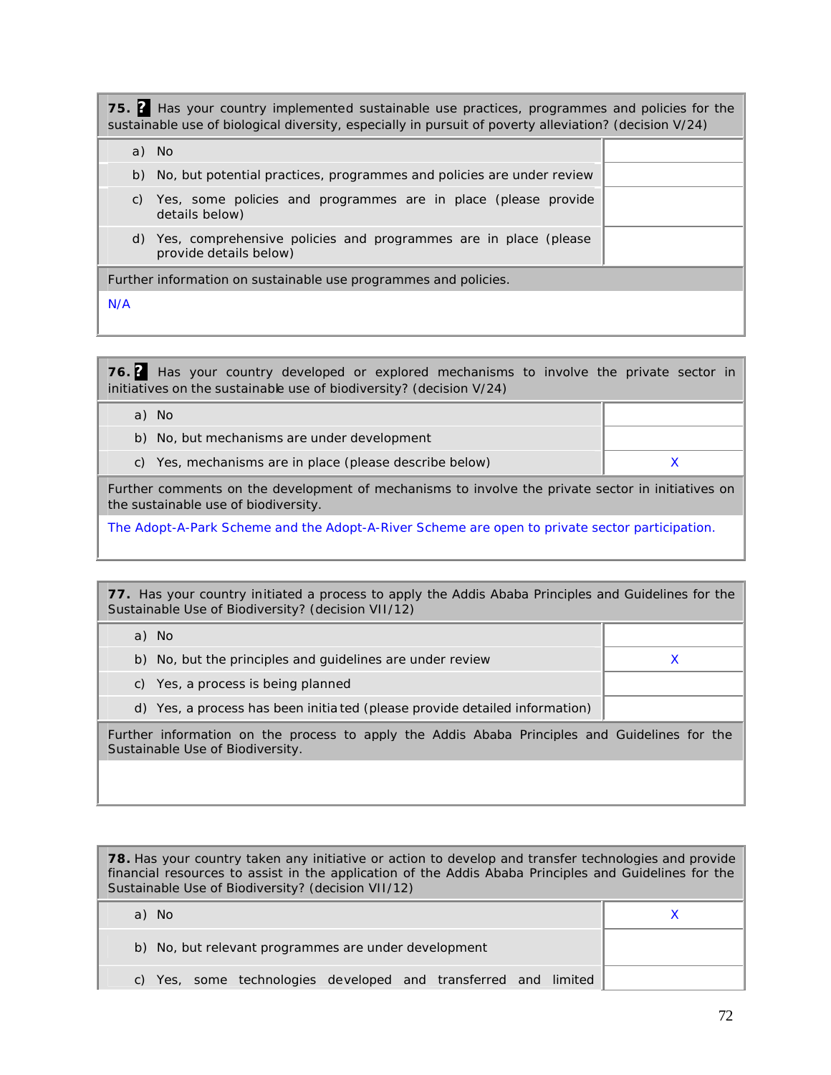**75. ?** Has your country implemented sustainable use practices, programmes and policies for the sustainable use of biological diversity, especially in pursuit of poverty alleviation? (decision V/24)

|     | a) No                                                                                     |  |
|-----|-------------------------------------------------------------------------------------------|--|
|     | b) No, but potential practices, programmes and policies are under review                  |  |
| C)  | Yes, some policies and programmes are in place (please provide<br>details below)          |  |
| d)  | Yes, comprehensive policies and programmes are in place (please<br>provide details below) |  |
|     | Further information on sustainable use programmes and policies.                           |  |
| N/A |                                                                                           |  |

**76. ?** Has your country developed or explored mechanisms to involve the private sector in initiatives on the sustainable use of biodiversity? (decision V/24)

| a) No                                                   |  |
|---------------------------------------------------------|--|
| b) No, but mechanisms are under development             |  |
| c) Yes, mechanisms are in place (please describe below) |  |

Further comments on the development of mechanisms to involve the private sector in initiatives on the sustainable use of biodiversity.

The Adopt-A-Park Scheme and the Adopt-A-River Scheme are open to private sector participation.

**77.** Has your country initiated a process to apply the Addis Ababa Principles and Guidelines for the Sustainable Use of Biodiversity? (decision VII/12)

| a) No                                                                                         |  |
|-----------------------------------------------------------------------------------------------|--|
| b) No, but the principles and guidelines are under review                                     |  |
| c) Yes, a process is being planned                                                            |  |
| d) Yes, a process has been initia ted (please provide detailed information)                   |  |
| Eurther information on the process to apply the Addis Ababa Drinciples and Cuidelines for the |  |

urther information on the process to apply the Addis Ababa Principles Sustainable Use of Biodiversity.

**78.** Has your country taken any initiative or action to develop and transfer technologies and provide financial resources to assist in the application of the Addis Ababa Principles and Guidelines for the Sustainable Use of Biodiversity? (decision VII/12)

| a) No                                                           |  |
|-----------------------------------------------------------------|--|
| b) No, but relevant programmes are under development            |  |
| c) Yes, some technologies developed and transferred and limited |  |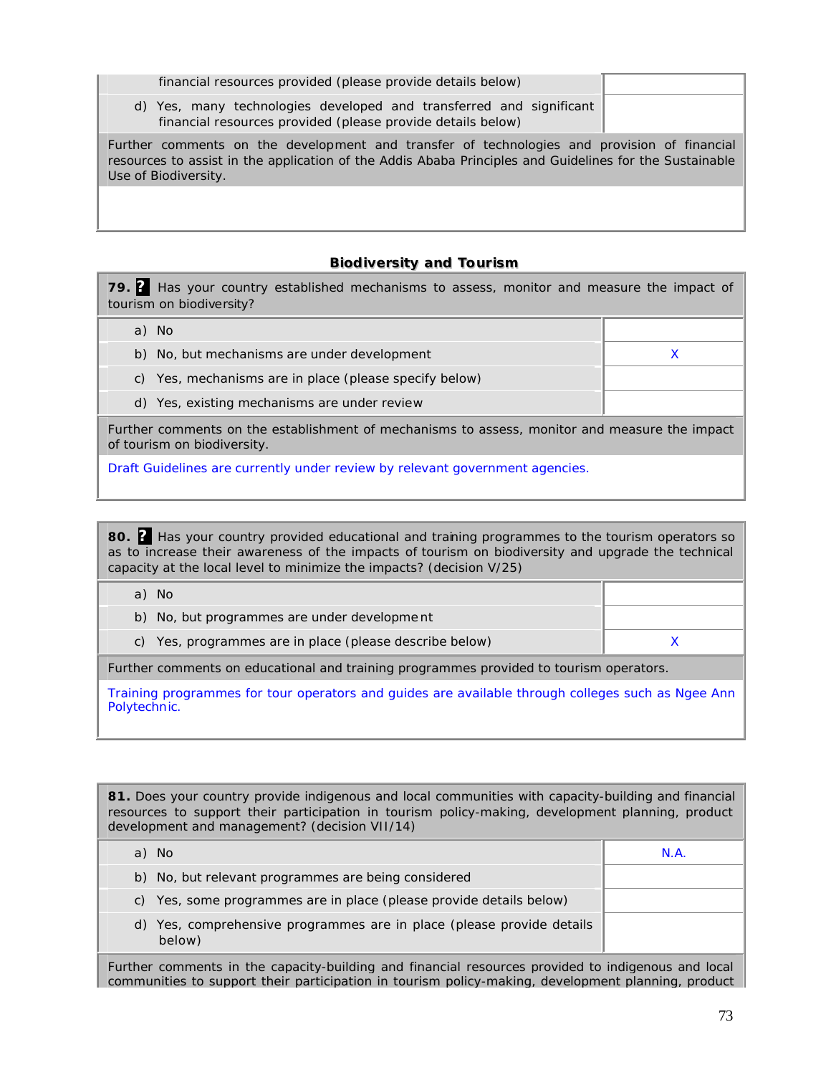| financial resources provided (please provide details below)                                                                                                                                                                    |  |
|--------------------------------------------------------------------------------------------------------------------------------------------------------------------------------------------------------------------------------|--|
| d) Yes, many technologies developed and transferred and significant<br>financial resources provided (please provide details below)                                                                                             |  |
| Further comments on the development and transfer of technologies and provision of financial<br>resources to assist in the application of the Addis Ababa Principles and Guidelines for the Sustainable<br>Use of Biodiversity. |  |
|                                                                                                                                                                                                                                |  |
|                                                                                                                                                                                                                                |  |

### **Biodiversity and Tourism**

**79. ?** Has your country established mechanisms to assess, monitor and measure the impact of tourism on biodiversity?

a) No

- b) No, but mechanisms are under development  $X$
- c) Yes, mechanisms are in place (please specify below)
- d) Yes, existing mechanisms are under review

Further comments on the establishment of mechanisms to assess, monitor and measure the impact of tourism on biodiversity.

Draft Guidelines are currently under review by relevant government agencies.

80. **?** Has your country provided educational and training programmes to the tourism operators so as to increase their awareness of the impacts of tourism on biodiversity and upgrade the technical capacity at the local level to minimize the impacts? (decision V/25)

| a) No                                                   |  |
|---------------------------------------------------------|--|
| b) No, but programmes are under development             |  |
| c) Yes, programmes are in place (please describe below) |  |
|                                                         |  |

Further comments on educational and training programmes provided to tourism operators.

Training programmes for tour operators and guides are available through colleges such as Ngee Ann Polytechnic.

**81.** Does your country provide indigenous and local communities with capacity-building and financial resources to support their participation in tourism policy-making, development planning, product development and management? (decision VII/14)

| a) No                                                                           | N.A |
|---------------------------------------------------------------------------------|-----|
| b) No, but relevant programmes are being considered                             |     |
| c) Yes, some programmes are in place (please provide details below)             |     |
| d) Yes, comprehensive programmes are in place (please provide details<br>below) |     |

Further comments in the capacity-building and financial resources provided to indigenous and local communities to support their participation in tourism policy-making, development planning, product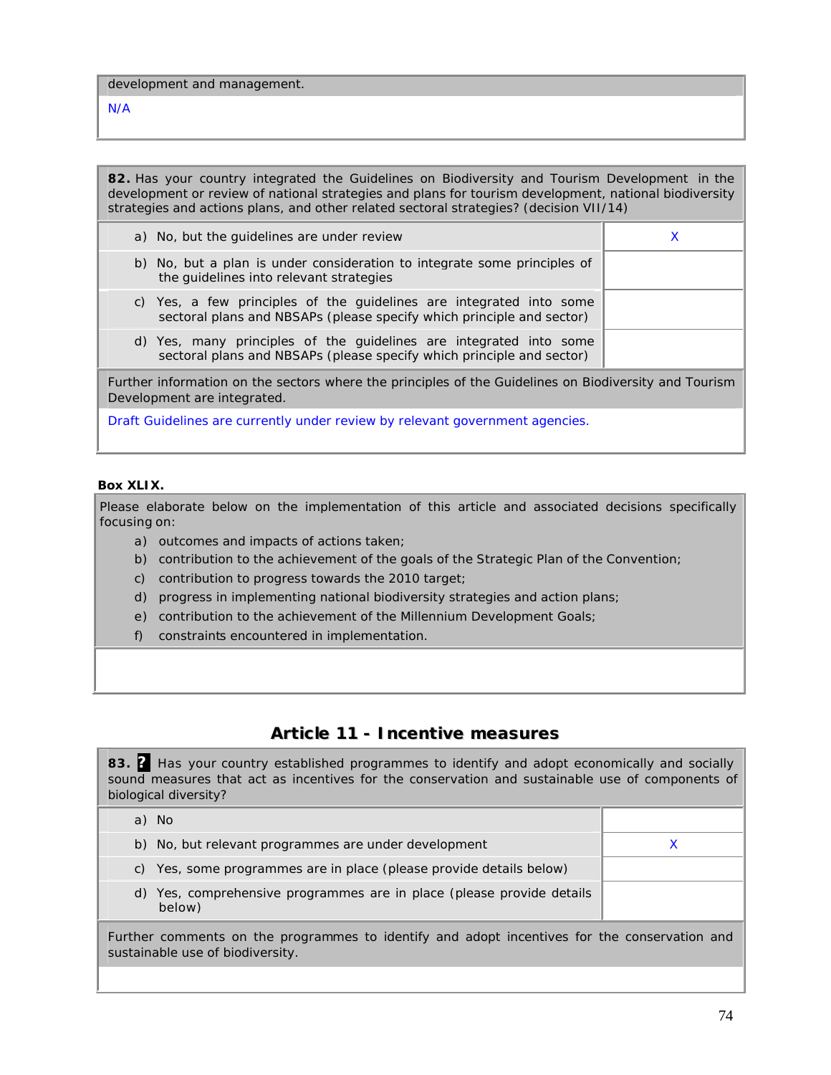development and management.

N/A

**82.** Has your country integrated the Guidelines on Biodiversity and Tourism Development in the development or review of national strategies and plans for tourism development, national biodiversity strategies and actions plans, and other related sectoral strategies? (decision VII/14)

a) No, but the guidelines are under review X b) No, but a plan is under consideration to integrate some principles of the guidelines into relevant strategies c) Yes, a few principles of the guidelines are integrated into some sectoral plans and NBSAPs (please specify which principle and sector) d) Yes, many principles of the guidelines are integrated into some sectoral plans and NBSAPs (please specify which principle and sector)

Further information on the sectors where the principles of the Guidelines on Biodiversity and Tourism Development are integrated.

Draft Guidelines are currently under review by relevant government agencies.

#### **Box XLIX.**

Please elaborate below on the implementation of this article and associated decisions specifically focusing on:

- a) outcomes and impacts of actions taken;
- b) contribution to the achievement of the goals of the Strategic Plan of the Convention;
- c) contribution to progress towards the 2010 target;
- d) progress in implementing national biodiversity strategies and action plans;
- e) contribution to the achievement of the Millennium Development Goals;
- f) constraints encountered in implementation.

# **Article 11 - Incentive measures**

**83. ?** Has your country established programmes to identify and adopt economically and socially sound measures that act as incentives for the conservation and sustainable use of components of biological diversity? a) No b) No, but relevant programmes are under development X c) Yes, some programmes are in place (please provide details below) d) Yes, comprehensive programmes are in place (please provide details below)

Further comments on the programmes to identify and adopt incentives for the conservation and sustainable use of biodiversity.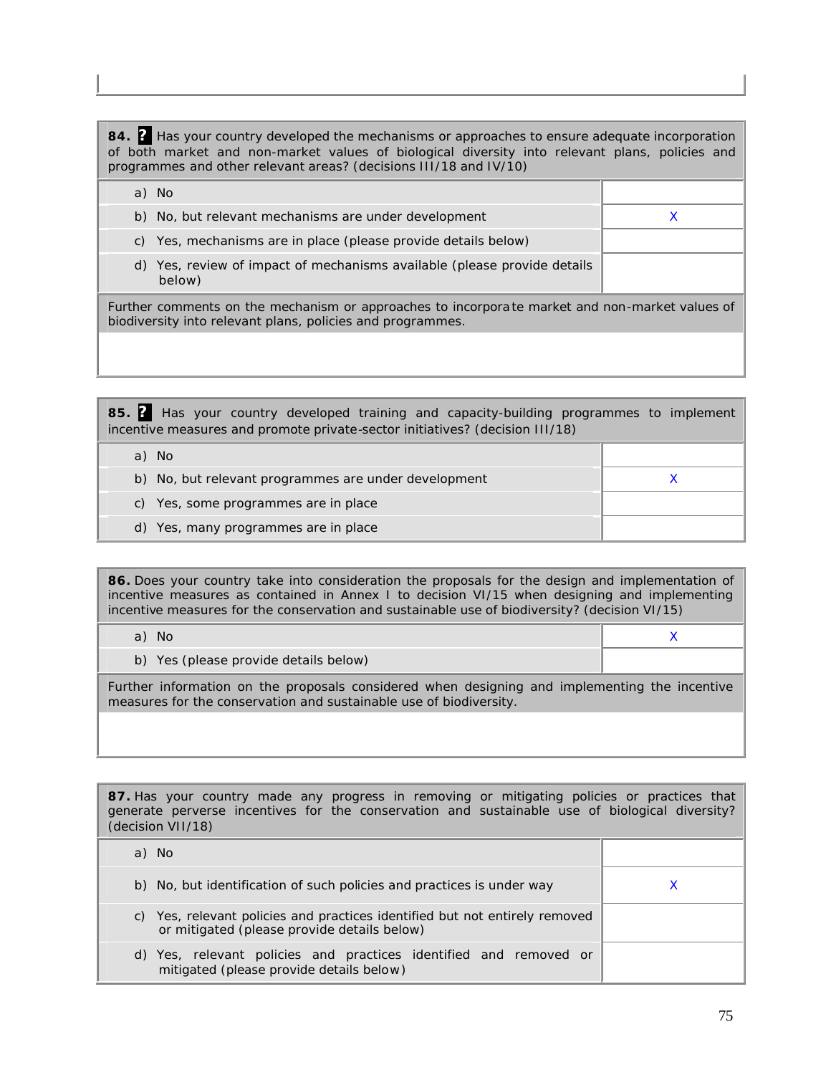**84. ?** Has your country developed the mechanisms or approaches to ensure adequate incorporation of both market and non-market values of biological diversity into relevant plans, policies and programmes and other relevant areas? (decisions III/18 and IV/10) a) No b) No, but relevant mechanisms are under development X X c) Yes, mechanisms are in place (please provide details below) d) Yes, review of impact of mechanisms available (please provide details below) Further comments on the mechanism or approaches to incorpora te market and non-market values of biodiversity into relevant plans, policies and programmes.

**85. ?** Has your country developed training and capacity-building programmes to implement incentive measures and promote private-sector initiatives? (decision III/18)

| - No                                                 |  |
|------------------------------------------------------|--|
| b) No, but relevant programmes are under development |  |
| c) Yes, some programmes are in place                 |  |
| d) Yes, many programmes are in place                 |  |

**86.** Does your country take into consideration the proposals for the design and implementation of incentive measures as contained in Annex I to decision VI/15 when designing and implementing incentive measures for the conservation and sustainable use of biodiversity? (decision VI/15)

| a) No                                 |  |
|---------------------------------------|--|
| b) Yes (please provide details below) |  |

Further information on the proposals considered when designing and implementing the incentive measures for the conservation and sustainable use of biodiversity.

| <b>87.</b> Has your country made any progress in removing or mitigating policies or practices that<br>generate perverse incentives for the conservation and sustainable use of biological diversity?<br>(decision VII/18) |   |
|---------------------------------------------------------------------------------------------------------------------------------------------------------------------------------------------------------------------------|---|
| a) No                                                                                                                                                                                                                     |   |
| b) No, but identification of such policies and practices is under way                                                                                                                                                     | х |
| c) Yes, relevant policies and practices identified but not entirely removed<br>or mitigated (please provide details below)                                                                                                |   |
| d) Yes, relevant policies and practices identified and removed or<br>mitigated (please provide details below)                                                                                                             |   |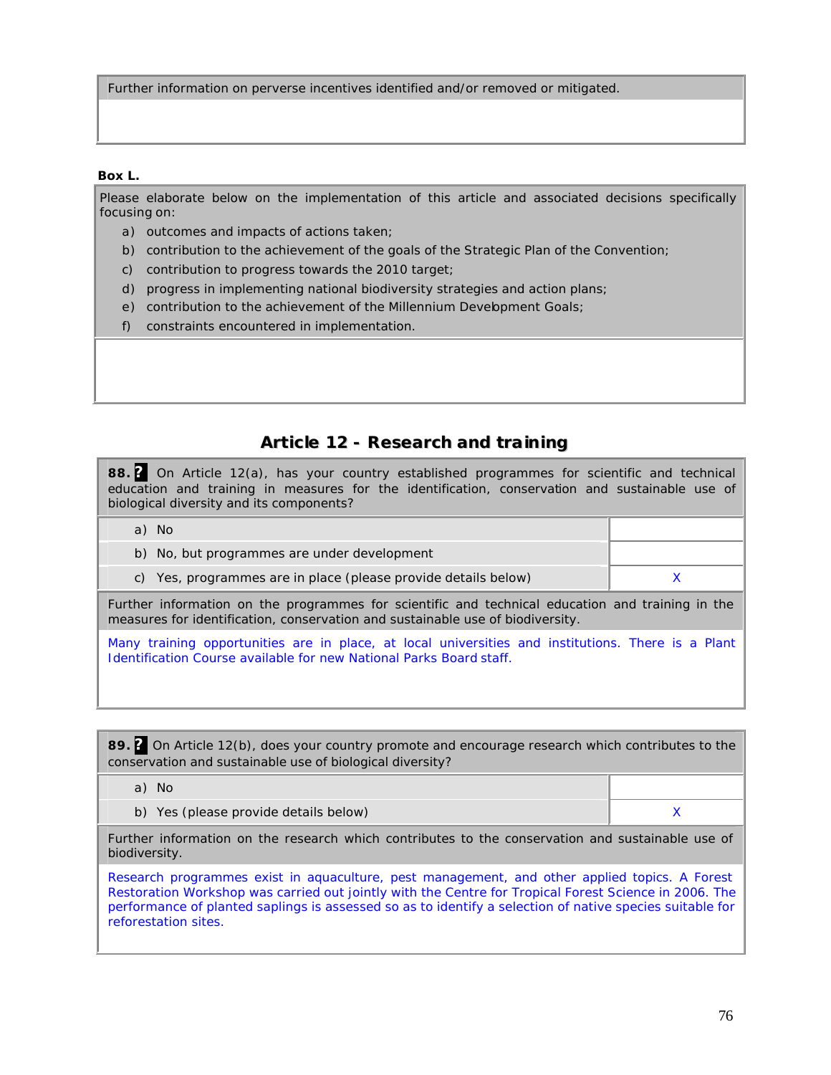Further information on perverse incentives identified and/or removed or mitigated.

#### **Box L.**

Please elaborate below on the implementation of this article and associated decisions specifically focusing on:

- a) outcomes and impacts of actions taken;
- b) contribution to the achievement of the goals of the Strategic Plan of the Convention;
- c) contribution to progress towards the 2010 target;
- d) progress in implementing national biodiversity strategies and action plans;
- e) contribution to the achievement of the Millennium Development Goals;
- f) constraints encountered in implementation.

# **Article 12 - Research and training**

**88. ?** On Article 12(a), has your country established programmes for scientific and technical education and training in measures for the identification, conservation and sustainable use of biological diversity and its components?

a) No

b) No, but programmes are under development c) Yes, programmes are in place (please provide details below)  $\times$ 

Further information on the programmes for scientific and technical education and training in the measures for identification, conservation and sustainable use of biodiversity.

Many training opportunities are in place, at local universities and institutions. There is a Plant Identification Course available for new National Parks Board staff.

**89. ?** On Article 12(b), does your country promote and encourage research which contributes to the conservation and sustainable use of biological diversity?

- a) No
- b) Yes (please provide details below) and the set of the set of the set of the set of the set of the set of the  $X$

Further information on the research which contributes to the conservation and sustainable use of biodiversity.

Research programmes exist in aquaculture, pest management, and other applied topics. A Forest Restoration Workshop was carried out jointly with the Centre for Tropical Forest Science in 2006. The performance of planted saplings is assessed so as to identify a selection of native species suitable for reforestation sites.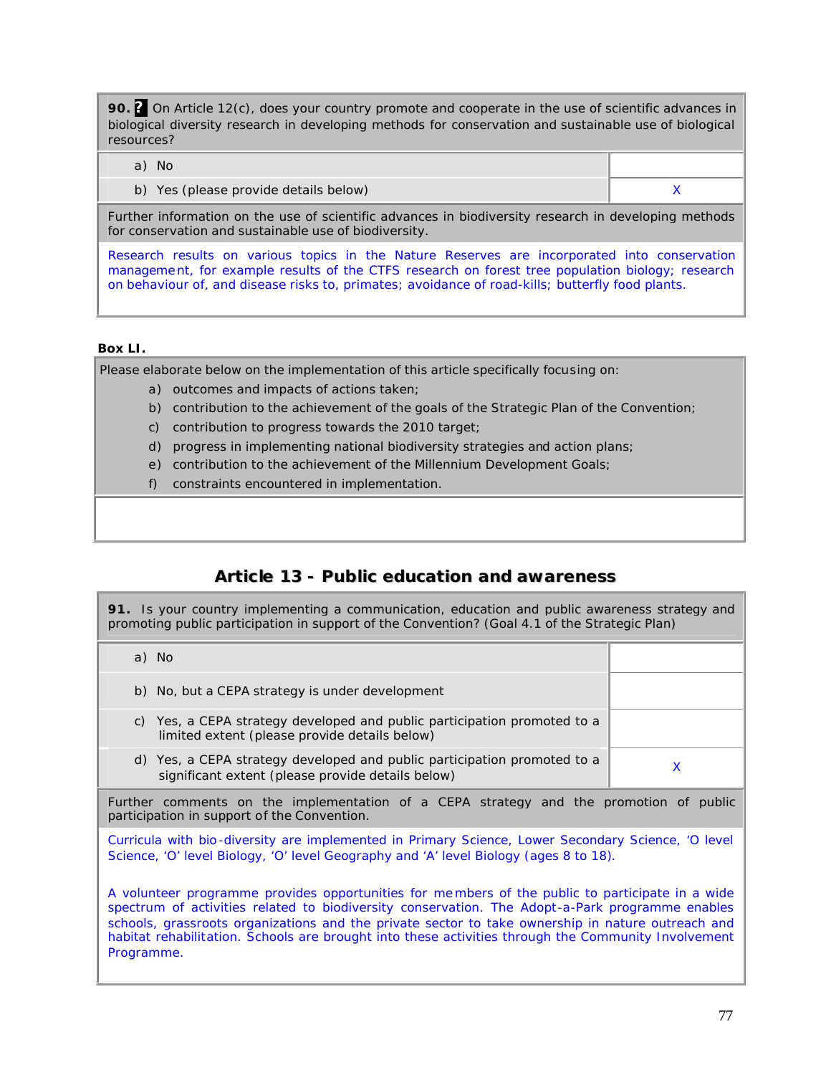**90. ?** On Article 12(c), does your country promote and cooperate in the use of scientific advances in biological diversity research in developing methods for conservation and sustainable use of biological resources?

- a) No
	- b) Yes (please provide details below) and the set of the set of the set of the set of the set of the set of the  $X$

Further information on the use of scientific advances in biodiversity research in developing methods for conservation and sustainable use of biodiversity.

Research results on various topics in the Nature Reserves are incorporated into conservation management, for example results of the CTFS research on forest tree population biology; research on behaviour of, and disease risks to, primates; avoidance of road-kills; butterfly food plants.

#### **Box LI.**

Please elaborate below on the implementation of this article specifically focusing on:

- a) outcomes and impacts of actions taken;
- b) contribution to the achievement of the goals of the Strategic Plan of the Convention;
- c) contribution to progress towards the 2010 target;
- d) progress in implementing national biodiversity strategies and action plans;
- e) contribution to the achievement of the Millennium Development Goals;
- f) constraints encountered in implementation.

# **Article 13 - Public education and awareness**

**91.** Is your country implementing a communication, education and public awareness strategy and promoting public participation in support of the Convention? (Goal 4.1 of the Strategic Plan)

| - No                                                                                                                             |  |
|----------------------------------------------------------------------------------------------------------------------------------|--|
| b) No, but a CEPA strategy is under development                                                                                  |  |
| Yes, a CEPA strategy developed and public participation promoted to a<br>C)<br>limited extent (please provide details below)     |  |
| Yes, a CEPA strategy developed and public participation promoted to a<br>d)<br>significant extent (please provide details below) |  |

Further comments on the implementation of a CEPA strategy and the promotion of public participation in support of the Convention.

Curricula with bio -diversity are implemented in Primary Science, Lower Secondary Science, 'O level Science, 'O' level Biology, 'O' level Geography and 'A' level Biology (ages 8 to 18).

A volunteer programme provides opportunities for me mbers of the public to participate in a wide spectrum of activities related to biodiversity conservation. The Adopt-a-Park programme enables schools, grassroots organizations and the private sector to take ownership in nature outreach and habitat rehabilitation. Schools are brought into these activities through the Community Involvement Programme.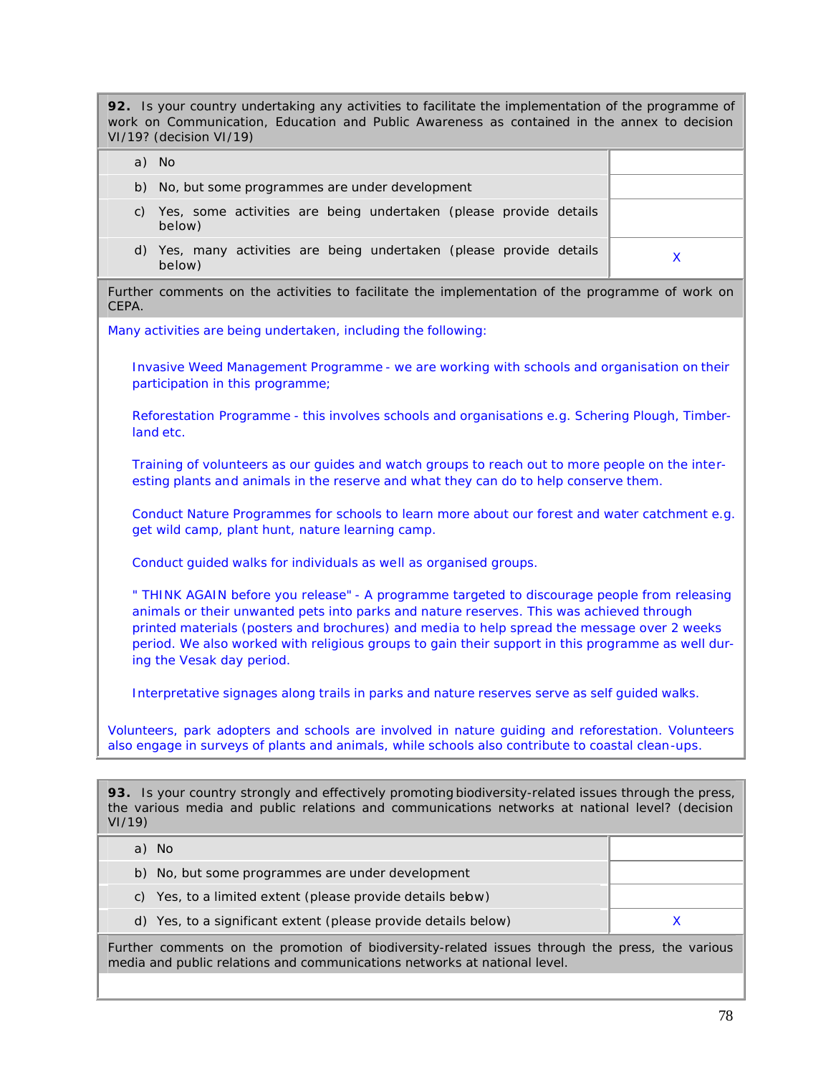**92.** Is your country undertaking any activities to facilitate the implementation of the programme of work on Communication, Education and Public Awareness as contained in the annex to decision VI/19? (decision VI/19)

| a) | - No                                                                        |  |
|----|-----------------------------------------------------------------------------|--|
|    | b) No, but some programmes are under development                            |  |
| C) | Yes, some activities are being undertaken (please provide details<br>below) |  |
| d) | Yes, many activities are being undertaken (please provide details<br>below) |  |

Further comments on the activities to facilitate the implementation of the programme of work on CEPA.

Many activities are being undertaken, including the following:

Invasive Weed Management Programme - we are working with schools and organisation on their participation in this programme;

Reforestation Programme - this involves schools and organisations e.g. Schering Plough, Timberland etc.

Training of volunteers as our guides and watch groups to reach out to more people on the interesting plants and animals in the reserve and what they can do to help conserve them.

Conduct Nature Programmes for schools to learn more about our forest and water catchment e.g. get wild camp, plant hunt, nature learning camp.

Conduct guided walks for individuals as well as organised groups.

" THINK AGAIN before you release" - A programme targeted to discourage people from releasing animals or their unwanted pets into parks and nature reserves. This was achieved through printed materials (posters and brochures) and media to help spread the message over 2 weeks period. We also worked with religious groups to gain their support in this programme as well during the Vesak day period.

Interpretative signages along trails in parks and nature reserves serve as self guided walks.

Volunteers, park adopters and schools are involved in nature guiding and reforestation. Volunteers also engage in surveys of plants and animals, while schools also contribute to coastal clean-ups.

**93.** Is your country strongly and effectively promoting biodiversity-related issues through the press, the various media and public relations and communications networks at national level? (decision VI/19)

| the contract of the contract of the contract of the contract of the contract of the contract of the contract of |  |
|-----------------------------------------------------------------------------------------------------------------|--|
| d) Yes, to a significant extent (please provide details below)                                                  |  |
| c) Yes, to a limited extent (please provide details bebw)                                                       |  |
| b) No, but some programmes are under development                                                                |  |
| a) No                                                                                                           |  |

Further comments on the promotion of biodiversity-related issues through the press, the various media and public relations and communications networks at national level.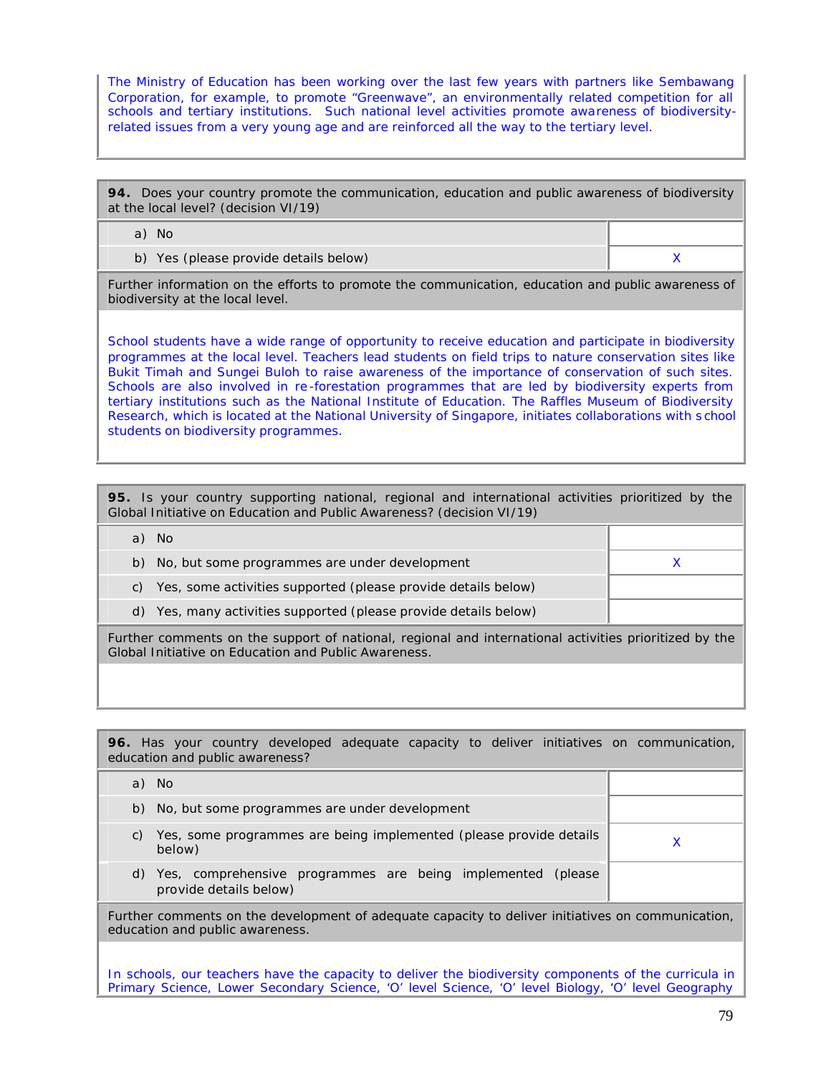The Ministry of Education has been working over the last few years with partners like Sembawang Corporation, for example, to promote "Greenwave", an environmentally related competition for all schools and tertiary institutions. Such national level activities promote awareness of biodiversityrelated issues from a very young age and are reinforced all the way to the tertiary level.

**94.** Does your country promote the communication, education and public awareness of biodiversity at the local level? (decision VI/19)

a) No

b) Yes (please provide details below) and the set of the set of the set of the set of the set of the set of the  $X$ 

Further information on the efforts to promote the communication, education and public awareness of biodiversity at the local level.

School students have a wide range of opportunity to receive education and participate in biodiversity programmes at the local level. Teachers lead students on field trips to nature conservation sites like Bukit Timah and Sungei Buloh to raise awareness of the importance of conservation of such sites. Schools are also involved in re -forestation programmes that are led by biodiversity experts from tertiary institutions such as the National Institute of Education. The Raffles Museum of Biodiversity Research, which is located at the National University of Singapore, initiates collaborations with s chool students on biodiversity programmes.

| 95. Is your country supporting national, regional and international activities prioritized by the<br>Global Initiative on Education and Public Awareness? (decision VI/19) |  |  |  |  |
|----------------------------------------------------------------------------------------------------------------------------------------------------------------------------|--|--|--|--|
| a) No                                                                                                                                                                      |  |  |  |  |
| b) No, but some programmes are under development                                                                                                                           |  |  |  |  |
| Yes, some activities supported (please provide details below)<br>C)                                                                                                        |  |  |  |  |
| d) Yes, many activities supported (please provide details below)                                                                                                           |  |  |  |  |
| Further comments on the support of national, regional and international activities prioritized by the<br>Global Initiative on Education and Public Awareness.              |  |  |  |  |

|       | education and public awareness? |                                                  |  |  |  | 96. Has your country developed adequate capacity to deliver initiatives on communication, |  |
|-------|---------------------------------|--------------------------------------------------|--|--|--|-------------------------------------------------------------------------------------------|--|
| a) No |                                 |                                                  |  |  |  |                                                                                           |  |
|       |                                 | b) No, but some programmes are under development |  |  |  |                                                                                           |  |

- c) Yes, some programmes are being implemented (please provide details  $\times$
- d) Yes, comprehensive programmes are being implemented (please provide details below)

Further comments on the development of adequate capacity to deliver initiatives on communication, education and public awareness.

In schools, our teachers have the capacity to deliver the biodiversity components of the curricula in Primary Science, Lower Secondary Science, 'O' level Science, 'O' level Biology, 'O' level Geography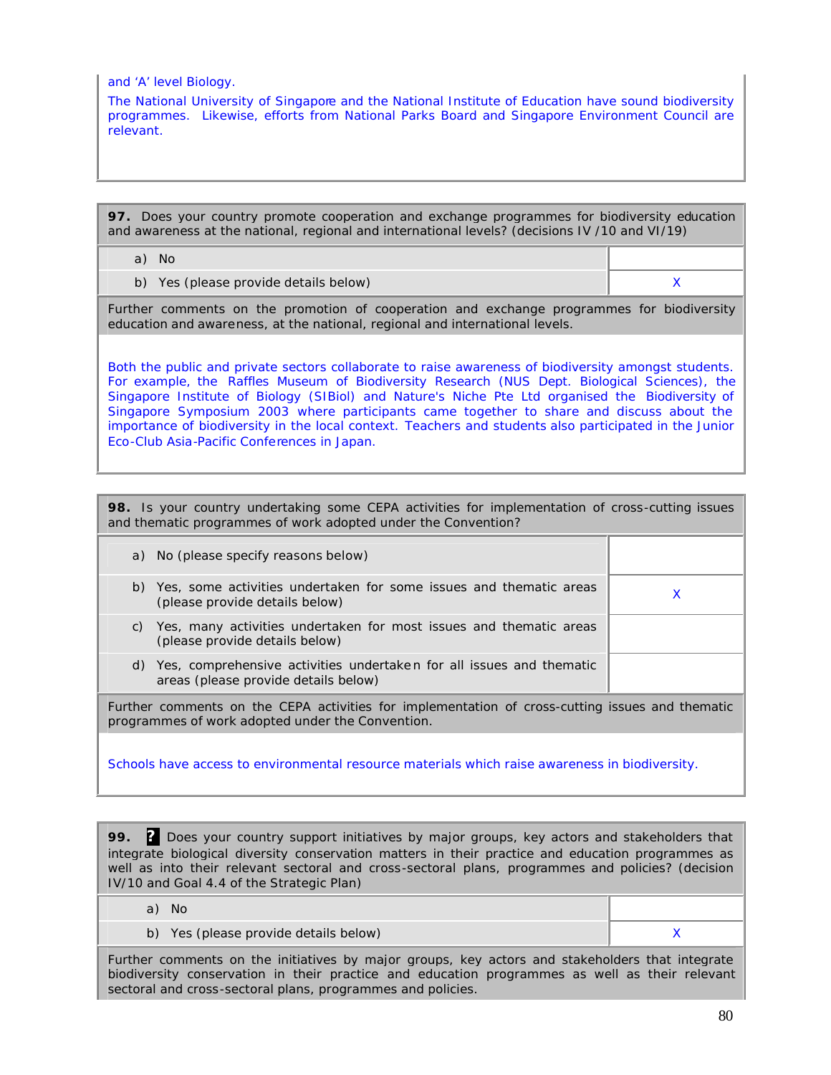and 'A' level Biology.

The National University of Singapore and the National Institute of Education have sound biodiversity programmes. Likewise, efforts from National Parks Board and Singapore Environment Council are relevant.

**97.** Does your country promote cooperation and exchange programmes for biodiversity education and awareness at the national, regional and international levels? (decisions IV /10 and VI/19)

a) No

b) Yes (please provide details below) and the set of the set of the set of the set of the set of the set of the  $X$ 

Further comments on the promotion of cooperation and exchange programmes for biodiversity education and awareness, at the national, regional and international levels.

Both the public and private sectors collaborate to raise awareness of biodiversity amongst students. For example, the Raffles Museum of Biodiversity Research (NUS Dept. Biological Sciences), the Singapore Institute of Biology (SIBiol) and Nature's Niche Pte Ltd organised the *Biodiversity of Singapore Symposium 2003* where participants came together to share and discuss about the importance of biodiversity in the local context. Teachers and students also participated in the Junior Eco-Club Asia-Pacific Conferences in Japan.

**98.** Is your country undertaking some CEPA activities for implementation of cross-cutting issues and thematic programmes of work adopted under the Convention?

|    | a) No (please specify reasons below)                                                                            |  |
|----|-----------------------------------------------------------------------------------------------------------------|--|
|    | b) Yes, some activities undertaken for some issues and thematic areas<br>(please provide details below)         |  |
| C) | Yes, many activities undertaken for most issues and thematic areas<br>(please provide details below)            |  |
|    | d) Yes, comprehensive activities undertaken for all issues and thematic<br>areas (please provide details below) |  |
|    | Further comments on the CEPA activities for implementation of cross-cutting issues and thematic                 |  |

programmes of work adopted under the Convention.

Schools have access to environmental resource materials which raise awareness in biodiversity.

**99. ?** Does your country support initiatives by major groups, key actors and stakeholders that integrate biological diversity conservation matters in their practice and education programmes as well as into their relevant sectoral and cross-sectoral plans, programmes and policies? (decision IV/10 and Goal 4.4 of the Strategic Plan)

a) No

b) Yes (please provide details below) and the set of the set of the set of the set of the set of the set of the  $X$ 

Further comments on the initiatives by major groups, key actors and stakeholders that integrate biodiversity conservation in their practice and education programmes as well as their relevant sectoral and cross-sectoral plans, programmes and policies.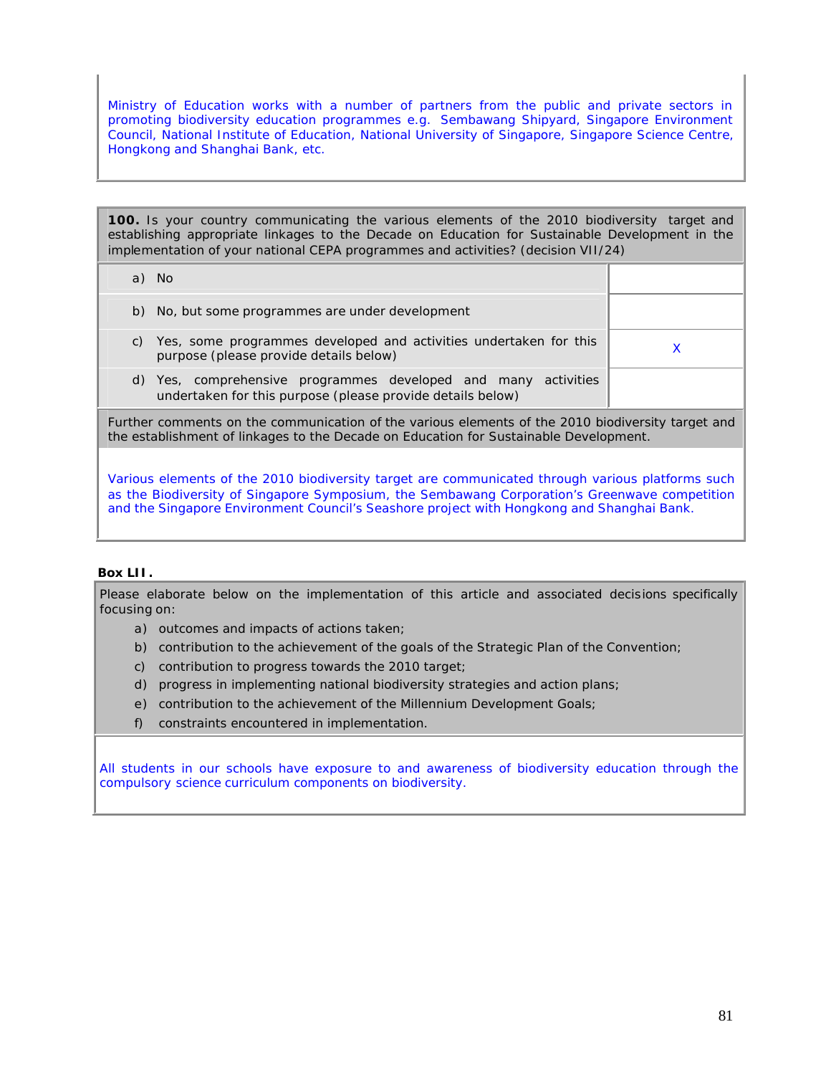Ministry of Education works with a number of partners from the public and private sectors in promoting biodiversity education programmes e.g. Sembawang Shipyard, Singapore Environment Council, National Institute of Education, National University of Singapore, Singapore Science Centre, Hongkong and Shanghai Bank, etc.

**100.** Is your country communicating the various elements of the 2010 biodiversity target and establishing appropriate linkages to the Decade on Education for Sustainable Development in the implementation of your national CEPA programmes and activities? (decision VII/24)

| a) No                                                                                                                           |  |
|---------------------------------------------------------------------------------------------------------------------------------|--|
| b) No, but some programmes are under development                                                                                |  |
| Yes, some programmes developed and activities undertaken for this<br>purpose (please provide details below)                     |  |
| Yes, comprehensive programmes developed and many activities<br>d)<br>undertaken for this purpose (please provide details below) |  |

Further comments on the communication of the various elements of the 2010 biodiversity target and the establishment of linkages to the Decade on Education for Sustainable Development.

Various elements of the 2010 biodiversity target are communicated through various platforms such as the Biodiversity of Singapore Symposium, the Sembawang Corporation's Greenwave competition and the Singapore Environment Council's Seashore project with Hongkong and Shanghai Bank.

#### **Box LII.**

Please elaborate below on the implementation of this article and associated decisions specifically focusing on:

- a) outcomes and impacts of actions taken;
- b) contribution to the achievement of the goals of the Strategic Plan of the Convention;
- c) contribution to progress towards the 2010 target;
- d) progress in implementing national biodiversity strategies and action plans;
- e) contribution to the achievement of the Millennium Development Goals;
- f) constraints encountered in implementation.

All students in our schools have exposure to and awareness of biodiversity education through the compulsory science curriculum components on biodiversity.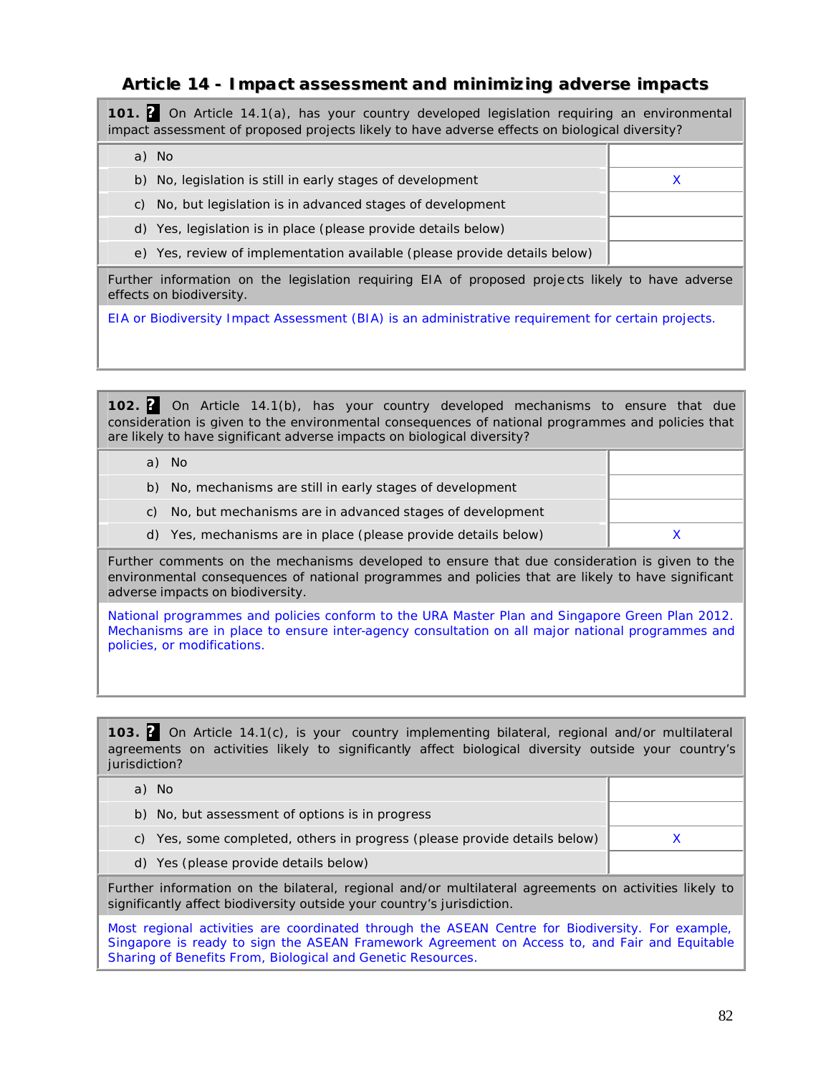# **Article 14 - Impact assessment and minimizing adverse impacts**

**101. ?** On Article 14.1(a), has your country developed legislation requiring an environmental impact assessment of proposed projects likely to have adverse effects on biological diversity?

a) No

b) No, legislation is still in early stages of development X X

c) No, but legislation is in advanced stages of development

d) Yes, legislation is in place (please provide details below)

e) Yes, review of implementation available (please provide details below)

Further information on the legislation requiring EIA of proposed projects likely to have adverse effects on biodiversity.

EIA or Biodiversity Impact Assessment (BIA) is an administrative requirement for certain projects.

**102. ?** On Article 14.1(b), has your country developed mechanisms to ensure that due consideration is given to the environmental consequences of national programmes and policies that are likely to have significant adverse impacts on biological diversity?

|    | - No                                                           |  |
|----|----------------------------------------------------------------|--|
| b) | No, mechanisms are still in early stages of development        |  |
| C) | No, but mechanisms are in advanced stages of development       |  |
|    | d) Yes, mechanisms are in place (please provide details below) |  |

Further comments on the mechanisms developed to ensure that due consideration is given to the environmental consequences of national programmes and policies that are likely to have significant adverse impacts on biodiversity.

National programmes and policies conform to the URA Master Plan and Singapore Green Plan 2012. Mechanisms are in place to ensure inter-agency consultation on all major national programmes and policies, or modifications.

**103. ?** On Article 14.1(c), is your country implementing bilateral, regional and/or multilateral agreements on activities likely to significantly affect biological diversity outside your country's jurisdiction?

| a) No |                                                                                                       |  |
|-------|-------------------------------------------------------------------------------------------------------|--|
|       | b) No, but assessment of options is in progress                                                       |  |
|       | c) Yes, some completed, others in progress (please provide details below)                             |  |
|       | d) Yes (please provide details below)                                                                 |  |
|       | Further information on the bilateral, regional and/or multilateral agreements on activities likely to |  |

Most regional activities are coordinated through the ASEAN Centre for Biodiversity. For example, Singapore is ready to sign the ASEAN Framework Agreement on Access to, and Fair and Equitable Sharing of Benefits From, Biological and Genetic Resources.

significantly affect biodiversity outside your country's jurisdiction.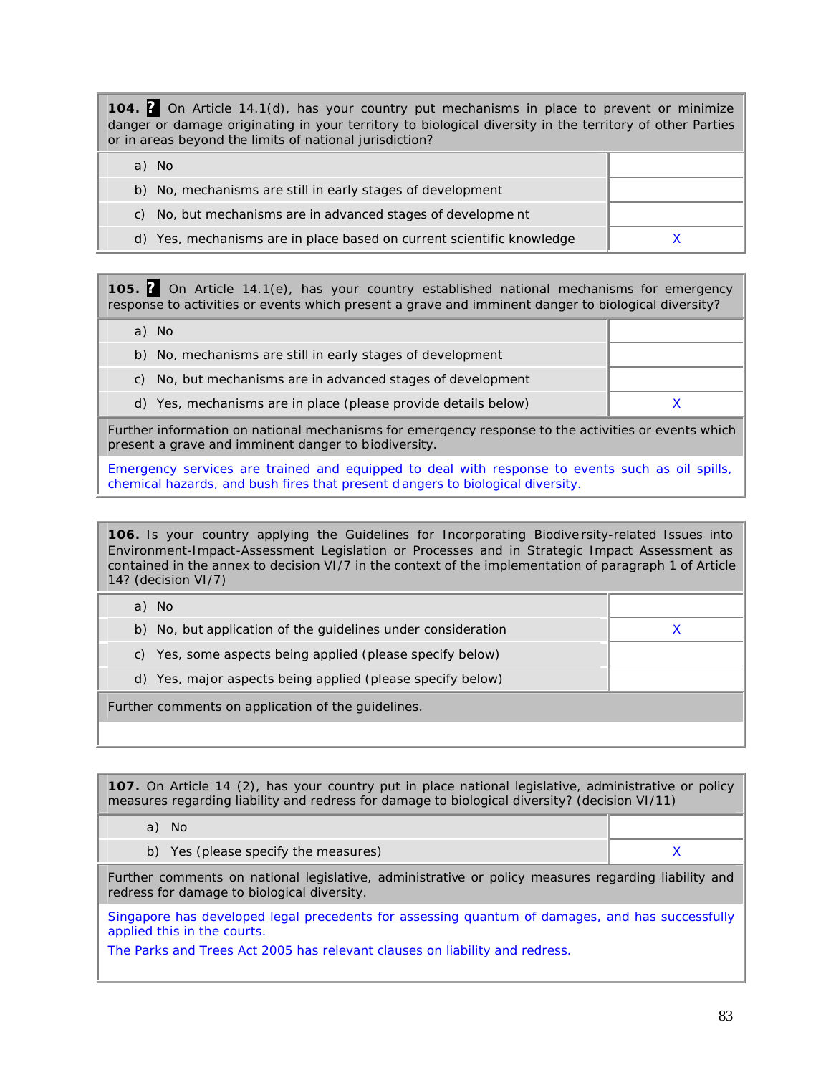**104. ?** On Article 14.1(d), has your country put mechanisms in place to prevent or minimize danger or damage originating in your territory to biological diversity in the territory of other Parties or in areas beyond the limits of national jurisdiction?

| a) No                                                                 |  |
|-----------------------------------------------------------------------|--|
| b) No, mechanisms are still in early stages of development            |  |
| c) No, but mechanisms are in advanced stages of developme nt          |  |
| d) Yes, mechanisms are in place based on current scientific knowledge |  |

**105. ?** On Article 14.1(e), has your country established national mechanisms for emergency response to activities or events which present a grave and imminent danger to biological diversity?

a) No b) No, mechanisms are still in early stages of development c) No, but mechanisms are in advanced stages of development d) Yes, mechanisms are in place (please provide details below) X

Further information on national mechanisms for emergency response to the activities or events which present a grave and imminent danger to biodiversity.

Emergency services are trained and equipped to deal with response to events such as oil spills, chemical hazards, and bush fires that present d angers to biological diversity.

**106.** Is your country applying the Guidelines for Incorporating Biodive rsity-related Issues into Environment-Impact-Assessment Legislation or Processes and in Strategic Impact Assessment as contained in the annex to decision VI/7 in the context of the implementation of paragraph 1 of Article 14? (decision VI/7)

| a) No                                                        |  |
|--------------------------------------------------------------|--|
| b) No, but application of the guidelines under consideration |  |
| c) Yes, some aspects being applied (please specify below)    |  |
| d) Yes, major aspects being applied (please specify below)   |  |
| Further comments on application of the guidelines.           |  |
|                                                              |  |

**107.** On Article 14 (2), has your country put in place national legislative, administrative or policy measures regarding liability and redress for damage to biological diversity? (decision VI/11)

a) No

b) Yes (please specify the measures)  $\overline{X}$ 

Further comments on national legislative, administrative or policy measures regarding liability and redress for damage to biological diversity.

Singapore has developed legal precedents for assessing quantum of damages, and has successfully applied this in the courts.

The Parks and Trees Act 2005 has relevant clauses on liability and redress.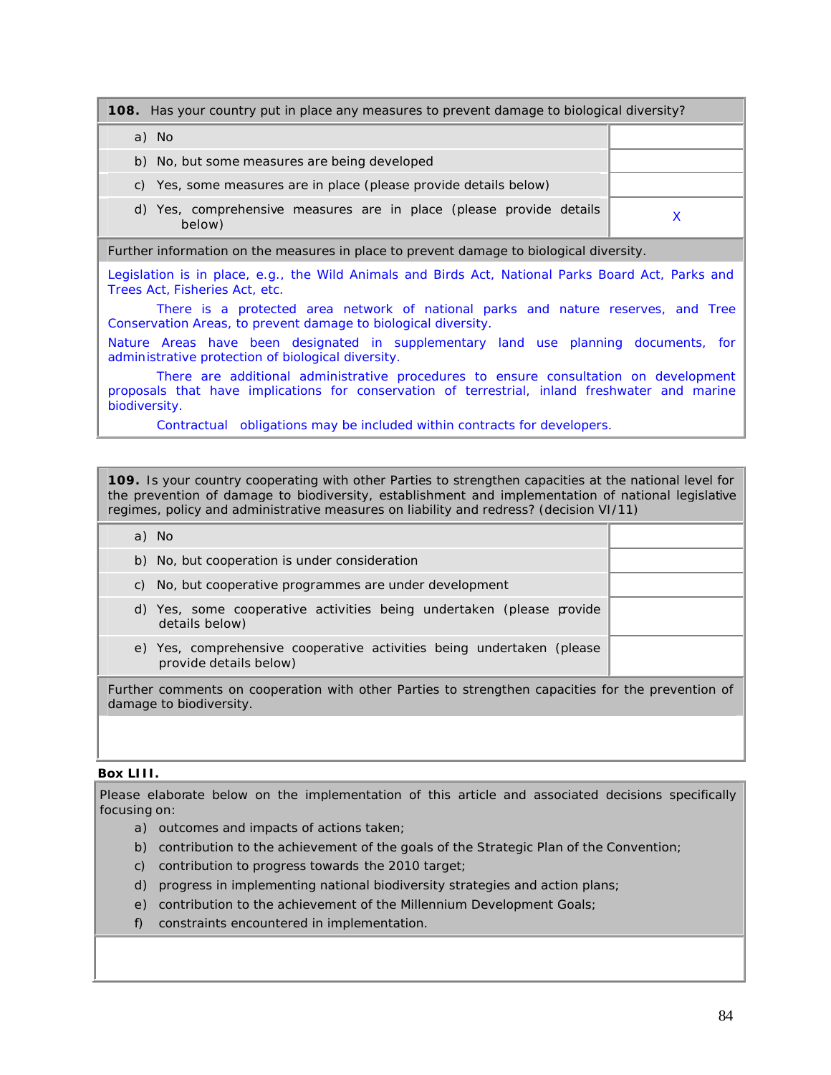# **108.** Has your country put in place any measures to prevent damage to biological diversity? a) No b) No, but some measures are being developed c) Yes, some measures are in place (please provide details below) d) Yes, comprehensive measures are in place (please provide details below) <sup>X</sup> Further information on the measures in place to prevent damage to biological diversity.

Legislation is in place, e.g., the Wild Animals and Birds Act, National Parks Board Act, Parks and Trees Act, Fisheries Act, etc.

There is a protected area network of national parks and nature reserves, and Tree Conservation Areas, to prevent damage to biological diversity.

Nature Areas have been designated in supplementary land use planning documents, for administrative protection of biological diversity.

There are additional administrative procedures to ensure consultation on development proposals that have implications for conservation of terrestrial, inland freshwater and marine biodiversity.

Contractual obligations may be included within contracts for developers.

**109.** Is your country cooperating with other Parties to strengthen capacities at the national level for the prevention of damage to biodiversity, establishment and implementation of national legislative regimes, policy and administrative measures on liability and redress? (decision VI/11)

| a) No                                                                                             |  |
|---------------------------------------------------------------------------------------------------|--|
| b) No, but cooperation is under consideration                                                     |  |
| c) No, but cooperative programmes are under development                                           |  |
| d) Yes, some cooperative activities being undertaken (please provide<br>details below)            |  |
| e) Yes, comprehensive cooperative activities being undertaken (please<br>provide details below)   |  |
| Further comments on cooperation with other Parties to strengthen capacities for the prevention of |  |

#### **Box LIII.**

damage to biodiversity.

Please elaborate below on the implementation of this article and associated decisions specifically focusing on:

- a) outcomes and impacts of actions taken;
- b) contribution to the achievement of the goals of the Strategic Plan of the Convention;
- c) contribution to progress towards the 2010 target;
- d) progress in implementing national biodiversity strategies and action plans;
- e) contribution to the achievement of the Millennium Development Goals;
- f) constraints encountered in implementation.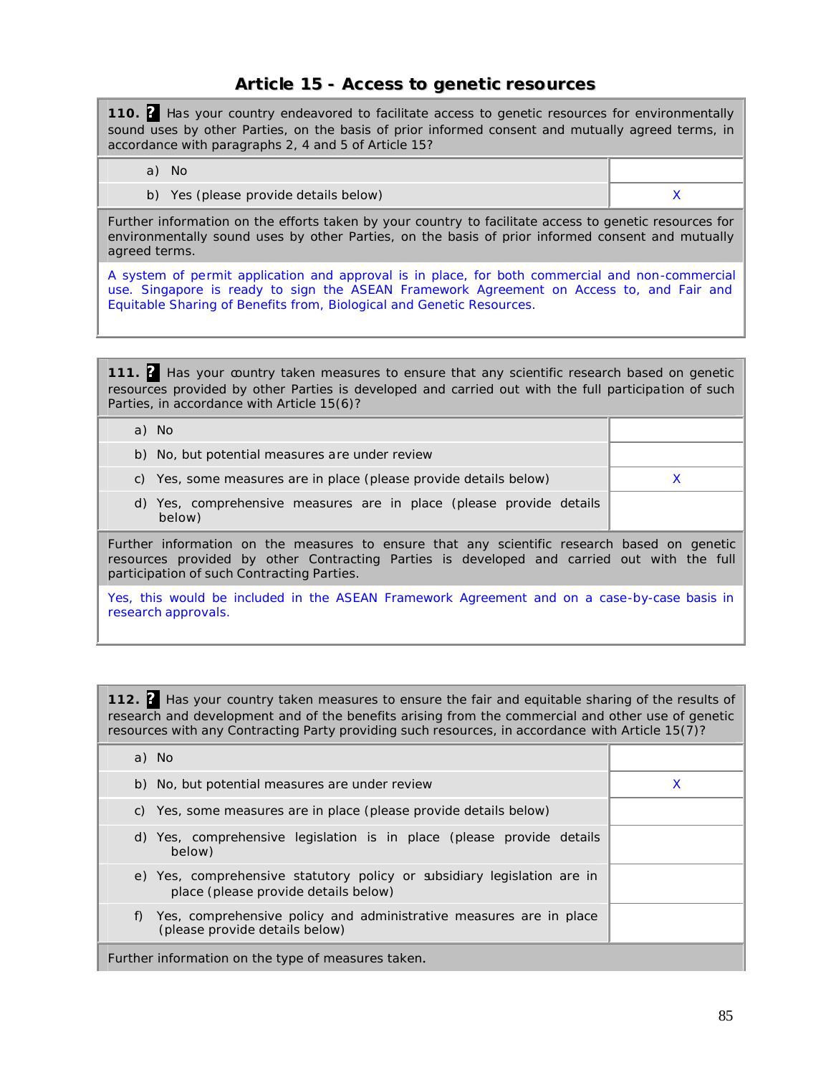# **Article 15 - Access to genetic resources**

**110. ?** Has your country endeavored to facilitate access to genetic resources for environmentally sound uses by other Parties, on the basis of prior informed consent and mutually agreed terms, in accordance with paragraphs 2, 4 and 5 of Article 15?

- a) No
- b) Yes (please provide details below) and the set of the set of the set of the set of the set of the set of the  $X$

Further information on the efforts taken by your country to facilitate access to genetic resources for environmentally sound uses by other Parties, on the basis of prior informed consent and mutually agreed terms.

A system of permit application and approval is in place, for both commercial and non-commercial use. Singapore is ready to sign the ASEAN Framework Agreement on Access to, and Fair and Equitable Sharing of Benefits from, Biological and Genetic Resources.

**111. ?** Has your country taken measures to ensure that any scientific research based on genetic resources provided by other Parties is developed and carried out with the full participation of such Parties, in accordance with Article 15(6)?

| a) No                                                                                                                                                                                                                                   |  |
|-----------------------------------------------------------------------------------------------------------------------------------------------------------------------------------------------------------------------------------------|--|
| b) No, but potential measures are under review                                                                                                                                                                                          |  |
| c) Yes, some measures are in place (please provide details below)                                                                                                                                                                       |  |
| d) Yes, comprehensive measures are in place (please provide details<br>below)                                                                                                                                                           |  |
| Further information on the measures to ensure that any scientific research based on genetic<br>resources provided by other Contracting Parties is developed and carried out with the full<br>participation of such Contracting Parties. |  |
| Yes, this would be included in the ASEAN Framework Agreement and on a case-by-case basis in<br>research approvals.                                                                                                                      |  |

**112. ?** Has your country taken measures to ensure the fair and equitable sharing of the results of research and development and of the benefits arising from the commercial and other use of genetic resources with any Contracting Party providing such resources, in accordance with Article 15(7)?

| a) No                                                                                                           |   |
|-----------------------------------------------------------------------------------------------------------------|---|
| b) No, but potential measures are under review                                                                  | x |
| c) Yes, some measures are in place (please provide details below)                                               |   |
| d) Yes, comprehensive legislation is in place (please provide details<br>below)                                 |   |
| e) Yes, comprehensive statutory policy or subsidiary legislation are in<br>place (please provide details below) |   |
| Yes, comprehensive policy and administrative measures are in place<br>(please provide details below)            |   |
| Further information on the type of measures taken.                                                              |   |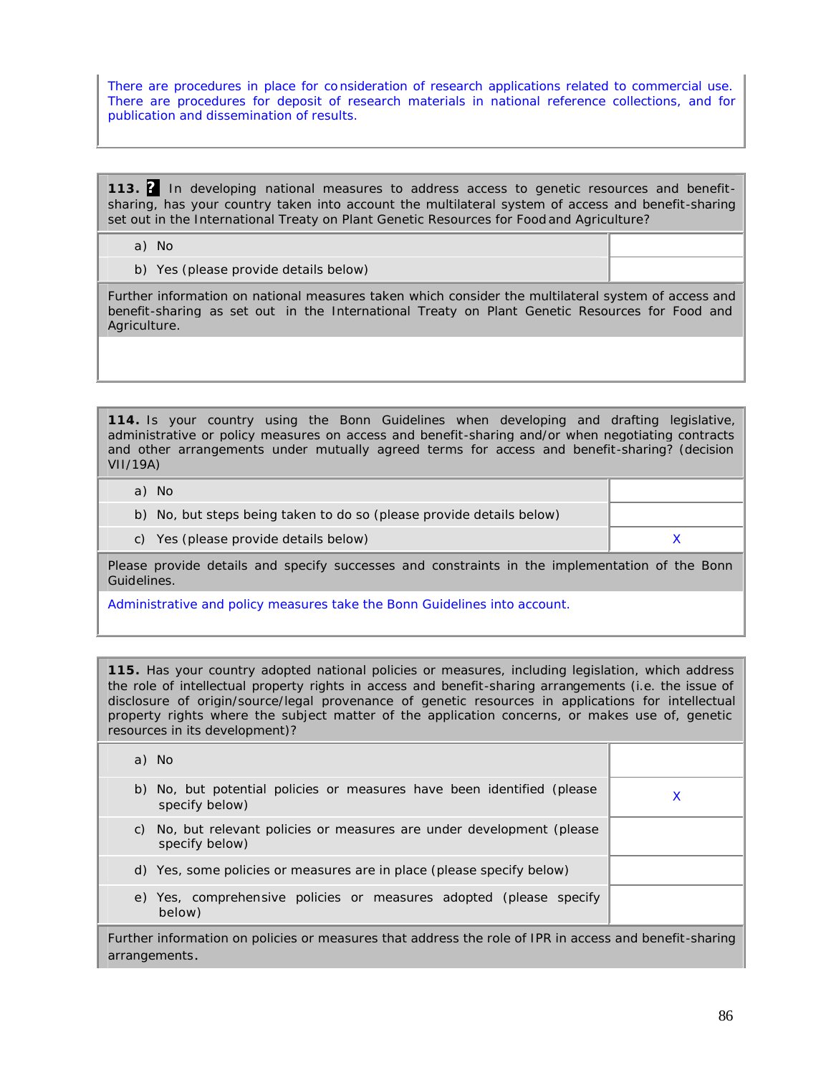There are procedures in place for co nsideration of research applications related to commercial use. There are procedures for deposit of research materials in national reference collections, and for publication and dissemination of results.

**113. ?** In developing national measures to address access to genetic resources and benefitsharing, has your country taken into account the multilateral system of access and benefit-sharing set out in the International Treaty on Plant Genetic Resources for Food and Agriculture?

- a) No
- b) Yes (please provide details below)

Further information on national measures taken which consider the multilateral system of access and benefit-sharing as set out in the International Treaty on Plant Genetic Resources for Food and Agriculture.

**114.** Is your country using the Bonn Guidelines when developing and drafting legislative, administrative or policy measures on access and benefit-sharing and/or when negotiating contracts and other arrangements under mutually agreed terms for access and benefit-sharing? (decision VII/19A)

a) No

- b) No, but steps being taken to do so (please provide details below)
- c) Yes (please provide details below) and the set of the set of the set of the set of the set of the set of the  $X$

Please provide details and specify successes and constraints in the implementation of the Bonn Guidelines.

Administrative and policy measures take the Bonn Guidelines into account.

**115.** Has your country adopted national policies or measures, including legislation, which address the role of intellectual property rights in access and benefit-sharing arrangements (i.e. the issue of disclosure of origin/source/legal provenance of genetic resources in applications for intellectual property rights where the subject matter of the application concerns, or makes use of, genetic resources in its development)?

| a) No                                                                                       |  |
|---------------------------------------------------------------------------------------------|--|
| b) No, but potential policies or measures have been identified (please<br>specify below)    |  |
| No, but relevant policies or measures are under development (please<br>C)<br>specify below) |  |
| d) Yes, some policies or measures are in place (please specify below)                       |  |
| e) Yes, comprehensive policies or measures adopted (please specify<br>below)                |  |
|                                                                                             |  |

Further information on policies or measures that address the role of IPR in access and benefit-sharing arrangements.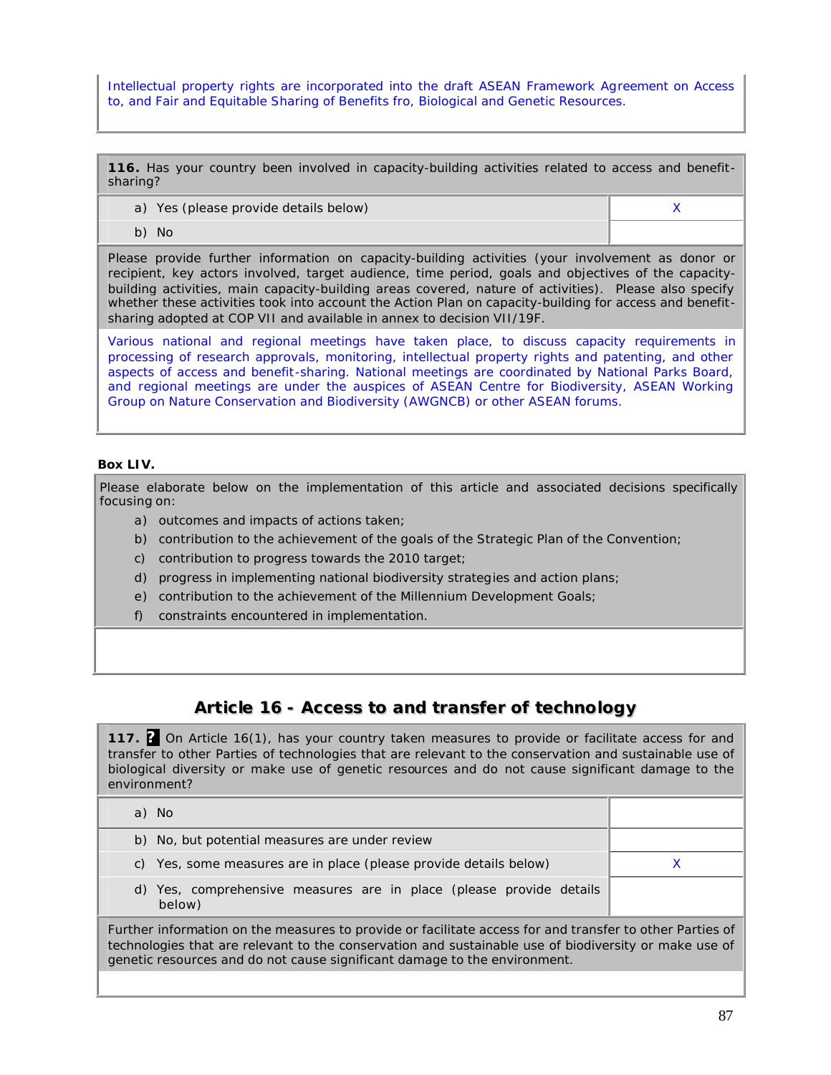Intellectual property rights are incorporated into the draft ASEAN Framework Agreement on Access to, and Fair and Equitable Sharing of Benefits fro, Biological and Genetic Resources.

**116.** Has your country been involved in capacity-building activities related to access and benefitsharing?

- a) Yes (please provide details below) and the set of the set of the set of the set of the set of the set of the  $X$
- b) No

Please provide further information on capacity-building activities (your involvement as donor or recipient, key actors involved, target audience, time period, goals and objectives of the capacitybuilding activities, main capacity-building areas covered, nature of activities). Please also specify whether these activities took into account the Action Plan on capacity-building for access and benefitsharing adopted at COP VII and available in annex to decision VII/19F.

Various national and regional meetings have taken place, to discuss capacity requirements in processing of research approvals, monitoring, intellectual property rights and patenting, and other aspects of access and benefit-sharing. National meetings are coordinated by National Parks Board, and regional meetings are under the auspices of ASEAN Centre for Biodiversity, ASEAN Working Group on Nature Conservation and Biodiversity (AWGNCB) or other ASEAN forums.

#### **Box LIV.**

Please elaborate below on the implementation of this article and associated decisions specifically focusing on:

- a) outcomes and impacts of actions taken;
- b) contribution to the achievement of the goals of the Strategic Plan of the Convention;
- c) contribution to progress towards the 2010 target;
- d) progress in implementing national biodiversity strategies and action plans;
- e) contribution to the achievement of the Millennium Development Goals;

genetic resources and do not cause significant damage to the environment.

f) constraints encountered in implementation.

# **Article 16 - Access to and transfer of technology**

**117. ?** On Article 16(1), has your country taken measures to provide or facilitate access for and transfer to other Parties of technologies that are relevant to the conservation and sustainable use of biological diversity or make use of genetic resources and do not cause significant damage to the environment?

| a) No                                                                                                                                                                                                             |  |
|-------------------------------------------------------------------------------------------------------------------------------------------------------------------------------------------------------------------|--|
| b) No, but potential measures are under review                                                                                                                                                                    |  |
| c) Yes, some measures are in place (please provide details below)                                                                                                                                                 |  |
| d) Yes, comprehensive measures are in place (please provide details<br>below)                                                                                                                                     |  |
| Further information on the measures to provide or facilitate access for and transfer to other Parties of<br>technologies that are relevant to the conservation and sustainable use of biodiversity or make use of |  |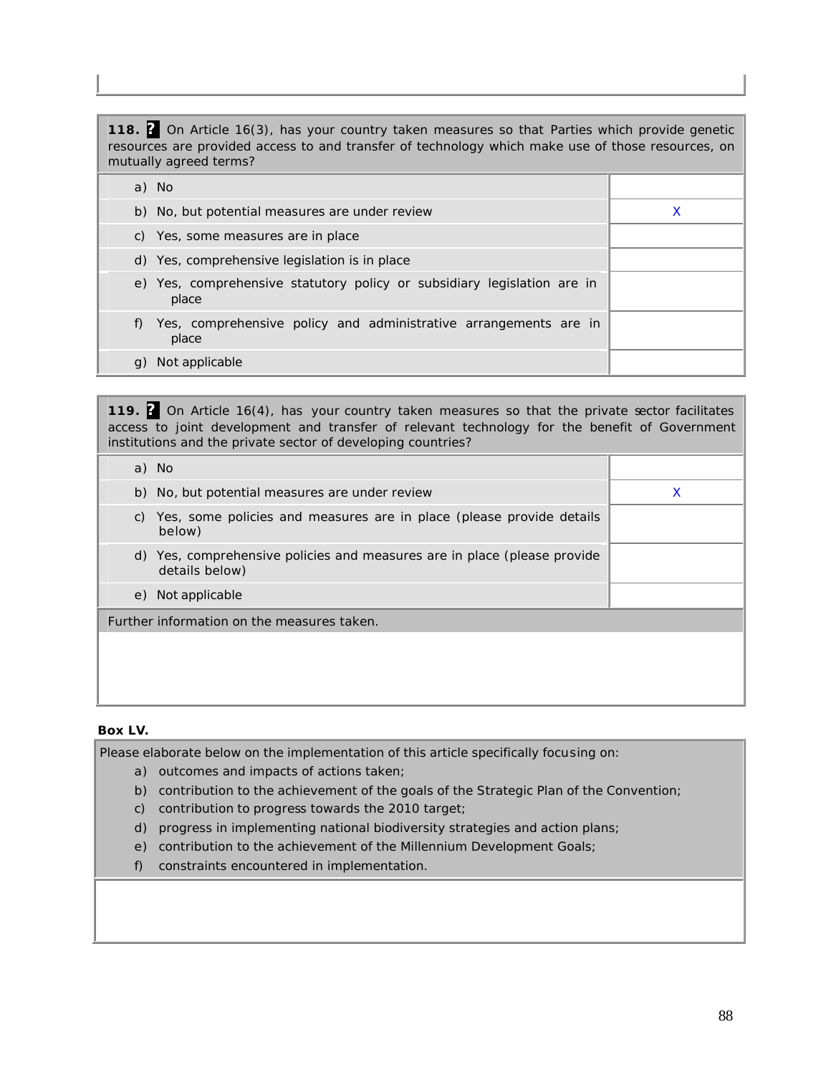| 118. 2 On Article 16(3), has your country taken measures so that Parties which provide genetic<br>resources are provided access to and transfer of technology which make use of those resources, on<br>mutually agreed terms? |   |  |
|-------------------------------------------------------------------------------------------------------------------------------------------------------------------------------------------------------------------------------|---|--|
| a) No                                                                                                                                                                                                                         |   |  |
| b) No, but potential measures are under review                                                                                                                                                                                | x |  |
| c) Yes, some measures are in place                                                                                                                                                                                            |   |  |
| d) Yes, comprehensive legislation is in place                                                                                                                                                                                 |   |  |
| e) Yes, comprehensive statutory policy or subsidiary legislation are in<br>place                                                                                                                                              |   |  |
| Yes, comprehensive policy and administrative arrangements are in<br>place                                                                                                                                                     |   |  |

g) Not applicable

**119. ?** On Article 16(4), has your country taken measures so that the private sector facilitates access to joint development and transfer of relevant technology for the benefit of Government institutions and the private sector of developing countries?

|    | a) No                                                                                      |   |
|----|--------------------------------------------------------------------------------------------|---|
|    | b) No, but potential measures are under review                                             | X |
| C) | Yes, some policies and measures are in place (please provide details<br>below)             |   |
|    | d) Yes, comprehensive policies and measures are in place (please provide<br>details below) |   |
|    | e) Not applicable                                                                          |   |
|    | Further information on the measures taken.                                                 |   |
|    |                                                                                            |   |
|    |                                                                                            |   |

#### **Box LV.**

Please elaborate below on the implementation of this article specifically focusing on:

- a) outcomes and impacts of actions taken;
- b) contribution to the achievement of the goals of the Strategic Plan of the Convention;
- c) contribution to progress towards the 2010 target;
- d) progress in implementing national biodiversity strategies and action plans;
- e) contribution to the achievement of the Millennium Development Goals;
- f) constraints encountered in implementation.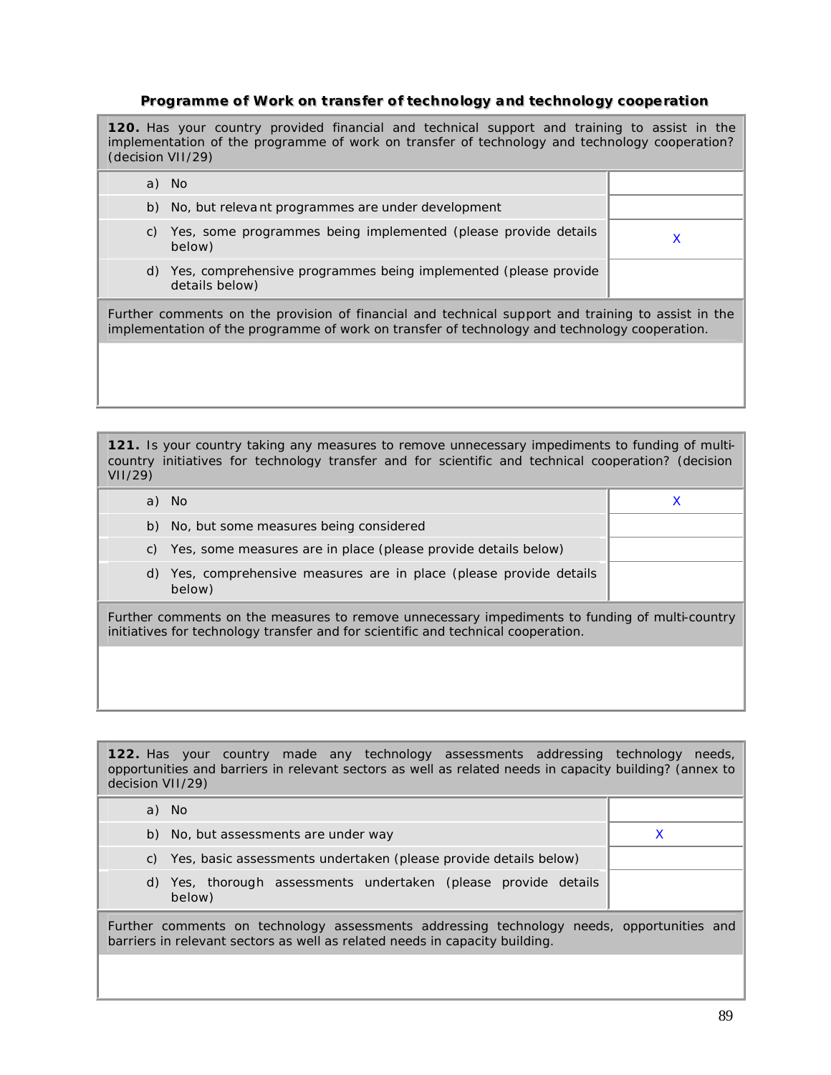# **Programme of Work on transfer of technollogy and technollogy cooperatiion**

| <b>120.</b> Has your country provided financial and technical support and training to assist in the<br>implementation of the programme of work on transfer of technology and technology cooperation?<br>(decision VII/29) |                                                                                      |   |  |
|---------------------------------------------------------------------------------------------------------------------------------------------------------------------------------------------------------------------------|--------------------------------------------------------------------------------------|---|--|
|                                                                                                                                                                                                                           | a) No                                                                                |   |  |
|                                                                                                                                                                                                                           | b) No, but relevant programmes are under development                                 |   |  |
| C)                                                                                                                                                                                                                        | Yes, some programmes being implemented (please provide details<br>below)             | X |  |
|                                                                                                                                                                                                                           | d) Yes, comprehensive programmes being implemented (please provide<br>details below) |   |  |
| Further comments on the provision of financial and technical support and training to assist in the<br>implementation of the programme of work on transfer of technology and technology cooperation.                       |                                                                                      |   |  |
|                                                                                                                                                                                                                           |                                                                                      |   |  |

**121.** Is your country taking any measures to remove unnecessary impediments to funding of multicountry initiatives for technology transfer and for scientific and technical cooperation? (decision VII/29)

|                                                                                                                                                                                     | a) No                                                                         |  |  |
|-------------------------------------------------------------------------------------------------------------------------------------------------------------------------------------|-------------------------------------------------------------------------------|--|--|
|                                                                                                                                                                                     | b) No, but some measures being considered                                     |  |  |
| C)                                                                                                                                                                                  | Yes, some measures are in place (please provide details below)                |  |  |
|                                                                                                                                                                                     | d) Yes, comprehensive measures are in place (please provide details<br>below) |  |  |
| Further comments on the measures to remove unnecessary impediments to funding of multi-country<br>initiatives for technology transfer and for scientific and technical cooperation. |                                                                               |  |  |
|                                                                                                                                                                                     |                                                                               |  |  |

**122.** Has your country made any technology assessments addressing technology needs, opportunities and barriers in relevant sectors as well as related needs in capacity building? (annex to decision VII/29)

| a) No                                                                                                                                                                    |  |
|--------------------------------------------------------------------------------------------------------------------------------------------------------------------------|--|
| b) No, but assessments are under way                                                                                                                                     |  |
| Yes, basic assessments undertaken (please provide details below)<br>C)                                                                                                   |  |
| d) Yes, thorough assessments undertaken (please provide details<br>below)                                                                                                |  |
| Further comments on technology assessments addressing technology needs, opportunities and<br>barriers in relevant sectors as well as related needs in capacity building. |  |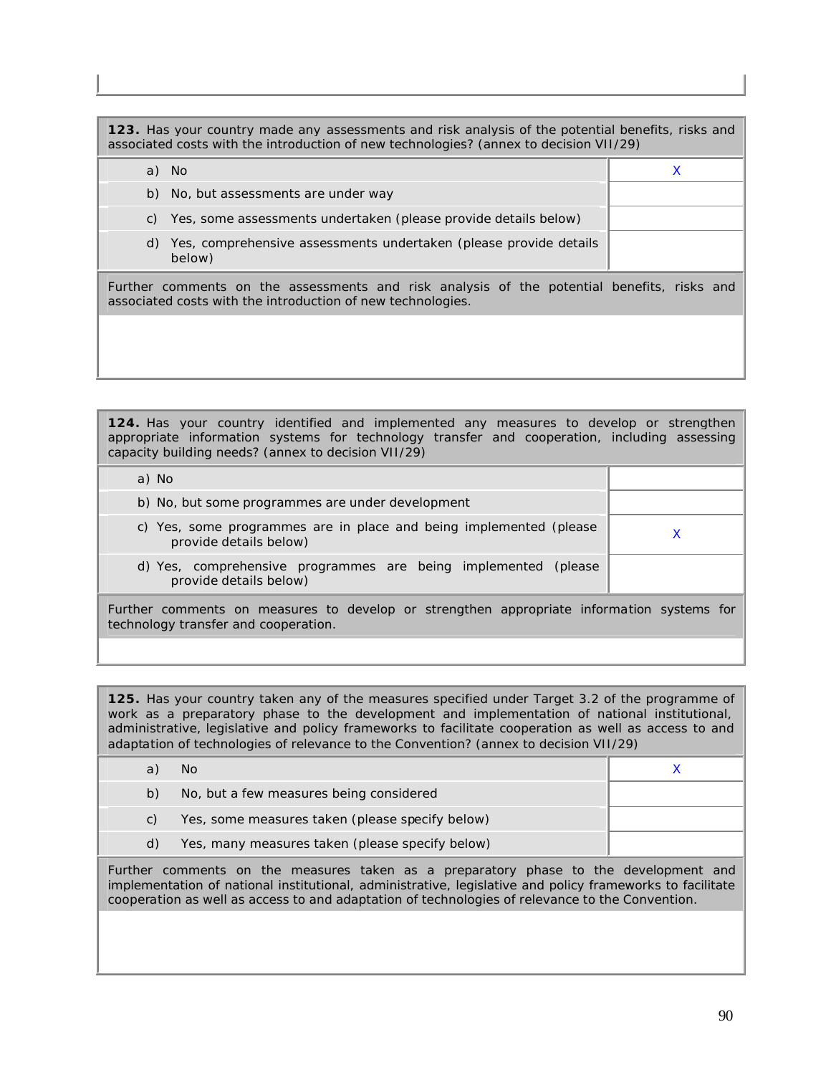**123.** Has your country made any assessments and risk analysis of the potential benefits, risks and associated costs with the introduction of new technologies? (annex to decision VII/29) a) No xing a shekarar a shekarar a shekarar a shekarar a shekarar a shekarar a shekarar a shekarar a shekarar

|  | Further comments on the assessments and risk analysis of the potential benefits, risks and<br>associated costs with the introduction of new technologies. |  |  |
|--|-----------------------------------------------------------------------------------------------------------------------------------------------------------|--|--|
|  | d) Yes, comprehensive assessments undertaken (please provide details<br>below)                                                                            |  |  |
|  | c) Yes, some assessments undertaken (please provide details below)                                                                                        |  |  |
|  | b) No, but assessments are under way                                                                                                                      |  |  |

**124.** Has your country identified and implemented any measures to develop or strengthen appropriate information systems for technology transfer and cooperation, including assessing capacity building needs? (annex to decision VII/29)

| a) No                                                                                        |  |
|----------------------------------------------------------------------------------------------|--|
| b) No, but some programmes are under development                                             |  |
| c) Yes, some programmes are in place and being implemented (please<br>provide details below) |  |
| d) Yes, comprehensive programmes are being implemented (please<br>provide details below)     |  |
| Further comments on measures to develon or strengthen appropriate information systems for    |  |

Further comments on measures to develop or strengthen appropriate information systems for technology transfer and cooperation.

**125.** Has your country taken any of the measures specified under Target 3.2 of the programme of work as a preparatory phase to the development and implementation of national institutional, administrative, legislative and policy frameworks to facilitate cooperation as well as access to and adaptation of technologies of relevance to the Convention? (annex to decision VII/29)

|    | No.                                             |  |
|----|-------------------------------------------------|--|
| b) | No, but a few measures being considered         |  |
| C) | Yes, some measures taken (please specify below) |  |
| d) | Yes, many measures taken (please specify below) |  |
|    |                                                 |  |

Further comments on the measures taken as a preparatory phase to the development and implementation of national institutional, administrative, legislative and policy frameworks to facilitate cooperation as well as access to and adaptation of technologies of relevance to the Convention.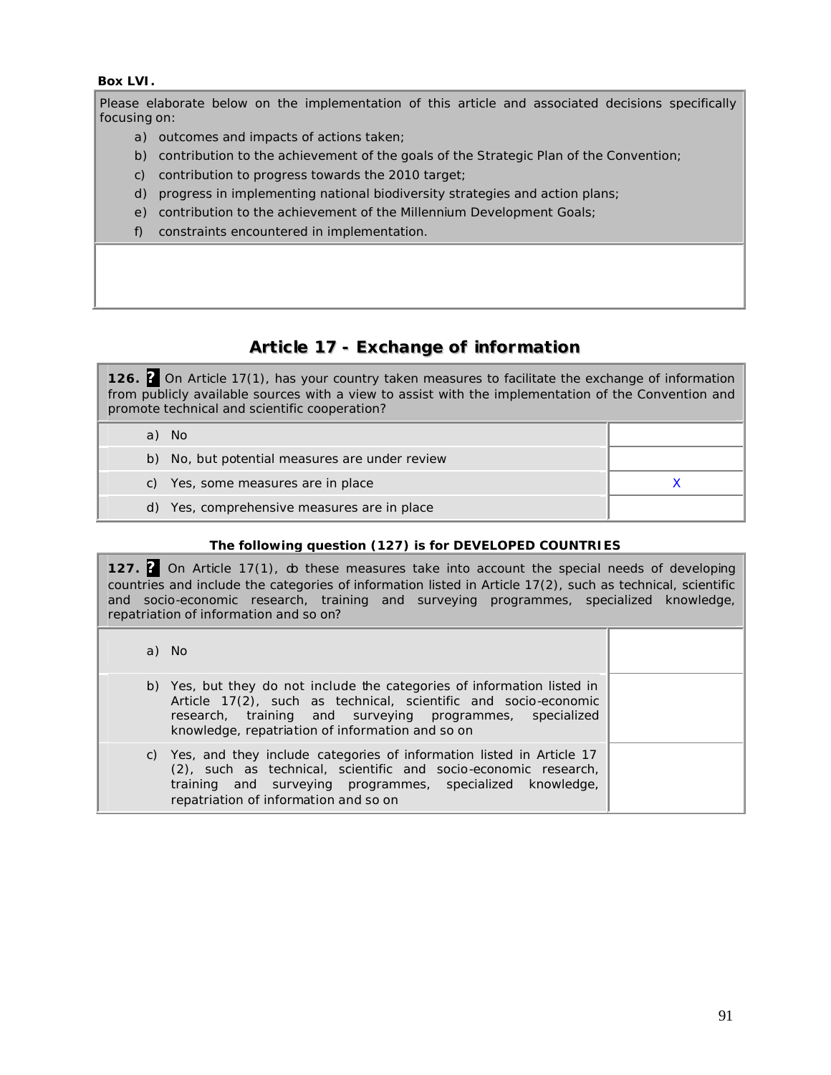#### **Box LVI.**

Please elaborate below on the implementation of this article and associated decisions specifically focusing on:

- a) outcomes and impacts of actions taken;
- b) contribution to the achievement of the goals of the Strategic Plan of the Convention;
- c) contribution to progress towards the 2010 target;
- d) progress in implementing national biodiversity strategies and action plans;
- e) contribution to the achievement of the Millennium Development Goals;
- f) constraints encountered in implementation.

# **Article 17 - Exchange of information**

**126. ?** On Article 17(1), has your country taken measures to facilitate the exchange of information from publicly available sources with a view to assist with the implementation of the Convention and promote technical and scientific cooperation?

|  | a) No                                          |  |
|--|------------------------------------------------|--|
|  | b) No, but potential measures are under review |  |
|  | c) Yes, some measures are in place             |  |
|  | d) Yes, comprehensive measures are in place    |  |
|  |                                                |  |

### *The following question (127) is for DEVELOPED COUNTRIES*

**127. ?** On Article 17(1), do these measures take into account the special needs of developing countries and include the categories of information listed in Article 17(2), such as technical, scientific and socio-economic research, training and surveying programmes, specialized knowledge, repatriation of information and so on?

|  | a) No                                                                                                                                                                                                                                                      |  |
|--|------------------------------------------------------------------------------------------------------------------------------------------------------------------------------------------------------------------------------------------------------------|--|
|  | b) Yes, but they do not include the categories of information listed in<br>Article 17(2), such as technical, scientific and socio-economic<br>research, training and surveying programmes, specialized<br>knowledge, repatriation of information and so on |  |
|  | c) Yes, and they include categories of information listed in Article 17<br>(2), such as technical, scientific and socio-economic research,<br>training and surveying programmes, specialized knowledge,<br>repatriation of information and so on           |  |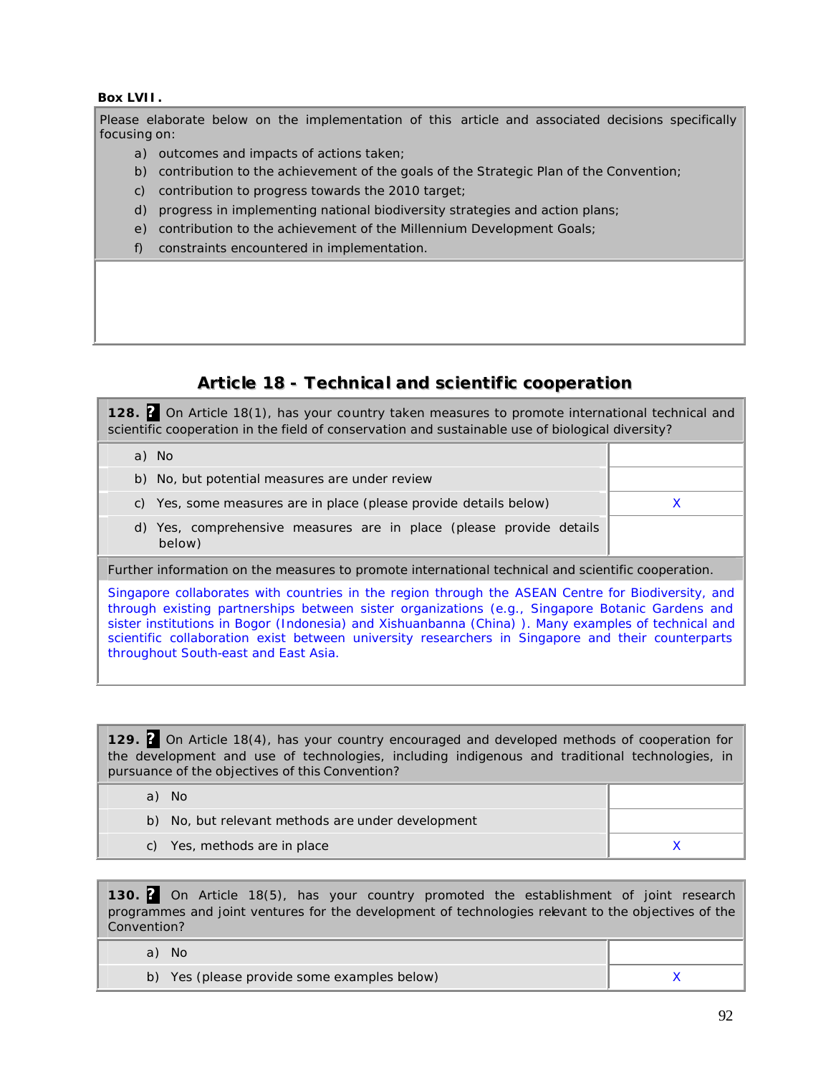### **Box LVII.**

Please elaborate below on the implementation of this article and associated decisions specifically focusing on:

- a) outcomes and impacts of actions taken;
- b) contribution to the achievement of the goals of the Strategic Plan of the Convention;
- c) contribution to progress towards the 2010 target;
- d) progress in implementing national biodiversity strategies and action plans;
- e) contribution to the achievement of the Millennium Development Goals;
- f) constraints encountered in implementation.

# **Article 18 - Technical and scientific cooperation**

**128. ?** On Article 18(1), has your country taken measures to promote international technical and scientific cooperation in the field of conservation and sustainable use of biological diversity?

Further information on the measures to promote international technical and scientific cooperation.

Singapore collaborates with countries in the region through the ASEAN Centre for Biodiversity, and through existing partnerships between sister organizations (e.g., Singapore Botanic Gardens and sister institutions in Bogor (Indonesia) and Xishuanbanna (China) ). Many examples of technical and scientific collaboration exist between university researchers in Singapore and their counterparts throughout South-east and East Asia.

**129. ?** On Article 18(4), has your country encouraged and developed methods of cooperation for the development and use of technologies, including indigenous and traditional technologies, in pursuance of the objectives of this Convention?

| a) | - No                                              |  |
|----|---------------------------------------------------|--|
|    | b) No, but relevant methods are under development |  |
|    | c) Yes, methods are in place                      |  |

**130. ?** On Article 18(5), has your country promoted the establishment of joint research programmes and joint ventures for the development of technologies relevant to the objectives of the Convention?

| No.                                         |  |
|---------------------------------------------|--|
| b) Yes (please provide some examples below) |  |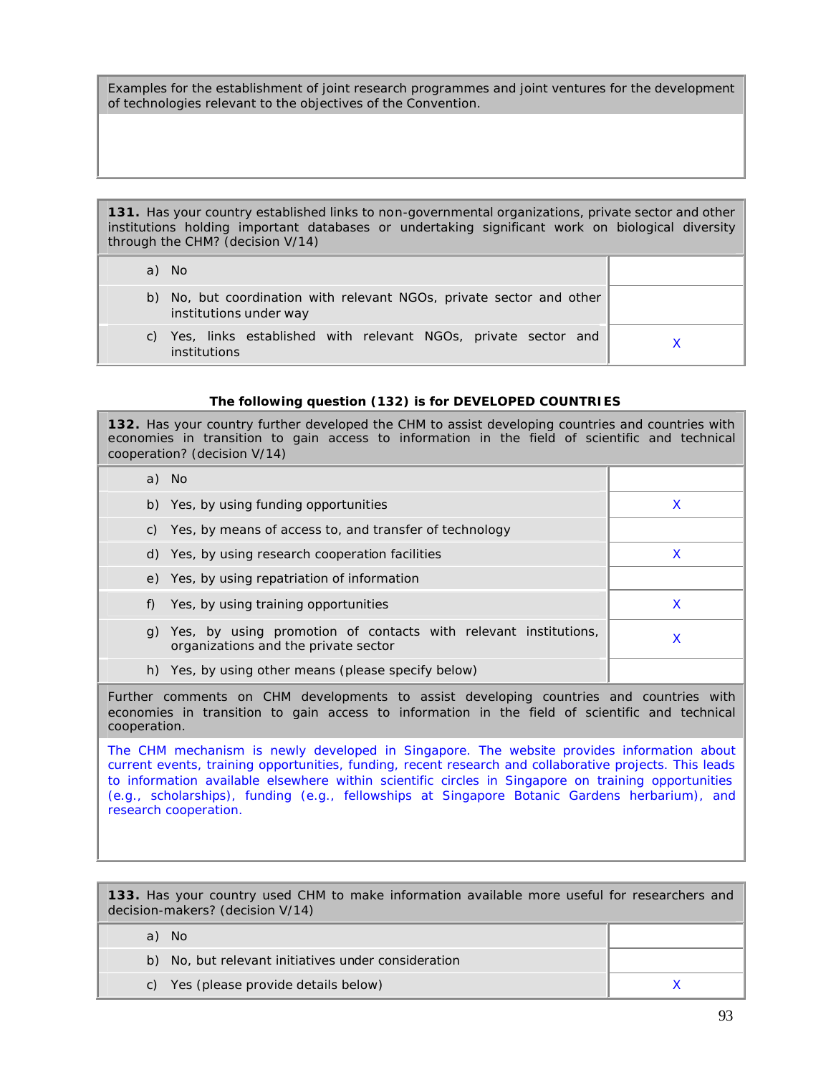Examples for the establishment of joint research programmes and joint ventures for the development of technologies relevant to the objectives of the Convention.

**131.** Has your country established links to non-governmental organizations, private sector and other institutions holding important databases or undertaking significant work on biological diversity through the CHM? (decision V/14)

|    | a) No                                                                                          |  |
|----|------------------------------------------------------------------------------------------------|--|
|    | b) No, but coordination with relevant NGOs, private sector and other<br>institutions under way |  |
| C) | Yes, links established with relevant NGOs, private sector and<br>institutions                  |  |

#### *The following question (132) is for DEVELOPED COUNTRIES*

**132.** Has your country further developed the CHM to assist developing countries and countries with economies in transition to gain access to information in the field of scientific and technical cooperation? (decision V/14)

| a) No                                                                                                                                                                                                    |                                                                                                            |   |
|----------------------------------------------------------------------------------------------------------------------------------------------------------------------------------------------------------|------------------------------------------------------------------------------------------------------------|---|
|                                                                                                                                                                                                          | b) Yes, by using funding opportunities                                                                     | X |
|                                                                                                                                                                                                          | c) Yes, by means of access to, and transfer of technology                                                  |   |
|                                                                                                                                                                                                          | d) Yes, by using research cooperation facilities                                                           | X |
|                                                                                                                                                                                                          | e) Yes, by using repatriation of information                                                               |   |
| f)                                                                                                                                                                                                       | Yes, by using training opportunities                                                                       | X |
|                                                                                                                                                                                                          | g) Yes, by using promotion of contacts with relevant institutions,<br>organizations and the private sector | X |
|                                                                                                                                                                                                          | h) Yes, by using other means (please specify below)                                                        |   |
| Further comments on CHM developments to assist developing countries and countries with<br>economies in transition to gain access to information in the field of scientific and technical<br>cooperation. |                                                                                                            |   |
| The CHM mechanism is newly developed in Singapore. The website provides information about                                                                                                                |                                                                                                            |   |

current events, training opportunities, funding, recent research and collaborative projects. This leads to information available elsewhere within scientific circles in Singapore on training opportunities (e.g., scholarships), funding (e.g., fellowships at Singapore Botanic Gardens herbarium), and research cooperation.

**133.** Has your country used CHM to make information available more useful for researchers and decision-makers? (decision V/14)

| a) No                                               |  |
|-----------------------------------------------------|--|
| b) No, but relevant initiatives under consideration |  |
| c) Yes (please provide details below)               |  |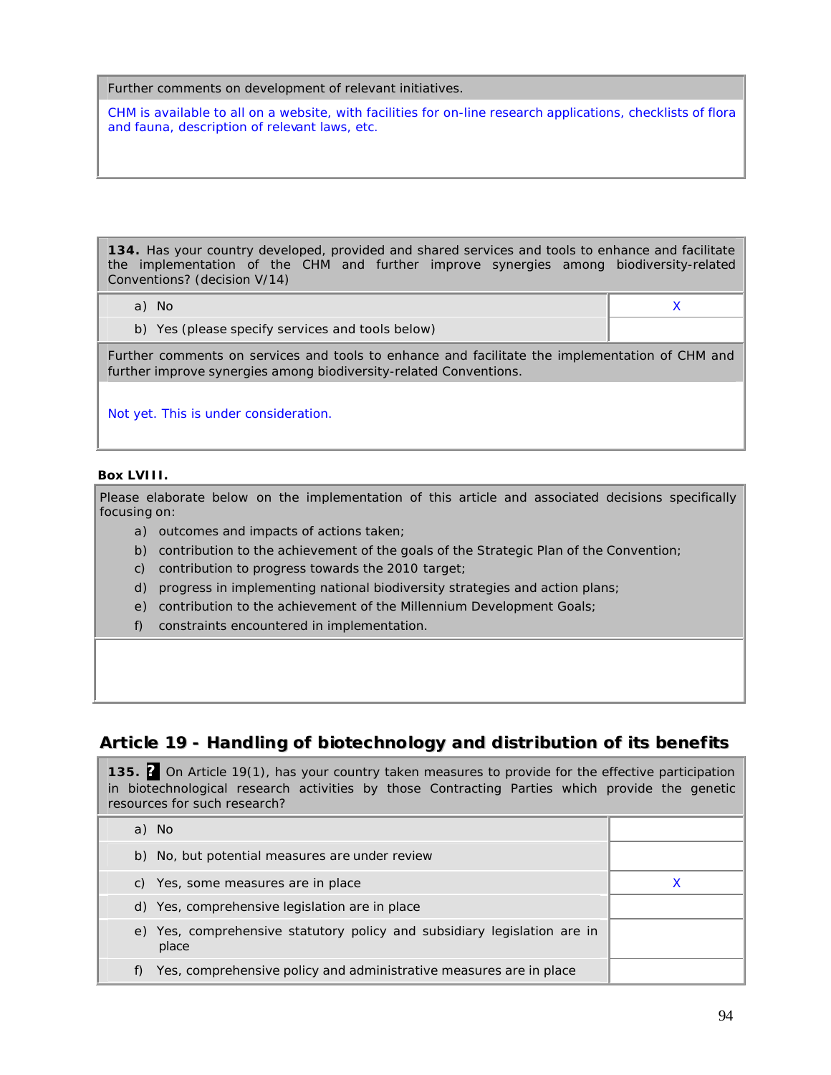#### Further comments on development of relevant initiatives.

CHM is available to all on a website, with facilities for on-line research applications, checklists of flora and fauna, description of relevant laws, etc.

**134.** Has your country developed, provided and shared services and tools to enhance and facilitate the implementation of the CHM and further improve synergies among biodiversity-related Conventions? (decision V/14)

| No.<br>a)                                        |  |
|--------------------------------------------------|--|
| b) Yes (please specify services and tools below) |  |

Further comments on services and tools to enhance and facilitate the implementation of CHM and further improve synergies among biodiversity-related Conventions.

Not yet. This is under consideration.

#### **Box LVIII.**

Please elaborate below on the implementation of this article and associated decisions specifically focusing on:

- a) outcomes and impacts of actions taken;
- b) contribution to the achievement of the goals of the Strategic Plan of the Convention;
- c) contribution to progress towards the 2010 target;
- d) progress in implementing national biodiversity strategies and action plans;
- e) contribution to the achievement of the Millennium Development Goals;
- f) constraints encountered in implementation.

# **Article 19 - Handling of biotechnology and distribution of its benefits**

**135. ?** On Article 19(1), has your country taken measures to provide for the effective participation in biotechnological research activities by those Contracting Parties which provide the genetic resources for such research?

| a) No                                                                             |  |
|-----------------------------------------------------------------------------------|--|
| b) No, but potential measures are under review                                    |  |
| c) Yes, some measures are in place                                                |  |
| d) Yes, comprehensive legislation are in place                                    |  |
| e) Yes, comprehensive statutory policy and subsidiary legislation are in<br>place |  |
| Yes, comprehensive policy and administrative measures are in place                |  |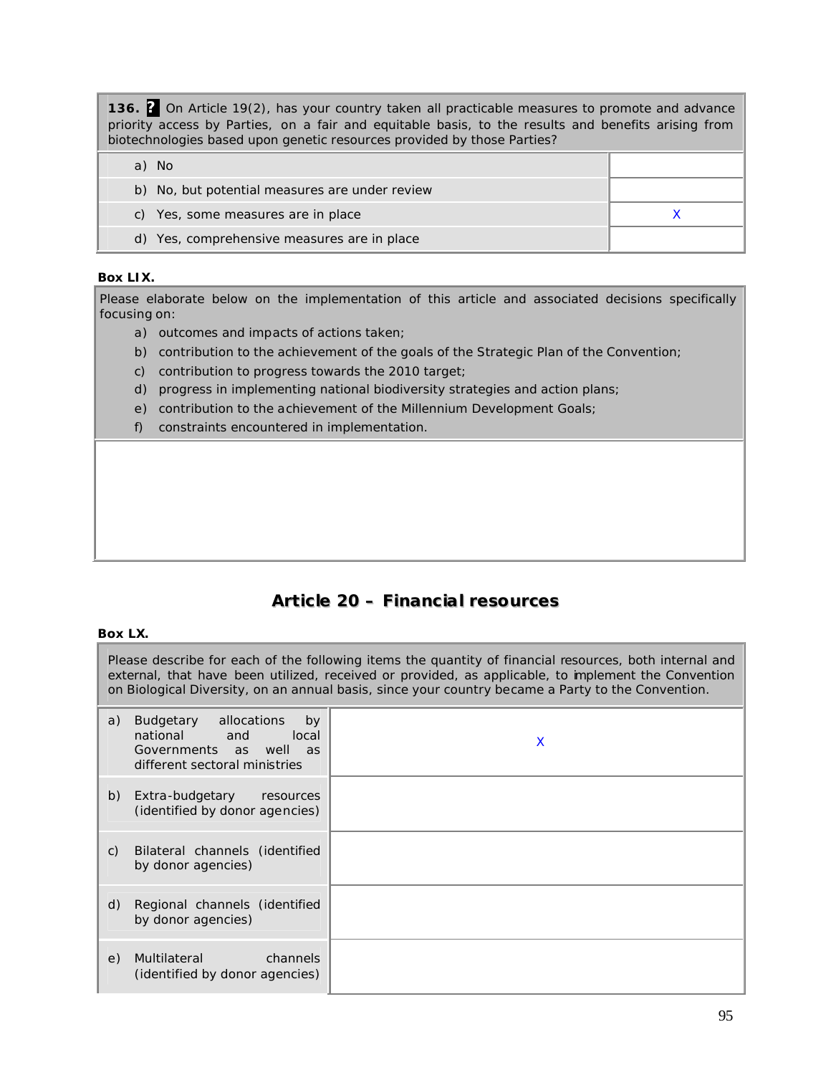**136. ?** On Article 19(2), has your country taken all practicable measures to promote and advance priority access by Parties, on a fair and equitable basis, to the results and benefits arising from biotechnologies based upon genetic resources provided by those Parties?

| a) No                                          |  |
|------------------------------------------------|--|
| b) No, but potential measures are under review |  |
| c) Yes, some measures are in place             |  |
| d) Yes, comprehensive measures are in place    |  |

# **Box LIX.**

Please elaborate below on the implementation of this article and associated decisions specifically focusing on:

- a) outcomes and impacts of actions taken;
- b) contribution to the achievement of the goals of the Strategic Plan of the Convention;
- c) contribution to progress towards the 2010 target;
- d) progress in implementing national biodiversity strategies and action plans;
- e) contribution to the achievement of the Millennium Development Goals;
- f) constraints encountered in implementation.

# **Article 20 – Financial resources**

#### **Box LX.**

Please describe for each of the following items the quantity of financial resources, both internal and external, that have been utilized, received or provided, as applicable, to implement the Convention on Biological Diversity, on an annual basis, since your country became a Party to the Convention.

| a) | allocations<br>Budgetary<br>by<br>national and<br>local<br>Governments as well as<br>different sectoral ministries | X |
|----|--------------------------------------------------------------------------------------------------------------------|---|
| b) | Extra-budgetary<br>resources<br>(identified by donor agencies)                                                     |   |
| C) | Bilateral channels (identified<br>by donor agencies)                                                               |   |
| d) | Regional channels (identified<br>by donor agencies)                                                                |   |
| e) | channels<br>Multilateral<br>(identified by donor agencies)                                                         |   |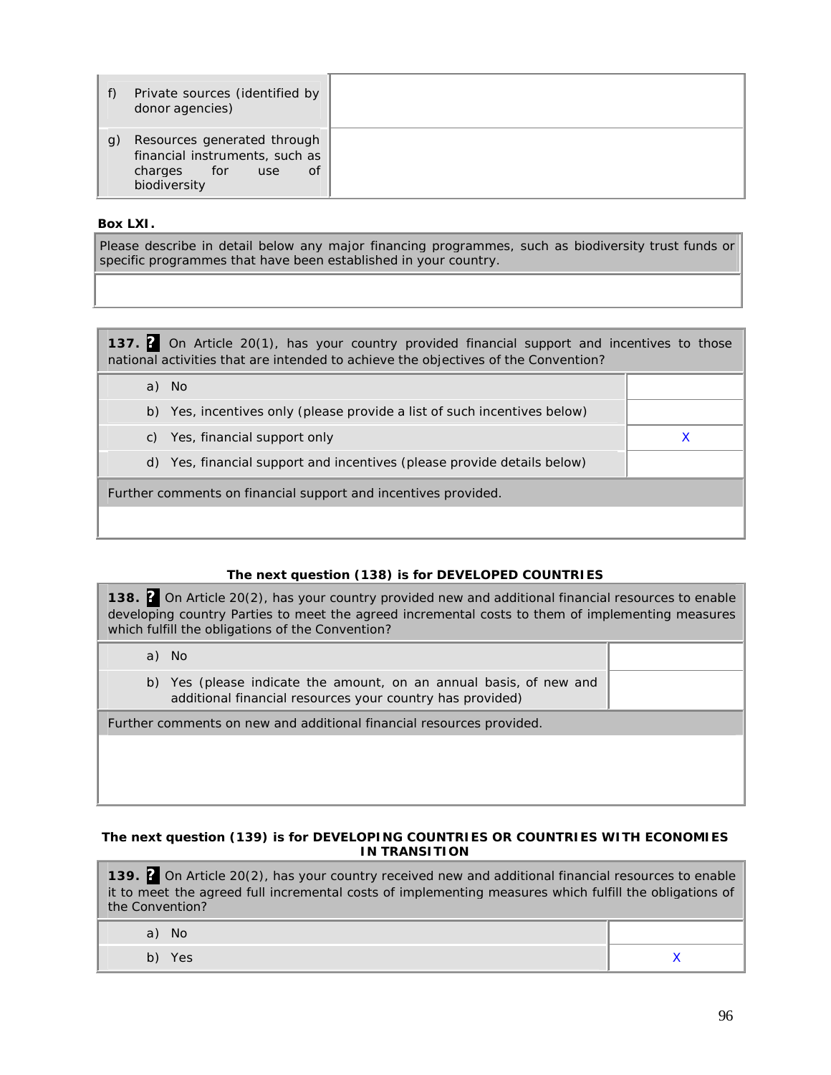|                | Private sources (identified by<br>donor agencies)                                                                              |
|----------------|--------------------------------------------------------------------------------------------------------------------------------|
| $\mathfrak{g}$ | Resources generated through<br>financial instruments, such as<br>$\angle$ for $\angle$<br>0f<br>charges<br>use<br>biodiversity |

# **Box LXI.**

Please describe in detail below any major financing programmes, such as biodiversity trust funds or specific programmes that have been established in your country.

**137. ?** On Article 20(1), has your country provided financial support and incentives to those national activities that are intended to achieve the objectives of the Convention?

| <b>No</b><br>a)                                                             |  |  |
|-----------------------------------------------------------------------------|--|--|
| Yes, incentives only (please provide a list of such incentives below)<br>b) |  |  |
| c) Yes, financial support only                                              |  |  |
| d) Yes, financial support and incentives (please provide details below)     |  |  |
| Further comments on financial support and incentives provided.              |  |  |
|                                                                             |  |  |

# *The next question (138) is for DEVELOPED COUNTRIES*

**138. ?** On Article 20(2), has your country provided new and additional financial resources to enable developing country Parties to meet the agreed incremental costs to them of implementing measures which fulfill the obligations of the Convention?

a) No

b) Yes (please indicate the amount, on an annual basis, of new and additional financial resources your country has provided)

Further comments on new and additional financial resources provided.

### *The next question (139) is for DEVELOPING COUNTRIES OR COUNTRIES WITH ECONOMIES IN TRANSITION*

**139. ?** On Article 20(2), has your country received new and additional financial resources to enable it to meet the agreed full incremental costs of implementing measures which fulfill the obligations of the Convention?

| N<br>a) |     |
|---------|-----|
| b) Yes  | . . |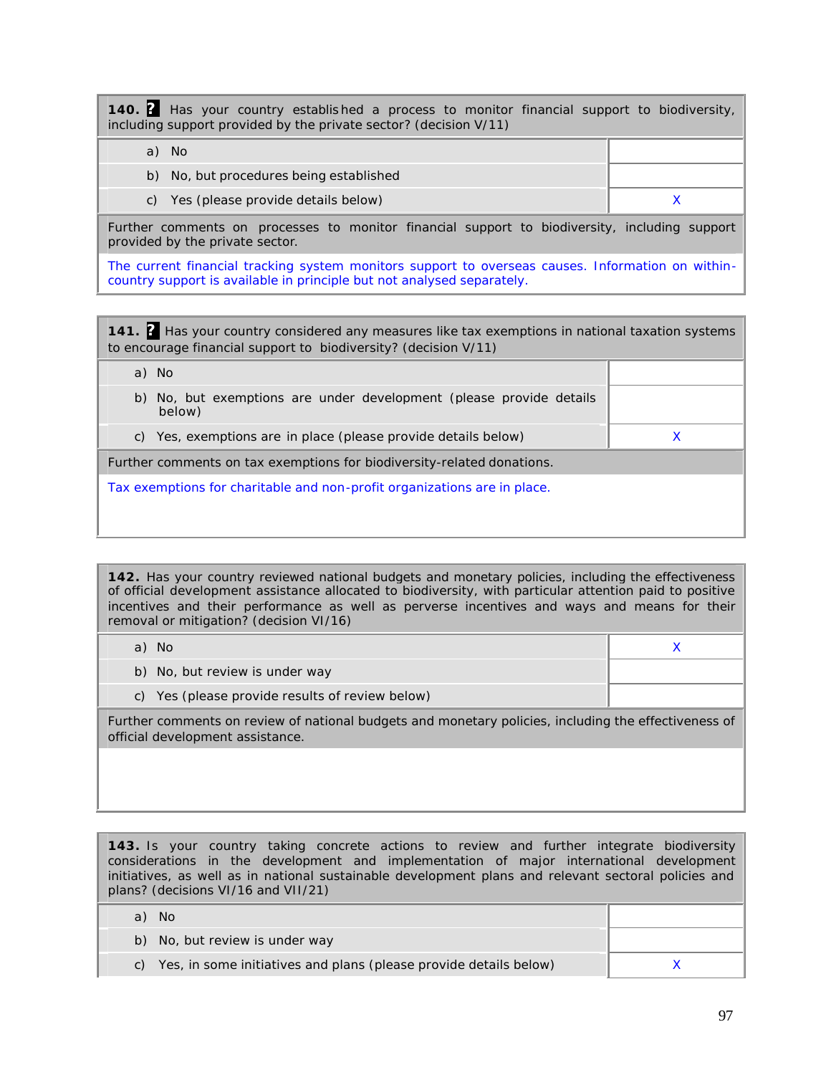**140. ?** Has your country establis hed a process to monitor financial support to biodiversity, including support provided by the private sector? (decision V/11)

| No.                                     |  |
|-----------------------------------------|--|
| b) No, but procedures being established |  |
| c) Yes (please provide details below)   |  |

Further comments on processes to monitor financial support to biodiversity, including support provided by the private sector.

The current financial tracking system monitors support to overseas causes. Information on withincountry support is available in principle but not analysed separately.

**141. ?** Has your country considered any measures like tax exemptions in national taxation systems to encourage financial support to biodiversity? (decision V/11)

|    | a) No                                                                      |  |
|----|----------------------------------------------------------------------------|--|
| b) | No, but exemptions are under development (please provide details<br>below) |  |
| C) | Yes, exemptions are in place (please provide details below)                |  |
|    | Further comments on tax exemptions for biodiversity-related donations.     |  |
|    | Tax exemptions for charitable and non-profit organizations are in place.   |  |
|    |                                                                            |  |
|    |                                                                            |  |

**142.** Has your country reviewed national budgets and monetary policies, including the effectiveness of official development assistance allocated to biodiversity, with particular attention paid to positive incentives and their performance as well as perverse incentives and ways and means for their removal or mitigation? (decision VI/16)

| a) No                                                                                                |  |
|------------------------------------------------------------------------------------------------------|--|
| b) No, but review is under way                                                                       |  |
| c) Yes (please provide results of review below)                                                      |  |
| Further comments on review of national budgets and monetary policies, including the effectiveness of |  |

official development assistance.

**143.** Is your country taking concrete actions to review and further integrate biodiversity considerations in the development and implementation of major international development initiatives, as well as in national sustainable development plans and relevant sectoral policies and plans? (decisions VI/16 and VII/21)

| No.                                                                  |  |
|----------------------------------------------------------------------|--|
| b) No, but review is under way                                       |  |
| c) Yes, in some initiatives and plans (please provide details below) |  |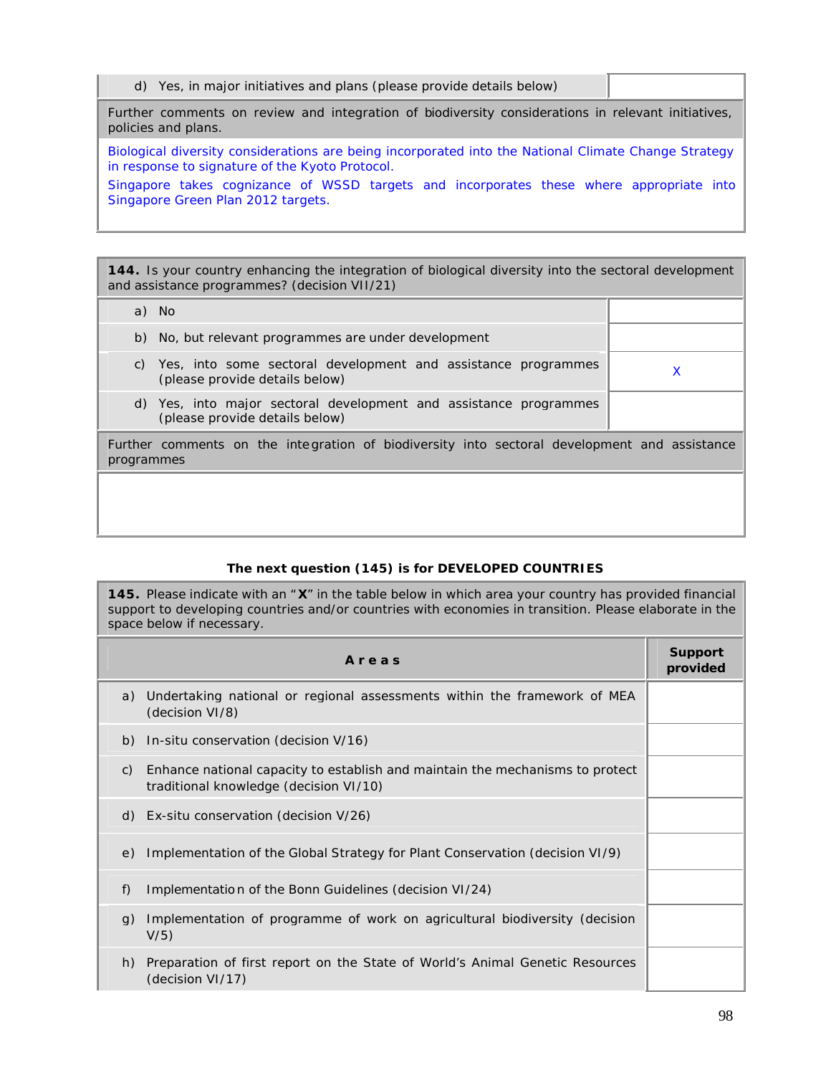**144.** Is your country enhancing the integration of biological diversity into the sectoral development and assistance programmes? (decision VII/21)

| a) No                                                                                                      |   |
|------------------------------------------------------------------------------------------------------------|---|
| b) No, but relevant programmes are under development                                                       |   |
| Yes, into some sectoral development and assistance programmes<br>C)<br>(please provide details below)      | X |
| d) Yes, into major sectoral development and assistance programmes<br>(please provide details below)        |   |
| Further comments on the integration of biodiversity into sectoral development and assistance<br>programmes |   |
|                                                                                                            |   |
|                                                                                                            |   |

# *The next question (145) is for DEVELOPED COUNTRIES*

**145.** Please indicate with an " **X**" in the table below in which area your country has provided financial support to developing countries and/or countries with economies in transition. Please elaborate in the space below if necessary.

| Areas                                                                                                                         | <b>Support</b><br>provided |
|-------------------------------------------------------------------------------------------------------------------------------|----------------------------|
| Undertaking national or regional assessments within the framework of MEA<br>a)<br>(decision VI/8)                             |                            |
| b) In-situ conservation (decision V/16)                                                                                       |                            |
| Enhance national capacity to establish and maintain the mechanisms to protect<br>C)<br>traditional knowledge (decision VI/10) |                            |
| d) $Ex\text{-}situ$ conservation (decision $V/26$ )                                                                           |                            |
| Implementation of the Global Strategy for Plant Conservation (decision VI/9)<br>e)                                            |                            |
| f)<br>Implementation of the Bonn Guidelines (decision VI/24)                                                                  |                            |
| Implementation of programme of work on agricultural biodiversity (decision<br>q)<br>V/5)                                      |                            |
| Preparation of first report on the State of World's Animal Genetic Resources<br>h)<br>(decision VI/17)                        |                            |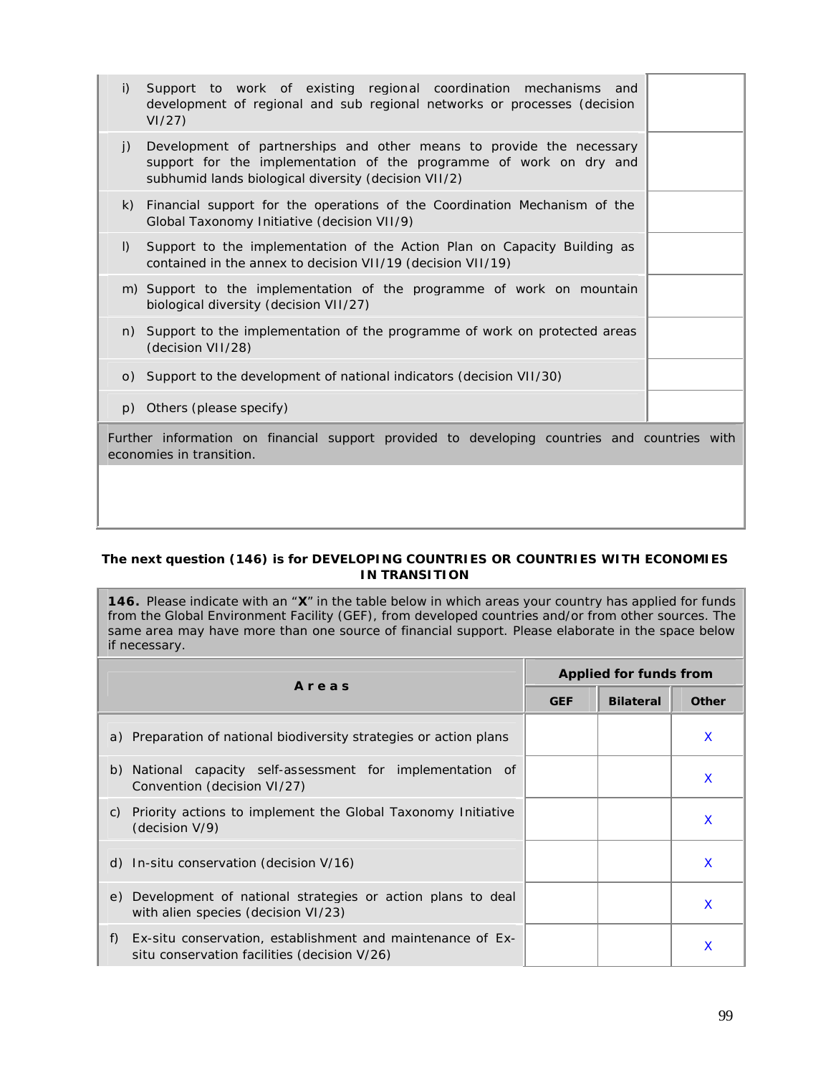| i)           | Support to work of existing regional coordination mechanisms and<br>development of regional and sub regional networks or processes (decision<br>VI/27                                              |  |
|--------------|----------------------------------------------------------------------------------------------------------------------------------------------------------------------------------------------------|--|
| i)           | Development of partnerships and other means to provide the necessary<br>support for the implementation of the programme of work on dry and<br>subhumid lands biological diversity (decision VII/2) |  |
| $\mathsf{k}$ | Financial support for the operations of the Coordination Mechanism of the<br>Global Taxonomy Initiative (decision VII/9)                                                                           |  |
| $\vert$ )    | Support to the implementation of the Action Plan on Capacity Building as<br>contained in the annex to decision VII/19 (decision VII/19)                                                            |  |
|              | m) Support to the implementation of the programme of work on mountain<br>biological diversity (decision VII/27)                                                                                    |  |
|              | n) Support to the implementation of the programme of work on protected areas<br>(decision VII/28)                                                                                                  |  |
|              | o) Support to the development of national indicators (decision VII/30)                                                                                                                             |  |
|              | p) Others (please specify)                                                                                                                                                                         |  |
|              | Further information on financial support provided to developing countries and countries with<br>economies in transition.                                                                           |  |
|              |                                                                                                                                                                                                    |  |

### *The next question (146) is for DEVELOPING COUNTRIES OR COUNTRIES WITH ECONOMIES IN TRANSITION*

**146.** Please indicate with an "**X**" in the table below in which areas your country has applied for funds from the Global Environment Facility (GEF), from developed countries and/or from other sources. The same area may have more than one source of financial support. Please elaborate in the space below if necessary.

| Areas                                                                                                            | <b>Applied for funds from</b> |                  |              |  |
|------------------------------------------------------------------------------------------------------------------|-------------------------------|------------------|--------------|--|
|                                                                                                                  | <b>GEF</b>                    | <b>Bilateral</b> | <b>Other</b> |  |
| a) Preparation of national biodiversity strategies or action plans                                               |                               |                  | X            |  |
| b) National capacity self-assessment for implementation of<br>Convention (decision VI/27)                        |                               |                  | X            |  |
| Priority actions to implement the Global Taxonomy Initiative<br>C)<br>(decision V/9)                             |                               |                  | X            |  |
| d) In-situ conservation (decision $V/16$ )                                                                       |                               |                  | X            |  |
| e) Development of national strategies or action plans to deal<br>with alien species (decision VI/23)             |                               |                  | x            |  |
| Ex-situ conservation, establishment and maintenance of Ex-<br>f)<br>situ conservation facilities (decision V/26) |                               |                  | X            |  |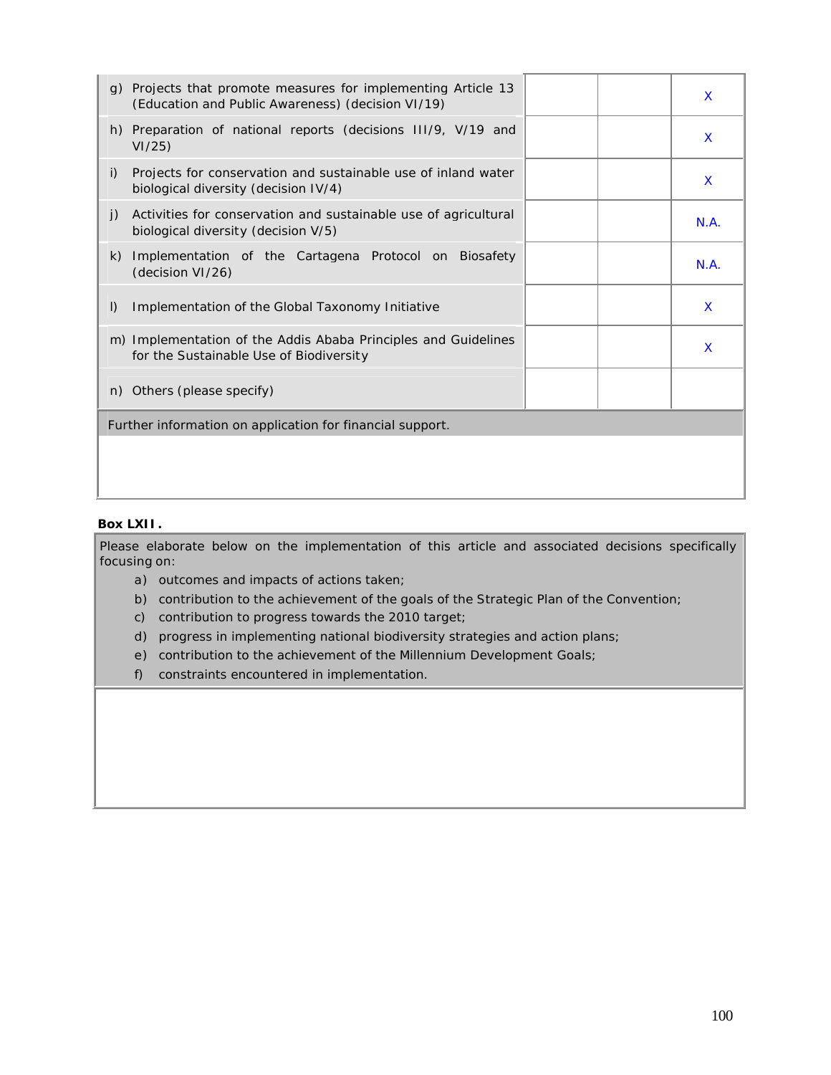|              | g) Projects that promote measures for implementing Article 13<br>(Education and Public Awareness) (decision VI/19) |  | $\mathsf{x}$ |
|--------------|--------------------------------------------------------------------------------------------------------------------|--|--------------|
|              | h) Preparation of national reports (decisions III/9, V/19 and<br>VI/25                                             |  | X            |
| i)           | Projects for conservation and sustainable use of inland water<br>biological diversity (decision IV/4)              |  | X            |
| $\mathbf{j}$ | Activities for conservation and sustainable use of agricultural<br>biological diversity (decision V/5)             |  | N.A.         |
| k)           | Implementation of the Cartagena Protocol on Biosafety<br>(decision VI/26)                                          |  | N.A.         |
| $\mathsf{I}$ | Implementation of the Global Taxonomy Initiative                                                                   |  | X            |
|              | m) Implementation of the Addis Ababa Principles and Guidelines<br>for the Sustainable Use of Biodiversity          |  | X            |
| n)           | Others (please specify)                                                                                            |  |              |
|              | Further information on application for financial support.                                                          |  |              |
|              |                                                                                                                    |  |              |

# **Box LXII.**

Please elaborate below on the implementation of this article and associated decisions specifically focusing on:

- a) outcomes and impacts of actions taken;
- b) contribution to the achievement of the goals of the Strategic Plan of the Convention;
- c) contribution to progress towards the 2010 target;
- d) progress in implementing national biodiversity strategies and action plans;
- e) contribution to the achievement of the Millennium Development Goals;
- f) constraints encountered in implementation.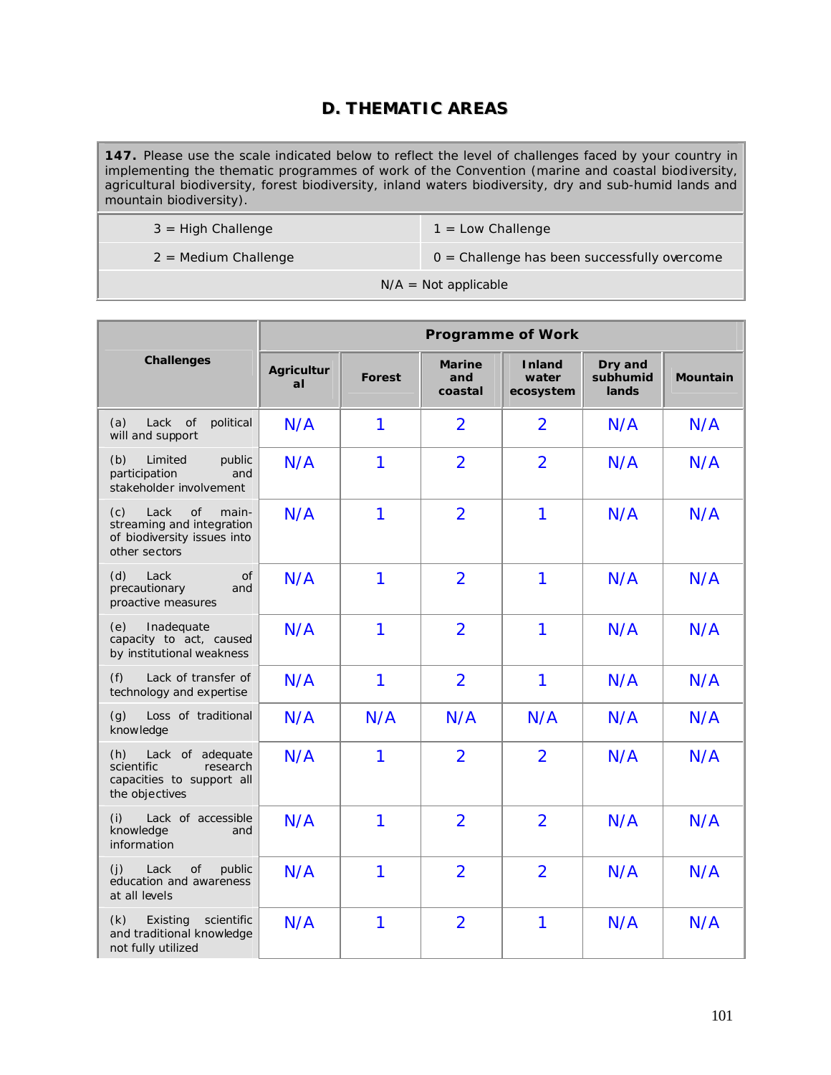# **D. THEMATIC AREAS**

**147.** Please use the scale indicated below to reflect the level of challenges faced by your country in implementing the thematic programmes of work of the Convention (marine and coastal biodiversity, agricultural biodiversity, forest biodiversity, inland waters biodiversity, dry and sub-humid lands and mountain biodiversity).

| $3 =$ High Challenge   | $1 =$ Low Challenge                            |
|------------------------|------------------------------------------------|
| $2$ = Medium Challenge | $0 =$ Challenge has been successfully overcome |
|                        | $N/A = Not applicable$                         |

|                                                                                                                | <b>Programme of Work</b> |               |                                 |                                     |                              |                 |
|----------------------------------------------------------------------------------------------------------------|--------------------------|---------------|---------------------------------|-------------------------------------|------------------------------|-----------------|
| <b>Challenges</b>                                                                                              | <b>Agricultur</b><br>al  | <b>Forest</b> | <b>Marine</b><br>and<br>coastal | <b>Inland</b><br>water<br>ecosystem | Dry and<br>subhumid<br>lands | <b>Mountain</b> |
| (a)<br>Lack of<br>political<br>will and support                                                                | N/A                      | 1             | $\overline{2}$                  | 2                                   | N/A                          | N/A             |
| (b)<br>Limited<br>public<br>participation<br>and<br>stakeholder involvement                                    | N/A                      | 1             | $\overline{2}$                  | $\overline{2}$                      | N/A                          | N/A             |
| Lack<br>(c)<br><b>of</b><br>main-<br>streaming and integration<br>of biodiversity issues into<br>other sectors | N/A                      | 1             | $\overline{2}$                  | $\overline{1}$                      | N/A                          | N/A             |
| (d)<br>Lack<br>0f<br>precautionary<br>and<br>proactive measures                                                | N/A                      | 1             | $\overline{2}$                  | 1                                   | N/A                          | N/A             |
| Inadequate<br>(e)<br>capacity to act, caused<br>by institutional weakness                                      | N/A                      | 1             | $\overline{2}$                  | 1                                   | N/A                          | N/A             |
| (f)<br>Lack of transfer of<br>technology and expertise                                                         | N/A                      | 1             | $\overline{2}$                  | 1                                   | N/A                          | N/A             |
| (g)<br>Loss of traditional<br>knowledge                                                                        | N/A                      | N/A           | N/A                             | N/A                                 | N/A                          | N/A             |
| Lack of adequate<br>(h)<br>scientific<br>research<br>capacities to support all<br>the objectives               | N/A                      | 1             | $\overline{2}$                  | $\overline{2}$                      | N/A                          | N/A             |
| (i)<br>Lack of accessible<br>knowledge<br>and<br>information                                                   | N/A                      | 1             | $\overline{2}$                  | $\overline{2}$                      | N/A                          | N/A             |
| (i)<br>public<br>Lack<br>of<br>education and awareness<br>at all levels                                        | N/A                      | 1             | $\overline{2}$                  | $\overline{2}$                      | N/A                          | N/A             |
| (k)<br>Existing<br>scientific<br>and traditional knowledge<br>not fully utilized                               | N/A                      | 1             | $\overline{2}$                  | $\mathbf{1}$                        | N/A                          | N/A             |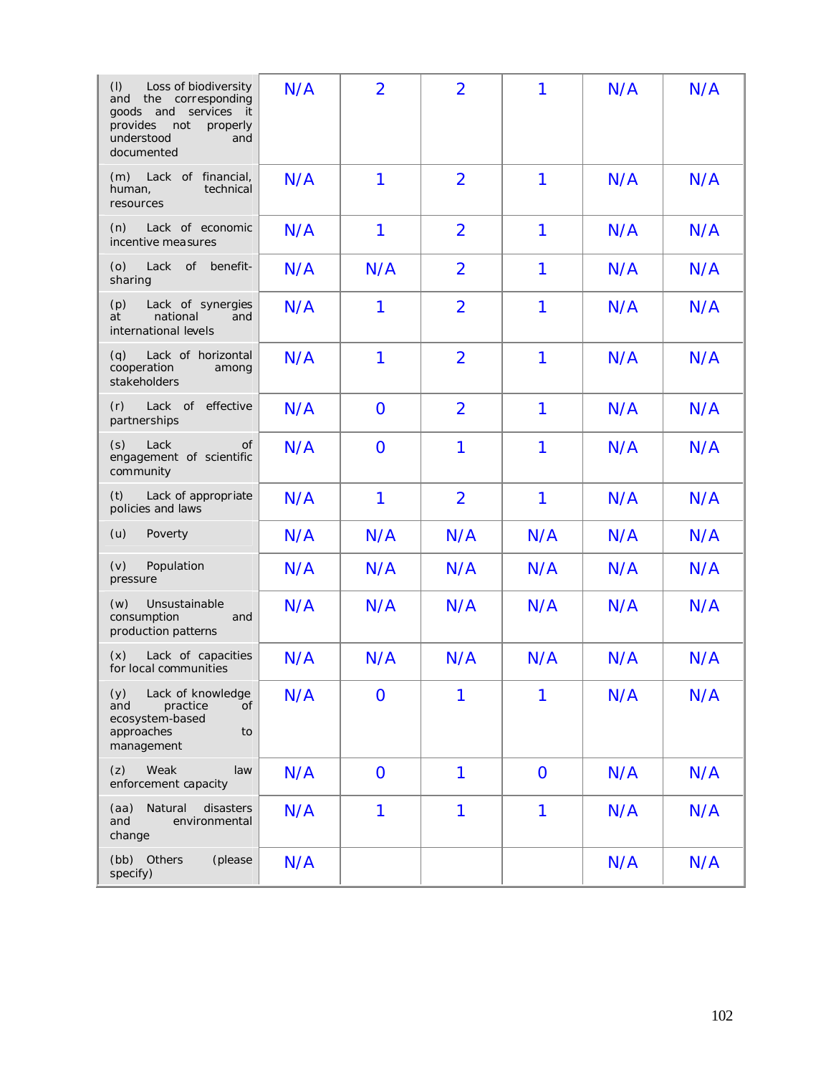| (1)<br>Loss of biodiversity<br>the                                                                                 | N/A | $\overline{2}$ | $\overline{2}$ | 1            | N/A | N/A |
|--------------------------------------------------------------------------------------------------------------------|-----|----------------|----------------|--------------|-----|-----|
| corresponding<br>and<br>goods and<br>services it<br>provides<br>not<br>properly<br>understood<br>and<br>documented |     |                |                |              |     |     |
| Lack of financial,<br>(m)<br>technical<br>human,<br>resources                                                      | N/A | 1              | $\overline{2}$ | 1            | N/A | N/A |
| (n)<br>Lack of economic<br>incentive measures                                                                      | N/A | 1              | $\overline{2}$ | 1            | N/A | N/A |
| (o)<br>Lack<br>of<br>benefit-<br>sharing                                                                           | N/A | N/A            | $\overline{2}$ | 1            | N/A | N/A |
| (p)<br>Lack of synergies<br>national<br>at<br>and<br>international levels                                          | N/A | 1              | $\overline{2}$ | 1            | N/A | N/A |
| Lack of horizontal<br>(q)<br>cooperation<br>among<br>stakeholders                                                  | N/A | 1              | $\overline{2}$ | 1            | N/A | N/A |
| effective<br>(r)<br>Lack of<br>partnerships                                                                        | N/A | $\mathbf 0$    | $\overline{2}$ | 1            | N/A | N/A |
| (s)<br>Lack<br>Οf<br>engagement of scientific<br>community                                                         | N/A | $\overline{O}$ | 1              | 1            | N/A | N/A |
| Lack of appropriate<br>(t)<br>policies and laws                                                                    | N/A | $\mathbf{1}$   | $\overline{2}$ | 1            | N/A | N/A |
| Poverty<br>(u)                                                                                                     | N/A | N/A            | N/A            | N/A          | N/A | N/A |
| (v)<br>Population<br>pressure                                                                                      | N/A | N/A            | N/A            | N/A          | N/A | N/A |
| Unsustainable<br>(w)<br>consumption<br>and<br>production patterns                                                  | N/A | N/A            | N/A            | N/A          | N/A | N/A |
| Lack of capacities<br>(x)<br>for local communities                                                                 | N/A | N/A            | N/A            | N/A          | N/A | N/A |
| Lack of knowledge<br>(y)<br>and<br>practice<br>οf<br>ecosystem-based<br>approaches<br>to<br>management             | N/A | $\mathbf 0$    | 1              | 1            | N/A | N/A |
| Weak<br>(z)<br>law<br>enforcement capacity                                                                         | N/A | $\mathbf 0$    | 1              | $\mathbf{O}$ | N/A | N/A |
| Natural<br>disasters<br>(aa)<br>and<br>environmental<br>change                                                     | N/A | 1              | 1              | $\mathbf{1}$ | N/A | N/A |
| (bb) Others<br>(please<br>specify)                                                                                 | N/A |                |                |              | N/A | N/A |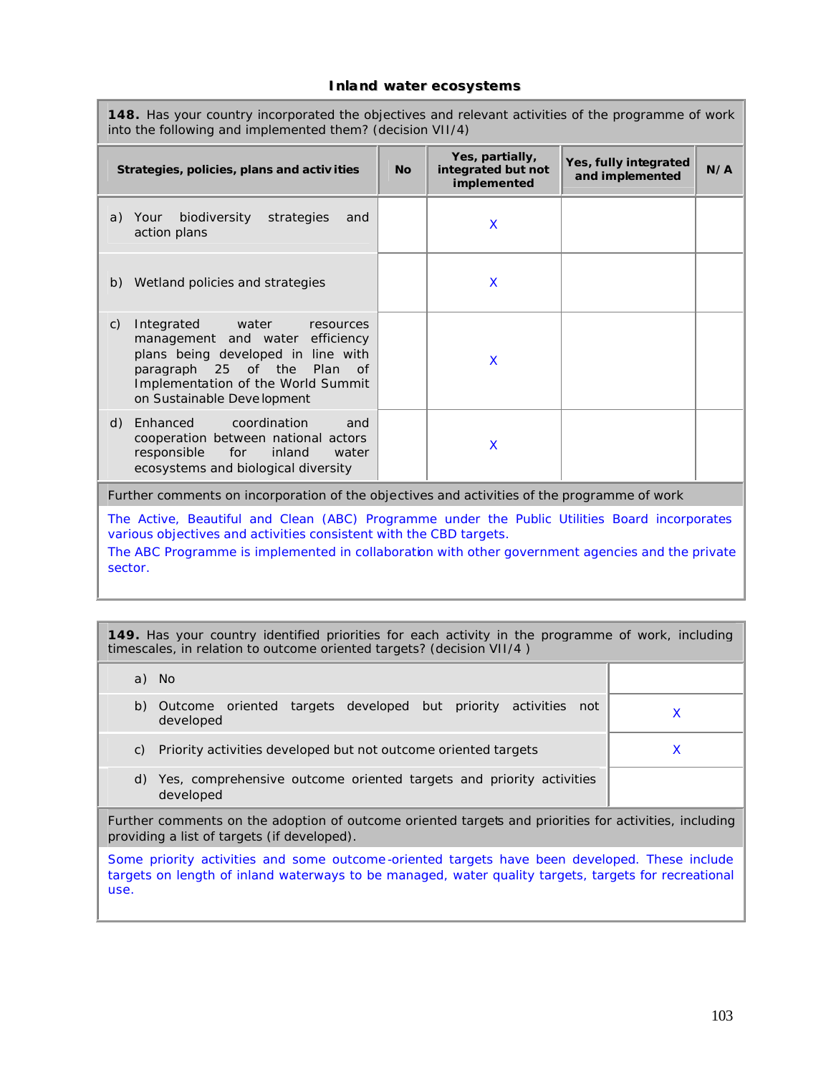#### **Inland water ecosystems**

**148.** Has your country incorporated the objectives and relevant activities of the programme of work into the following and implemented them? (decision VII/4)

| Strategies, policies, plans and activities                                                                                                                                                                                            | <b>No</b> | Yes, partially,<br>integrated but not<br>implemented | Yes, fully integrated<br>and implemented | N/A |  |
|---------------------------------------------------------------------------------------------------------------------------------------------------------------------------------------------------------------------------------------|-----------|------------------------------------------------------|------------------------------------------|-----|--|
| biodiversity<br>strategies<br>a) Your<br>and<br>action plans                                                                                                                                                                          |           | X                                                    |                                          |     |  |
| b) Wetland policies and strategies                                                                                                                                                                                                    |           | X                                                    |                                          |     |  |
| Integrated water<br>$\mathcal{C}$ )<br>resources<br>management and water efficiency<br>plans being developed in line with<br>paragraph 25 of the<br>- Plan<br>of<br>Implementation of the World Summit<br>on Sustainable Deve lopment |           | X                                                    |                                          |     |  |
| Enhanced coordination<br>d)<br>and<br>cooperation between national actors<br>responsible<br>for<br>inland<br>water<br>ecosystems and biological diversity                                                                             |           | X                                                    |                                          |     |  |
| Further comments on incorporation of the objectives and activities of the programme of work                                                                                                                                           |           |                                                      |                                          |     |  |
| The Active, Beautiful and Clean (ABC) Programme under the Public Utilities Board incorporates<br>various objectives and activities consistent with the CBD targets.                                                                   |           |                                                      |                                          |     |  |

The ABC Programme is implemented in collaboration with other government agencies and the private sector.

**149.** Has your country identified priorities for each activity in the programme of work, including timescales, in relation to outcome oriented targets? (decision VII/4 )

|                                                                                                                                                      | a) No                                                                            |  |  |  |
|------------------------------------------------------------------------------------------------------------------------------------------------------|----------------------------------------------------------------------------------|--|--|--|
| b)                                                                                                                                                   | Outcome oriented targets developed but priority activities not<br>developed      |  |  |  |
| C)                                                                                                                                                   | Priority activities developed but not outcome oriented targets                   |  |  |  |
| d)                                                                                                                                                   | Yes, comprehensive outcome oriented targets and priority activities<br>developed |  |  |  |
| Further comments on the adoption of outcome oriented targets and priorities for activities, including<br>providing a list of targets (if developed). |                                                                                  |  |  |  |

Some priority activities and some outcome -oriented targets have been developed. These include targets on length of inland waterways to be managed, water quality targets, targets for recreational use.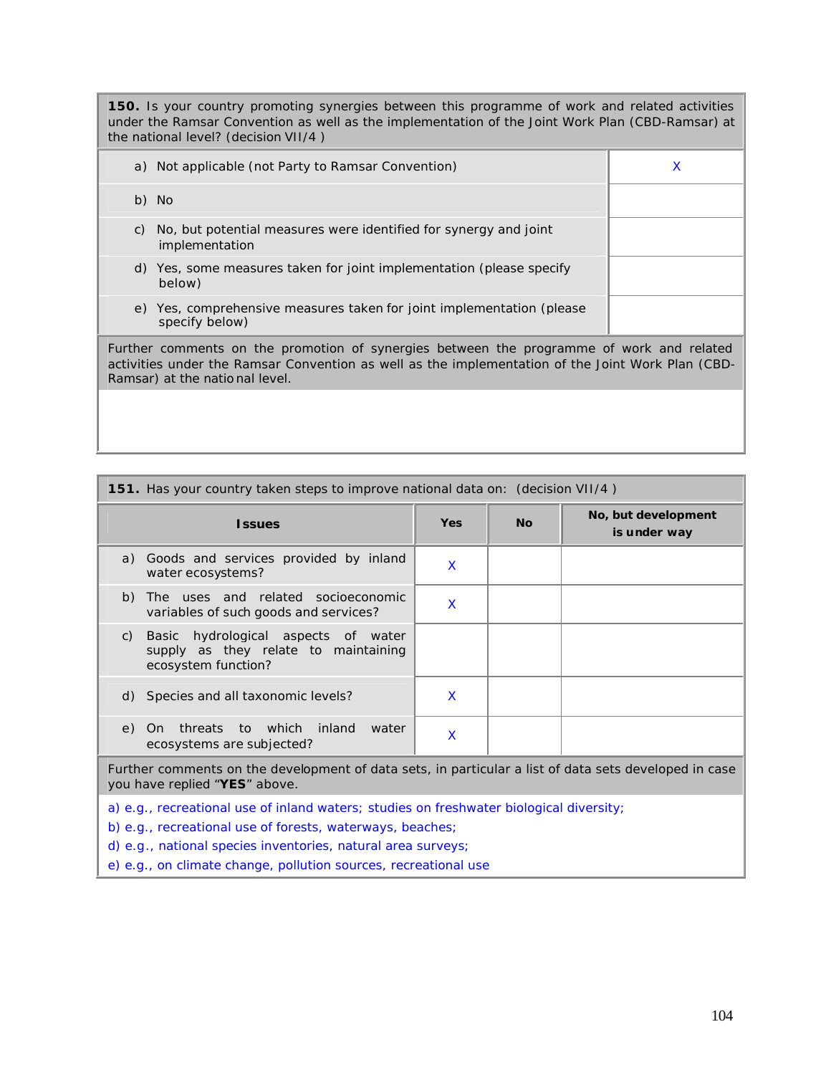**150.** Is your country promoting synergies between this programme of work and related activities under the Ramsar Convention as well as the implementation of the Joint Work Plan (CBD-Ramsar) at the national level? (decision VII/4 )

| a) Not applicable (not Party to Ramsar Convention)                                                                                                                                                                              |  |  |
|---------------------------------------------------------------------------------------------------------------------------------------------------------------------------------------------------------------------------------|--|--|
| b) No                                                                                                                                                                                                                           |  |  |
| No, but potential measures were identified for synergy and joint<br>C)<br>implementation                                                                                                                                        |  |  |
| d) Yes, some measures taken for joint implementation (please specify<br>below)                                                                                                                                                  |  |  |
| e) Yes, comprehensive measures taken for joint implementation (please<br>specify below)                                                                                                                                         |  |  |
| Further comments on the promotion of synergies between the programme of work and related<br>activities under the Ramsar Convention as well as the implementation of the Joint Work Plan (CBD-<br>Ramsar) at the national level. |  |  |

| 151. Has your country taken steps to improve national data on: (decision VII/4)                                                                                                                                      |            |           |                                     |
|----------------------------------------------------------------------------------------------------------------------------------------------------------------------------------------------------------------------|------------|-----------|-------------------------------------|
| <b>Issues</b>                                                                                                                                                                                                        | <b>Yes</b> | <b>No</b> | No, but development<br>is under way |
| a) Goods and services provided by inland<br>water ecosystems?                                                                                                                                                        | X          |           |                                     |
| The uses and related socioeconomic<br>b)<br>variables of such goods and services?                                                                                                                                    | X          |           |                                     |
| Basic hydrological aspects of water<br>C)<br>supply as they relate to maintaining<br>ecosystem function?                                                                                                             |            |           |                                     |
| d) Species and all taxonomic levels?                                                                                                                                                                                 | X          |           |                                     |
| to which<br>inland<br>threats<br>water<br>On<br>e)<br>ecosystems are subjected?                                                                                                                                      | X          |           |                                     |
| Further comments on the development of data sets, in particular a list of data sets developed in case<br>you have replied "YES" above.                                                                               |            |           |                                     |
| a) e.g., recreational use of inland waters; studies on freshwater biological diversity;<br>b) e.g., recreational use of forests, waterways, beaches;<br>d) e.g., national species inventories, natural area surveys; |            |           |                                     |

e) e.g., on climate change, pollution sources, recreational use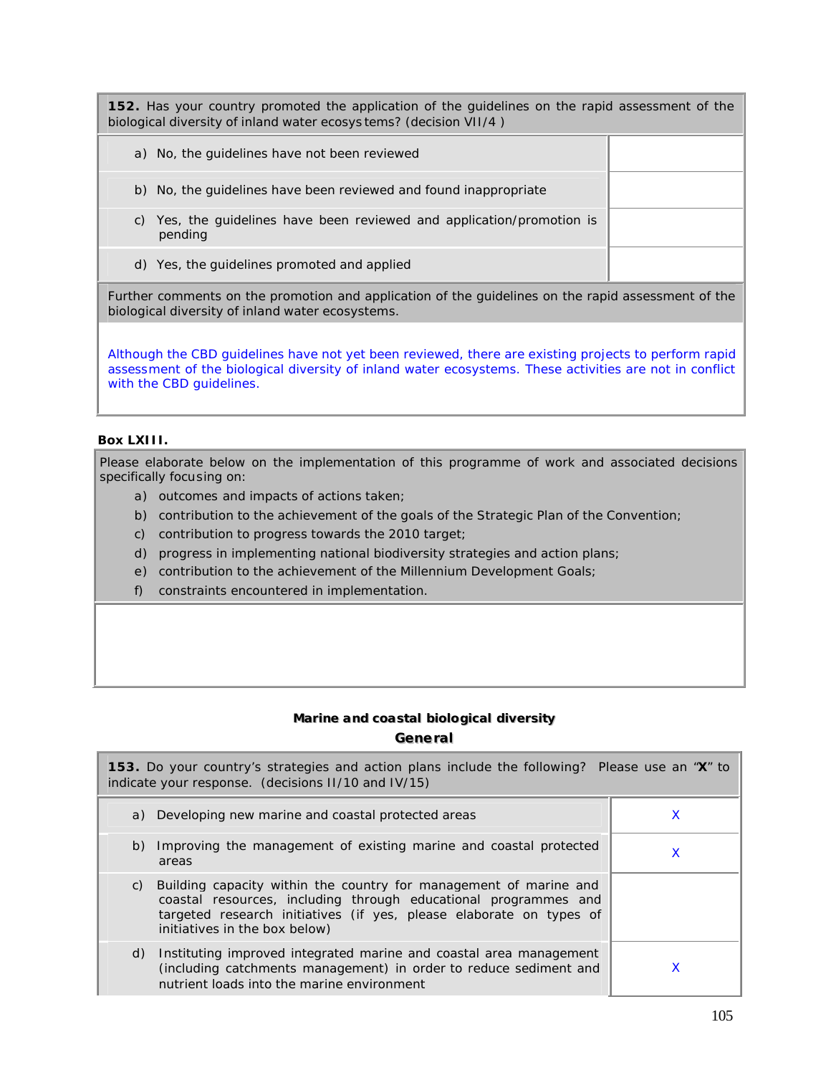**152.** Has your country promoted the application of the guidelines on the rapid assessment of the biological diversity of inland water ecosys tems? (decision VII/4 )

| a) No, the quidelines have not been reviewed                                         |  |
|--------------------------------------------------------------------------------------|--|
| No, the guidelines have been reviewed and found inappropriate<br>b)                  |  |
| Yes, the guidelines have been reviewed and application/promotion is<br>C)<br>pending |  |
| d) Yes, the guidelines promoted and applied                                          |  |

Further comments on the promotion and application of the guidelines on the rapid assessment of the biological diversity of inland water ecosystems.

Although the CBD guidelines have not yet been reviewed, there are existing projects to perform rapid assessment of the biological diversity of inland water ecosystems. These activities are not in conflict with the CBD guidelines.

# **Box LXIII.**

Please elaborate below on the implementation of this programme of work and associated decisions specifically focusing on:

- a) outcomes and impacts of actions taken;
- b) contribution to the achievement of the goals of the Strategic Plan of the Convention;
- c) contribution to progress towards the 2010 target;
- d) progress in implementing national biodiversity strategies and action plans;
- e) contribution to the achievement of the Millennium Development Goals;
- f) constraints encountered in implementation.

# **Marine and coastal biological diversity Generall**

| <b>153.</b> Do your country's strategies and action plans include the following? Please use an "X" to<br>indicate your response. (decisions II/10 and IV/15) |                                                                                                                                                                                                                                                 |   |  |
|--------------------------------------------------------------------------------------------------------------------------------------------------------------|-------------------------------------------------------------------------------------------------------------------------------------------------------------------------------------------------------------------------------------------------|---|--|
|                                                                                                                                                              | a) Developing new marine and coastal protected areas                                                                                                                                                                                            | X |  |
| areas                                                                                                                                                        | b) Improving the management of existing marine and coastal protected                                                                                                                                                                            | X |  |
|                                                                                                                                                              | c) Building capacity within the country for management of marine and<br>coastal resources, including through educational programmes and<br>targeted research initiatives (if yes, please elaborate on types of<br>initiatives in the box below) |   |  |
| d)                                                                                                                                                           | Instituting improved integrated marine and coastal area management<br>(including catchments management) in order to reduce sediment and<br>nutrient loads into the marine environment                                                           |   |  |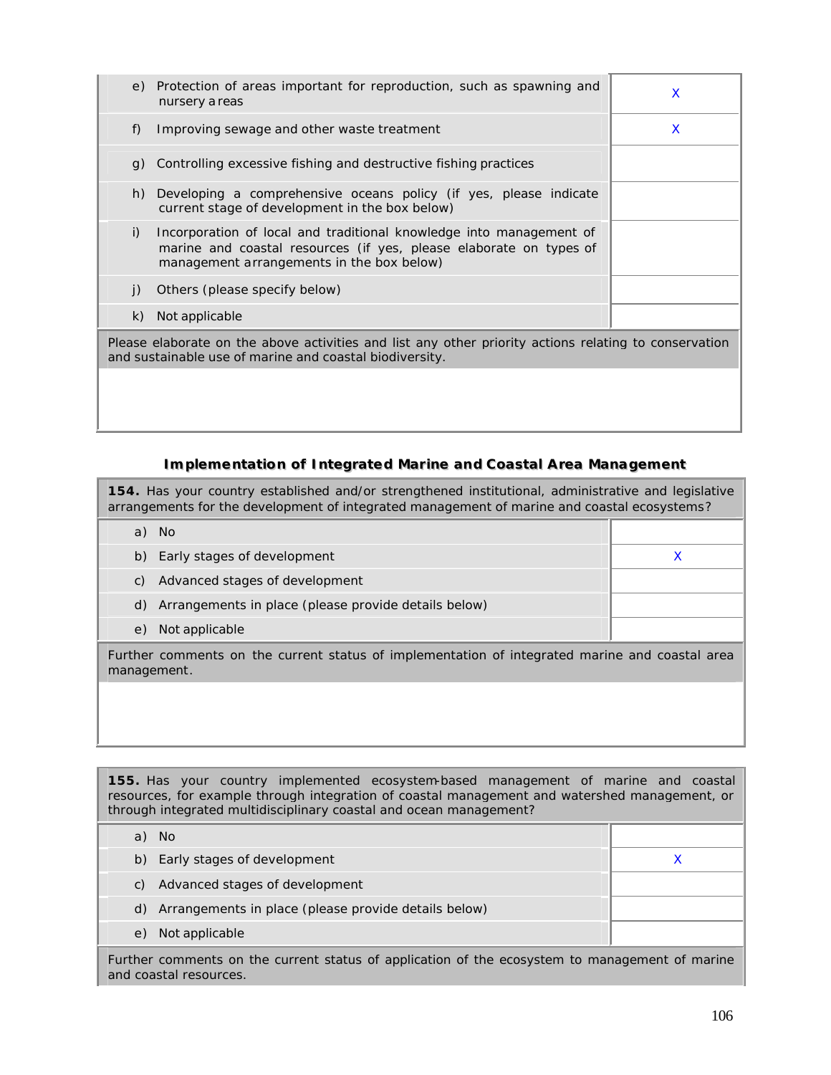| e)                                                                                                                                                               | Protection of areas important for reproduction, such as spawning and<br>nursery a reas                                                                                                 | X |  |
|------------------------------------------------------------------------------------------------------------------------------------------------------------------|----------------------------------------------------------------------------------------------------------------------------------------------------------------------------------------|---|--|
| f)                                                                                                                                                               | Improving sewage and other waste treatment                                                                                                                                             | X |  |
| g)                                                                                                                                                               | Controlling excessive fishing and destructive fishing practices                                                                                                                        |   |  |
| h)                                                                                                                                                               | Developing a comprehensive oceans policy (if yes, please indicate<br>current stage of development in the box below)                                                                    |   |  |
| i)                                                                                                                                                               | Incorporation of local and traditional knowledge into management of<br>marine and coastal resources (if yes, please elaborate on types of<br>management arrangements in the box below) |   |  |
| $\vert$ )                                                                                                                                                        | Others (please specify below)                                                                                                                                                          |   |  |
| k)                                                                                                                                                               | Not applicable                                                                                                                                                                         |   |  |
| Please elaborate on the above activities and list any other priority actions relating to conservation<br>and sustainable use of marine and coastal biodiversity. |                                                                                                                                                                                        |   |  |
|                                                                                                                                                                  |                                                                                                                                                                                        |   |  |

### **Implementation of Integrated Marine and Coastal Area Management**

**154.** Has your country established and/or strengthened institutional, administrative and legislative arrangements for the development of integrated management of marine and coastal ecosystems?

| a)                                                                                                            | - No                                                 |  |
|---------------------------------------------------------------------------------------------------------------|------------------------------------------------------|--|
| b)                                                                                                            | Early stages of development                          |  |
| C)                                                                                                            | Advanced stages of development                       |  |
| d)                                                                                                            | Arrangements in place (please provide details below) |  |
| e)                                                                                                            | Not applicable                                       |  |
| Further comments on the current status of implementation of integrated marine and coastal area<br>management. |                                                      |  |

**155.** Has your country implemented ecosystem-based management of marine and coastal resources, for example through integration of coastal management and watershed management, or through integrated multidisciplinary coastal and ocean management?

| No.                                                     |  |
|---------------------------------------------------------|--|
| b) Early stages of development                          |  |
| Advanced stages of development<br>C)                    |  |
| d) Arrangements in place (please provide details below) |  |
| Not applicable<br>e <sub>1</sub>                        |  |

Further comments on the current status of application of the ecosystem to management of marine and coastal resources.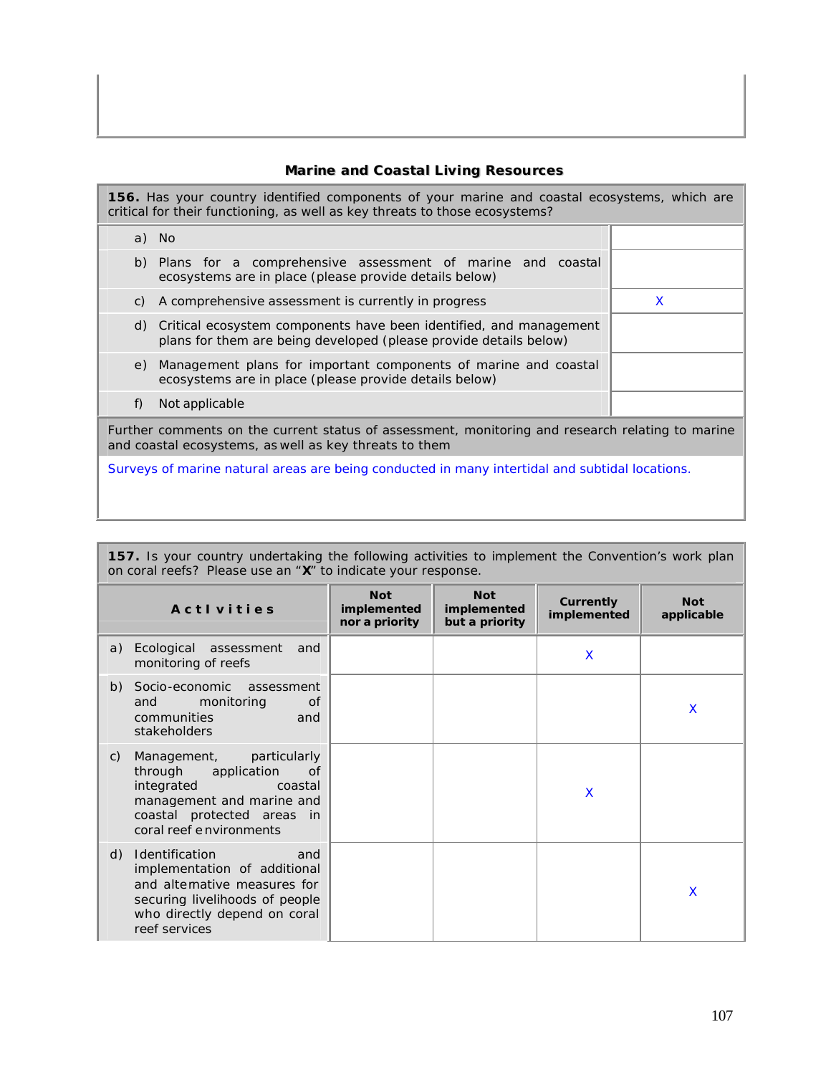# **Mariine and Coastall Liiviing Resources**

**156.** Has your country identified components of your marine and coastal ecosystems, which are critical for their functioning, as well as key threats to those ecosystems?

|                                                                                                                                                            | a) No                                                                                                                                      |   |  |
|------------------------------------------------------------------------------------------------------------------------------------------------------------|--------------------------------------------------------------------------------------------------------------------------------------------|---|--|
| b)                                                                                                                                                         | Plans for a comprehensive assessment of marine and coastal<br>ecosystems are in place (please provide details below)                       |   |  |
| C)                                                                                                                                                         | A comprehensive assessment is currently in progress                                                                                        | X |  |
|                                                                                                                                                            | d) Critical ecosystem components have been identified, and management<br>plans for them are being developed (please provide details below) |   |  |
| e)                                                                                                                                                         | Management plans for important components of marine and coastal<br>ecosystems are in place (please provide details below)                  |   |  |
| f)                                                                                                                                                         | Not applicable                                                                                                                             |   |  |
| Further comments on the current status of assessment, monitoring and research relating to marine<br>and coastal ecosystems, as well as key threats to them |                                                                                                                                            |   |  |
| Surveys of marine natural areas are being conducted in many intertidal and subtidal locations.                                                             |                                                                                                                                            |   |  |

| 157. Is your country undertaking the following activities to implement the Convention's work plan<br>on coral reefs? Please use an "X" to indicate your response.                     |                                             |                                             |                                 |                          |
|---------------------------------------------------------------------------------------------------------------------------------------------------------------------------------------|---------------------------------------------|---------------------------------------------|---------------------------------|--------------------------|
| <b>Activities</b>                                                                                                                                                                     | <b>Not</b><br>implemented<br>nor a priority | <b>Not</b><br>implemented<br>but a priority | <b>Currently</b><br>implemented | <b>Not</b><br>applicable |
| a)<br>Ecological assessment<br>and<br>monitoring of reefs                                                                                                                             |                                             |                                             | X                               |                          |
| Socio-economic<br>b)<br>assessment<br>monitoring<br>and<br>of<br>communities<br>and<br>stakeholders                                                                                   |                                             |                                             |                                 | X                        |
| particularly<br>Management,<br>C)<br>through application<br>of<br>integrated<br>coastal<br>management and marine and<br>coastal protected areas in<br>coral reef e nvironments        |                                             |                                             | X                               |                          |
| d)<br><b>Identification</b><br>and<br>implementation of additional<br>and alternative measures for<br>securing livelihoods of people<br>who directly depend on coral<br>reef services |                                             |                                             |                                 | X                        |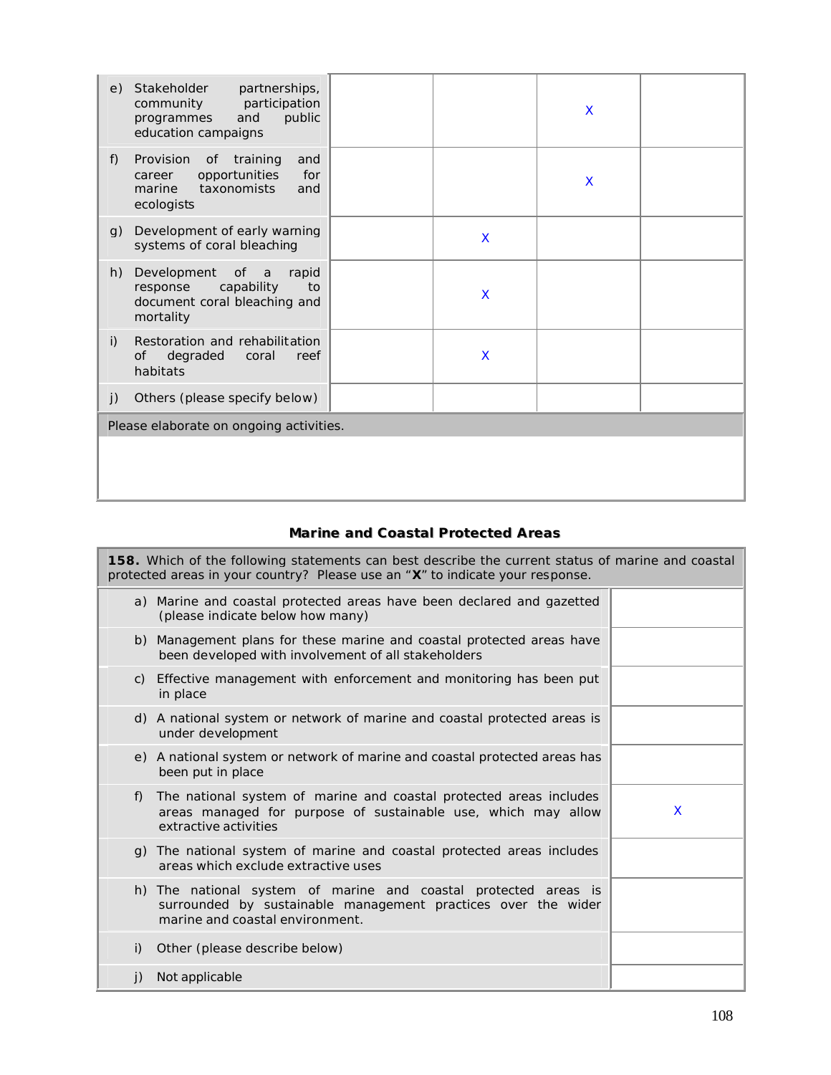| e) | Stakeholder<br>partnerships,<br>participation<br>community<br>and<br>public<br>programmes<br>education campaigns |   | X       |  |
|----|------------------------------------------------------------------------------------------------------------------|---|---------|--|
| f) | Provision<br>of training<br>and<br>opportunities<br>for<br>career<br>taxonomists<br>marine<br>and<br>ecologists  |   | $\sf X$ |  |
| g) | Development of early warning<br>systems of coral bleaching                                                       | X |         |  |
| h) | Development<br>of a<br>rapid<br>capability<br>to<br>response<br>document coral bleaching and<br>mortality        | X |         |  |
| i) | Restoration and rehabilitation<br>degraded<br><b>of</b><br>coral<br>reef<br>habitats                             | X |         |  |
| j) | Others (please specify below)                                                                                    |   |         |  |
|    | Please elaborate on ongoing activities.                                                                          |   |         |  |
|    |                                                                                                                  |   |         |  |
|    |                                                                                                                  |   |         |  |
|    |                                                                                                                  |   |         |  |

# **Mariine and Coastall Protected Areas**

| <b>158.</b> Which of the following statements can best describe the current status of marine and coastal<br>protected areas in your country? Please use an "X" to indicate your response. |   |  |  |  |
|-------------------------------------------------------------------------------------------------------------------------------------------------------------------------------------------|---|--|--|--|
| a) Marine and coastal protected areas have been declared and gazetted<br>(please indicate below how many)                                                                                 |   |  |  |  |
| b) Management plans for these marine and coastal protected areas have<br>been developed with involvement of all stakeholders                                                              |   |  |  |  |
| c) Effective management with enforcement and monitoring has been put<br>in place                                                                                                          |   |  |  |  |
| d) A national system or network of marine and coastal protected areas is<br>under development                                                                                             |   |  |  |  |
| e) A national system or network of marine and coastal protected areas has<br>been put in place                                                                                            |   |  |  |  |
| The national system of marine and coastal protected areas includes<br>f)<br>areas managed for purpose of sustainable use, which may allow<br>extractive activities                        | X |  |  |  |
| g) The national system of marine and coastal protected areas includes<br>areas which exclude extractive uses                                                                              |   |  |  |  |
| h) The national system of marine and coastal protected areas is<br>surrounded by sustainable management practices over the wider<br>marine and coastal environment.                       |   |  |  |  |
| Other (please describe below)<br>i)                                                                                                                                                       |   |  |  |  |
| Not applicable<br>j)                                                                                                                                                                      |   |  |  |  |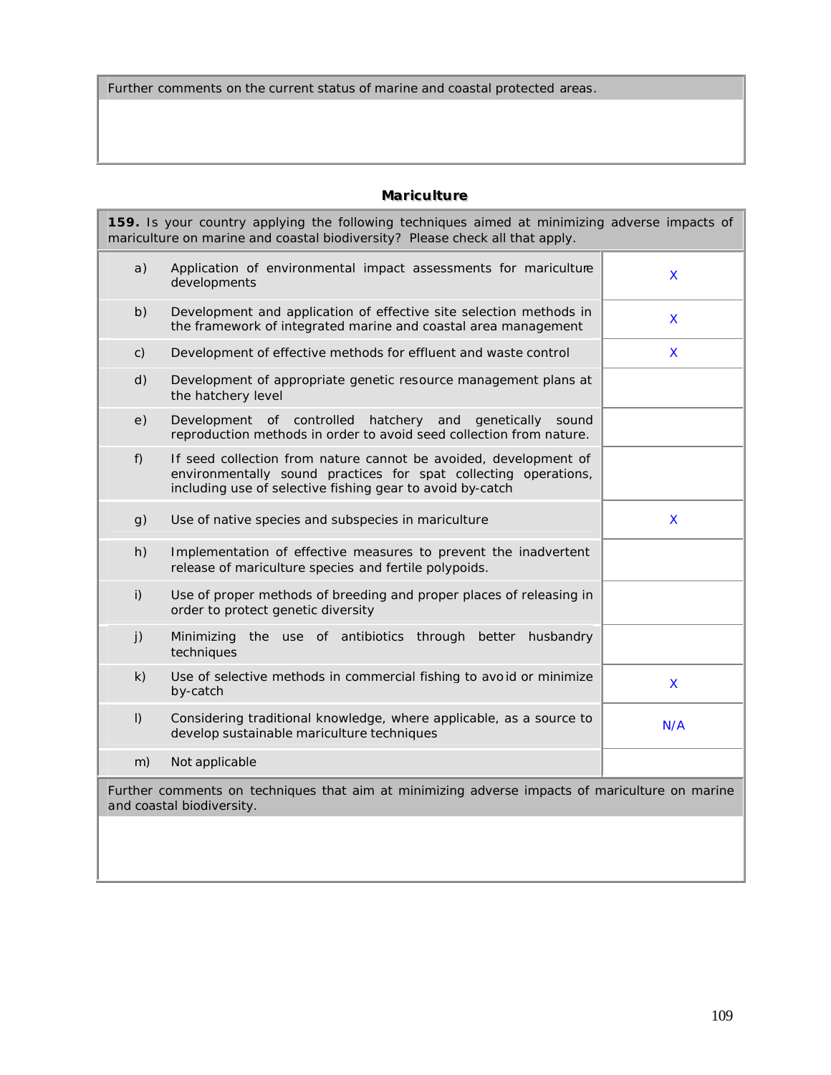Further comments on the current status of marine and coastal protected areas.

# **Mariculture**

| 159. Is your country applying the following techniques aimed at minimizing adverse impacts of<br>mariculture on marine and coastal biodiversity? Please check all that apply. |                                                                                                                                                                                                  |                    |
|-------------------------------------------------------------------------------------------------------------------------------------------------------------------------------|--------------------------------------------------------------------------------------------------------------------------------------------------------------------------------------------------|--------------------|
| a)                                                                                                                                                                            | Application of environmental impact assessments for mariculture<br>developments                                                                                                                  | X                  |
| b)                                                                                                                                                                            | Development and application of effective site selection methods in<br>the framework of integrated marine and coastal area management                                                             | $\mathsf{X}% _{0}$ |
| C)                                                                                                                                                                            | Development of effective methods for effluent and waste control                                                                                                                                  | $\mathsf{X}$       |
| d)                                                                                                                                                                            | Development of appropriate genetic resource management plans at<br>the hatchery level                                                                                                            |                    |
| e)                                                                                                                                                                            | Development of controlled hatchery and<br>qenetically<br>sound<br>reproduction methods in order to avoid seed collection from nature.                                                            |                    |
| f)                                                                                                                                                                            | If seed collection from nature cannot be avoided, development of<br>environmentally sound practices for spat collecting operations,<br>including use of selective fishing gear to avoid by-catch |                    |
| g)                                                                                                                                                                            | Use of native species and subspecies in mariculture                                                                                                                                              | X                  |
| h)                                                                                                                                                                            | Implementation of effective measures to prevent the inadvertent<br>release of mariculture species and fertile polypoids.                                                                         |                    |
| i)                                                                                                                                                                            | Use of proper methods of breeding and proper places of releasing in<br>order to protect genetic diversity                                                                                        |                    |
| j)                                                                                                                                                                            | Minimizing the use of antibiotics through better<br>husbandry<br>techniques                                                                                                                      |                    |
| k)                                                                                                                                                                            | Use of selective methods in commercial fishing to avoid or minimize<br>by-catch                                                                                                                  | X                  |
| $\vert$ )                                                                                                                                                                     | Considering traditional knowledge, where applicable, as a source to<br>develop sustainable mariculture techniques                                                                                | N/A                |
| m)                                                                                                                                                                            | Not applicable                                                                                                                                                                                   |                    |
| Further comments on techniques that aim at minimizing adverse impacts of mariculture on marine<br>and coastal biodiversity.                                                   |                                                                                                                                                                                                  |                    |
|                                                                                                                                                                               |                                                                                                                                                                                                  |                    |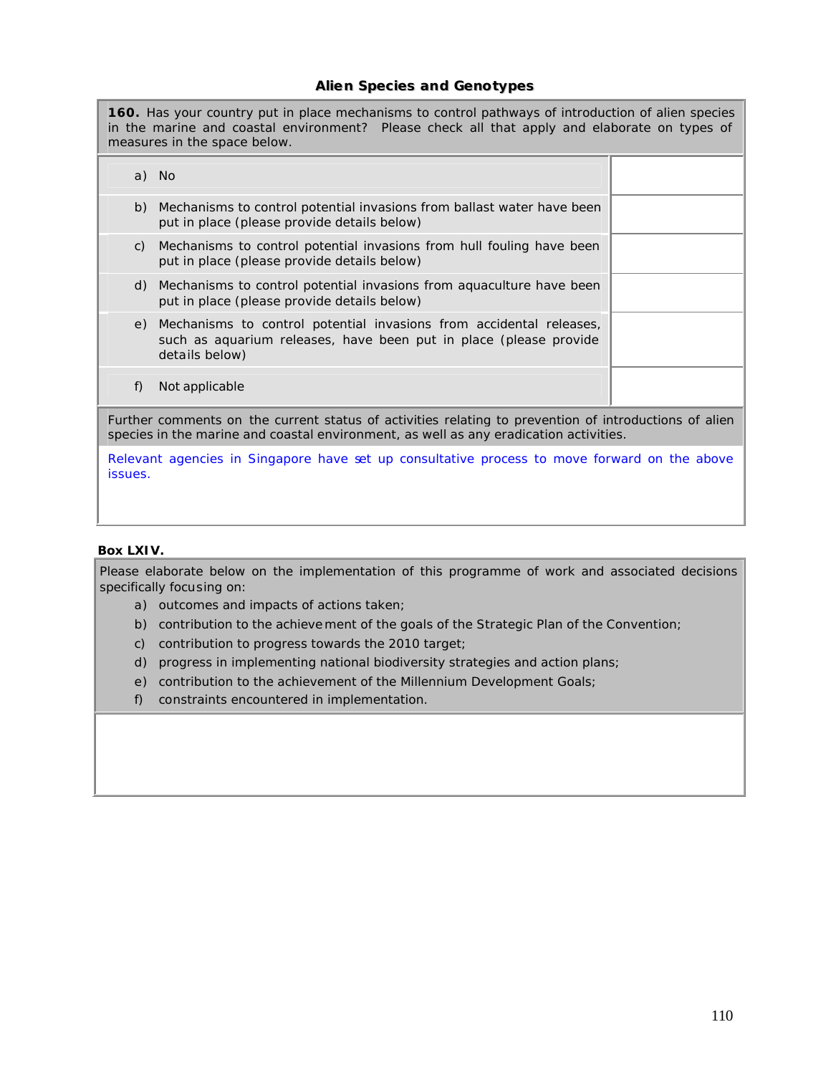## **Alien Species and Genotypes**

**160.** Has your country put in place mechanisms to control pathways of introduction of alien species in the marine and coastal environment? Please check all that apply and elaborate on types of measures in the space below. a) No b) Mechanisms to control potential invasions from ballast water have been put in place (please provide details below) c) Mechanisms to control potential invasions from hull fouling have been put in place (please provide details below) d) Mechanisms to control potential invasions from aquaculture have been put in place (please provide details below) e) Mechanisms to control potential invasions from accidental releases, such as aquarium releases, have been put in place (please provide details below) f) Not applicable Further comments on the current status of activities relating to prevention of introductions of alien species in the marine and coastal environment, as well as any eradication activities. Relevant agencies in Singapore have set up consultative process to move forward on the above issues.

#### **Box LXIV.**

Please elaborate below on the implementation of this programme of work and associated decisions specifically focusing on:

- a) outcomes and impacts of actions taken;
- b) contribution to the achieve ment of the goals of the Strategic Plan of the Convention;
- c) contribution to progress towards the 2010 target;
- d) progress in implementing national biodiversity strategies and action plans;
- e) contribution to the achievement of the Millennium Development Goals;
- f) constraints encountered in implementation.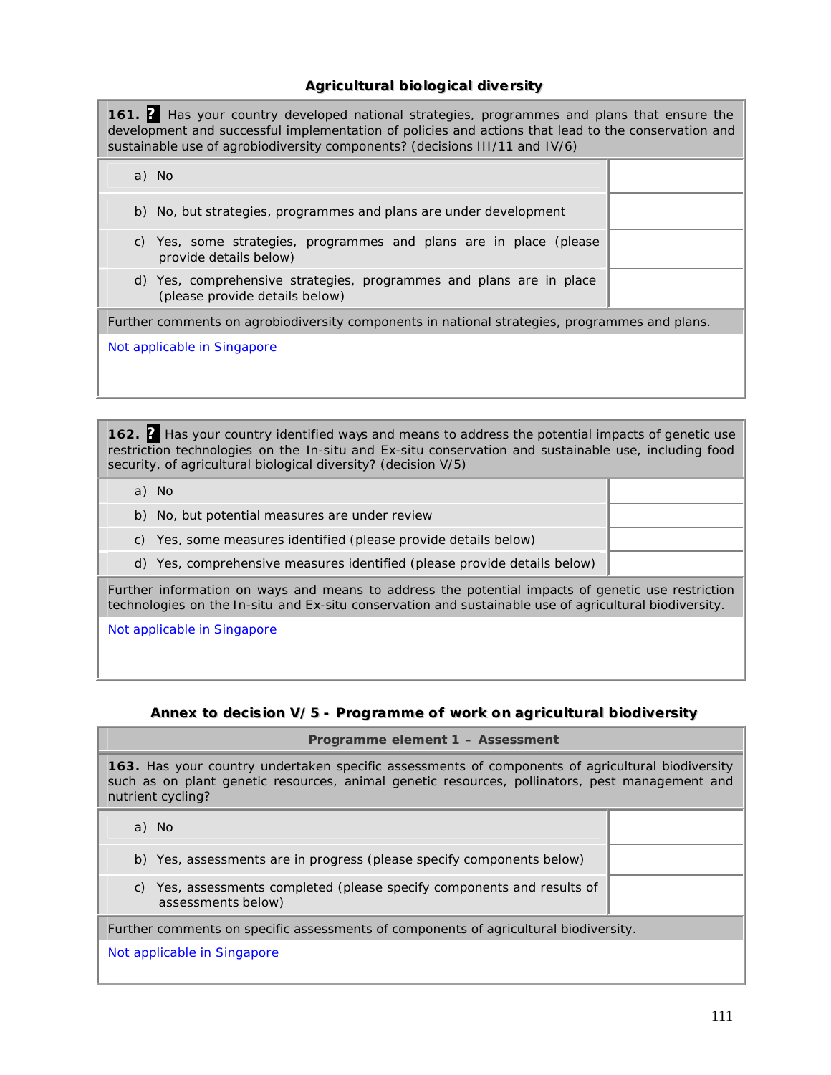# **Agricultural biological diversity**

**161. ?** Has your country developed national strategies, programmes and plans that ensure the development and successful implementation of policies and actions that lead to the conservation and sustainable use of agrobiodiversity components? (decisions III/11 and IV/6)

| a) No                                                                                                 |  |
|-------------------------------------------------------------------------------------------------------|--|
| b) No, but strategies, programmes and plans are under development                                     |  |
| c) Yes, some strategies, programmes and plans are in place (please<br>provide details below)          |  |
| d) Yes, comprehensive strategies, programmes and plans are in place<br>(please provide details below) |  |
| Further comments on agrobiodiversity components in national strategies, programmes and plans.         |  |
| Not applicable in Singapore                                                                           |  |

**162. ?** Has your country identified ways and means to address the potential impacts of genetic use restriction technologies on the *In-situ* and *Ex-situ* conservation and sustainable use, including food security, of agricultural biological diversity? (decision V/5)

| a) No                                                                                                                                                                                                       |  |
|-------------------------------------------------------------------------------------------------------------------------------------------------------------------------------------------------------------|--|
| b) No, but potential measures are under review                                                                                                                                                              |  |
| c) Yes, some measures identified (please provide details below)                                                                                                                                             |  |
| d) Yes, comprehensive measures identified (please provide details below)                                                                                                                                    |  |
| Further information on ways and means to address the potential impacts of genetic use restriction<br>technologies on the In-situ and Ex-situ conservation and sustainable use of agricultural biodiversity. |  |
| Not configable in Cinegraphy                                                                                                                                                                                |  |

Not applicable in Singapore

# **Annex** to decision V/5 - Programme of work on agricultural biodiversity

| Programme element 1 - Assessment                                                                                                                                                                                               |  |  |
|--------------------------------------------------------------------------------------------------------------------------------------------------------------------------------------------------------------------------------|--|--|
| <b>163.</b> Has your country undertaken specific assessments of components of agricultural biodiversity<br>such as on plant genetic resources, animal genetic resources, pollinators, pest management and<br>nutrient cycling? |  |  |
| a) No                                                                                                                                                                                                                          |  |  |
| b) Yes, assessments are in progress (please specify components below)                                                                                                                                                          |  |  |
| Yes, assessments completed (please specify components and results of<br>C)<br>assessments below)                                                                                                                               |  |  |
| Further comments on specific assessments of components of agricultural biodiversity.                                                                                                                                           |  |  |
| Not applicable in Singapore                                                                                                                                                                                                    |  |  |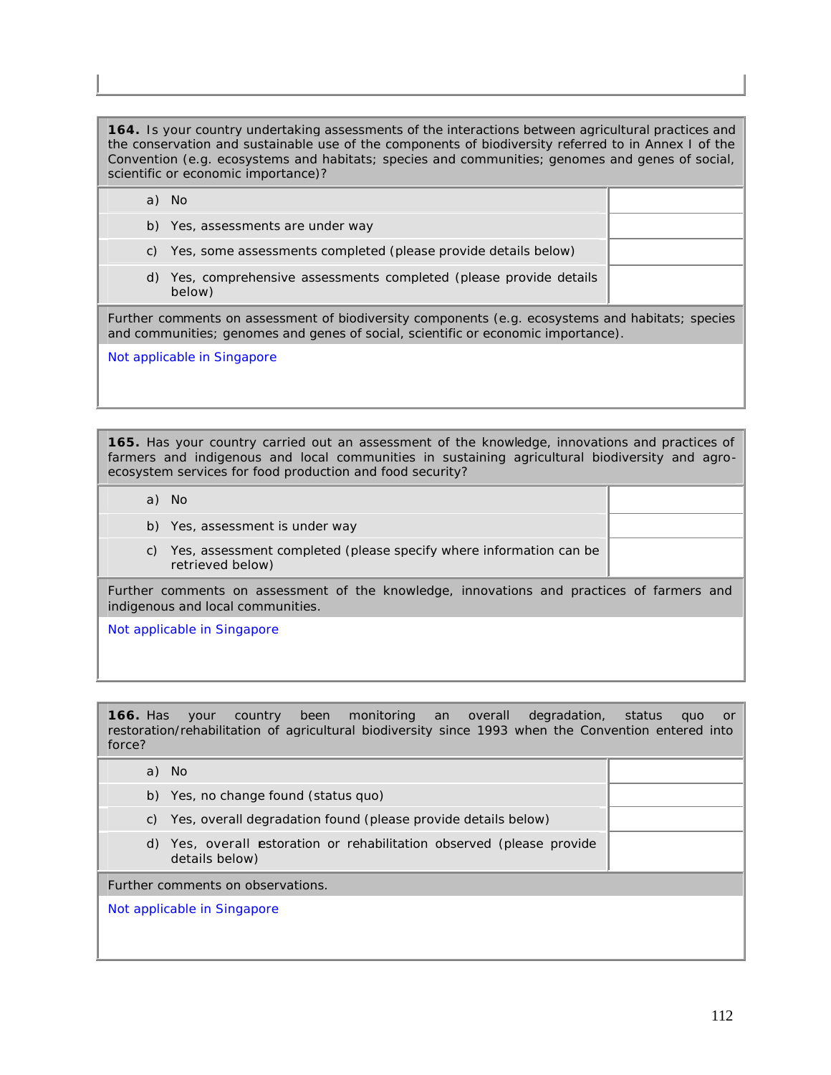**164.** Is your country undertaking assessments of the interactions between agricultural practices and the conservation and sustainable use of the components of biodiversity referred to in Annex I of the Convention (e.g. ecosystems and habitats; species and communities; genomes and genes of social, scientific or economic importance)?

a) No b) Yes, assessments are under way c) Yes, some assessments completed (please provide details below) d) Yes, comprehensive assessments completed (please provide details below) Further comments on assessment of biodiversity components (e.g. ecosystems and habitats; species and communities; genomes and genes of social, scientific or economic importance). Not applicable in Singapore

**165.** Has your country carried out an assessment of the knowledge, innovations and practices of farmers and indigenous and local communities in sustaining agricultural biodiversity and agroecosystem services for food production and food security?

- a) No
- b) Yes, assessment is under way
- c) Yes, assessment completed (please specify where information can be retrieved below)

Further comments on assessment of the knowledge, innovations and practices of farmers and indigenous and local communities.

Not applicable in Singapore

**166.** Has your country been monitoring an overall degradation, status quo or restoration/rehabilitation of agricultural biodiversity since 1993 when the Convention entered into force?

| a) No                                                                                   |  |  |
|-----------------------------------------------------------------------------------------|--|--|
| b) Yes, no change found (status quo)                                                    |  |  |
| Yes, overall degradation found (please provide details below)<br>C)                     |  |  |
| d) Yes, overall estoration or rehabilitation observed (please provide<br>details below) |  |  |
| Further comments on observations.                                                       |  |  |
| Not applicable in Singapore                                                             |  |  |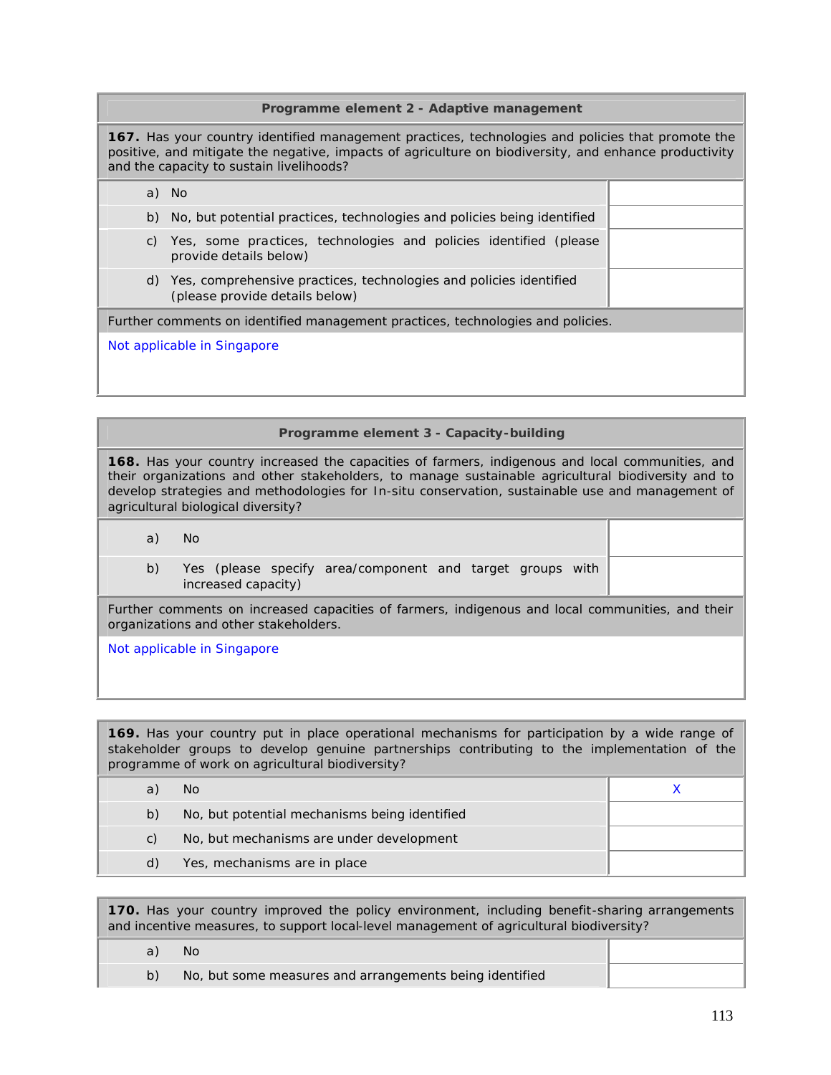#### **Programme element 2 - Adaptive management**

**167.** Has your country identified management practices, technologies and policies that promote the positive, and mitigate the negative, impacts of agriculture on biodiversity, and enhance productivity and the capacity to sustain livelihoods?

|    | a) No                                                                                                   |  |
|----|---------------------------------------------------------------------------------------------------------|--|
|    | b) No, but potential practices, technologies and policies being identified                              |  |
| C) | Yes, some practices, technologies and policies identified (please<br>provide details below)             |  |
|    | d) Yes, comprehensive practices, technologies and policies identified<br>(please provide details below) |  |
|    | Further comments on identified management practices, technologies and policies.                         |  |
|    | Not applicable in Singapore                                                                             |  |

#### **Programme element 3 - Capacity-building**

**168.** Has your country increased the capacities of farmers, indigenous and local communities, and their organizations and other stakeholders, to manage sustainable agricultural biodiversity and to develop strategies and methodologies for *In-situ* conservation, sustainable use and management of agricultural biological diversity?

a) No

b) Yes (please specify area/component and target groups with increased capacity)

Further comments on increased capacities of farmers, indigenous and local communities, and their organizations and other stakeholders.

Not applicable in Singapore

**169.** Has your country put in place operational mechanisms for participation by a wide range of stakeholder groups to develop genuine partnerships contributing to the implementation of the programme of work on agricultural biodiversity?

| a  | No.                                           |  |
|----|-----------------------------------------------|--|
| b) | No, but potential mechanisms being identified |  |
| C) | No, but mechanisms are under development      |  |
| d) | Yes, mechanisms are in place                  |  |

**170.** Has your country improved the policy environment, including benefit-sharing arrangements and incentive measures, to support local-level management of agricultural biodiversity?

a) No b) No, but some measures and arrangements being identified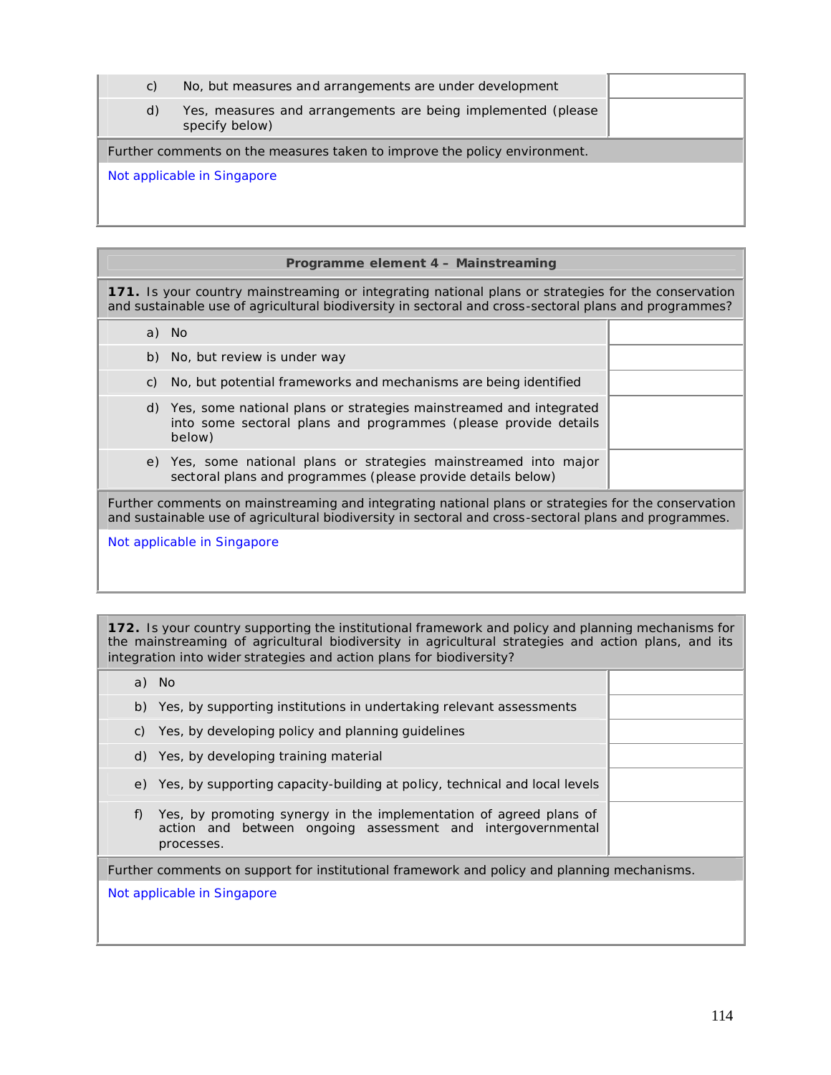| C)                          | No, but measures and arrangements are under development                        |  |
|-----------------------------|--------------------------------------------------------------------------------|--|
| d)                          | Yes, measures and arrangements are being implemented (please<br>specify below) |  |
|                             | Further comments on the measures taken to improve the policy environment.      |  |
| Not applicable in Singapore |                                                                                |  |

## **Programme element 4 – Mainstreaming**

**171.** Is your country mainstreaming or integrating national plans or strategies for the conservation and sustainable use of agricultural biodiversity in sectoral and cross-sectoral plans and programmes?

|                                                                                                                                                                                                              | a) No                                                                                                                                              |  |
|--------------------------------------------------------------------------------------------------------------------------------------------------------------------------------------------------------------|----------------------------------------------------------------------------------------------------------------------------------------------------|--|
|                                                                                                                                                                                                              | b) No, but review is under way                                                                                                                     |  |
| C)                                                                                                                                                                                                           | No, but potential frameworks and mechanisms are being identified                                                                                   |  |
|                                                                                                                                                                                                              | d) Yes, some national plans or strategies mainstreamed and integrated<br>into some sectoral plans and programmes (please provide details<br>below) |  |
|                                                                                                                                                                                                              | e) Yes, some national plans or strategies mainstreamed into major<br>sectoral plans and programmes (please provide details below)                  |  |
| Further comments on mainstreaming and integrating national plans or strategies for the conservation<br>and sustainable use of agricultural biodiversity in sectoral and cross-sectoral plans and programmes. |                                                                                                                                                    |  |

Not applicable in Singapore

**172.** Is your country supporting the institutional framework and policy and planning mechanisms for the mainstreaming of agricultural biodiversity in agricultural strategies and action plans, and its integration into wider strategies and action plans for biodiversity?

| Further comments on support for institutional framework and policy and planning mechanisms. |  |  |
|---------------------------------------------------------------------------------------------|--|--|
| Not applicable in Singapore                                                                 |  |  |
|                                                                                             |  |  |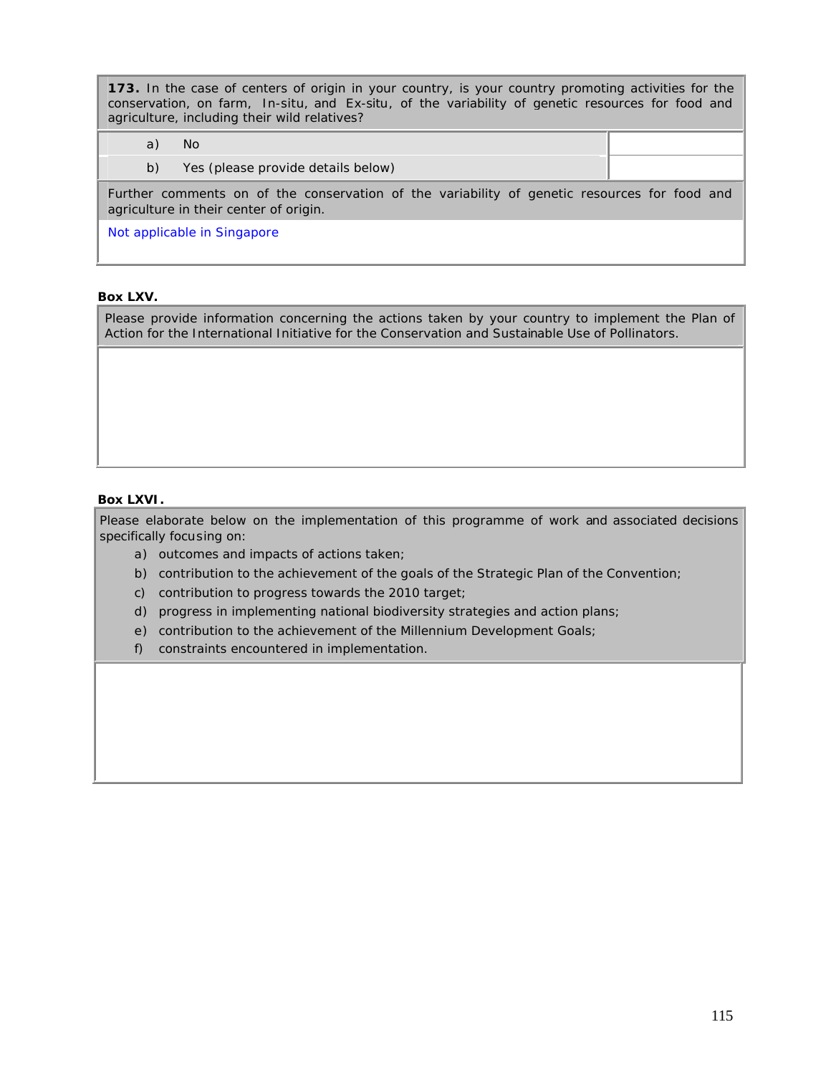**173.** In the case of centers of origin in your country, is your country promoting activities for the conservation, on farm, *In-situ*, and *Ex-situ*, of the variability of genetic resources for food and agriculture, including their wild relatives?

| a) | No.                                                                                                                                    |  |
|----|----------------------------------------------------------------------------------------------------------------------------------------|--|
| b) | Yes (please provide details below)                                                                                                     |  |
|    | Further comments on of the conservation of the variability of genetic resources for food and<br>agriculture in their center of origin. |  |
|    | Not applicable in Singapore                                                                                                            |  |

## **Box LXV.**

Please provide information concerning the actions taken by your country to implement the Plan of Action for the International Initiative for the Conservation and Sustainable Use of Pollinators.

## **Box LXVI.**

Please elaborate below on the implementation of this programme of work and associated decisions specifically focusing on:

- a) outcomes and impacts of actions taken;
- b) contribution to the achievement of the goals of the Strategic Plan of the Convention;
- c) contribution to progress towards the 2010 target;
- d) progress in implementing national biodiversity strategies and action plans;
- e) contribution to the achievement of the Millennium Development Goals;
- f) constraints encountered in implementation.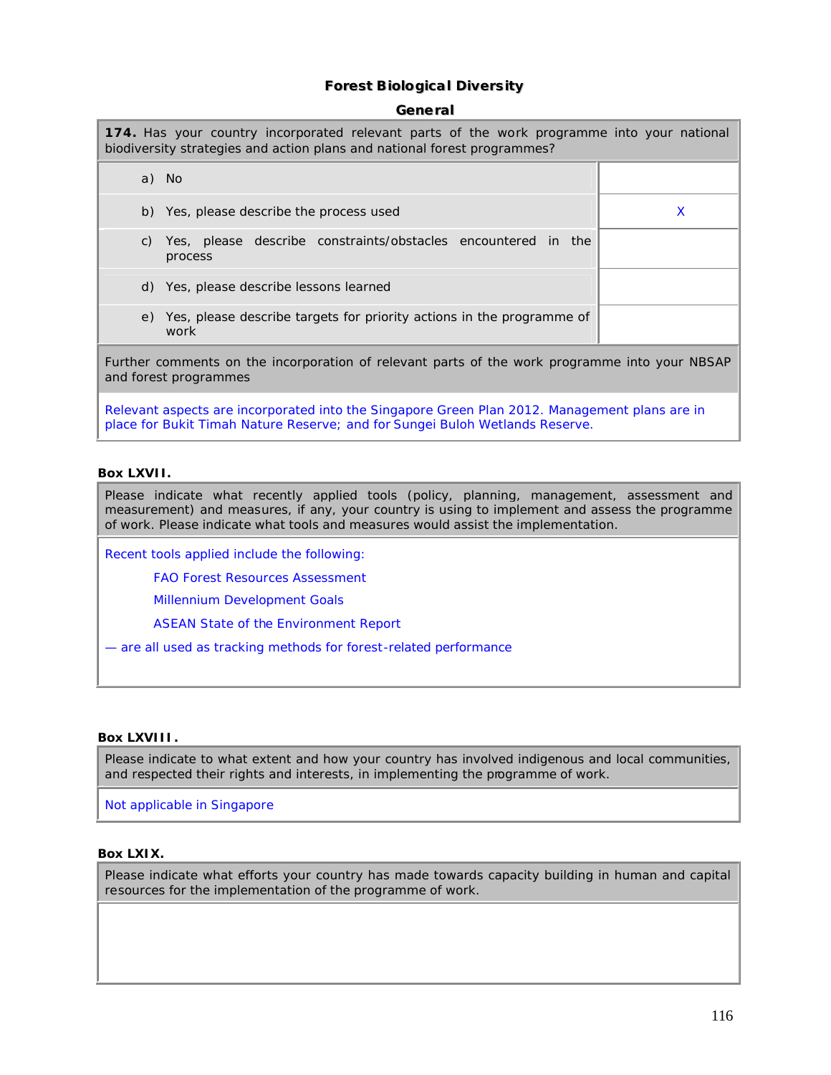# **Forest Biological Diversity**

#### **Generall**

| 174. Has your country incorporated relevant parts of the work programme into your national<br>biodiversity strategies and action plans and national forest programmes?        |   |  |
|-------------------------------------------------------------------------------------------------------------------------------------------------------------------------------|---|--|
| a) No                                                                                                                                                                         |   |  |
| b) Yes, please describe the process used                                                                                                                                      | X |  |
| c) Yes, please describe constraints/obstacles encountered in the<br>process                                                                                                   |   |  |
| d) Yes, please describe lessons learned                                                                                                                                       |   |  |
| e) Yes, please describe targets for priority actions in the programme of<br>work                                                                                              |   |  |
| Further comments on the incorporation of relevant parts of the work programme into your NBSAP<br>and forest programmes                                                        |   |  |
| Relevant aspects are incorporated into the Singapore Green Plan 2012. Management plans are in<br>place for Bukit Timah Nature Reserve; and for Sungei Buloh Wetlands Reserve. |   |  |

#### **Box LXVII.**

Please indicate what recently applied tools (policy, planning, management, assessment and measurement) and measures, if any, your country is using to implement and assess the programme of work. Please indicate what tools and measures would assist the implementation.

Recent tools applied include the following:

FAO Forest Resources Assessment

Millennium Development Goals

ASEAN State of the Environment Report

— are all used as tracking methods for forest-related performance

#### **Box LXVIII.**

Please indicate to what extent and how your country has involved indigenous and local communities, and respected their rights and interests, in implementing the programme of work.

Not applicable in Singapore

## **Box LXIX.**

Please indicate what efforts your country has made towards capacity building in human and capital resources for the implementation of the programme of work.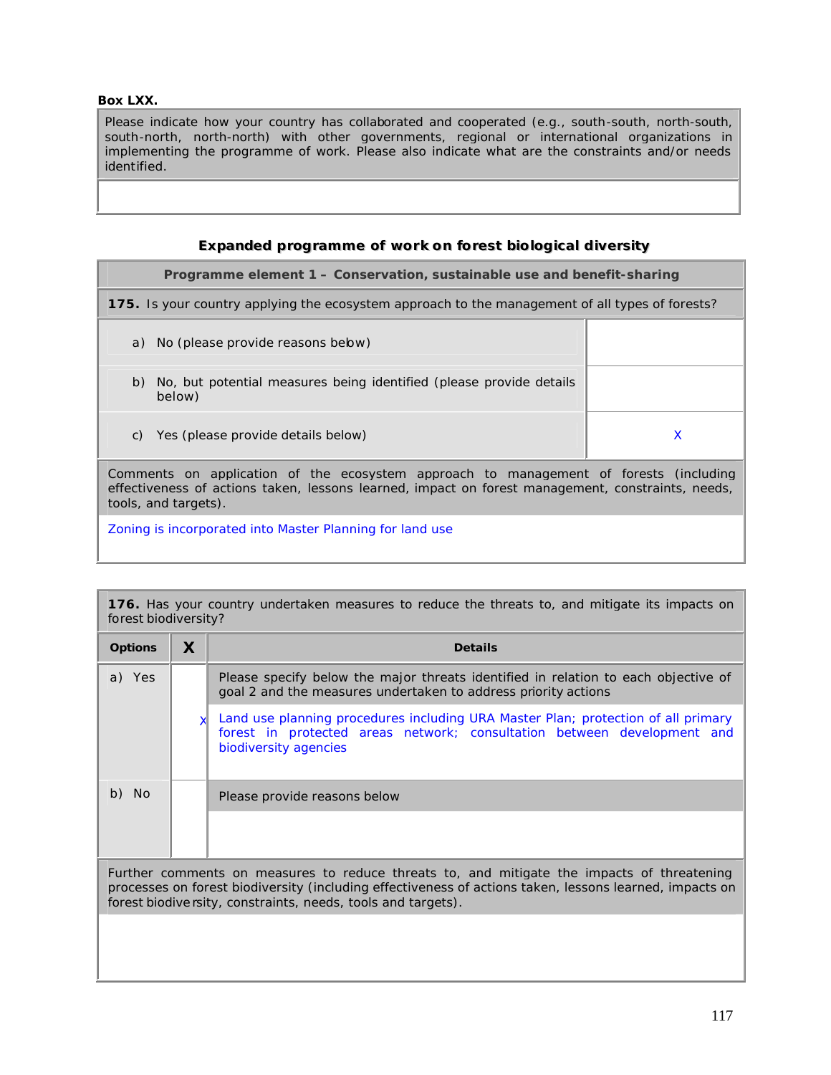### **Box LXX.**

Please indicate how your country has collaborated and cooperated (e.g., south-south, north-south, south-north, north-north) with other governments, regional or international organizations in implementing the programme of work. Please also indicate what are the constraints and/or needs identified.

# **Expanded programme of work on forest biological diversity**

## **Programme element 1 – Conservation, sustainable use and benefit-sharing**

**175.** Is your country applying the ecosystem approach to the management of all types of forests?

- a) No (please provide reasons below)
- b) No, but potential measures being identified (please provide details below)
- c) Yes (please provide details below) and the set of the set of the set of the set of the set of the set of the set of the set of the set of the set of the set of the set of the set of the set of the set of the set of the

Comments on application of the ecosystem approach to management of forests (including effectiveness of actions taken, lessons learned, impact on forest management, constraints, needs, tools, and targets).

Zoning is incorporated into Master Planning for land use

**176.** Has your country undertaken measures to reduce the threats to, and mitigate its impacts on forest biodiversity?

| <b>Options</b> | X | <b>Details</b>                                                                                                                                                                                                                                                         |
|----------------|---|------------------------------------------------------------------------------------------------------------------------------------------------------------------------------------------------------------------------------------------------------------------------|
| a) Yes         |   | Please specify below the major threats identified in relation to each objective of<br>goal 2 and the measures undertaken to address priority actions                                                                                                                   |
|                |   | Land use planning procedures including URA Master Plan; protection of all primary<br>forest in protected areas network; consultation between development and<br>biodiversity agencies                                                                                  |
| b) No          |   | Please provide reasons below                                                                                                                                                                                                                                           |
|                |   |                                                                                                                                                                                                                                                                        |
|                |   | Further comments on measures to reduce threats to, and mitigate the impacts of threatening<br>processes on forest biodiversity (including effectiveness of actions taken, lessons learned, impacts on<br>forest biodive rsity, constraints, needs, tools and targets). |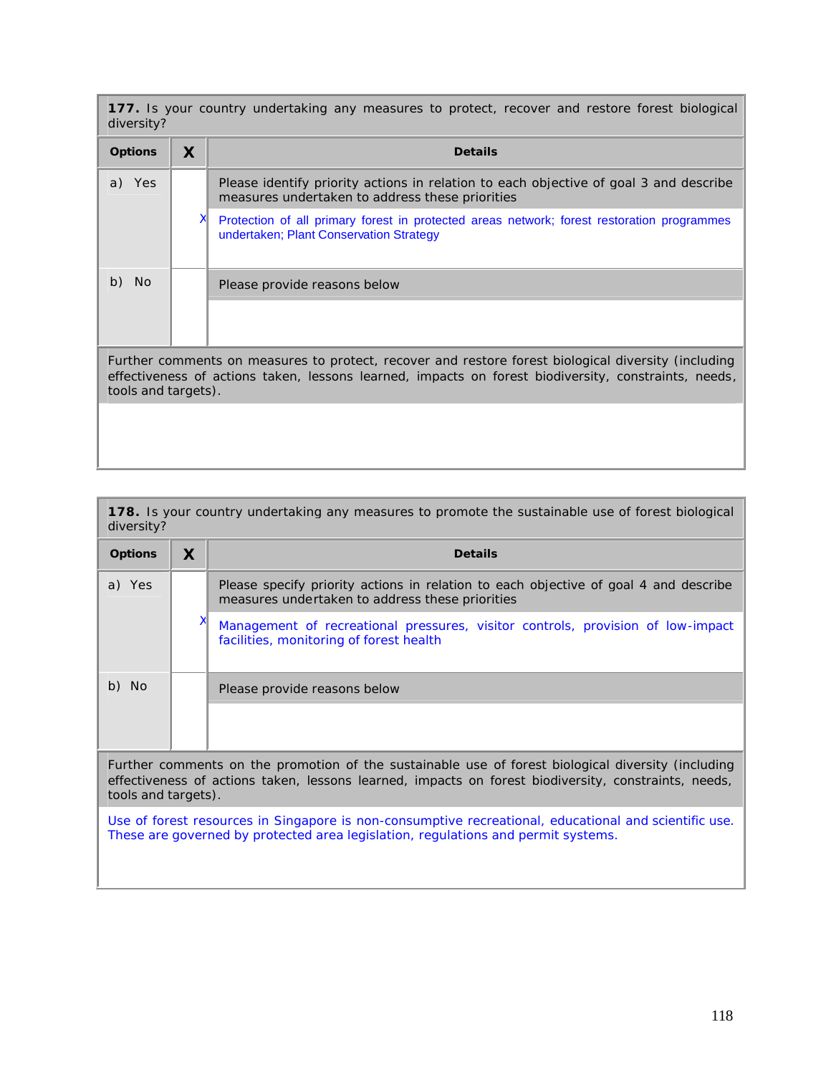**177.** Is your country undertaking any measures to protect, recover and restore forest biological diversity?

| <b>Options</b>      | X | <b>Details</b>                                                                                                                                                                                              |
|---------------------|---|-------------------------------------------------------------------------------------------------------------------------------------------------------------------------------------------------------------|
| a)<br>Yes           |   | Please identify priority actions in relation to each objective of goal 3 and describe<br>measures undertaken to address these priorities                                                                    |
|                     |   | Protection of all primary forest in protected areas network; forest restoration programmes<br>undertaken; Plant Conservation Strategy                                                                       |
| b)<br>No.           |   | Please provide reasons below                                                                                                                                                                                |
|                     |   |                                                                                                                                                                                                             |
| tools and targets). |   | Further comments on measures to protect, recover and restore forest biological diversity (including<br>effectiveness of actions taken, lessons learned, impacts on forest biodiversity, constraints, needs, |
|                     |   |                                                                                                                                                                                                             |

**178.** Is your country undertaking any measures to promote the sustainable use of forest biological diversity?

| <b>Options</b>                                                                                                                                                                                                                    | X | <b>Details</b>                                                                                                                          |  |
|-----------------------------------------------------------------------------------------------------------------------------------------------------------------------------------------------------------------------------------|---|-----------------------------------------------------------------------------------------------------------------------------------------|--|
| a) Yes                                                                                                                                                                                                                            |   | Please specify priority actions in relation to each objective of goal 4 and describe<br>measures undertaken to address these priorities |  |
|                                                                                                                                                                                                                                   | х | Management of recreational pressures, visitor controls, provision of low-impact<br>facilities, monitoring of forest health              |  |
| b) No                                                                                                                                                                                                                             |   | Please provide reasons below                                                                                                            |  |
|                                                                                                                                                                                                                                   |   |                                                                                                                                         |  |
| Further comments on the promotion of the sustainable use of forest biological diversity (including<br>effectiveness of actions taken, lessons learned, impacts on forest biodiversity, constraints, needs,<br>tools and targets). |   |                                                                                                                                         |  |
| Use of forest resources in Singapore is non-consumptive recreational, educational and scientific use.<br>These are governed by protected area legislation, regulations and permit systems.                                        |   |                                                                                                                                         |  |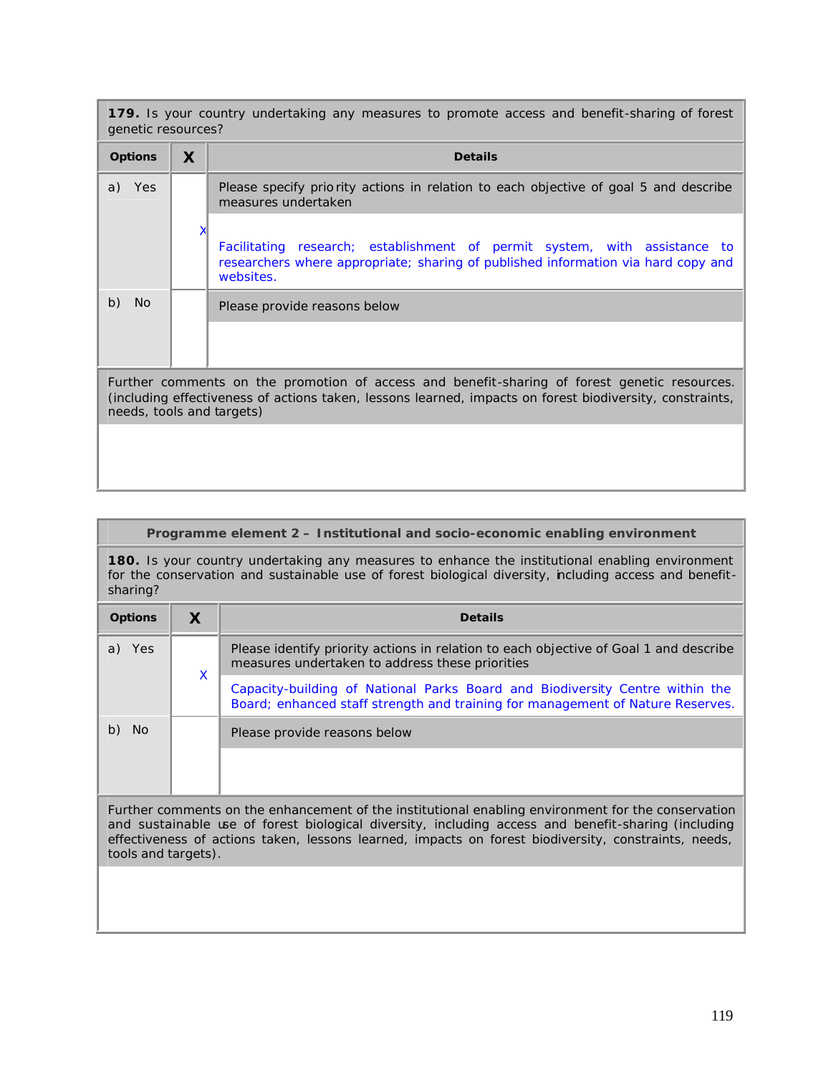**179.** Is your country undertaking any measures to promote access and benefit-sharing of forest genetic resources?

| <b>Options</b>            | X | <b>Details</b>                                                                                                                                                                                           |
|---------------------------|---|----------------------------------------------------------------------------------------------------------------------------------------------------------------------------------------------------------|
| Yes<br>a)                 |   | Please specify priority actions in relation to each objective of goal 5 and describe<br>measures undertaken                                                                                              |
|                           |   | Facilitating research; establishment of permit system, with assistance to<br>researchers where appropriate; sharing of published information via hard copy and<br>websites.                              |
| b)<br><b>No</b>           |   | Please provide reasons below                                                                                                                                                                             |
|                           |   |                                                                                                                                                                                                          |
| needs, tools and targets) |   | Further comments on the promotion of access and benefit-sharing of forest genetic resources.<br>(including effectiveness of actions taken, lessons learned, impacts on forest biodiversity, constraints, |
|                           |   |                                                                                                                                                                                                          |

# **Programme element 2 – Institutional and socio-economic enabling environment**

**180.** Is your country undertaking any measures to enhance the institutional enabling environment for the conservation and sustainable use of forest biological diversity, ncluding access and benefitsharing?

| <b>Options</b> |   | <b>Details</b>                                                                                                                                                 |
|----------------|---|----------------------------------------------------------------------------------------------------------------------------------------------------------------|
| Yes            | X | Please identify priority actions in relation to each objective of Goal 1 and describe<br>measures undertaken to address these priorities                       |
|                |   | Capacity-building of National Parks Board and Biodiversity Centre within the<br>Board; enhanced staff strength and training for management of Nature Reserves. |
| No.            |   | Please provide reasons below                                                                                                                                   |
|                |   |                                                                                                                                                                |

Further comments on the enhancement of the institutional enabling environment for the conservation and sustainable use of forest biological diversity, including access and benefit-sharing (including effectiveness of actions taken, lessons learned, impacts on forest biodiversity, constraints, needs, tools and targets).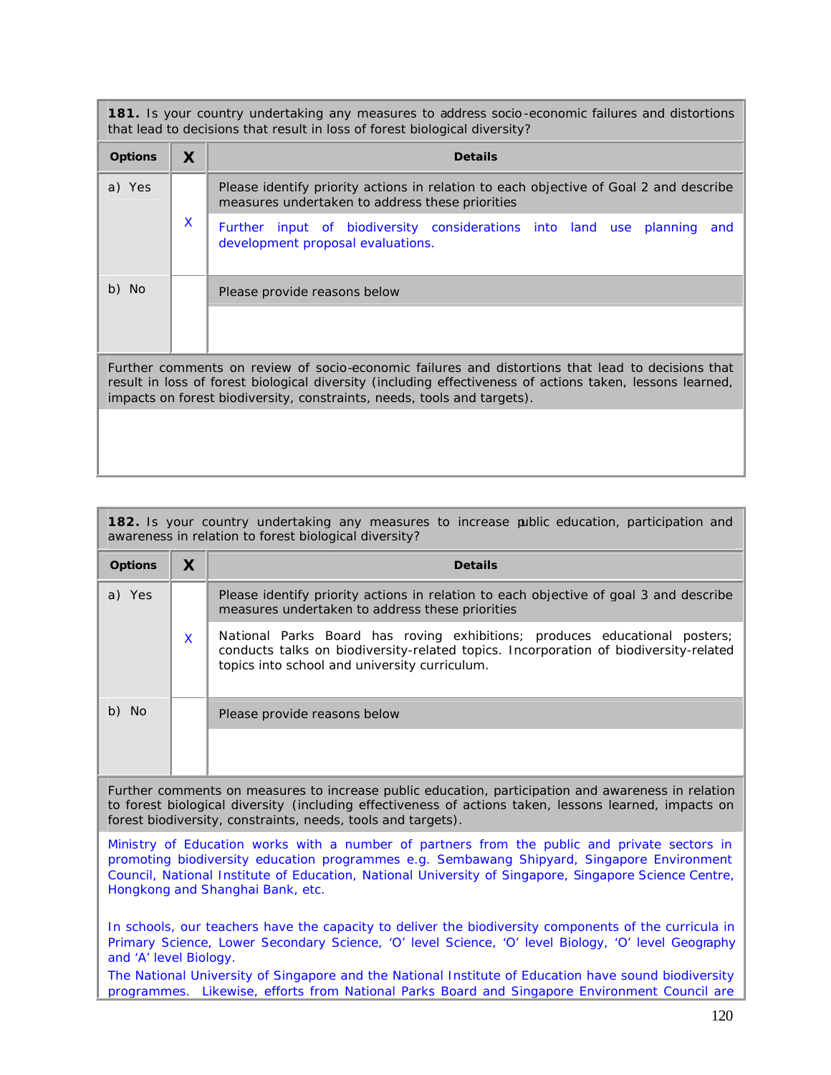**181.** Is your country undertaking any measures to address socio -economic failures and distortions that lead to decisions that result in loss of forest biological diversity?

| <b>Options</b>                                                                                                                                                                                                                                                                            | X | <b>Details</b>                                                                                                                           |
|-------------------------------------------------------------------------------------------------------------------------------------------------------------------------------------------------------------------------------------------------------------------------------------------|---|------------------------------------------------------------------------------------------------------------------------------------------|
| a) Yes                                                                                                                                                                                                                                                                                    |   | Please identify priority actions in relation to each objective of Goal 2 and describe<br>measures undertaken to address these priorities |
|                                                                                                                                                                                                                                                                                           | X | Further input of biodiversity considerations into land use planning<br>and<br>development proposal evaluations.                          |
| b) No                                                                                                                                                                                                                                                                                     |   | Please provide reasons below                                                                                                             |
|                                                                                                                                                                                                                                                                                           |   |                                                                                                                                          |
| Further comments on review of socio-economic failures and distortions that lead to decisions that<br>result in loss of forest biological diversity (including effectiveness of actions taken, lessons learned,<br>impacts on forest biodiversity, constraints, needs, tools and targets). |   |                                                                                                                                          |
|                                                                                                                                                                                                                                                                                           |   |                                                                                                                                          |

| 182. Is your country undertaking any measures to increase public education, participation and<br>awareness in relation to forest biological diversity? |          |                                                                                                                                                                                                                     |  |
|--------------------------------------------------------------------------------------------------------------------------------------------------------|----------|---------------------------------------------------------------------------------------------------------------------------------------------------------------------------------------------------------------------|--|
| <b>Options</b>                                                                                                                                         | X        | <b>Details</b>                                                                                                                                                                                                      |  |
| a) Yes                                                                                                                                                 | <b>X</b> | Please identify priority actions in relation to each objective of goal 3 and describe<br>measures undertaken to address these priorities                                                                            |  |
|                                                                                                                                                        |          | National Parks Board has roving exhibitions; produces educational posters;<br>conducts talks on biodiversity-related topics. Incorporation of biodiversity-related<br>topics into school and university curriculum. |  |
| b) No                                                                                                                                                  |          | Please provide reasons below                                                                                                                                                                                        |  |
|                                                                                                                                                        |          |                                                                                                                                                                                                                     |  |

Further comments on measures to increase public education, participation and awareness in relation to forest biological diversity (including effectiveness of actions taken, lessons learned, impacts on forest biodiversity, constraints, needs, tools and targets).

Ministry of Education works with a number of partners from the public and private sectors in promoting biodiversity education programmes e.g. Sembawang Shipyard, Singapore Environment Council, National Institute of Education, National University of Singapore, Singapore Science Centre, Hongkong and Shanghai Bank, etc.

In schools, our teachers have the capacity to deliver the biodiversity components of the curricula in Primary Science, Lower Secondary Science, 'O' level Science, 'O' level Biology, 'O' level Geography and 'A' level Biology.

The National University of Singapore and the National Institute of Education have sound biodiversity programmes. Likewise, efforts from National Parks Board and Singapore Environment Council are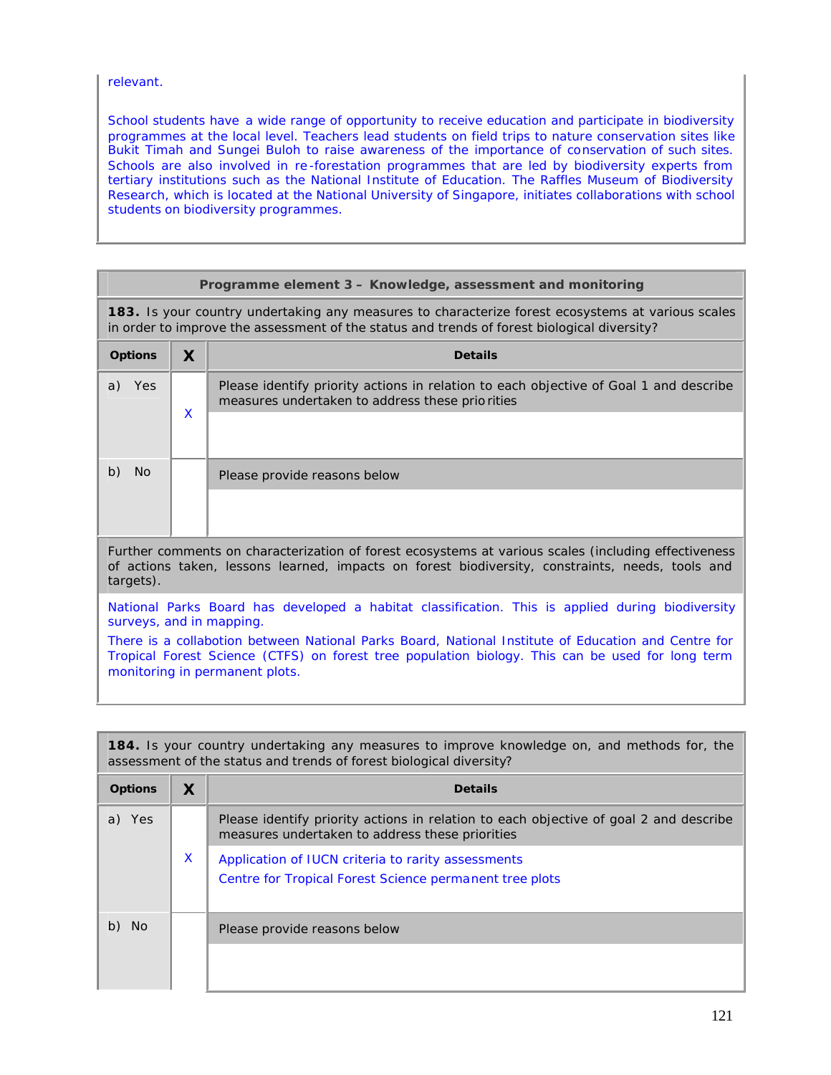relevant.

School students have a wide range of opportunity to receive education and participate in biodiversity programmes at the local level. Teachers lead students on field trips to nature conservation sites like Bukit Timah and Sungei Buloh to raise awareness of the importance of conservation of such sites. Schools are also involved in re -forestation programmes that are led by biodiversity experts from tertiary institutions such as the National Institute of Education. The Raffles Museum of Biodiversity Research, which is located at the National University of Singapore, initiates collaborations with school students on biodiversity programmes.

| Programme element 3 - Knowledge, assessment and monitoring                                                                                                                                                                                |                                                                                                                                                                                                  |                                                                                                                                          |  |  |
|-------------------------------------------------------------------------------------------------------------------------------------------------------------------------------------------------------------------------------------------|--------------------------------------------------------------------------------------------------------------------------------------------------------------------------------------------------|------------------------------------------------------------------------------------------------------------------------------------------|--|--|
|                                                                                                                                                                                                                                           | 183. Is your country undertaking any measures to characterize forest ecosystems at various scales<br>in order to improve the assessment of the status and trends of forest biological diversity? |                                                                                                                                          |  |  |
| <b>Options</b>                                                                                                                                                                                                                            | $\boldsymbol{X}$                                                                                                                                                                                 | <b>Details</b>                                                                                                                           |  |  |
| a) Yes                                                                                                                                                                                                                                    | $\mathsf{x}$                                                                                                                                                                                     | Please identify priority actions in relation to each objective of Goal 1 and describe<br>measures undertaken to address these priorities |  |  |
|                                                                                                                                                                                                                                           |                                                                                                                                                                                                  |                                                                                                                                          |  |  |
| b)<br><b>No</b>                                                                                                                                                                                                                           |                                                                                                                                                                                                  | Please provide reasons below                                                                                                             |  |  |
|                                                                                                                                                                                                                                           |                                                                                                                                                                                                  |                                                                                                                                          |  |  |
| Further comments on characterization of forest ecosystems at various scales (including effectiveness<br>of actions taken, lessons learned, impacts on forest biodiversity, constraints, needs, tools and<br>targets).                     |                                                                                                                                                                                                  |                                                                                                                                          |  |  |
| National Parks Board has developed a habitat classification. This is applied during biodiversity<br>surveys, and in mapping.                                                                                                              |                                                                                                                                                                                                  |                                                                                                                                          |  |  |
| There is a collabotion between National Parks Board, National Institute of Education and Centre for<br>Tropical Forest Science (CTFS) on forest tree population biology. This can be used for long term<br>monitoring in permanent plots. |                                                                                                                                                                                                  |                                                                                                                                          |  |  |

| <b>184.</b> Is your country undertaking any measures to improve knowledge on, and methods for, the<br>assessment of the status and trends of forest biological diversity? |   |                                                                                                                                          |  |  |
|---------------------------------------------------------------------------------------------------------------------------------------------------------------------------|---|------------------------------------------------------------------------------------------------------------------------------------------|--|--|
| <b>Options</b>                                                                                                                                                            | X | <b>Details</b>                                                                                                                           |  |  |
| a) Yes                                                                                                                                                                    |   | Please identify priority actions in relation to each objective of goal 2 and describe<br>measures undertaken to address these priorities |  |  |
|                                                                                                                                                                           | X | Application of IUCN criteria to rarity assessments<br>Centre for Tropical Forest Science permanent tree plots                            |  |  |
| No.<br>b)                                                                                                                                                                 |   | Please provide reasons below                                                                                                             |  |  |
|                                                                                                                                                                           |   |                                                                                                                                          |  |  |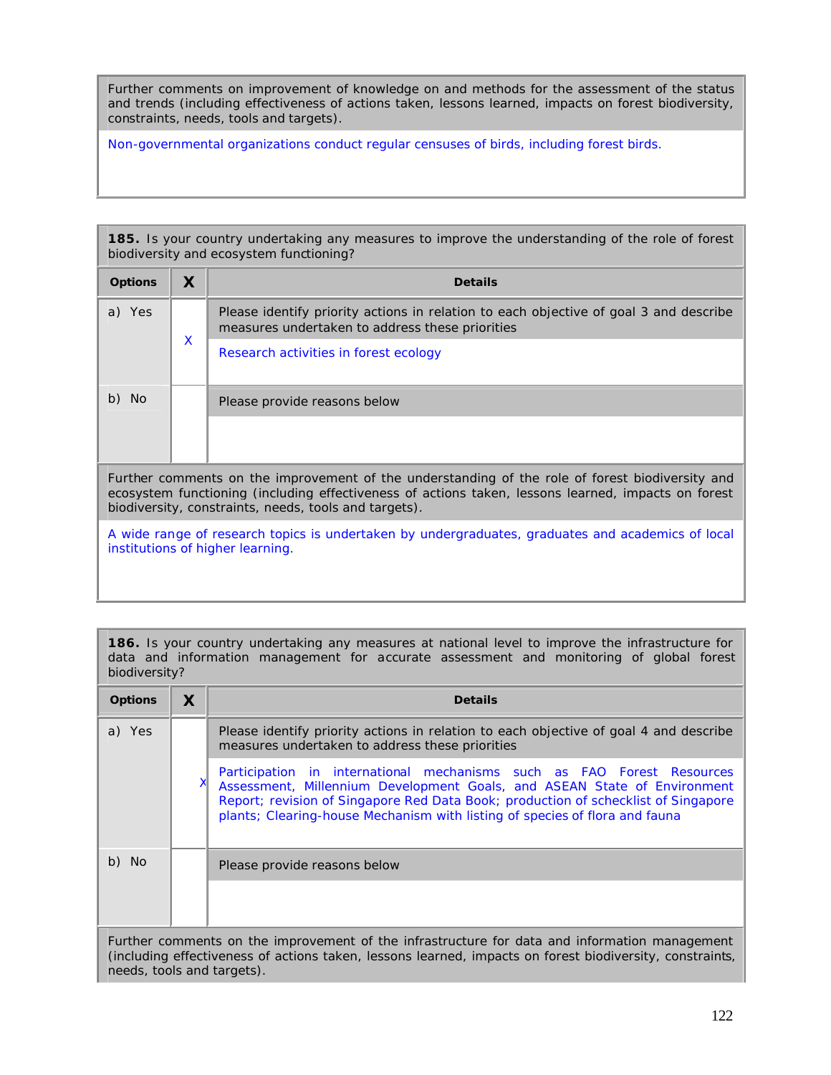Further comments on improvement of knowledge on and methods for the assessment of the status and trends (including effectiveness of actions taken, lessons learned, impacts on forest biodiversity, constraints, needs, tools and targets).

Non-governmental organizations conduct regular censuses of birds, including forest birds.

**185.** Is your country undertaking any measures to improve the understanding of the role of forest biodiversity and ecosystem functioning?

| <b>Options</b>                                                                                                                                                                                                                                                  | X | <b>Details</b>                                                                                                                           |
|-----------------------------------------------------------------------------------------------------------------------------------------------------------------------------------------------------------------------------------------------------------------|---|------------------------------------------------------------------------------------------------------------------------------------------|
| a) Yes                                                                                                                                                                                                                                                          |   | Please identify priority actions in relation to each objective of goal 3 and describe<br>measures undertaken to address these priorities |
|                                                                                                                                                                                                                                                                 | X | Research activities in forest ecology                                                                                                    |
| b) No                                                                                                                                                                                                                                                           |   | Please provide reasons below                                                                                                             |
|                                                                                                                                                                                                                                                                 |   |                                                                                                                                          |
| Further comments on the improvement of the understanding of the role of forest biodiversity and<br>ecosystem functioning (including effectiveness of actions taken, lessons learned, impacts on forest<br>biodiversity, constraints, needs, tools and targets). |   |                                                                                                                                          |

A wide range of research topics is undertaken by undergraduates, graduates and academics of local institutions of higher learning.

**186.** Is your country undertaking any measures at national level to improve the infrastructure for data and information management for accurate assessment and monitoring of global forest biodiversity?

| <b>Options</b> | X                                                                                                                                                                                                         | <b>Details</b>                                                                                                                                                                                                                                                                                                          |  |
|----------------|-----------------------------------------------------------------------------------------------------------------------------------------------------------------------------------------------------------|-------------------------------------------------------------------------------------------------------------------------------------------------------------------------------------------------------------------------------------------------------------------------------------------------------------------------|--|
| a) Yes         |                                                                                                                                                                                                           | Please identify priority actions in relation to each objective of goal 4 and describe<br>measures undertaken to address these priorities                                                                                                                                                                                |  |
|                |                                                                                                                                                                                                           | Participation in international mechanisms such as FAO Forest Resources<br>Assessment, Millennium Development Goals, and ASEAN State of Environment<br>Report; revision of Singapore Red Data Book; production of schecklist of Singapore<br>plants; Clearing-house Mechanism with listing of species of flora and fauna |  |
| b) No          |                                                                                                                                                                                                           | Please provide reasons below                                                                                                                                                                                                                                                                                            |  |
|                |                                                                                                                                                                                                           |                                                                                                                                                                                                                                                                                                                         |  |
|                | Further comments on the improvement of the infrastructure for data and information management<br>(including effectiveness of actions taken, lessons learned, impacts on forest biodiversity, constraints, |                                                                                                                                                                                                                                                                                                                         |  |

needs, tools and targets).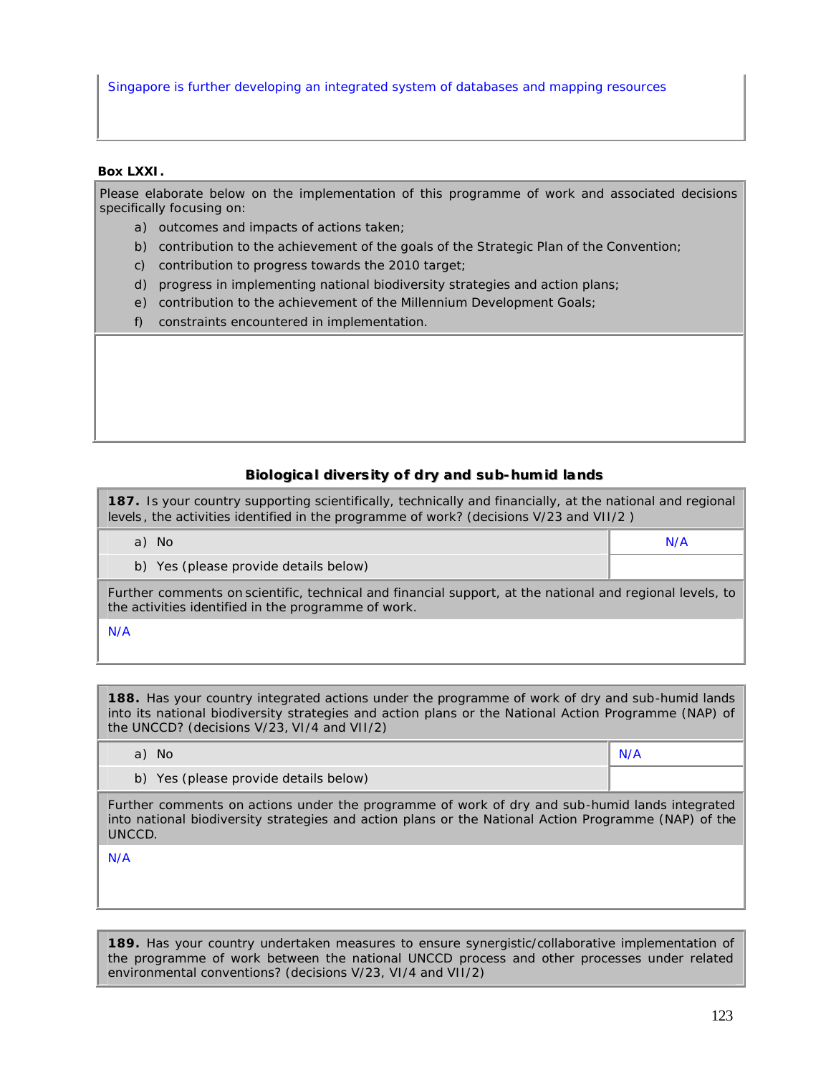Singapore is further developing an integrated system of databases and mapping resources

## **Box LXXI.**

Please elaborate below on the implementation of this programme of work and associated decisions specifically focusing on:

- a) outcomes and impacts of actions taken;
- b) contribution to the achievement of the goals of the Strategic Plan of the Convention;
- c) contribution to progress towards the 2010 target;
- d) progress in implementing national biodiversity strategies and action plans;
- e) contribution to the achievement of the Millennium Development Goals;
- f) constraints encountered in implementation.

## **Biiollogiicall diiversiity of dry and sub-humiid llands**

**187.** Is your country supporting scientifically, technically and financially, at the national and regional levels , the activities identified in the programme of work? (decisions V/23 and VII/2 )

a) No N/A

b) Yes (please provide details below)

Further comments on scientific, technical and financial support, at the national and regional levels, to the activities identified in the programme of work.

N/A

**188.** Has your country integrated actions under the programme of work of dry and sub-humid lands into its national biodiversity strategies and action plans or the National Action Programme (NAP) of the UNCCD? (decisions V/23, VI/4 and VII/2)

| No.                                   | N/A |
|---------------------------------------|-----|
| b) Yes (please provide details below) |     |

Further comments on actions under the programme of work of dry and sub-humid lands integrated into national biodiversity strategies and action plans or the National Action Programme (NAP) of the UNCCD.

N/A

**189.** Has your country undertaken measures to ensure synergistic/collaborative implementation of the programme of work between the national UNCCD process and other processes under related environmental conventions? (decisions V/23, VI/4 and VII/2)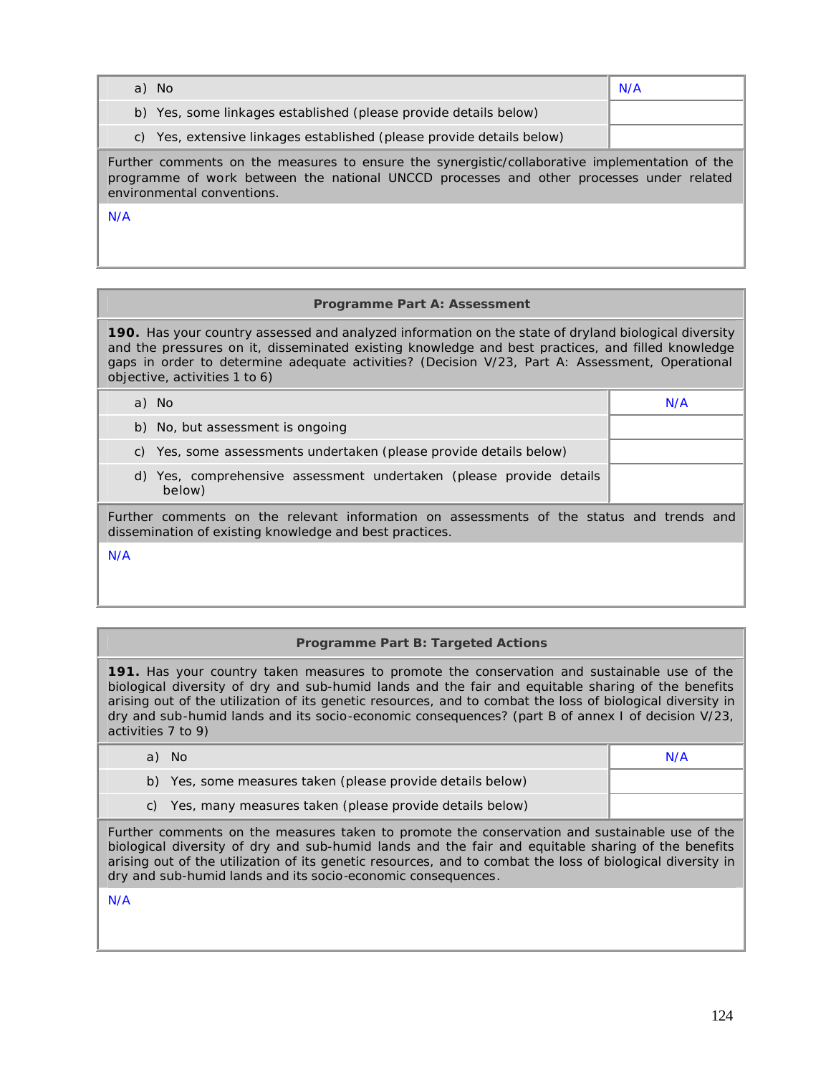| a) No                                                                                                                                                                                                                    | N/A |  |  |
|--------------------------------------------------------------------------------------------------------------------------------------------------------------------------------------------------------------------------|-----|--|--|
| b) Yes, some linkages established (please provide details below)                                                                                                                                                         |     |  |  |
| c) Yes, extensive linkages established (please provide details below)                                                                                                                                                    |     |  |  |
| Further comments on the measures to ensure the synergistic/collaborative implementation of the<br>programme of work between the national UNCCD processes and other processes under related<br>environmental conventions. |     |  |  |
| N/A                                                                                                                                                                                                                      |     |  |  |

# **Programme Part A: Assessment**

**190.** Has your country assessed and analyzed information on the state of dryland biological diversity and the pressures on it, disseminated existing knowledge and best practices, and filled knowledge gaps in order to determine adequate activities? (Decision V/23, Part A: Assessment, Operational objective, activities 1 to 6)

| a) No                                                                                                                                               | N/A |  |  |
|-----------------------------------------------------------------------------------------------------------------------------------------------------|-----|--|--|
| b) No, but assessment is ongoing                                                                                                                    |     |  |  |
| Yes, some assessments undertaken (please provide details below)<br>C)                                                                               |     |  |  |
| d) Yes, comprehensive assessment undertaken (please provide details<br>below)                                                                       |     |  |  |
| Further comments on the relevant information on assessments of the status and trends and<br>dissemination of existing knowledge and best practices. |     |  |  |
| N/A                                                                                                                                                 |     |  |  |

# **Programme Part B: Targeted Actions**

**191.** Has your country taken measures to promote the conservation and sustainable use of the biological diversity of dry and sub-humid lands and the fair and equitable sharing of the benefits arising out of the utilization of its genetic resources, and to combat the loss of biological diversity in dry and sub-humid lands and its socio-economic consequences? (part B of annex I of decision V/23, activities 7 to 9)

| - No                                                       | N/A |
|------------------------------------------------------------|-----|
| b) Yes, some measures taken (please provide details below) |     |
| c) Yes, many measures taken (please provide details below) |     |

Further comments on the measures taken to promote the conservation and sustainable use of the biological diversity of dry and sub-humid lands and the fair and equitable sharing of the benefits arising out of the utilization of its genetic resources, and to combat the loss of biological diversity in dry and sub-humid lands and its socio-economic consequences.

N/A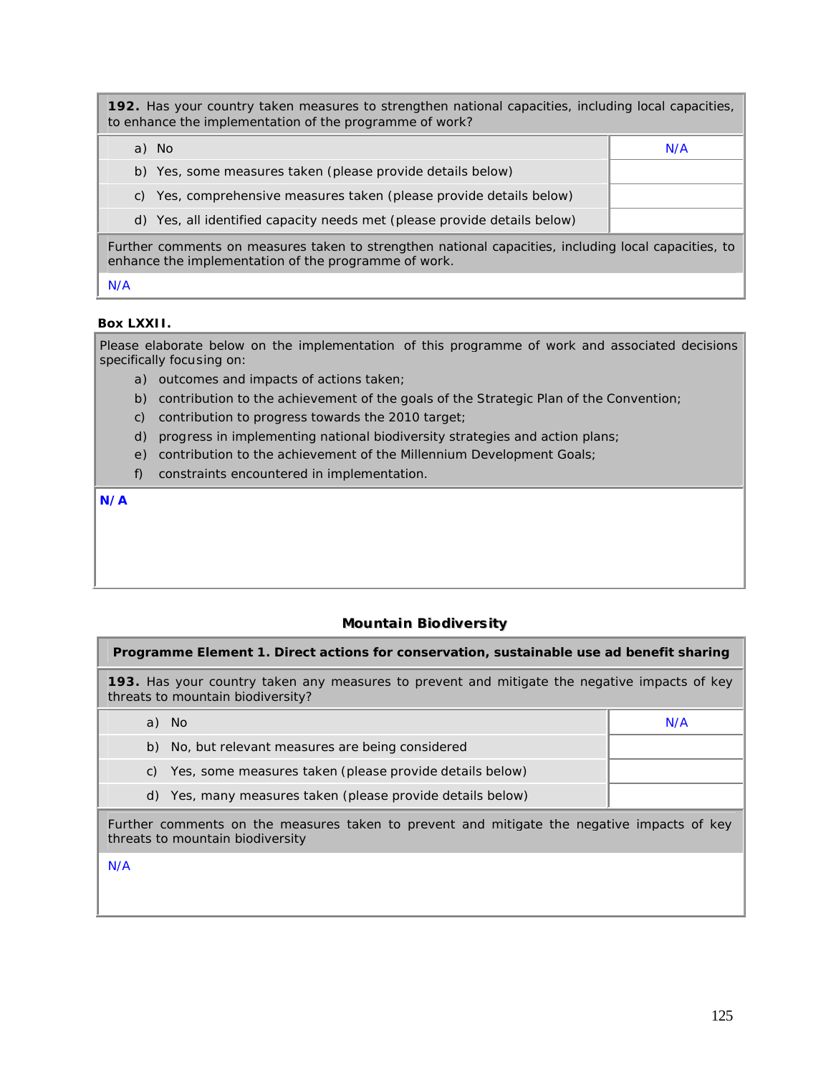**192.** Has your country taken measures to strengthen national capacities, including local capacities, to enhance the implementation of the programme of work?

| a) No                                                                                                                                                        | N/A |  |
|--------------------------------------------------------------------------------------------------------------------------------------------------------------|-----|--|
| b) Yes, some measures taken (please provide details below)                                                                                                   |     |  |
| c) Yes, comprehensive measures taken (please provide details below)                                                                                          |     |  |
| d) Yes, all identified capacity needs met (please provide details below)                                                                                     |     |  |
| Further comments on measures taken to strengthen national capacities, including local capacities, to<br>enhance the implementation of the programme of work. |     |  |

N/A

## **Box LXXII.**

Please elaborate below on the implementation of this programme of work and associated decisions specifically focusing on:

- a) outcomes and impacts of actions taken;
- b) contribution to the achievement of the goals of the Strategic Plan of the Convention;
- c) contribution to progress towards the 2010 target;
- d) progress in implementing national biodiversity strategies and action plans;
- e) contribution to the achievement of the Millennium Development Goals;
- f) constraints encountered in implementation.

**N/A**

# **Mountain Biodiversity**

## **Programme Element 1. Direct actions for conservation, sustainable use ad benefit sharing**

**193.** Has your country taken any measures to prevent and mitigate the negative impacts of key threats to mountain biodiversity?

| a) No                                                                                      | N/A |  |
|--------------------------------------------------------------------------------------------|-----|--|
| b) No, but relevant measures are being considered                                          |     |  |
| c) Yes, some measures taken (please provide details below)                                 |     |  |
| d) Yes, many measures taken (please provide details below)                                 |     |  |
| Further commente on the measures taken to provent and mitigate the negative impacts of key |     |  |

Further comments on the measures taken to prevent and mitigate the negative impacts of key threats to mountain biodiversity

N/A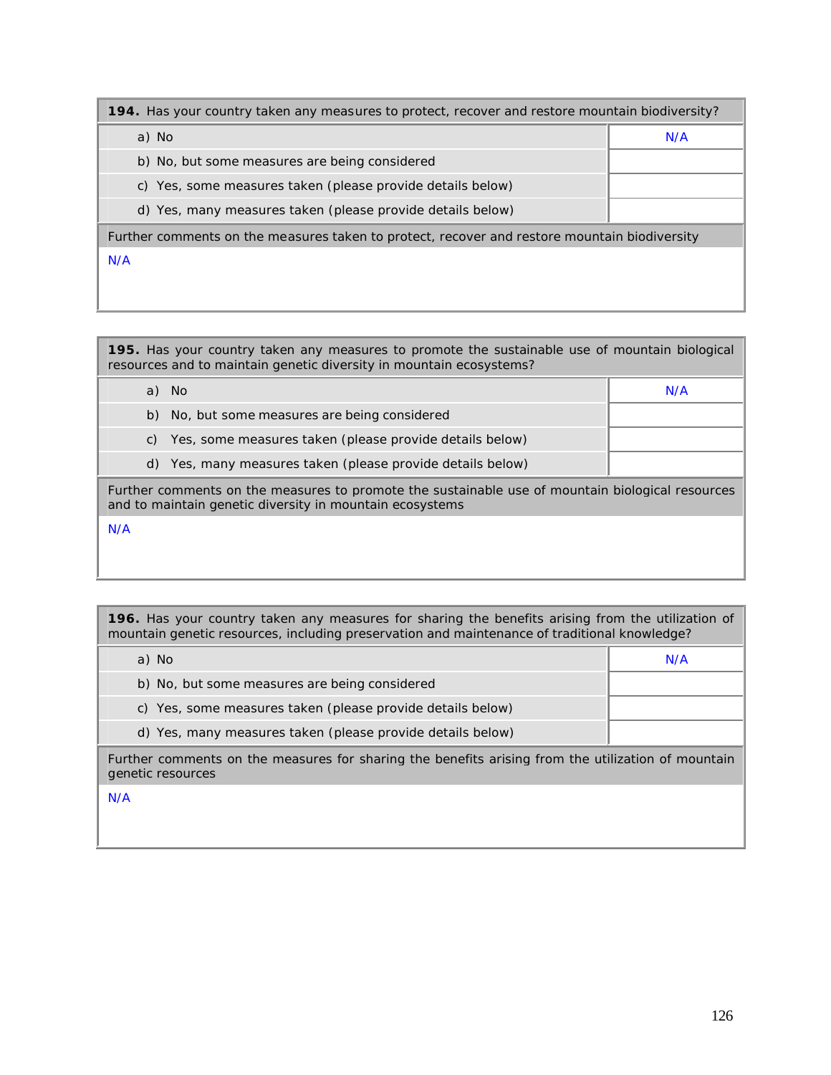| 194. Has your country taken any measures to protect, recover and restore mountain biodiversity? |     |  |  |
|-------------------------------------------------------------------------------------------------|-----|--|--|
| a) No                                                                                           | N/A |  |  |
| b) No, but some measures are being considered                                                   |     |  |  |
| c) Yes, some measures taken (please provide details below)                                      |     |  |  |
| d) Yes, many measures taken (please provide details below)                                      |     |  |  |
| Further comments on the measures taken to protect, recover and restore mountain biodiversity    |     |  |  |
| N/A                                                                                             |     |  |  |
|                                                                                                 |     |  |  |
|                                                                                                 |     |  |  |

| 195. Has your country taken any measures to promote the sustainable use of mountain biological<br>resources and to maintain genetic diversity in mountain ecosystems? |     |  |  |
|-----------------------------------------------------------------------------------------------------------------------------------------------------------------------|-----|--|--|
| a) No                                                                                                                                                                 | N/A |  |  |
| b) No, but some measures are being considered                                                                                                                         |     |  |  |
| Yes, some measures taken (please provide details below)<br>C)                                                                                                         |     |  |  |
| d) Yes, many measures taken (please provide details below)                                                                                                            |     |  |  |
| Further comments on the measures to promote the sustainable use of mountain biological resources<br>and to maintain genetic diversity in mountain ecosystems          |     |  |  |
| N/A                                                                                                                                                                   |     |  |  |
|                                                                                                                                                                       |     |  |  |

**196.** Has your country taken any measures for sharing the benefits arising from the utilization of mountain genetic resources, including preservation and maintenance of traditional knowledge?

| a) No                                                                                                                   | N/A |
|-------------------------------------------------------------------------------------------------------------------------|-----|
| b) No, but some measures are being considered                                                                           |     |
| c) Yes, some measures taken (please provide details below)                                                              |     |
| d) Yes, many measures taken (please provide details below)                                                              |     |
| Further comments on the measures for sharing the benefits arising from the utilization of mountain<br>genetic resources |     |
| N/A                                                                                                                     |     |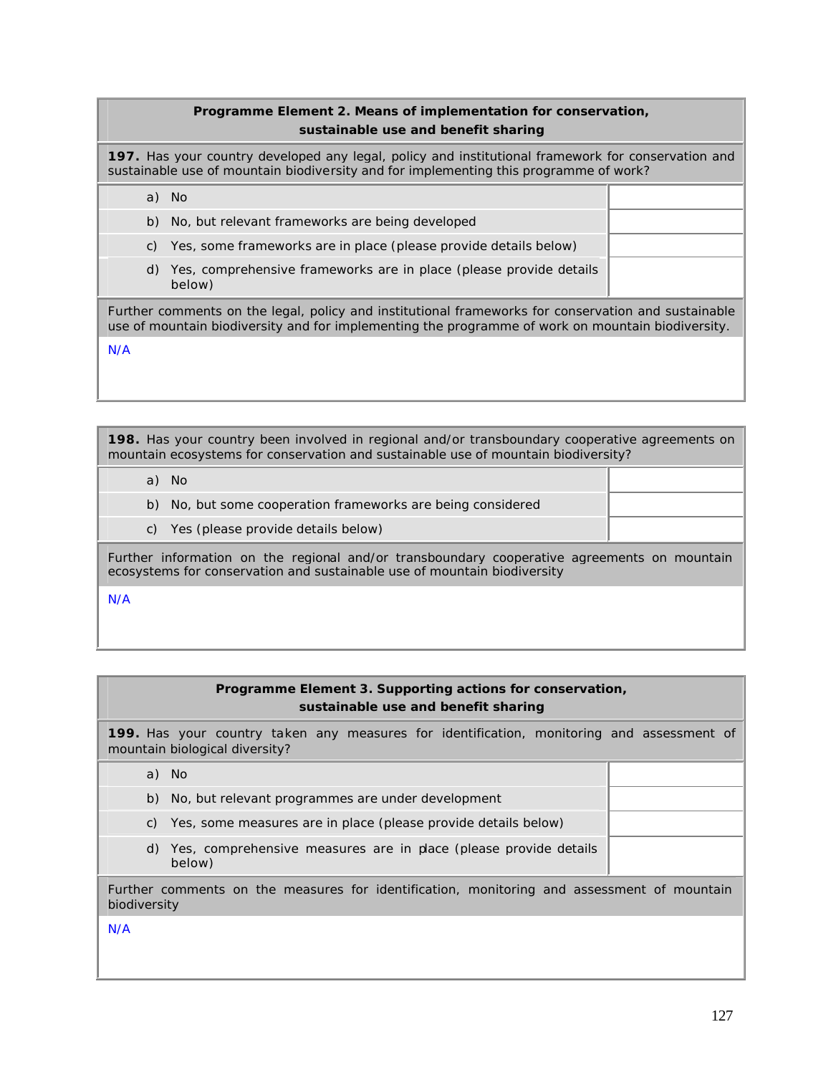## **Programme Element 2. Means of implementation for conservation, sustainable use and benefit sharing**

**197.** Has your country developed any legal, policy and institutional framework for conservation and sustainable use of mountain biodiversity and for implementing this programme of work?

|     | a) | - No                                                                                                                                                                                                     |  |
|-----|----|----------------------------------------------------------------------------------------------------------------------------------------------------------------------------------------------------------|--|
|     | b) | No, but relevant frameworks are being developed                                                                                                                                                          |  |
|     | C) | Yes, some frameworks are in place (please provide details below)                                                                                                                                         |  |
|     | d) | Yes, comprehensive frameworks are in place (please provide details<br>below)                                                                                                                             |  |
|     |    | Further comments on the legal, policy and institutional frameworks for conservation and sustainable<br>use of mountain biodiversity and for implementing the programme of work on mountain biodiversity. |  |
| N/A |    |                                                                                                                                                                                                          |  |
|     |    |                                                                                                                                                                                                          |  |

**198.** Has your country been involved in regional and/or transboundary cooperative agreements on mountain ecosystems for conservation and sustainable use of mountain biodiversity?

a) No

- b) No, but some cooperation frameworks are being considered
- c) Yes (please provide details below)

Further information on the regional and/or transboundary cooperative agreements on mountain ecosystems for conservation and sustainable use of mountain biodiversity

N/A

| Programme Element 3. Supporting actions for conservation, |
|-----------------------------------------------------------|
| sustainable use and benefit sharing                       |

**199.** Has your country taken any measures for identification, monitoring and assessment of mountain biological diversity?

a) No

b) No, but relevant programmes are under development

- c) Yes, some measures are in place (please provide details below)
- d) Yes, comprehensive measures are in place (please provide details below)

Further comments on the measures for identification, monitoring and assessment of mountain biodiversity

N/A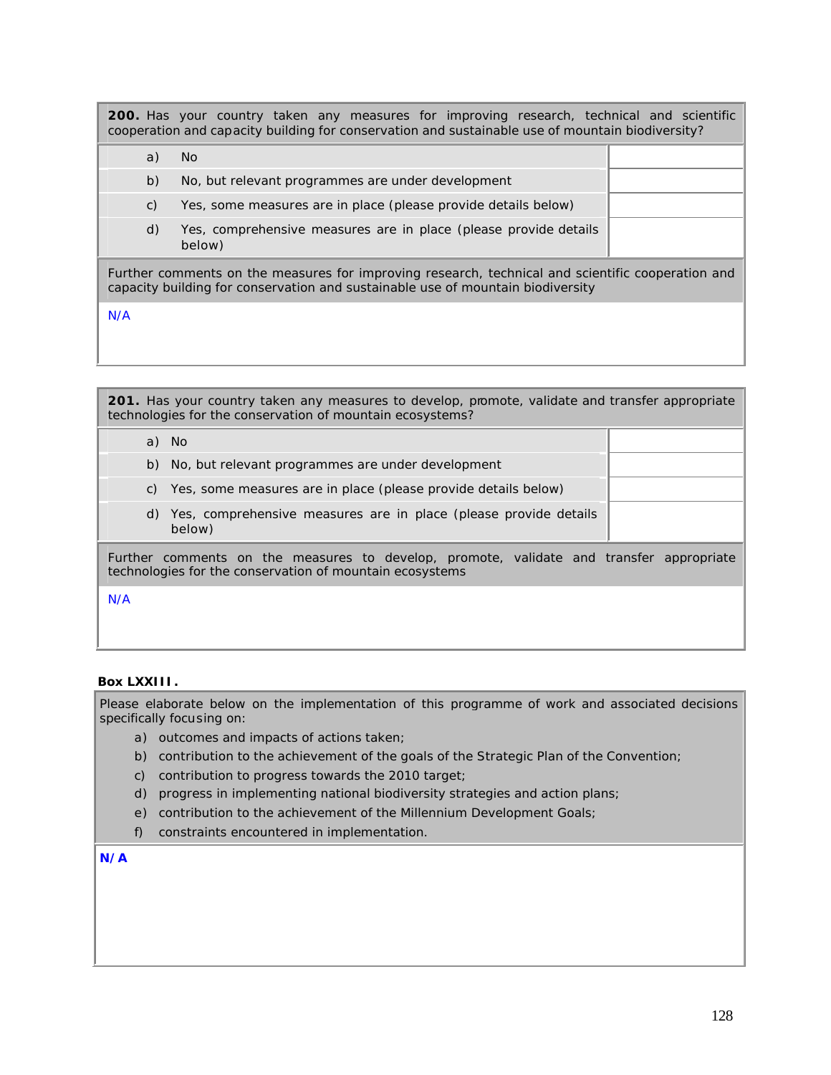**200.** Has your country taken any measures for improving research, technical and scientific cooperation and capacity building for conservation and sustainable use of mountain biodiversity?

|                                                                                                  | a)             | No.                                                                        |  |
|--------------------------------------------------------------------------------------------------|----------------|----------------------------------------------------------------------------|--|
|                                                                                                  | b)             | No, but relevant programmes are under development                          |  |
|                                                                                                  | $\mathsf{C}$ ) | Yes, some measures are in place (please provide details below)             |  |
|                                                                                                  | d)             | Yes, comprehensive measures are in place (please provide details<br>below) |  |
| urther comments on the measures for improving research, technical and scientific cooperation and |                |                                                                            |  |

Further comments on the measures for improving research, technical and scientific cooperation and capacity building for conservation and sustainable use of mountain biodiversity

N/A

| <b>201.</b> Has your country taken any measures to develop, promote, validate and transfer appropriate<br>technologies for the conservation of mountain ecosystems? |  |  |  |
|---------------------------------------------------------------------------------------------------------------------------------------------------------------------|--|--|--|
| a) No                                                                                                                                                               |  |  |  |
| No, but relevant programmes are under development<br>b)                                                                                                             |  |  |  |
| c) Yes, some measures are in place (please provide details below)                                                                                                   |  |  |  |
| Yes, comprehensive measures are in place (please provide details<br>d)<br>below)                                                                                    |  |  |  |
| Further comments on the measures to develop, promote, validate and transfer appropriate<br>technologies for the conservation of mountain ecosystems                 |  |  |  |
| N/A                                                                                                                                                                 |  |  |  |
|                                                                                                                                                                     |  |  |  |

## **Box LXXIII.**

Please elaborate below on the implementation of this programme of work and associated decisions specifically focusing on:

- a) outcomes and impacts of actions taken;
- b) contribution to the achievement of the goals of the Strategic Plan of the Convention;
- c) contribution to progress towards the 2010 target;
- d) progress in implementing national biodiversity strategies and action plans;
- e) contribution to the achievement of the Millennium Development Goals;
- f) constraints encountered in implementation.

**N/A**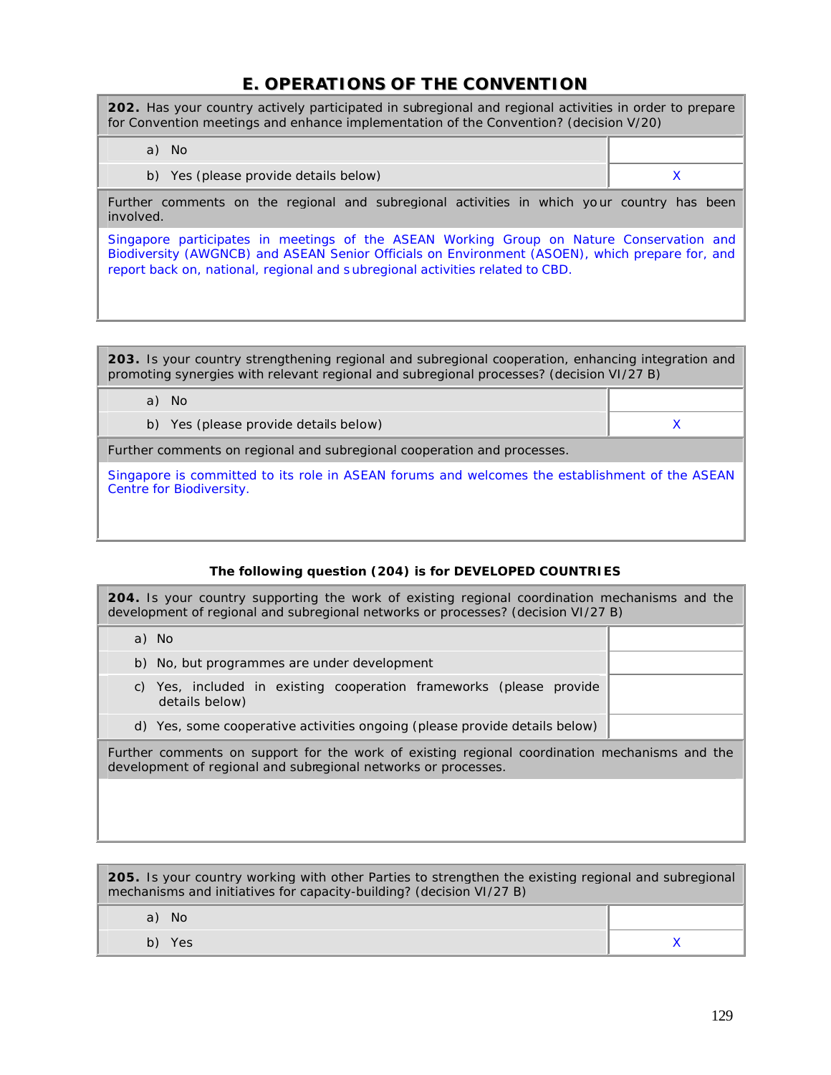# **E. OPERATIONS OF THE CONVENTION**

**202.** Has your country actively participated in subregional and regional activities in order to prepare for Convention meetings and enhance implementation of the Convention? (decision V/20) a) No b) Yes (please provide details below) and the set of the set of the set of the set of the set of the set of the  $X$ Further comments on the regional and subregional activities in which your country has been involved. Singapore participates in meetings of the ASEAN Working Group on Nature Conservation and Biodiversity (AWGNCB) and ASEAN Senior Officials on Environment (ASOEN), which prepare for, and report back on, national, regional and s ubregional activities related to CBD.

**203.** Is your country strengthening regional and subregional cooperation, enhancing integration and promoting synergies with relevant regional and subregional processes? (decision VI/27 B)

| No                                    |  |
|---------------------------------------|--|
| b) Yes (please provide details below) |  |
|                                       |  |

Further comments on regional and subregional cooperation and processes.

Singapore is committed to its role in ASEAN forums and welcomes the establishment of the ASEAN Centre for Biodiversity.

# *The following question (204) is for DEVELOPED COUNTRIES*

**204.** Is your country supporting the work of existing regional coordination mechanisms and the development of regional and subregional networks or processes? (decision VI/27 B)

| d) Yes, some cooperative activities ongoing (please provide details below)               |  |
|------------------------------------------------------------------------------------------|--|
| Yes, included in existing cooperation frameworks (please provide<br>C)<br>details below) |  |
| b) No, but programmes are under development                                              |  |
| a) No                                                                                    |  |

Further comments on support for the work of existing regional coordination mechanisms and the development of regional and subregional networks or processes.

| <b>205.</b> Is your country working with other Parties to strengthen the existing regional and subregional<br>mechanisms and initiatives for capacity-building? (decision VI/27 B) |  |  |  |
|------------------------------------------------------------------------------------------------------------------------------------------------------------------------------------|--|--|--|
| a) No                                                                                                                                                                              |  |  |  |
| b) Yes                                                                                                                                                                             |  |  |  |